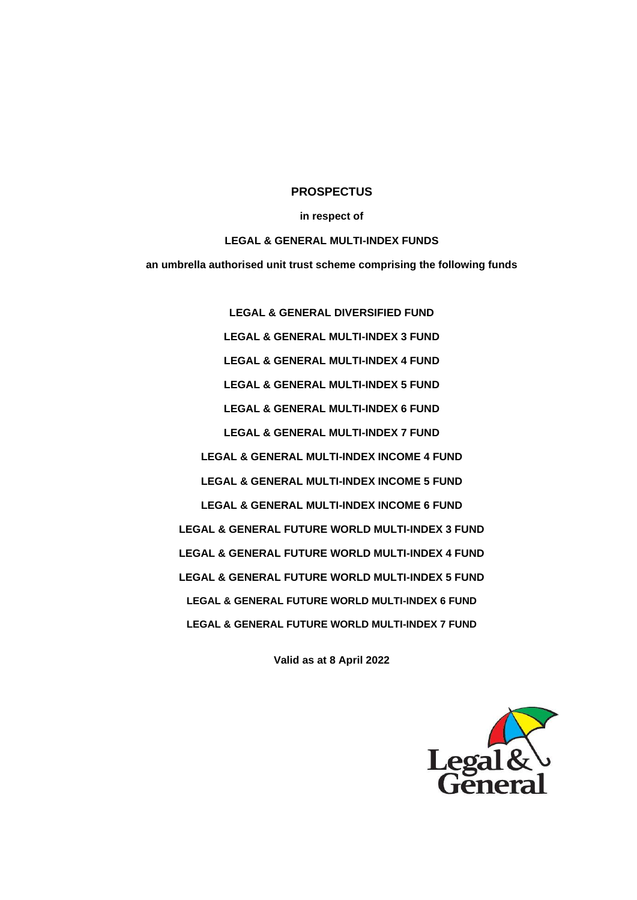### **PROSPECTUS**

#### **in respect of**

#### **LEGAL & GENERAL MULTI-INDEX FUNDS**

**an umbrella authorised unit trust scheme comprising the following funds**

**LEGAL & GENERAL DIVERSIFIED FUND LEGAL & GENERAL MULTI-INDEX 3 FUND LEGAL & GENERAL MULTI-INDEX 4 FUND LEGAL & GENERAL MULTI-INDEX 5 FUND LEGAL & GENERAL MULTI-INDEX 6 FUND LEGAL & GENERAL MULTI-INDEX 7 FUND LEGAL & GENERAL MULTI-INDEX INCOME 4 FUND LEGAL & GENERAL MULTI-INDEX INCOME 5 FUND LEGAL & GENERAL MULTI-INDEX INCOME 6 FUND LEGAL & GENERAL FUTURE WORLD MULTI-INDEX 3 FUND LEGAL & GENERAL FUTURE WORLD MULTI-INDEX 4 FUND LEGAL & GENERAL FUTURE WORLD MULTI-INDEX 5 FUND LEGAL & GENERAL FUTURE WORLD MULTI-INDEX 6 FUND LEGAL & GENERAL FUTURE WORLD MULTI-INDEX 7 FUND**

**Valid as at 8 April 2022**

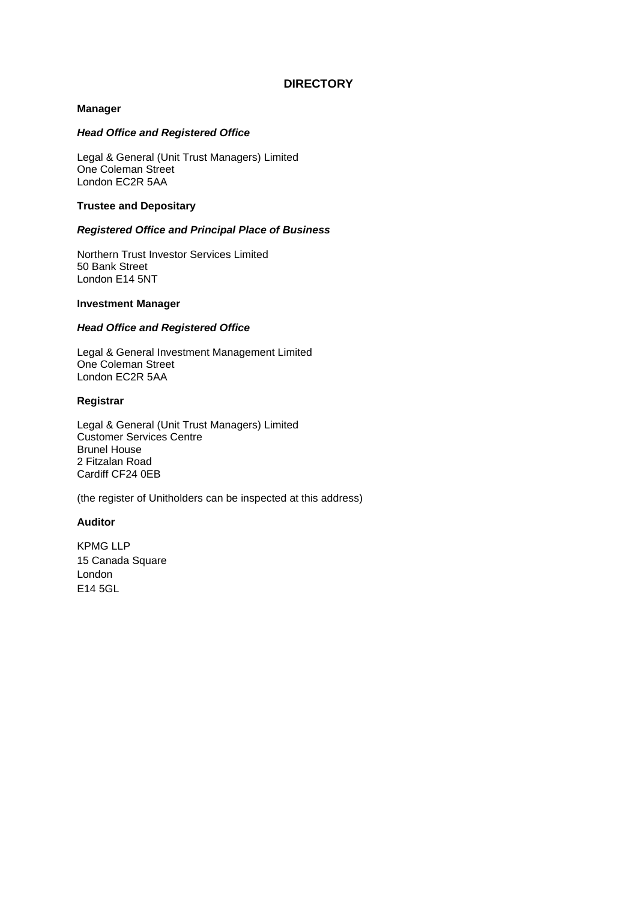# **DIRECTORY**

# **Manager**

# *Head Office and Registered Office*

Legal & General (Unit Trust Managers) Limited One Coleman Street London EC2R 5AA

### **Trustee and Depositary**

# *Registered Office and Principal Place of Business*

Northern Trust Investor Services Limited 50 Bank Street London E14 5NT

# **Investment Manager**

# *Head Office and Registered Office*

Legal & General Investment Management Limited One Coleman Street London EC2R 5AA

### **Registrar**

Legal & General (Unit Trust Managers) Limited Customer Services Centre Brunel House 2 Fitzalan Road Cardiff CF24 0EB

(the register of Unitholders can be inspected at this address)

### **Auditor**

KPMG LLP 15 Canada Square London E14 5GL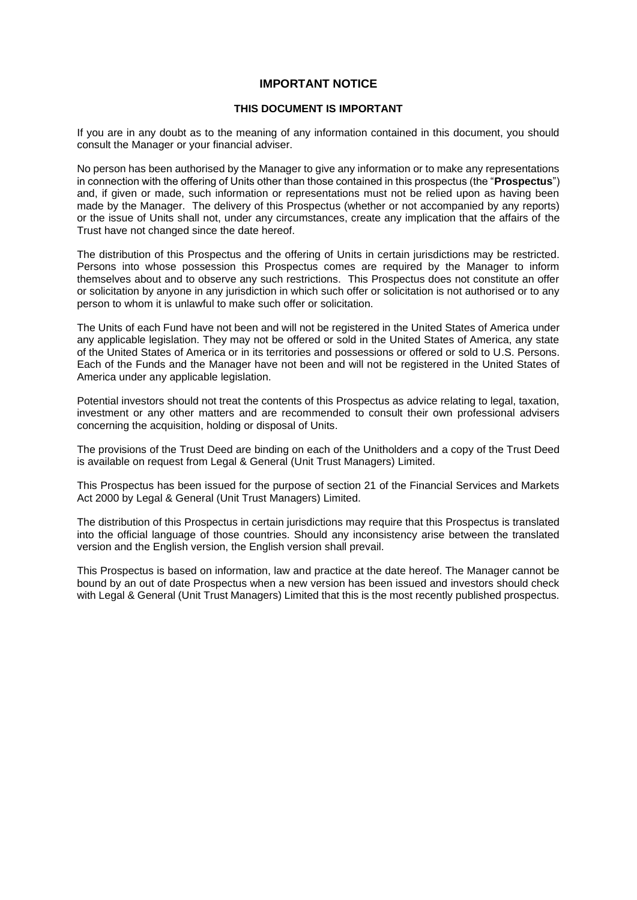# **IMPORTANT NOTICE**

### **THIS DOCUMENT IS IMPORTANT**

If you are in any doubt as to the meaning of any information contained in this document, you should consult the Manager or your financial adviser.

No person has been authorised by the Manager to give any information or to make any representations in connection with the offering of Units other than those contained in this prospectus (the "**Prospectus**") and, if given or made, such information or representations must not be relied upon as having been made by the Manager. The delivery of this Prospectus (whether or not accompanied by any reports) or the issue of Units shall not, under any circumstances, create any implication that the affairs of the Trust have not changed since the date hereof.

The distribution of this Prospectus and the offering of Units in certain jurisdictions may be restricted. Persons into whose possession this Prospectus comes are required by the Manager to inform themselves about and to observe any such restrictions. This Prospectus does not constitute an offer or solicitation by anyone in any jurisdiction in which such offer or solicitation is not authorised or to any person to whom it is unlawful to make such offer or solicitation.

The Units of each Fund have not been and will not be registered in the United States of America under any applicable legislation. They may not be offered or sold in the United States of America, any state of the United States of America or in its territories and possessions or offered or sold to U.S. Persons. Each of the Funds and the Manager have not been and will not be registered in the United States of America under any applicable legislation.

Potential investors should not treat the contents of this Prospectus as advice relating to legal, taxation, investment or any other matters and are recommended to consult their own professional advisers concerning the acquisition, holding or disposal of Units.

The provisions of the Trust Deed are binding on each of the Unitholders and a copy of the Trust Deed is available on request from Legal & General (Unit Trust Managers) Limited.

This Prospectus has been issued for the purpose of section 21 of the Financial Services and Markets Act 2000 by Legal & General (Unit Trust Managers) Limited.

The distribution of this Prospectus in certain jurisdictions may require that this Prospectus is translated into the official language of those countries. Should any inconsistency arise between the translated version and the English version, the English version shall prevail.

This Prospectus is based on information, law and practice at the date hereof. The Manager cannot be bound by an out of date Prospectus when a new version has been issued and investors should check with Legal & General (Unit Trust Managers) Limited that this is the most recently published prospectus.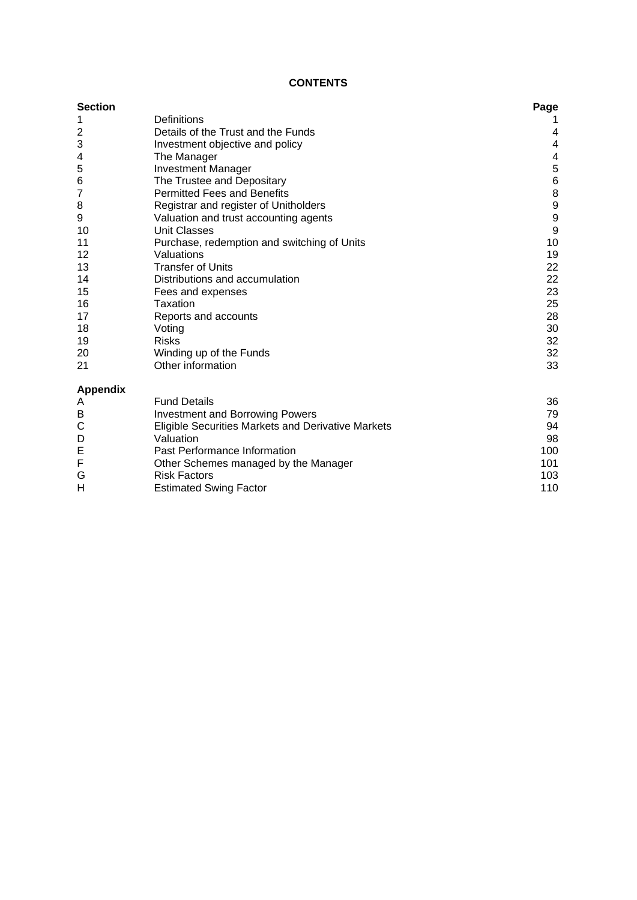# **CONTENTS**

| <b>Section</b>  |                                                    | Page           |
|-----------------|----------------------------------------------------|----------------|
| 1               | Definitions                                        |                |
| 2               | Details of the Trust and the Funds                 | 4              |
| 3               | Investment objective and policy                    | 4              |
| 4               | The Manager                                        | 4              |
| 5               | <b>Investment Manager</b>                          | 5              |
| 6               | The Trustee and Depositary                         | $\overline{6}$ |
| $\overline{7}$  | <b>Permitted Fees and Benefits</b>                 | 8              |
| 8               | Registrar and register of Unitholders              | 9              |
| 9               | Valuation and trust accounting agents              | 9              |
| 10              | <b>Unit Classes</b>                                | 9              |
| 11              | Purchase, redemption and switching of Units        | 10             |
| 12              | Valuations                                         | 19             |
| 13              | <b>Transfer of Units</b>                           | 22             |
| 14              | Distributions and accumulation                     | 22             |
| 15              | Fees and expenses                                  | 23             |
| 16              | Taxation                                           | 25             |
| 17              | Reports and accounts                               | 28             |
| 18              | Voting                                             | 30             |
| 19              | <b>Risks</b>                                       | 32             |
| 20              | Winding up of the Funds                            | 32             |
| 21              | Other information                                  | 33             |
| <b>Appendix</b> |                                                    |                |
| A               | <b>Fund Details</b>                                | 36             |
| B               | <b>Investment and Borrowing Powers</b>             | 79             |
| C               | Eligible Securities Markets and Derivative Markets | 94             |
| D               | Valuation                                          | 98             |
| E               | Past Performance Information                       | 100            |
| F               | Other Schemes managed by the Manager               | 101            |
|                 |                                                    |                |

G Risk Factors **Risk Factors** and the control of the control of the control of the control of the control of the control of the control of the control of the control of the control of the control of the control of the cont H **Estimated Swing Factor** [110](#page-113-0)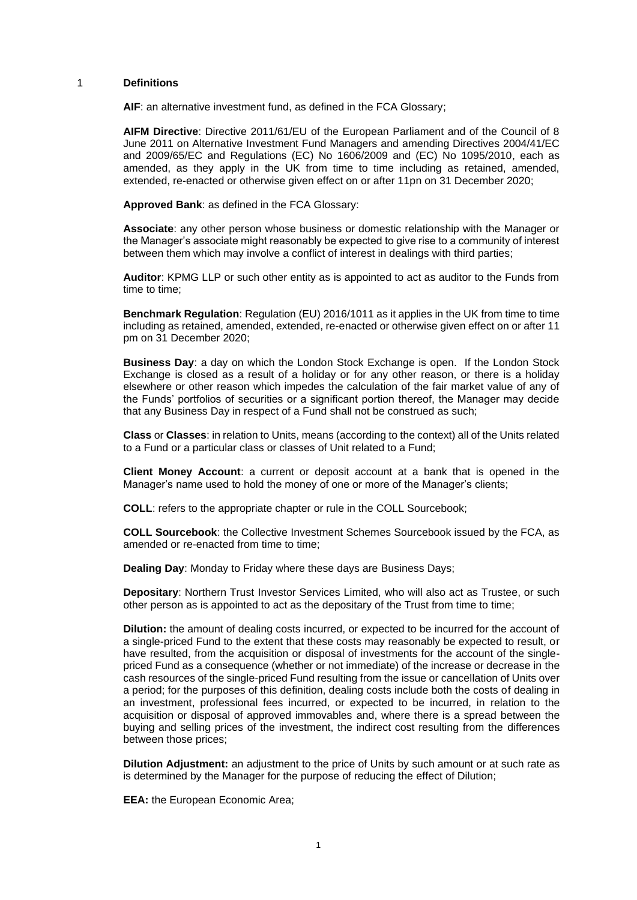#### <span id="page-4-0"></span>1 **Definitions**

**AIF**: an alternative investment fund, as defined in the FCA Glossary;

**AIFM Directive**: Directive 2011/61/EU of the European Parliament and of the Council of 8 June 2011 on Alternative Investment Fund Managers and amending Directives 2004/41/EC and 2009/65/EC and Regulations (EC) No 1606/2009 and (EC) No 1095/2010, each as amended, as they apply in the UK from time to time including as retained, amended, extended, re-enacted or otherwise given effect on or after 11pn on 31 December 2020;

**Approved Bank**: as defined in the FCA Glossary:

**Associate**: any other person whose business or domestic relationship with the Manager or the Manager's associate might reasonably be expected to give rise to a community of interest between them which may involve a conflict of interest in dealings with third parties;

**Auditor**: KPMG LLP or such other entity as is appointed to act as auditor to the Funds from time to time;

**Benchmark Regulation**: Regulation (EU) 2016/1011 as it applies in the UK from time to time including as retained, amended, extended, re-enacted or otherwise given effect on or after 11 pm on 31 December 2020;

**Business Day**: a day on which the London Stock Exchange is open. If the London Stock Exchange is closed as a result of a holiday or for any other reason, or there is a holiday elsewhere or other reason which impedes the calculation of the fair market value of any of the Funds' portfolios of securities or a significant portion thereof, the Manager may decide that any Business Day in respect of a Fund shall not be construed as such;

**Class** or **Classes**: in relation to Units, means (according to the context) all of the Units related to a Fund or a particular class or classes of Unit related to a Fund;

**Client Money Account**: a current or deposit account at a bank that is opened in the Manager's name used to hold the money of one or more of the Manager's clients;

**COLL**: refers to the appropriate chapter or rule in the COLL Sourcebook;

**COLL Sourcebook**: the Collective Investment Schemes Sourcebook issued by the FCA, as amended or re-enacted from time to time;

**Dealing Day**: Monday to Friday where these days are Business Days;

**Depositary**: Northern Trust Investor Services Limited, who will also act as Trustee, or such other person as is appointed to act as the depositary of the Trust from time to time;

**Dilution:** the amount of dealing costs incurred, or expected to be incurred for the account of a single-priced Fund to the extent that these costs may reasonably be expected to result, or have resulted, from the acquisition or disposal of investments for the account of the singlepriced Fund as a consequence (whether or not immediate) of the increase or decrease in the cash resources of the single-priced Fund resulting from the issue or cancellation of Units over a period; for the purposes of this definition, dealing costs include both the costs of dealing in an investment, professional fees incurred, or expected to be incurred, in relation to the acquisition or disposal of approved immovables and, where there is a spread between the buying and selling prices of the investment, the indirect cost resulting from the differences between those prices;

**Dilution Adjustment:** an adjustment to the price of Units by such amount or at such rate as is determined by the Manager for the purpose of reducing the effect of Dilution;

**EEA:** the European Economic Area;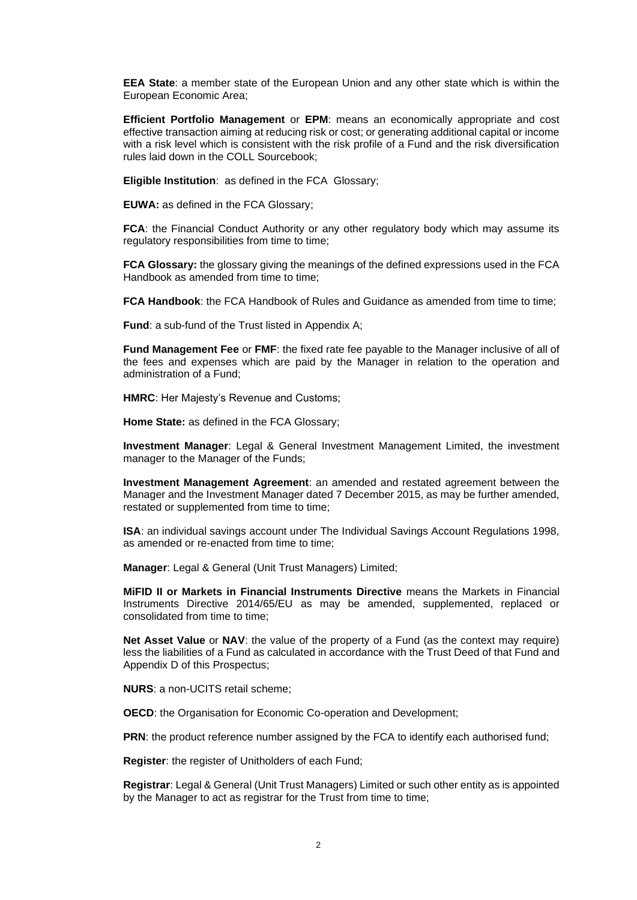**EEA State**: a member state of the European Union and any other state which is within the European Economic Area;

**Efficient Portfolio Management** or **EPM**: means an economically appropriate and cost effective transaction aiming at reducing risk or cost; or generating additional capital or income with a risk level which is consistent with the risk profile of a Fund and the risk diversification rules laid down in the COLL Sourcebook;

**Eligible Institution**: as defined in the FCA Glossary;

**EUWA:** as defined in the FCA Glossary;

**FCA:** the Financial Conduct Authority or any other regulatory body which may assume its regulatory responsibilities from time to time:

**FCA Glossary:** the glossary giving the meanings of the defined expressions used in the FCA Handbook as amended from time to time;

**FCA Handbook:** the FCA Handbook of Rules and Guidance as amended from time to time:

**Fund**: a sub-fund of the Trust listed in [Appendix A;](#page-39-0)

**Fund Management Fee** or **FMF**: the fixed rate fee payable to the Manager inclusive of all of the fees and expenses which are paid by the Manager in relation to the operation and administration of a Fund;

**HMRC**: Her Majesty's Revenue and Customs;

**Home State:** as defined in the FCA Glossary;

**Investment Manager**: Legal & General Investment Management Limited, the investment manager to the Manager of the Funds;

**Investment Management Agreement**: an amended and restated agreement between the Manager and the Investment Manager dated 7 December 2015, as may be further amended, restated or supplemented from time to time;

**ISA**: an individual savings account under The Individual Savings Account Regulations 1998, as amended or re-enacted from time to time;

**Manager**: Legal & General (Unit Trust Managers) Limited;

**MiFID II or Markets in Financial Instruments Directive** means the Markets in Financial Instruments Directive 2014/65/EU as may be amended, supplemented, replaced or consolidated from time to time;

**Net Asset Value** or **NAV**: the value of the property of a Fund (as the context may require) less the liabilities of a Fund as calculated in accordance with the Trust Deed of that Fund and Appendix D of this Prospectus;

**NURS**: a non-UCITS retail scheme;

**OECD**: the Organisation for Economic Co-operation and Development;

**PRN:** the product reference number assigned by the FCA to identify each authorised fund;

**Register**: the register of Unitholders of each Fund;

**Registrar**: Legal & General (Unit Trust Managers) Limited or such other entity as is appointed by the Manager to act as registrar for the Trust from time to time;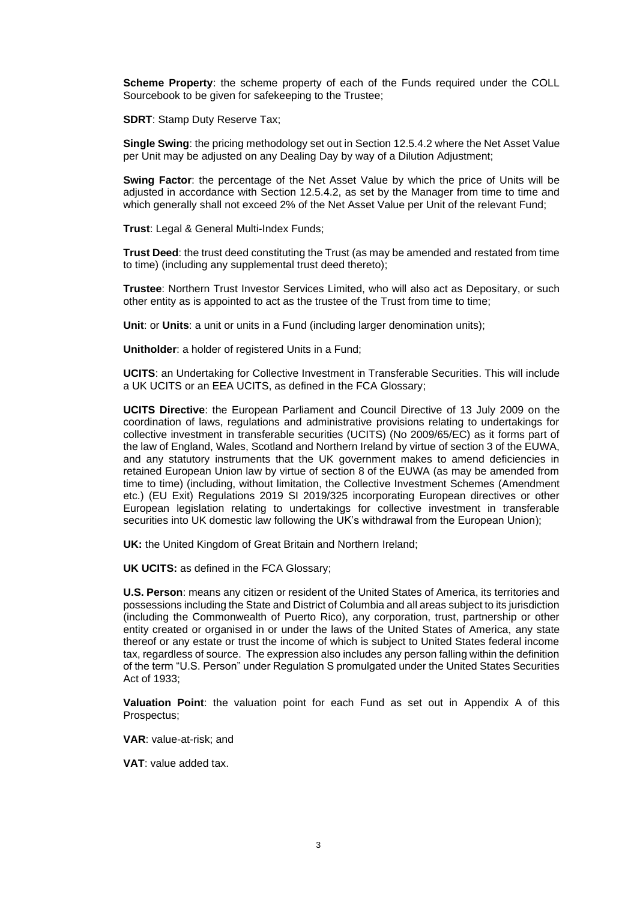**Scheme Property**: the scheme property of each of the Funds required under the COLL Sourcebook to be given for safekeeping to the Trustee;

**SDRT**: Stamp Duty Reserve Tax;

**Single Swing**: the pricing methodology set out in Section [12.5.4.2](#page-24-0) where the Net Asset Value per Unit may be adjusted on any Dealing Day by way of a Dilution Adjustment;

**Swing Factor**: the percentage of the Net Asset Value by which the price of Units will be adjusted in accordance with Section [12.5.4.2,](#page-24-0) as set by the Manager from time to time and which generally shall not exceed 2% of the Net Asset Value per Unit of the relevant Fund;

**Trust**: Legal & General Multi-Index Funds;

**Trust Deed**: the trust deed constituting the Trust (as may be amended and restated from time to time) (including any supplemental trust deed thereto);

**Trustee**: Northern Trust Investor Services Limited, who will also act as Depositary, or such other entity as is appointed to act as the trustee of the Trust from time to time;

**Unit:** or **Units**: a unit or units in a Fund (including larger denomination units);

**Unitholder**: a holder of registered Units in a Fund;

**UCITS**: an Undertaking for Collective Investment in Transferable Securities. This will include a UK UCITS or an EEA UCITS, as defined in the FCA Glossary;

**UCITS Directive**: the European Parliament and Council Directive of 13 July 2009 on the coordination of laws, regulations and administrative provisions relating to undertakings for collective investment in transferable securities (UCITS) (No 2009/65/EC) as it forms part of the law of England, Wales, Scotland and Northern Ireland by virtue of section 3 of the EUWA, and any statutory instruments that the UK government makes to amend deficiencies in retained European Union law by virtue of section 8 of the EUWA (as may be amended from time to time) (including, without limitation, the Collective Investment Schemes (Amendment etc.) (EU Exit) Regulations 2019 SI 2019/325 incorporating European directives or other European legislation relating to undertakings for collective investment in transferable securities into UK domestic law following the UK's withdrawal from the European Union);

**UK:** the United Kingdom of Great Britain and Northern Ireland;

**UK UCITS:** as defined in the FCA Glossary;

**U.S. Person**: means any citizen or resident of the United States of America, its territories and possessions including the State and District of Columbia and all areas subject to its jurisdiction (including the Commonwealth of Puerto Rico), any corporation, trust, partnership or other entity created or organised in or under the laws of the United States of America, any state thereof or any estate or trust the income of which is subject to United States federal income tax, regardless of source. The expression also includes any person falling within the definition of the term "U.S. Person" under Regulation S promulgated under the United States Securities Act of 1933;

**Valuation Point**: the valuation point for each Fund as set out in [Appendix A](#page-39-0) of this Prospectus;

**VAR**: value-at-risk; and

**VAT**: value added tax.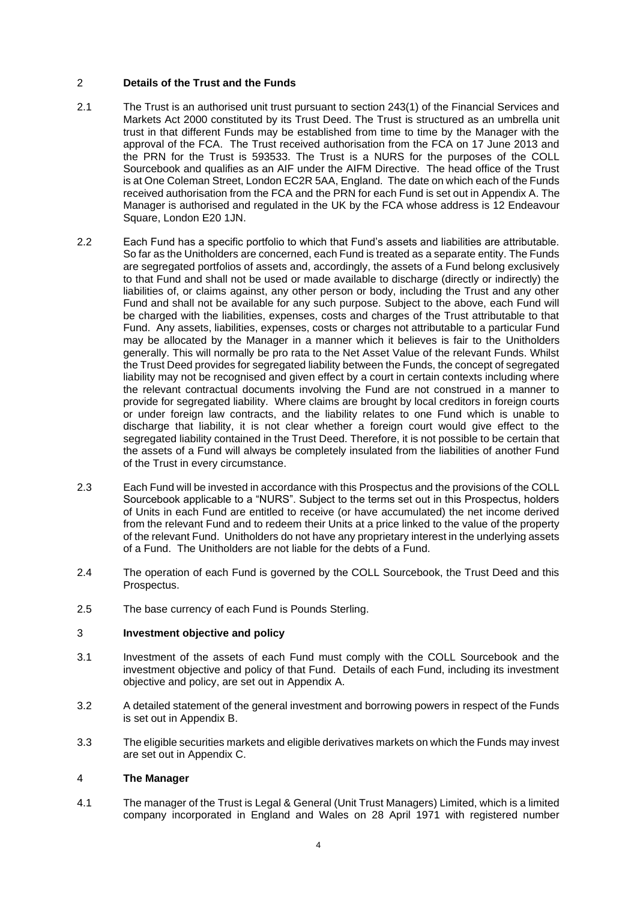# <span id="page-7-0"></span>2 **Details of the Trust and the Funds**

- 2.1 The Trust is an authorised unit trust pursuant to section 243(1) of the Financial Services and Markets Act 2000 constituted by its Trust Deed. The Trust is structured as an umbrella unit trust in that different Funds may be established from time to time by the Manager with the approval of the FCA. The Trust received authorisation from the FCA on 17 June 2013 and the PRN for the Trust is 593533. The Trust is a NURS for the purposes of the COLL Sourcebook and qualifies as an AIF under the AIFM Directive. The head office of the Trust is at One Coleman Street, London EC2R 5AA, England. The date on which each of the Funds received authorisation from the FCA and the PRN for each Fund is set out in [Appendix A.](#page-39-0) The Manager is authorised and regulated in the UK by the FCA whose address is 12 Endeavour Square, London E20 1JN.
- 2.2 Each Fund has a specific portfolio to which that Fund's assets and liabilities are attributable. So far as the Unitholders are concerned, each Fund is treated as a separate entity. The Funds are segregated portfolios of assets and, accordingly, the assets of a Fund belong exclusively to that Fund and shall not be used or made available to discharge (directly or indirectly) the liabilities of, or claims against, any other person or body, including the Trust and any other Fund and shall not be available for any such purpose. Subject to the above, each Fund will be charged with the liabilities, expenses, costs and charges of the Trust attributable to that Fund. Any assets, liabilities, expenses, costs or charges not attributable to a particular Fund may be allocated by the Manager in a manner which it believes is fair to the Unitholders generally. This will normally be pro rata to the Net Asset Value of the relevant Funds. Whilst the Trust Deed provides for segregated liability between the Funds, the concept of segregated liability may not be recognised and given effect by a court in certain contexts including where the relevant contractual documents involving the Fund are not construed in a manner to provide for segregated liability. Where claims are brought by local creditors in foreign courts or under foreign law contracts, and the liability relates to one Fund which is unable to discharge that liability, it is not clear whether a foreign court would give effect to the segregated liability contained in the Trust Deed. Therefore, it is not possible to be certain that the assets of a Fund will always be completely insulated from the liabilities of another Fund of the Trust in every circumstance.
- 2.3 Each Fund will be invested in accordance with this Prospectus and the provisions of the COLL Sourcebook applicable to a "NURS". Subject to the terms set out in this Prospectus, holders of Units in each Fund are entitled to receive (or have accumulated) the net income derived from the relevant Fund and to redeem their Units at a price linked to the value of the property of the relevant Fund. Unitholders do not have any proprietary interest in the underlying assets of a Fund. The Unitholders are not liable for the debts of a Fund.
- 2.4 The operation of each Fund is governed by the COLL Sourcebook, the Trust Deed and this Prospectus.
- 2.5 The base currency of each Fund is Pounds Sterling.

# <span id="page-7-1"></span>3 **Investment objective and policy**

- 3.1 Investment of the assets of each Fund must comply with the COLL Sourcebook and the investment objective and policy of that Fund. Details of each Fund, including its investment objective and policy, are set out in [Appendix A.](#page-39-0)
- 3.2 A detailed statement of the general investment and borrowing powers in respect of the Funds is set out in [Appendix B.](#page-82-0)
- 3.3 The eligible securities markets and eligible derivatives markets on which the Funds may invest are set out in [Appendix C.](#page-97-0)

# <span id="page-7-2"></span>4 **The Manager**

4.1 The manager of the Trust is Legal & General (Unit Trust Managers) Limited, which is a limited company incorporated in England and Wales on 28 April 1971 with registered number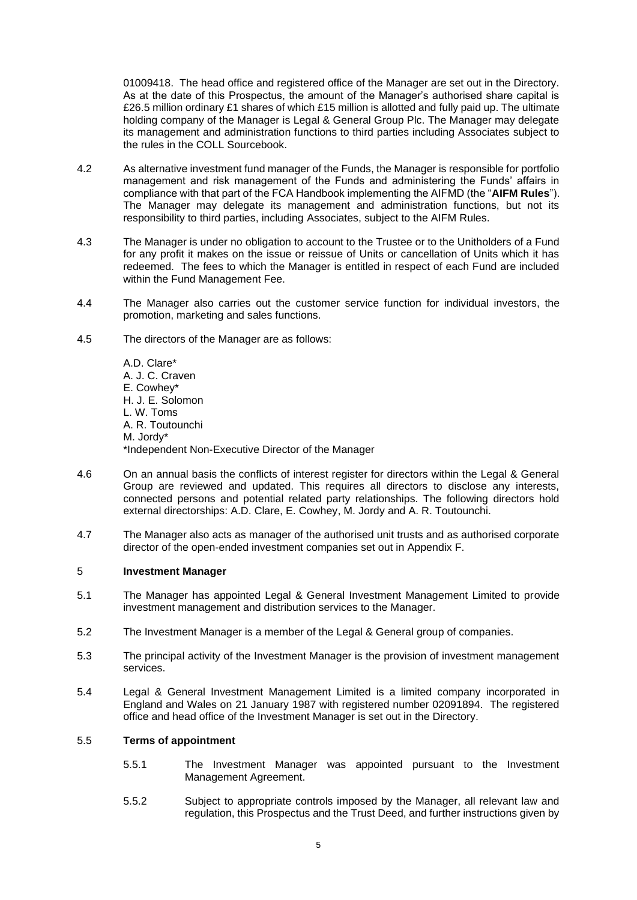01009418. The head office and registered office of the Manager are set out in the Directory. As at the date of this Prospectus, the amount of the Manager's authorised share capital is £26.5 million ordinary £1 shares of which £15 million is allotted and fully paid up. The ultimate holding company of the Manager is Legal & General Group Plc. The Manager may delegate its management and administration functions to third parties including Associates subject to the rules in the COLL Sourcebook.

- 4.2 As alternative investment fund manager of the Funds, the Manager is responsible for portfolio management and risk management of the Funds and administering the Funds' affairs in compliance with that part of the FCA Handbook implementing the AIFMD (the "**AIFM Rules**"). The Manager may delegate its management and administration functions, but not its responsibility to third parties, including Associates, subject to the AIFM Rules.
- 4.3 The Manager is under no obligation to account to the Trustee or to the Unitholders of a Fund for any profit it makes on the issue or reissue of Units or cancellation of Units which it has redeemed. The fees to which the Manager is entitled in respect of each Fund are included within the Fund Management Fee.
- 4.4 The Manager also carries out the customer service function for individual investors, the promotion, marketing and sales functions.
- 4.5 The directors of the Manager are as follows:

A.D. Clare\* A. J. C. Craven E. Cowhey\* H. J. E. Solomon L. W. Toms A. R. Toutounchi M. Jordy\* \*Independent Non-Executive Director of the Manager

- 4.6 On an annual basis the conflicts of interest register for directors within the Legal & General Group are reviewed and updated. This requires all directors to disclose any interests, connected persons and potential related party relationships. The following directors hold external directorships: A.D. Clare, E. Cowhey, M. Jordy and A. R. Toutounchi.
- 4.7 The Manager also acts as manager of the authorised unit trusts and as authorised corporate director of the open-ended investment companies set out in [Appendix F.](#page-104-0)

#### <span id="page-8-0"></span>5 **Investment Manager**

- 5.1 The Manager has appointed Legal & General Investment Management Limited to provide investment management and distribution services to the Manager.
- 5.2 The Investment Manager is a member of the Legal & General group of companies.
- 5.3 The principal activity of the Investment Manager is the provision of investment management services.
- 5.4 Legal & General Investment Management Limited is a limited company incorporated in England and Wales on 21 January 1987 with registered number 02091894. The registered office and head office of the Investment Manager is set out in the Directory.

# 5.5 **Terms of appointment**

- 5.5.1 The Investment Manager was appointed pursuant to the Investment Management Agreement.
- 5.5.2 Subject to appropriate controls imposed by the Manager, all relevant law and regulation, this Prospectus and the Trust Deed, and further instructions given by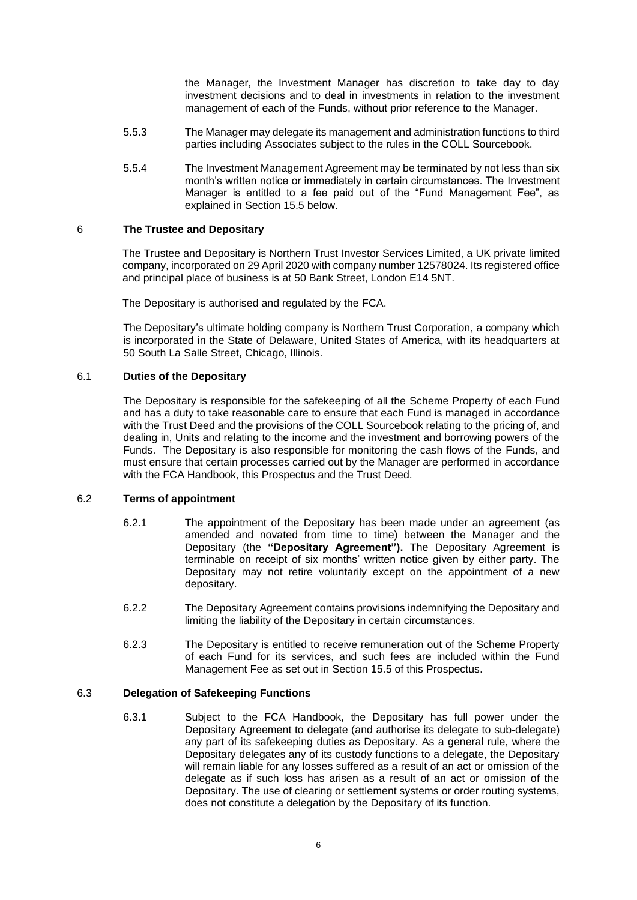the Manager, the Investment Manager has discretion to take day to day investment decisions and to deal in investments in relation to the investment management of each of the Funds, without prior reference to the Manager.

- 5.5.3 The Manager may delegate its management and administration functions to third parties including Associates subject to the rules in the COLL Sourcebook.
- 5.5.4 The Investment Management Agreement may be terminated by not less than six month's written notice or immediately in certain circumstances. The Investment Manager is entitled to a fee paid out of the "Fund Management Fee", as explained in Section [15.5](#page-27-0) below.

### <span id="page-9-0"></span>6 **The Trustee and Depositary**

The Trustee and Depositary is Northern Trust Investor Services Limited, a UK private limited company, incorporated on 29 April 2020 with company number 12578024. Its registered office and principal place of business is at 50 Bank Street, London E14 5NT.

The Depositary is authorised and regulated by the FCA.

The Depositary's ultimate holding company is Northern Trust Corporation, a company which is incorporated in the State of Delaware, United States of America, with its headquarters at 50 South La Salle Street, Chicago, Illinois.

### 6.1 **Duties of the Depositary**

The Depositary is responsible for the safekeeping of all the Scheme Property of each Fund and has a duty to take reasonable care to ensure that each Fund is managed in accordance with the Trust Deed and the provisions of the COLL Sourcebook relating to the pricing of, and dealing in, Units and relating to the income and the investment and borrowing powers of the Funds. The Depositary is also responsible for monitoring the cash flows of the Funds, and must ensure that certain processes carried out by the Manager are performed in accordance with the FCA Handbook, this Prospectus and the Trust Deed.

# 6.2 **Terms of appointment**

- 6.2.1 The appointment of the Depositary has been made under an agreement (as amended and novated from time to time) between the Manager and the Depositary (the **"Depositary Agreement").** The Depositary Agreement is terminable on receipt of six months' written notice given by either party. The Depositary may not retire voluntarily except on the appointment of a new depositary.
- 6.2.2 The Depositary Agreement contains provisions indemnifying the Depositary and limiting the liability of the Depositary in certain circumstances.
- 6.2.3 The Depositary is entitled to receive remuneration out of the Scheme Property of each Fund for its services, and such fees are included within the Fund Management Fee as set out in Section [15.5](#page-27-0) of this Prospectus.

# 6.3 **Delegation of Safekeeping Functions**

6.3.1 Subject to the FCA Handbook, the Depositary has full power under the Depositary Agreement to delegate (and authorise its delegate to sub-delegate) any part of its safekeeping duties as Depositary. As a general rule, where the Depositary delegates any of its custody functions to a delegate, the Depositary will remain liable for any losses suffered as a result of an act or omission of the delegate as if such loss has arisen as a result of an act or omission of the Depositary. The use of clearing or settlement systems or order routing systems, does not constitute a delegation by the Depositary of its function.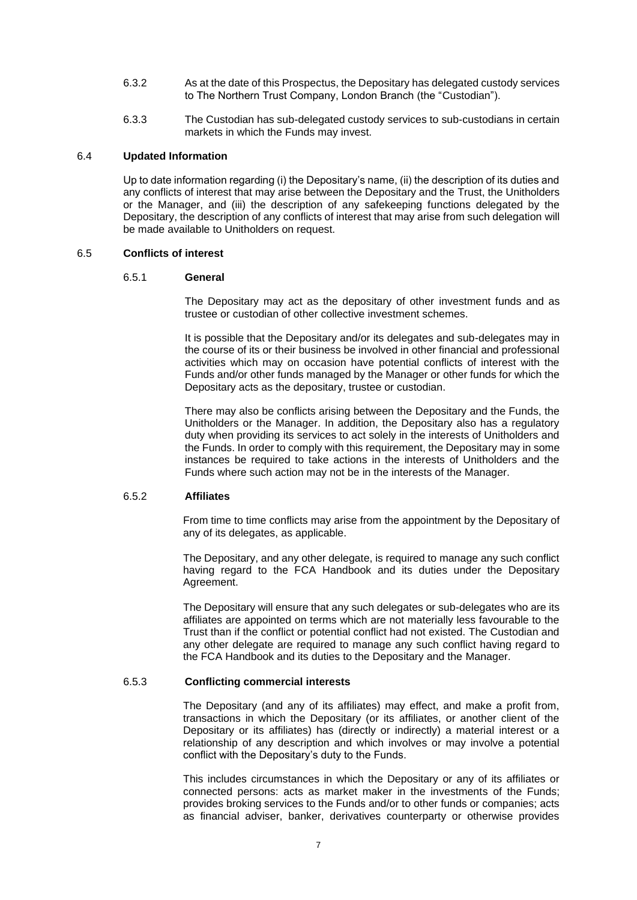- 6.3.2 As at the date of this Prospectus, the Depositary has delegated custody services to The Northern Trust Company, London Branch (the "Custodian").
- 6.3.3 The Custodian has sub-delegated custody services to sub-custodians in certain markets in which the Funds may invest.

#### 6.4 **Updated Information**

Up to date information regarding (i) the Depositary's name, (ii) the description of its duties and any conflicts of interest that may arise between the Depositary and the Trust, the Unitholders or the Manager, and (iii) the description of any safekeeping functions delegated by the Depositary, the description of any conflicts of interest that may arise from such delegation will be made available to Unitholders on request.

#### 6.5 **Conflicts of interest**

#### 6.5.1 **General**

The Depositary may act as the depositary of other investment funds and as trustee or custodian of other collective investment schemes.

It is possible that the Depositary and/or its delegates and sub-delegates may in the course of its or their business be involved in other financial and professional activities which may on occasion have potential conflicts of interest with the Funds and/or other funds managed by the Manager or other funds for which the Depositary acts as the depositary, trustee or custodian.

There may also be conflicts arising between the Depositary and the Funds, the Unitholders or the Manager. In addition, the Depositary also has a regulatory duty when providing its services to act solely in the interests of Unitholders and the Funds. In order to comply with this requirement, the Depositary may in some instances be required to take actions in the interests of Unitholders and the Funds where such action may not be in the interests of the Manager.

#### 6.5.2 **Affiliates**

From time to time conflicts may arise from the appointment by the Depositary of any of its delegates, as applicable.

The Depositary, and any other delegate, is required to manage any such conflict having regard to the FCA Handbook and its duties under the Depositary Agreement.

The Depositary will ensure that any such delegates or sub-delegates who are its affiliates are appointed on terms which are not materially less favourable to the Trust than if the conflict or potential conflict had not existed. The Custodian and any other delegate are required to manage any such conflict having regard to the FCA Handbook and its duties to the Depositary and the Manager.

#### 6.5.3 **Conflicting commercial interests**

The Depositary (and any of its affiliates) may effect, and make a profit from, transactions in which the Depositary (or its affiliates, or another client of the Depositary or its affiliates) has (directly or indirectly) a material interest or a relationship of any description and which involves or may involve a potential conflict with the Depositary's duty to the Funds.

This includes circumstances in which the Depositary or any of its affiliates or connected persons: acts as market maker in the investments of the Funds; provides broking services to the Funds and/or to other funds or companies; acts as financial adviser, banker, derivatives counterparty or otherwise provides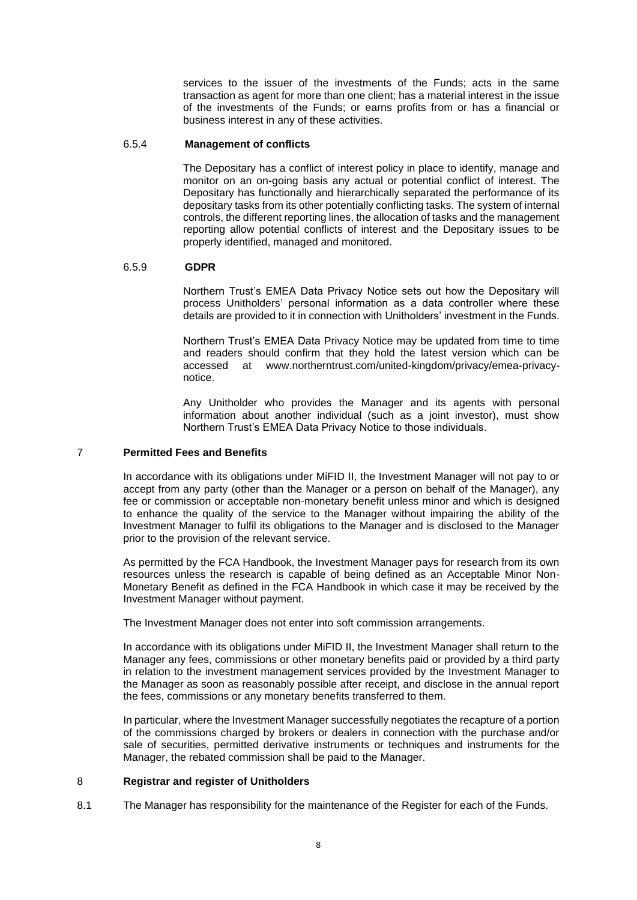services to the issuer of the investments of the Funds; acts in the same transaction as agent for more than one client; has a material interest in the issue of the investments of the Funds; or earns profits from or has a financial or business interest in any of these activities.

#### 6.5.4 **Management of conflicts**

The Depositary has a conflict of interest policy in place to identify, manage and monitor on an on-going basis any actual or potential conflict of interest. The Depositary has functionally and hierarchically separated the performance of its depositary tasks from its other potentially conflicting tasks. The system of internal controls, the different reporting lines, the allocation of tasks and the management reporting allow potential conflicts of interest and the Depositary issues to be properly identified, managed and monitored.

#### 6.5.9 **GDPR**

Northern Trust's EMEA Data Privacy Notice sets out how the Depositary will process Unitholders' personal information as a data controller where these details are provided to it in connection with Unitholders' investment in the Funds.

Northern Trust's EMEA Data Privacy Notice may be updated from time to time and readers should confirm that they hold the latest version which can be accessed at [www.northerntrust.com/united-kingdom/privacy/emea-privacy](http://www.northerntrust.com/united-kingdom/privacy/emea-privacy-notice)[notice.](http://www.northerntrust.com/united-kingdom/privacy/emea-privacy-notice)

Any Unitholder who provides the Manager and its agents with personal information about another individual (such as a joint investor), must show Northern Trust's EMEA Data Privacy Notice to those individuals.

### <span id="page-11-0"></span>7 **Permitted Fees and Benefits**

In accordance with its obligations under MiFID II, the Investment Manager will not pay to or accept from any party (other than the Manager or a person on behalf of the Manager), any fee or commission or acceptable non-monetary benefit unless minor and which is designed to enhance the quality of the service to the Manager without impairing the ability of the Investment Manager to fulfil its obligations to the Manager and is disclosed to the Manager prior to the provision of the relevant service.

As permitted by the FCA Handbook, the Investment Manager pays for research from its own resources unless the research is capable of being defined as an Acceptable Minor Non-Monetary Benefit as defined in the FCA Handbook in which case it may be received by the Investment Manager without payment.

The Investment Manager does not enter into soft commission arrangements.

In accordance with its obligations under MiFID II, the Investment Manager shall return to the Manager any fees, commissions or other monetary benefits paid or provided by a third party in relation to the investment management services provided by the Investment Manager to the Manager as soon as reasonably possible after receipt, and disclose in the annual report the fees, commissions or any monetary benefits transferred to them.

In particular, where the Investment Manager successfully negotiates the recapture of a portion of the commissions charged by brokers or dealers in connection with the purchase and/or sale of securities, permitted derivative instruments or techniques and instruments for the Manager, the rebated commission shall be paid to the Manager.

#### 8 **Registrar and register of Unitholders**

8.1 The Manager has responsibility for the maintenance of the Register for each of the Funds.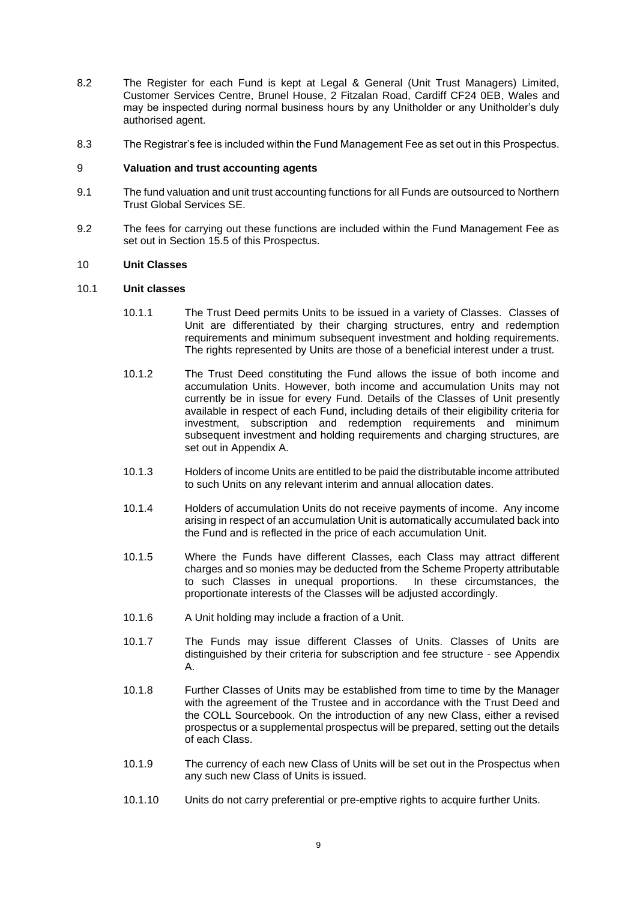- 8.2 The Register for each Fund is kept at Legal & General (Unit Trust Managers) Limited, Customer Services Centre, Brunel House, 2 Fitzalan Road, Cardiff CF24 0EB, Wales and may be inspected during normal business hours by any Unitholder or any Unitholder's duly authorised agent.
- 8.3 The Registrar's fee is included within the Fund Management Fee as set out in this Prospectus.

### <span id="page-12-0"></span>9 **Valuation and trust accounting agents**

- 9.1 The fund valuation and unit trust accounting functions for all Funds are outsourced to Northern Trust Global Services SE.
- 9.2 The fees for carrying out these functions are included within the Fund Management Fee as set out in Section [15.5](#page-27-0) of this Prospectus.

#### <span id="page-12-1"></span>10 **Unit Classes**

#### 10.1 **Unit classes**

- 10.1.1 The Trust Deed permits Units to be issued in a variety of Classes. Classes of Unit are differentiated by their charging structures, entry and redemption requirements and minimum subsequent investment and holding requirements. The rights represented by Units are those of a beneficial interest under a trust.
- 10.1.2 The Trust Deed constituting the Fund allows the issue of both income and accumulation Units. However, both income and accumulation Units may not currently be in issue for every Fund. Details of the Classes of Unit presently available in respect of each Fund, including details of their eligibility criteria for investment, subscription and redemption requirements and minimum subsequent investment and holding requirements and charging structures, are set out in [Appendix A.](#page-39-0)
- 10.1.3 Holders of income Units are entitled to be paid the distributable income attributed to such Units on any relevant interim and annual allocation dates.
- 10.1.4 Holders of accumulation Units do not receive payments of income. Any income arising in respect of an accumulation Unit is automatically accumulated back into the Fund and is reflected in the price of each accumulation Unit.
- 10.1.5 Where the Funds have different Classes, each Class may attract different charges and so monies may be deducted from the Scheme Property attributable to such Classes in unequal proportions. In these circumstances, the proportionate interests of the Classes will be adjusted accordingly.
- 10.1.6 A Unit holding may include a fraction of a Unit.
- 10.1.7 The Funds may issue different Classes of Units. Classes of Units are distinguished by their criteria for subscription and fee structure - see [Appendix](#page-39-0)  [A.](#page-39-0)
- 10.1.8 Further Classes of Units may be established from time to time by the Manager with the agreement of the Trustee and in accordance with the Trust Deed and the COLL Sourcebook. On the introduction of any new Class, either a revised prospectus or a supplemental prospectus will be prepared, setting out the details of each Class.
- 10.1.9 The currency of each new Class of Units will be set out in the Prospectus when any such new Class of Units is issued.
- 10.1.10 Units do not carry preferential or pre-emptive rights to acquire further Units.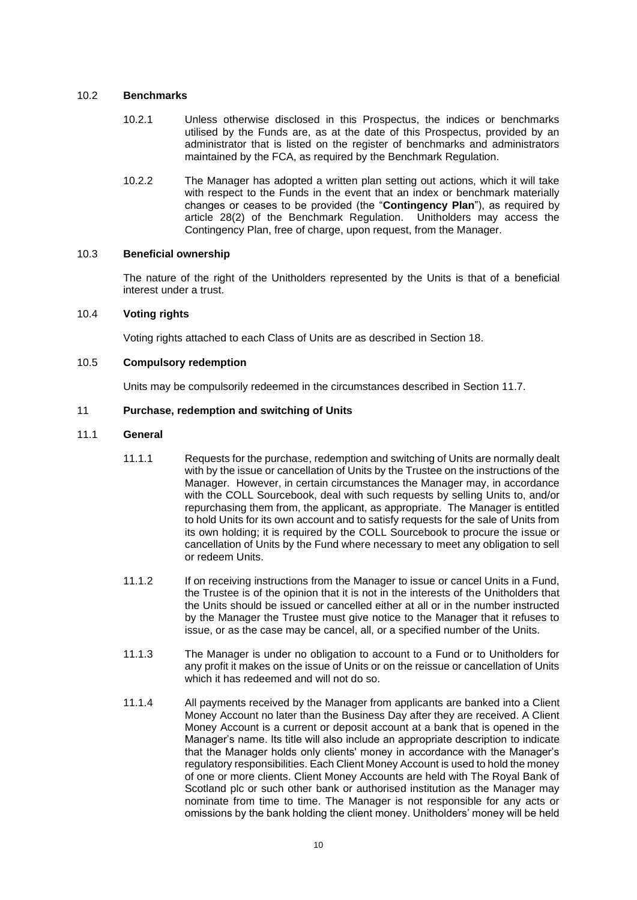### 10.2 **Benchmarks**

- 10.2.1 Unless otherwise disclosed in this Prospectus, the indices or benchmarks utilised by the Funds are, as at the date of this Prospectus, provided by an administrator that is listed on the register of benchmarks and administrators maintained by the FCA, as required by the Benchmark Regulation.
- 10.2.2 The Manager has adopted a written plan setting out actions, which it will take with respect to the Funds in the event that an index or benchmark materially changes or ceases to be provided (the "**Contingency Plan**"), as required by article 28(2) of the Benchmark Regulation. Unitholders may access the Contingency Plan, free of charge, upon request, from the Manager.

### 10.3 **Beneficial ownership**

The nature of the right of the Unitholders represented by the Units is that of a beneficial interest under a trust.

### 10.4 **Voting rights**

Voting rights attached to each Class of Units are as described in Section [18.](#page-33-0)

### 10.5 **Compulsory redemption**

Units may be compulsorily redeemed in the circumstances described in Section [11.7.](#page-21-0)

### <span id="page-13-0"></span>11 **Purchase, redemption and switching of Units**

### 11.1 **General**

- 11.1.1 Requests for the purchase, redemption and switching of Units are normally dealt with by the issue or cancellation of Units by the Trustee on the instructions of the Manager. However, in certain circumstances the Manager may, in accordance with the COLL Sourcebook, deal with such requests by selling Units to, and/or repurchasing them from, the applicant, as appropriate. The Manager is entitled to hold Units for its own account and to satisfy requests for the sale of Units from its own holding; it is required by the COLL Sourcebook to procure the issue or cancellation of Units by the Fund where necessary to meet any obligation to sell or redeem Units.
- 11.1.2 If on receiving instructions from the Manager to issue or cancel Units in a Fund, the Trustee is of the opinion that it is not in the interests of the Unitholders that the Units should be issued or cancelled either at all or in the number instructed by the Manager the Trustee must give notice to the Manager that it refuses to issue, or as the case may be cancel, all, or a specified number of the Units.
- 11.1.3 The Manager is under no obligation to account to a Fund or to Unitholders for any profit it makes on the issue of Units or on the reissue or cancellation of Units which it has redeemed and will not do so.
- 11.1.4 All payments received by the Manager from applicants are banked into a Client Money Account no later than the Business Day after they are received. A Client Money Account is a current or deposit account at a bank that is opened in the Manager's name. Its title will also include an appropriate description to indicate that the Manager holds only clients' money in accordance with the Manager's regulatory responsibilities. Each Client Money Account is used to hold the money of one or more clients. Client Money Accounts are held with The Royal Bank of Scotland plc or such other bank or authorised institution as the Manager may nominate from time to time. The Manager is not responsible for any acts or omissions by the bank holding the client money. Unitholders' money will be held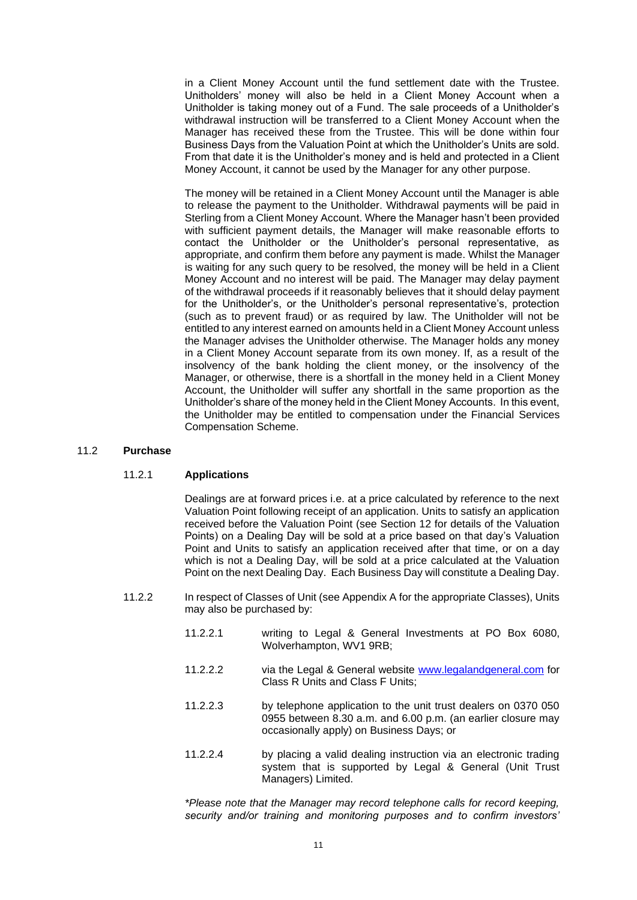in a Client Money Account until the fund settlement date with the Trustee. Unitholders' money will also be held in a Client Money Account when a Unitholder is taking money out of a Fund. The sale proceeds of a Unitholder's withdrawal instruction will be transferred to a Client Money Account when the Manager has received these from the Trustee. This will be done within four Business Days from the Valuation Point at which the Unitholder's Units are sold. From that date it is the Unitholder's money and is held and protected in a Client Money Account, it cannot be used by the Manager for any other purpose.

The money will be retained in a Client Money Account until the Manager is able to release the payment to the Unitholder. Withdrawal payments will be paid in Sterling from a Client Money Account. Where the Manager hasn't been provided with sufficient payment details, the Manager will make reasonable efforts to contact the Unitholder or the Unitholder's personal representative, as appropriate, and confirm them before any payment is made. Whilst the Manager is waiting for any such query to be resolved, the money will be held in a Client Money Account and no interest will be paid. The Manager may delay payment of the withdrawal proceeds if it reasonably believes that it should delay payment for the Unitholder's, or the Unitholder's personal representative's, protection (such as to prevent fraud) or as required by law. The Unitholder will not be entitled to any interest earned on amounts held in a Client Money Account unless the Manager advises the Unitholder otherwise. The Manager holds any money in a Client Money Account separate from its own money. If, as a result of the insolvency of the bank holding the client money, or the insolvency of the Manager, or otherwise, there is a shortfall in the money held in a Client Money Account, the Unitholder will suffer any shortfall in the same proportion as the Unitholder's share of the money held in the Client Money Accounts. In this event, the Unitholder may be entitled to compensation under the Financial Services Compensation Scheme.

#### 11.2 **Purchase**

#### 11.2.1 **Applications**

Dealings are at forward prices i.e. at a price calculated by reference to the next Valuation Point following receipt of an application. Units to satisfy an application received before the Valuation Point (see Section [12](#page-22-0) for details of the Valuation Points) on a Dealing Day will be sold at a price based on that day's Valuation Point and Units to satisfy an application received after that time, or on a day which is not a Dealing Day, will be sold at a price calculated at the Valuation Point on the next Dealing Day. Each Business Day will constitute a Dealing Day.

- 11.2.2 In respect of Classes of Unit (see [Appendix A](#page-39-0) for the appropriate Classes), Units may also be purchased by:
	- 11.2.2.1 writing to Legal & General Investments at PO Box 6080, Wolverhampton, WV1 9RB;
	- 11.2.2.2 via the Legal & General website [www.legalandgeneral.com](http://www.legalandgeneral.com/) for Class R Units and Class F Units;
	- 11.2.2.3 by telephone application to the unit trust dealers on 0370 050 0955 between 8.30 a.m. and 6.00 p.m. (an earlier closure may occasionally apply) on Business Days; or
	- 11.2.2.4 by placing a valid dealing instruction via an electronic trading system that is supported by Legal & General (Unit Trust Managers) Limited.

*\*Please note that the Manager may record telephone calls for record keeping, security and/or training and monitoring purposes and to confirm investors'*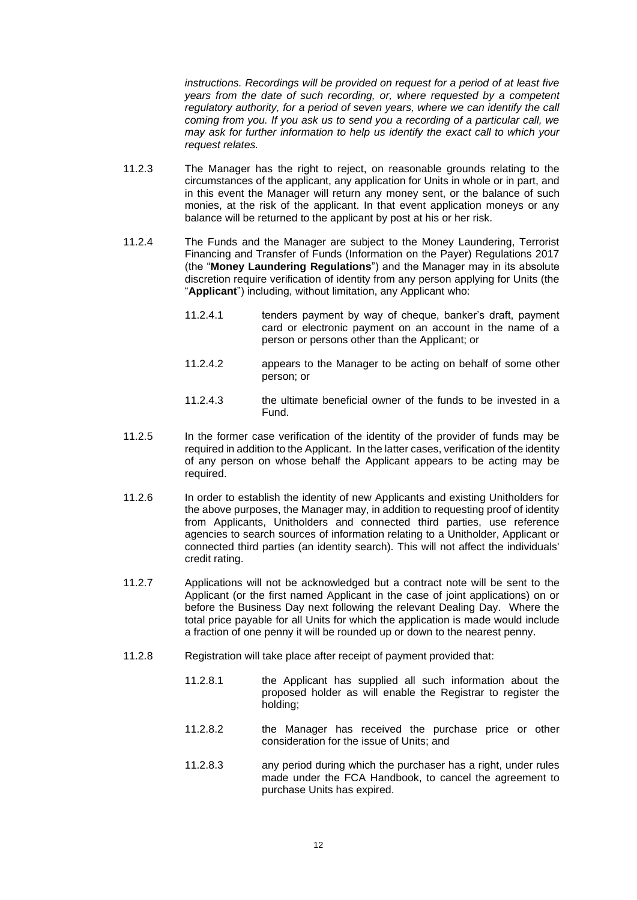*instructions. Recordings will be provided on request for a period of at least five years from the date of such recording, or, where requested by a competent regulatory authority, for a period of seven years, where we can identify the call coming from you. If you ask us to send you a recording of a particular call, we may ask for further information to help us identify the exact call to which your request relates.*

- 11.2.3 The Manager has the right to reject, on reasonable grounds relating to the circumstances of the applicant, any application for Units in whole or in part, and in this event the Manager will return any money sent, or the balance of such monies, at the risk of the applicant. In that event application moneys or any balance will be returned to the applicant by post at his or her risk.
- 11.2.4 The Funds and the Manager are subject to the Money Laundering, Terrorist Financing and Transfer of Funds (Information on the Payer) Regulations 2017 (the "**Money Laundering Regulations**") and the Manager may in its absolute discretion require verification of identity from any person applying for Units (the "**Applicant**") including, without limitation, any Applicant who:
	- 11.2.4.1 tenders payment by way of cheque, banker's draft, payment card or electronic payment on an account in the name of a person or persons other than the Applicant; or
	- 11.2.4.2 appears to the Manager to be acting on behalf of some other person; or
	- 11.2.4.3 the ultimate beneficial owner of the funds to be invested in a Fund.
- 11.2.5 In the former case verification of the identity of the provider of funds may be required in addition to the Applicant. In the latter cases, verification of the identity of any person on whose behalf the Applicant appears to be acting may be required.
- 11.2.6 In order to establish the identity of new Applicants and existing Unitholders for the above purposes, the Manager may, in addition to requesting proof of identity from Applicants, Unitholders and connected third parties, use reference agencies to search sources of information relating to a Unitholder, Applicant or connected third parties (an identity search). This will not affect the individuals' credit rating.
- 11.2.7 Applications will not be acknowledged but a contract note will be sent to the Applicant (or the first named Applicant in the case of joint applications) on or before the Business Day next following the relevant Dealing Day. Where the total price payable for all Units for which the application is made would include a fraction of one penny it will be rounded up or down to the nearest penny.
- 11.2.8 Registration will take place after receipt of payment provided that:
	- 11.2.8.1 the Applicant has supplied all such information about the proposed holder as will enable the Registrar to register the holding;
	- 11.2.8.2 the Manager has received the purchase price or other consideration for the issue of Units; and
	- 11.2.8.3 any period during which the purchaser has a right, under rules made under the FCA Handbook, to cancel the agreement to purchase Units has expired.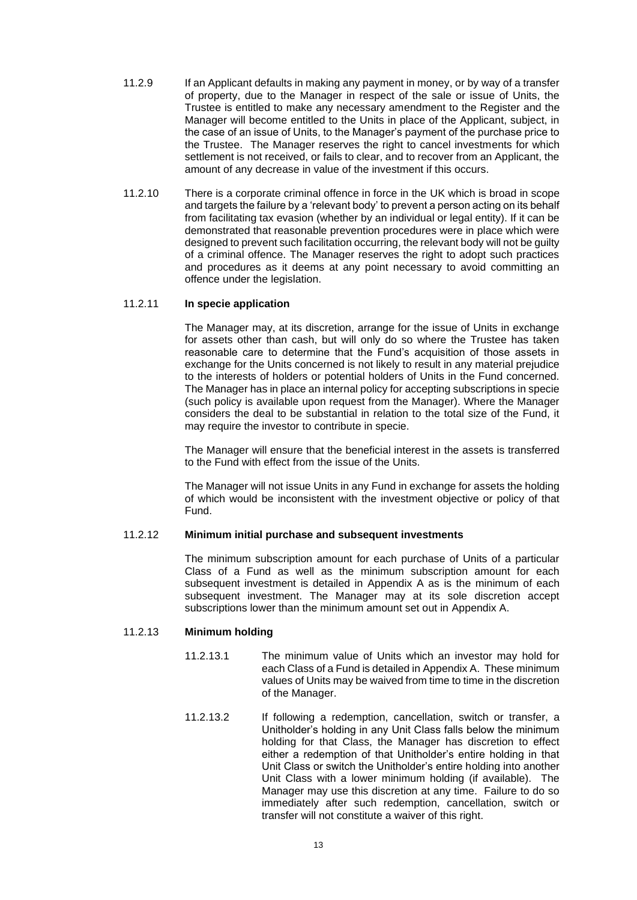- 11.2.9 If an Applicant defaults in making any payment in money, or by way of a transfer of property, due to the Manager in respect of the sale or issue of Units, the Trustee is entitled to make any necessary amendment to the Register and the Manager will become entitled to the Units in place of the Applicant, subject, in the case of an issue of Units, to the Manager's payment of the purchase price to the Trustee. The Manager reserves the right to cancel investments for which settlement is not received, or fails to clear, and to recover from an Applicant, the amount of any decrease in value of the investment if this occurs.
- 11.2.10 There is a corporate criminal offence in force in the UK which is broad in scope and targets the failure by a 'relevant body' to prevent a person acting on its behalf from facilitating tax evasion (whether by an individual or legal entity). If it can be demonstrated that reasonable prevention procedures were in place which were designed to prevent such facilitation occurring, the relevant body will not be guilty of a criminal offence. The Manager reserves the right to adopt such practices and procedures as it deems at any point necessary to avoid committing an offence under the legislation.

### 11.2.11 **In specie application**

The Manager may, at its discretion, arrange for the issue of Units in exchange for assets other than cash, but will only do so where the Trustee has taken reasonable care to determine that the Fund's acquisition of those assets in exchange for the Units concerned is not likely to result in any material prejudice to the interests of holders or potential holders of Units in the Fund concerned. The Manager has in place an internal policy for accepting subscriptions in specie (such policy is available upon request from the Manager). Where the Manager considers the deal to be substantial in relation to the total size of the Fund, it may require the investor to contribute in specie.

The Manager will ensure that the beneficial interest in the assets is transferred to the Fund with effect from the issue of the Units.

The Manager will not issue Units in any Fund in exchange for assets the holding of which would be inconsistent with the investment objective or policy of that Fund.

#### 11.2.12 **Minimum initial purchase and subsequent investments**

The minimum subscription amount for each purchase of Units of a particular Class of a Fund as well as the minimum subscription amount for each subsequent investment is detailed in [Appendix A](#page-39-0) as is the minimum of each subsequent investment. The Manager may at its sole discretion accept subscriptions lower than the minimum amount set out in [Appendix A.](#page-39-0)

# <span id="page-16-0"></span>11.2.13 **Minimum holding**

- 11.2.13.1 The minimum value of Units which an investor may hold for each Class of a Fund is detailed i[n Appendix A.](#page-39-0) These minimum values of Units may be waived from time to time in the discretion of the Manager.
- 11.2.13.2 If following a redemption, cancellation, switch or transfer, a Unitholder's holding in any Unit Class falls below the minimum holding for that Class, the Manager has discretion to effect either a redemption of that Unitholder's entire holding in that Unit Class or switch the Unitholder's entire holding into another Unit Class with a lower minimum holding (if available). The Manager may use this discretion at any time. Failure to do so immediately after such redemption, cancellation, switch or transfer will not constitute a waiver of this right.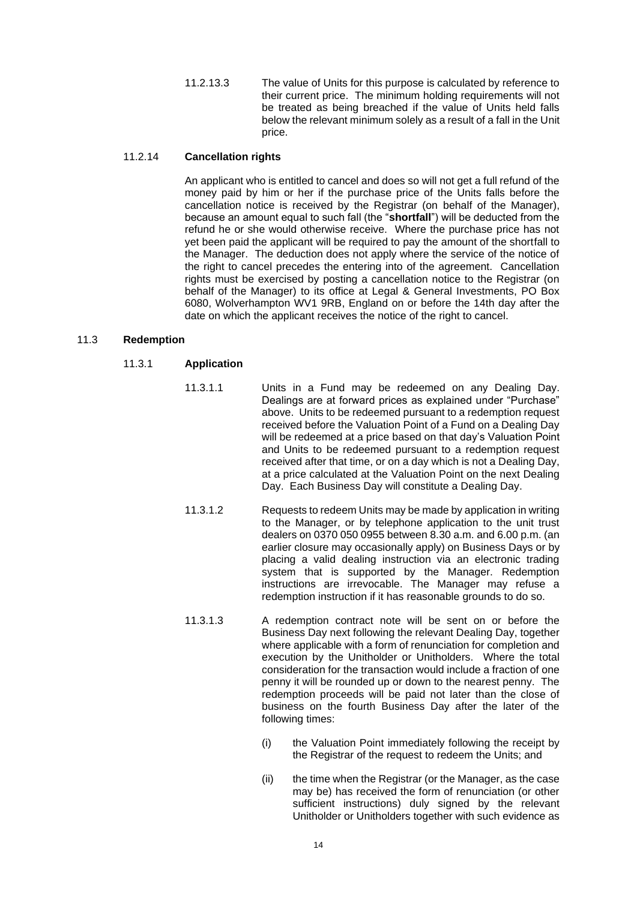11.2.13.3 The value of Units for this purpose is calculated by reference to their current price. The minimum holding requirements will not be treated as being breached if the value of Units held falls below the relevant minimum solely as a result of a fall in the Unit price.

### 11.2.14 **Cancellation rights**

An applicant who is entitled to cancel and does so will not get a full refund of the money paid by him or her if the purchase price of the Units falls before the cancellation notice is received by the Registrar (on behalf of the Manager), because an amount equal to such fall (the "**shortfall**") will be deducted from the refund he or she would otherwise receive. Where the purchase price has not yet been paid the applicant will be required to pay the amount of the shortfall to the Manager. The deduction does not apply where the service of the notice of the right to cancel precedes the entering into of the agreement. Cancellation rights must be exercised by posting a cancellation notice to the Registrar (on behalf of the Manager) to its office at Legal & General Investments, PO Box 6080, Wolverhampton WV1 9RB, England on or before the 14th day after the date on which the applicant receives the notice of the right to cancel.

### <span id="page-17-0"></span>11.3 **Redemption**

### 11.3.1 **Application**

- 11.3.1.1 Units in a Fund may be redeemed on any Dealing Day. Dealings are at forward prices as explained under "Purchase" above. Units to be redeemed pursuant to a redemption request received before the Valuation Point of a Fund on a Dealing Day will be redeemed at a price based on that day's Valuation Point and Units to be redeemed pursuant to a redemption request received after that time, or on a day which is not a Dealing Day, at a price calculated at the Valuation Point on the next Dealing Day. Each Business Day will constitute a Dealing Day.
- 11.3.1.2 Requests to redeem Units may be made by application in writing to the Manager, or by telephone application to the unit trust dealers on 0370 050 0955 between 8.30 a.m. and 6.00 p.m. (an earlier closure may occasionally apply) on Business Days or by placing a valid dealing instruction via an electronic trading system that is supported by the Manager. Redemption instructions are irrevocable. The Manager may refuse a redemption instruction if it has reasonable grounds to do so.
- 11.3.1.3 A redemption contract note will be sent on or before the Business Day next following the relevant Dealing Day, together where applicable with a form of renunciation for completion and execution by the Unitholder or Unitholders. Where the total consideration for the transaction would include a fraction of one penny it will be rounded up or down to the nearest penny. The redemption proceeds will be paid not later than the close of business on the fourth Business Day after the later of the following times:
	- (i) the Valuation Point immediately following the receipt by the Registrar of the request to redeem the Units; and
	- (ii) the time when the Registrar (or the Manager, as the case may be) has received the form of renunciation (or other sufficient instructions) duly signed by the relevant Unitholder or Unitholders together with such evidence as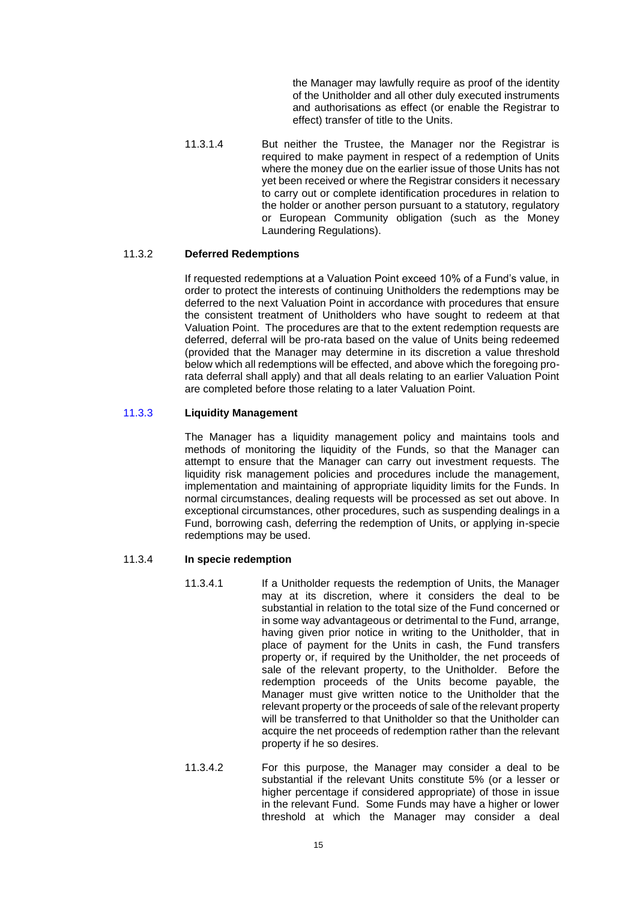the Manager may lawfully require as proof of the identity of the Unitholder and all other duly executed instruments and authorisations as effect (or enable the Registrar to effect) transfer of title to the Units.

11.3.1.4 But neither the Trustee, the Manager nor the Registrar is required to make payment in respect of a redemption of Units where the money due on the earlier issue of those Units has not yet been received or where the Registrar considers it necessary to carry out or complete identification procedures in relation to the holder or another person pursuant to a statutory, regulatory or European Community obligation (such as the Money Laundering Regulations).

### 11.3.2 **Deferred Redemptions**

If requested redemptions at a Valuation Point exceed 10% of a Fund's value, in order to protect the interests of continuing Unitholders the redemptions may be deferred to the next Valuation Point in accordance with procedures that ensure the consistent treatment of Unitholders who have sought to redeem at that Valuation Point. The procedures are that to the extent redemption requests are deferred, deferral will be pro-rata based on the value of Units being redeemed (provided that the Manager may determine in its discretion a value threshold below which all redemptions will be effected, and above which the foregoing prorata deferral shall apply) and that all deals relating to an earlier Valuation Point are completed before those relating to a later Valuation Point.

### 11.3.3 **Liquidity Management**

The Manager has a liquidity management policy and maintains tools and methods of monitoring the liquidity of the Funds, so that the Manager can attempt to ensure that the Manager can carry out investment requests. The liquidity risk management policies and procedures include the management, implementation and maintaining of appropriate liquidity limits for the Funds. In normal circumstances, dealing requests will be processed as set out above. In exceptional circumstances, other procedures, such as suspending dealings in a Fund, borrowing cash, deferring the redemption of Units, or applying in-specie redemptions may be used.

### 11.3.4 **In specie redemption**

- 11.3.4.1 If a Unitholder requests the redemption of Units, the Manager may at its discretion, where it considers the deal to be substantial in relation to the total size of the Fund concerned or in some way advantageous or detrimental to the Fund, arrange, having given prior notice in writing to the Unitholder, that in place of payment for the Units in cash, the Fund transfers property or, if required by the Unitholder, the net proceeds of sale of the relevant property, to the Unitholder. Before the redemption proceeds of the Units become payable, the Manager must give written notice to the Unitholder that the relevant property or the proceeds of sale of the relevant property will be transferred to that Unitholder so that the Unitholder can acquire the net proceeds of redemption rather than the relevant property if he so desires.
- 11.3.4.2 For this purpose, the Manager may consider a deal to be substantial if the relevant Units constitute 5% (or a lesser or higher percentage if considered appropriate) of those in issue in the relevant Fund. Some Funds may have a higher or lower threshold at which the Manager may consider a deal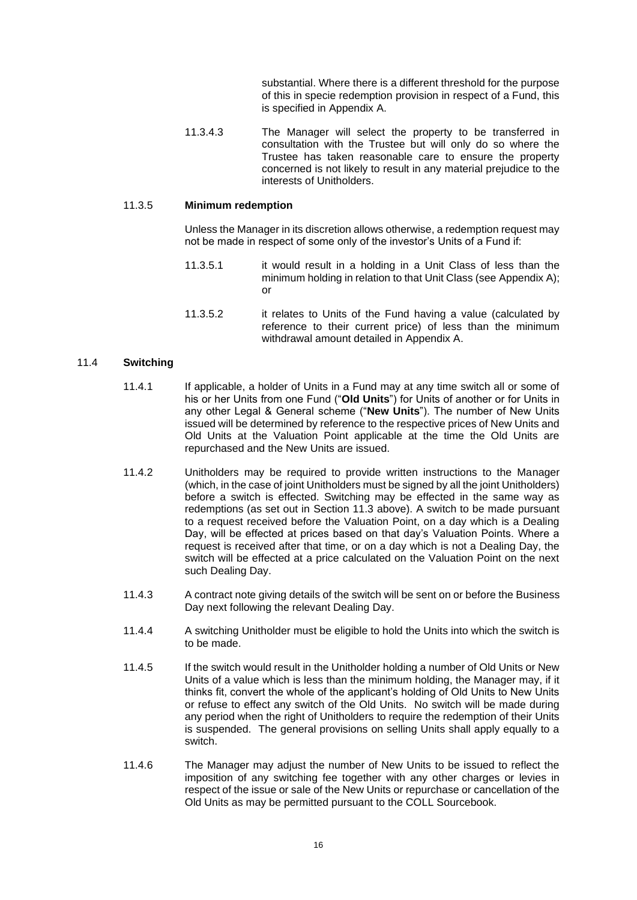substantial. Where there is a different threshold for the purpose of this in specie redemption provision in respect of a Fund, this is specified in [Appendix A.](#page-39-0)

11.3.4.3 The Manager will select the property to be transferred in consultation with the Trustee but will only do so where the Trustee has taken reasonable care to ensure the property concerned is not likely to result in any material prejudice to the interests of Unitholders.

### 11.3.5 **Minimum redemption**

Unless the Manager in its discretion allows otherwise, a redemption request may not be made in respect of some only of the investor's Units of a Fund if:

- 11.3.5.1 it would result in a holding in a Unit Class of less than the minimum holding in relation to that Unit Class (see [Appendix A\)](#page-39-0); or
- 11.3.5.2 it relates to Units of the Fund having a value (calculated by reference to their current price) of less than the minimum withdrawal amount detailed in [Appendix A.](#page-39-0)

#### 11.4 **Switching**

- 11.4.1 If applicable, a holder of Units in a Fund may at any time switch all or some of his or her Units from one Fund ("**Old Units**") for Units of another or for Units in any other Legal & General scheme ("**New Units**"). The number of New Units issued will be determined by reference to the respective prices of New Units and Old Units at the Valuation Point applicable at the time the Old Units are repurchased and the New Units are issued.
- 11.4.2 Unitholders may be required to provide written instructions to the Manager (which, in the case of joint Unitholders must be signed by all the joint Unitholders) before a switch is effected. Switching may be effected in the same way as redemptions (as set out in Section [11.3](#page-17-0) above). A switch to be made pursuant to a request received before the Valuation Point, on a day which is a Dealing Day, will be effected at prices based on that day's Valuation Points. Where a request is received after that time, or on a day which is not a Dealing Day, the switch will be effected at a price calculated on the Valuation Point on the next such Dealing Day.
- 11.4.3 A contract note giving details of the switch will be sent on or before the Business Day next following the relevant Dealing Day.
- 11.4.4 A switching Unitholder must be eligible to hold the Units into which the switch is to be made.
- 11.4.5 If the switch would result in the Unitholder holding a number of Old Units or New Units of a value which is less than the minimum holding, the Manager may, if it thinks fit, convert the whole of the applicant's holding of Old Units to New Units or refuse to effect any switch of the Old Units. No switch will be made during any period when the right of Unitholders to require the redemption of their Units is suspended. The general provisions on selling Units shall apply equally to a switch.
- 11.4.6 The Manager may adjust the number of New Units to be issued to reflect the imposition of any switching fee together with any other charges or levies in respect of the issue or sale of the New Units or repurchase or cancellation of the Old Units as may be permitted pursuant to the COLL Sourcebook.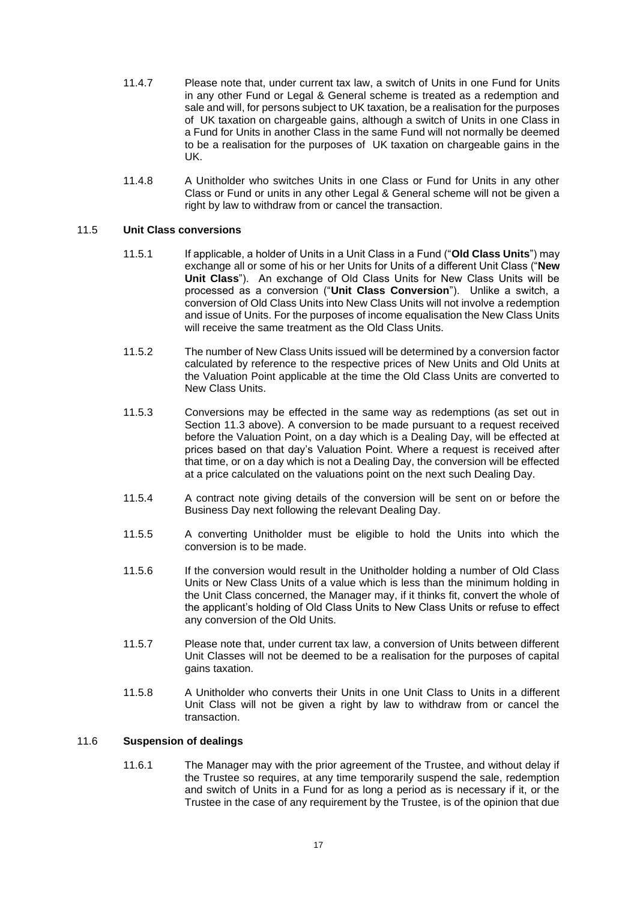- 11.4.7 Please note that, under current tax law, a switch of Units in one Fund for Units in any other Fund or Legal & General scheme is treated as a redemption and sale and will, for persons subject to UK taxation, be a realisation for the purposes of UK taxation on chargeable gains, although a switch of Units in one Class in a Fund for Units in another Class in the same Fund will not normally be deemed to be a realisation for the purposes of UK taxation on chargeable gains in the UK.
- 11.4.8 A Unitholder who switches Units in one Class or Fund for Units in any other Class or Fund or units in any other Legal & General scheme will not be given a right by law to withdraw from or cancel the transaction.

# 11.5 **Unit Class conversions**

- 11.5.1 If applicable, a holder of Units in a Unit Class in a Fund ("**Old Class Units**") may exchange all or some of his or her Units for Units of a different Unit Class ("**New Unit Class**"). An exchange of Old Class Units for New Class Units will be processed as a conversion ("**Unit Class Conversion**"). Unlike a switch, a conversion of Old Class Units into New Class Units will not involve a redemption and issue of Units. For the purposes of income equalisation the New Class Units will receive the same treatment as the Old Class Units.
- 11.5.2 The number of New Class Units issued will be determined by a conversion factor calculated by reference to the respective prices of New Units and Old Units at the Valuation Point applicable at the time the Old Class Units are converted to New Class Units.
- 11.5.3 Conversions may be effected in the same way as redemptions (as set out in Section [11.3](#page-17-0) above). A conversion to be made pursuant to a request received before the Valuation Point, on a day which is a Dealing Day, will be effected at prices based on that day's Valuation Point. Where a request is received after that time, or on a day which is not a Dealing Day, the conversion will be effected at a price calculated on the valuations point on the next such Dealing Day.
- 11.5.4 A contract note giving details of the conversion will be sent on or before the Business Day next following the relevant Dealing Day.
- 11.5.5 A converting Unitholder must be eligible to hold the Units into which the conversion is to be made.
- 11.5.6 If the conversion would result in the Unitholder holding a number of Old Class Units or New Class Units of a value which is less than the minimum holding in the Unit Class concerned, the Manager may, if it thinks fit, convert the whole of the applicant's holding of Old Class Units to New Class Units or refuse to effect any conversion of the Old Units.
- 11.5.7 Please note that, under current tax law, a conversion of Units between different Unit Classes will not be deemed to be a realisation for the purposes of capital gains taxation.
- 11.5.8 A Unitholder who converts their Units in one Unit Class to Units in a different Unit Class will not be given a right by law to withdraw from or cancel the transaction.

# <span id="page-20-0"></span>11.6 **Suspension of dealings**

11.6.1 The Manager may with the prior agreement of the Trustee, and without delay if the Trustee so requires, at any time temporarily suspend the sale, redemption and switch of Units in a Fund for as long a period as is necessary if it, or the Trustee in the case of any requirement by the Trustee, is of the opinion that due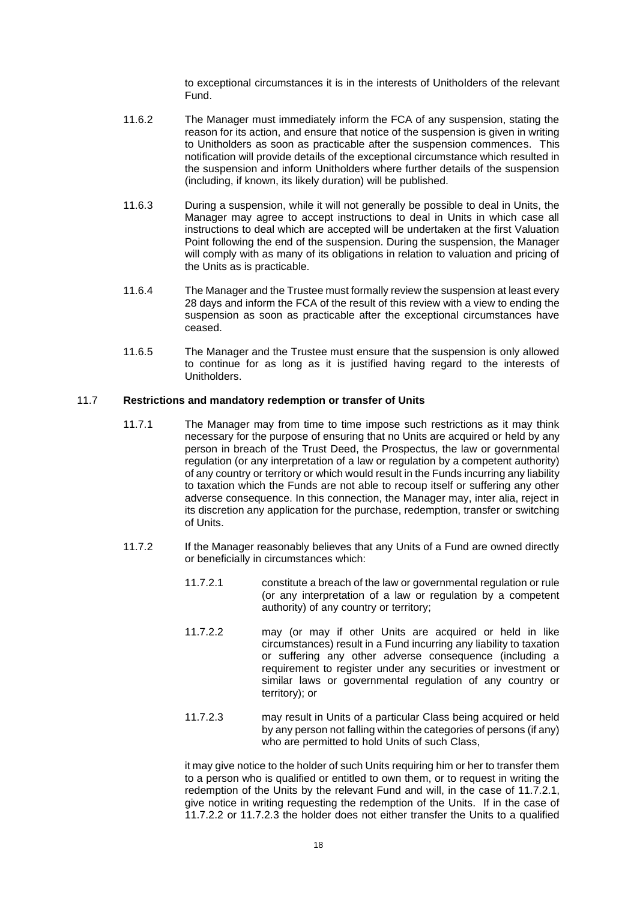to exceptional circumstances it is in the interests of Unitholders of the relevant Fund.

- 11.6.2 The Manager must immediately inform the FCA of any suspension, stating the reason for its action, and ensure that notice of the suspension is given in writing to Unitholders as soon as practicable after the suspension commences. This notification will provide details of the exceptional circumstance which resulted in the suspension and inform Unitholders where further details of the suspension (including, if known, its likely duration) will be published.
- 11.6.3 During a suspension, while it will not generally be possible to deal in Units, the Manager may agree to accept instructions to deal in Units in which case all instructions to deal which are accepted will be undertaken at the first Valuation Point following the end of the suspension. During the suspension, the Manager will comply with as many of its obligations in relation to valuation and pricing of the Units as is practicable.
- 11.6.4 The Manager and the Trustee must formally review the suspension at least every 28 days and inform the FCA of the result of this review with a view to ending the suspension as soon as practicable after the exceptional circumstances have ceased.
- 11.6.5 The Manager and the Trustee must ensure that the suspension is only allowed to continue for as long as it is justified having regard to the interests of **Unitholders**

#### <span id="page-21-0"></span>11.7 **Restrictions and mandatory redemption or transfer of Units**

- 11.7.1 The Manager may from time to time impose such restrictions as it may think necessary for the purpose of ensuring that no Units are acquired or held by any person in breach of the Trust Deed, the Prospectus, the law or governmental regulation (or any interpretation of a law or regulation by a competent authority) of any country or territory or which would result in the Funds incurring any liability to taxation which the Funds are not able to recoup itself or suffering any other adverse consequence. In this connection, the Manager may, inter alia, reject in its discretion any application for the purchase, redemption, transfer or switching of Units.
- <span id="page-21-4"></span><span id="page-21-2"></span><span id="page-21-1"></span>11.7.2 If the Manager reasonably believes that any Units of a Fund are owned directly or beneficially in circumstances which:
	- 11.7.2.1 constitute a breach of the law or governmental regulation or rule (or any interpretation of a law or regulation by a competent authority) of any country or territory;
	- 11.7.2.2 may (or may if other Units are acquired or held in like circumstances) result in a Fund incurring any liability to taxation or suffering any other adverse consequence (including a requirement to register under any securities or investment or similar laws or governmental regulation of any country or territory); or
	- 11.7.2.3 may result in Units of a particular Class being acquired or held by any person not falling within the categories of persons (if any) who are permitted to hold Units of such Class,

<span id="page-21-3"></span>it may give notice to the holder of such Units requiring him or her to transfer them to a person who is qualified or entitled to own them, or to request in writing the redemption of the Units by the relevant Fund and will, in the case of [11.7.2.1,](#page-21-1) give notice in writing requesting the redemption of the Units. If in the case of [11.7.2.2](#page-21-2) or [11.7.2.3](#page-21-3) the holder does not either transfer the Units to a qualified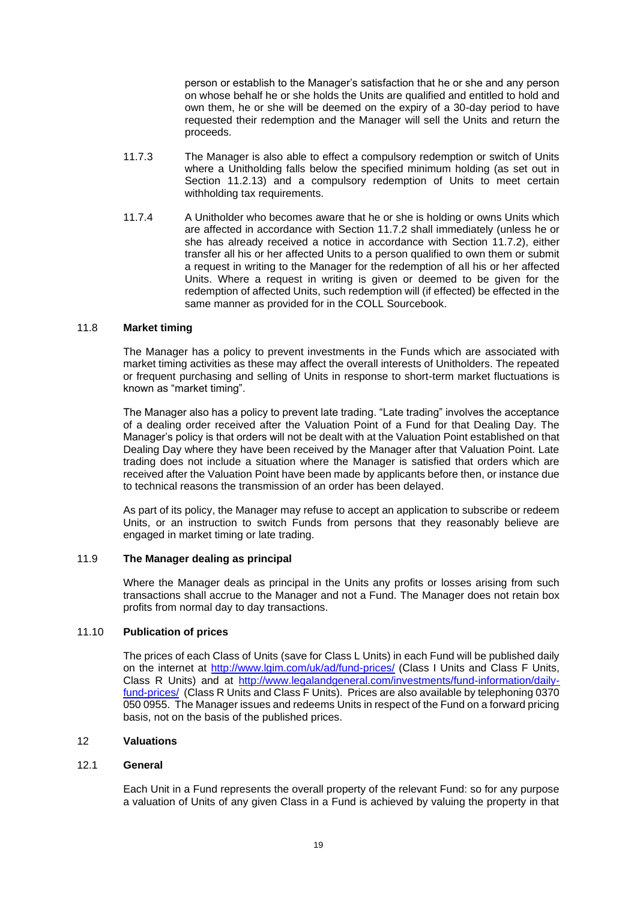person or establish to the Manager's satisfaction that he or she and any person on whose behalf he or she holds the Units are qualified and entitled to hold and own them, he or she will be deemed on the expiry of a 30-day period to have requested their redemption and the Manager will sell the Units and return the proceeds.

- 11.7.3 The Manager is also able to effect a compulsory redemption or switch of Units where a Unitholding falls below the specified minimum holding (as set out in Section [11.2.13\)](#page-16-0) and a compulsory redemption of Units to meet certain withholding tax requirements.
- 11.7.4 A Unitholder who becomes aware that he or she is holding or owns Units which are affected in accordance with Section [11.7.2](#page-21-4) shall immediately (unless he or she has already received a notice in accordance with Section [11.7.2\)](#page-21-4), either transfer all his or her affected Units to a person qualified to own them or submit a request in writing to the Manager for the redemption of all his or her affected Units. Where a request in writing is given or deemed to be given for the redemption of affected Units, such redemption will (if effected) be effected in the same manner as provided for in the COLL Sourcebook.

#### 11.8 **Market timing**

The Manager has a policy to prevent investments in the Funds which are associated with market timing activities as these may affect the overall interests of Unitholders. The repeated or frequent purchasing and selling of Units in response to short-term market fluctuations is known as "market timing".

The Manager also has a policy to prevent late trading. "Late trading" involves the acceptance of a dealing order received after the Valuation Point of a Fund for that Dealing Day. The Manager's policy is that orders will not be dealt with at the Valuation Point established on that Dealing Day where they have been received by the Manager after that Valuation Point. Late trading does not include a situation where the Manager is satisfied that orders which are received after the Valuation Point have been made by applicants before then, or instance due to technical reasons the transmission of an order has been delayed.

As part of its policy, the Manager may refuse to accept an application to subscribe or redeem Units, or an instruction to switch Funds from persons that they reasonably believe are engaged in market timing or late trading.

### 11.9 **The Manager dealing as principal**

Where the Manager deals as principal in the Units any profits or losses arising from such transactions shall accrue to the Manager and not a Fund. The Manager does not retain box profits from normal day to day transactions.

#### 11.10 **Publication of prices**

The prices of each Class of Units (save for Class L Units) in each Fund will be published daily on the internet at<http://www.lgim.com/uk/ad/fund-prices/> (Class I Units and Class F Units, Class R Units) and at [http://www.legalandgeneral.com/investments/fund-information/daily](http://www.legalandgeneral.com/investments/fund-information/daily-fund-prices/)[fund-prices/](http://www.legalandgeneral.com/investments/fund-information/daily-fund-prices/) (Class R Units and Class F Units). Prices are also available by telephoning 0370 050 0955. The Manager issues and redeems Units in respect of the Fund on a forward pricing basis, not on the basis of the published prices.

# <span id="page-22-0"></span>12 **Valuations**

### 12.1 **General**

Each Unit in a Fund represents the overall property of the relevant Fund: so for any purpose a valuation of Units of any given Class in a Fund is achieved by valuing the property in that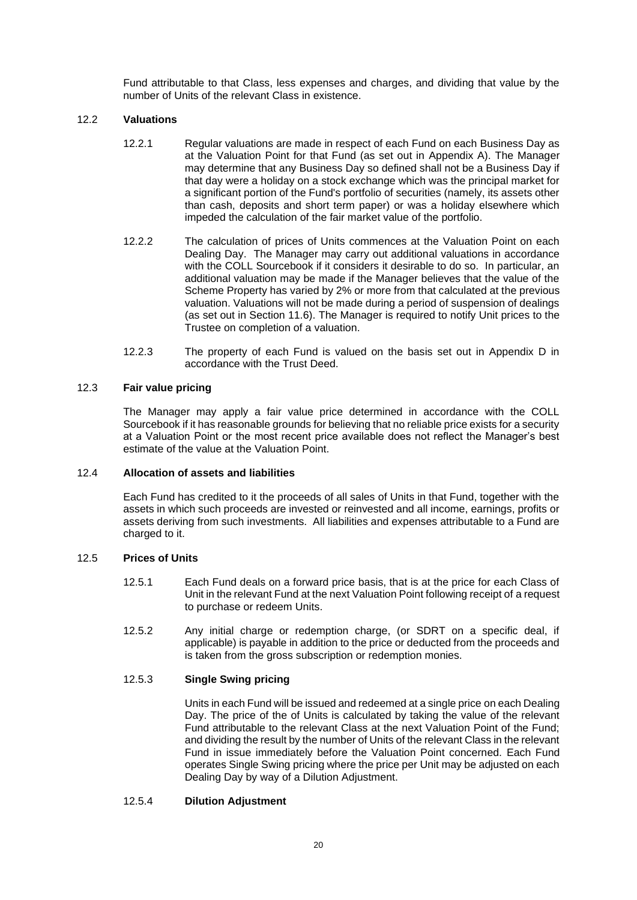Fund attributable to that Class, less expenses and charges, and dividing that value by the number of Units of the relevant Class in existence.

# 12.2 **Valuations**

- 12.2.1 Regular valuations are made in respect of each Fund on each Business Day as at the Valuation Point for that Fund (as set out in [Appendix A\)](#page-39-0). The Manager may determine that any Business Day so defined shall not be a Business Day if that day were a holiday on a stock exchange which was the principal market for a significant portion of the Fund's portfolio of securities (namely, its assets other than cash, deposits and short term paper) or was a holiday elsewhere which impeded the calculation of the fair market value of the portfolio.
- 12.2.2 The calculation of prices of Units commences at the Valuation Point on each Dealing Day. The Manager may carry out additional valuations in accordance with the COLL Sourcebook if it considers it desirable to do so. In particular, an additional valuation may be made if the Manager believes that the value of the Scheme Property has varied by 2% or more from that calculated at the previous valuation. Valuations will not be made during a period of suspension of dealings (as set out in Section [11.6\)](#page-20-0). The Manager is required to notify Unit prices to the Trustee on completion of a valuation.
- 12.2.3 The property of each Fund is valued on the basis set out in Appendix D in accordance with the Trust Deed.

### 12.3 **Fair value pricing**

The Manager may apply a fair value price determined in accordance with the COLL Sourcebook if it has reasonable grounds for believing that no reliable price exists for a security at a Valuation Point or the most recent price available does not reflect the Manager's best estimate of the value at the Valuation Point.

### 12.4 **Allocation of assets and liabilities**

Each Fund has credited to it the proceeds of all sales of Units in that Fund, together with the assets in which such proceeds are invested or reinvested and all income, earnings, profits or assets deriving from such investments. All liabilities and expenses attributable to a Fund are charged to it.

#### 12.5 **Prices of Units**

- 12.5.1 Each Fund deals on a forward price basis, that is at the price for each Class of Unit in the relevant Fund at the next Valuation Point following receipt of a request to purchase or redeem Units.
- 12.5.2 Any initial charge or redemption charge, (or SDRT on a specific deal, if applicable) is payable in addition to the price or deducted from the proceeds and is taken from the gross subscription or redemption monies.

# 12.5.3 **Single Swing pricing**

Units in each Fund will be issued and redeemed at a single price on each Dealing Day. The price of the of Units is calculated by taking the value of the relevant Fund attributable to the relevant Class at the next Valuation Point of the Fund; and dividing the result by the number of Units of the relevant Class in the relevant Fund in issue immediately before the Valuation Point concerned. Each Fund operates Single Swing pricing where the price per Unit may be adjusted on each Dealing Day by way of a Dilution Adjustment.

#### 12.5.4 **Dilution Adjustment**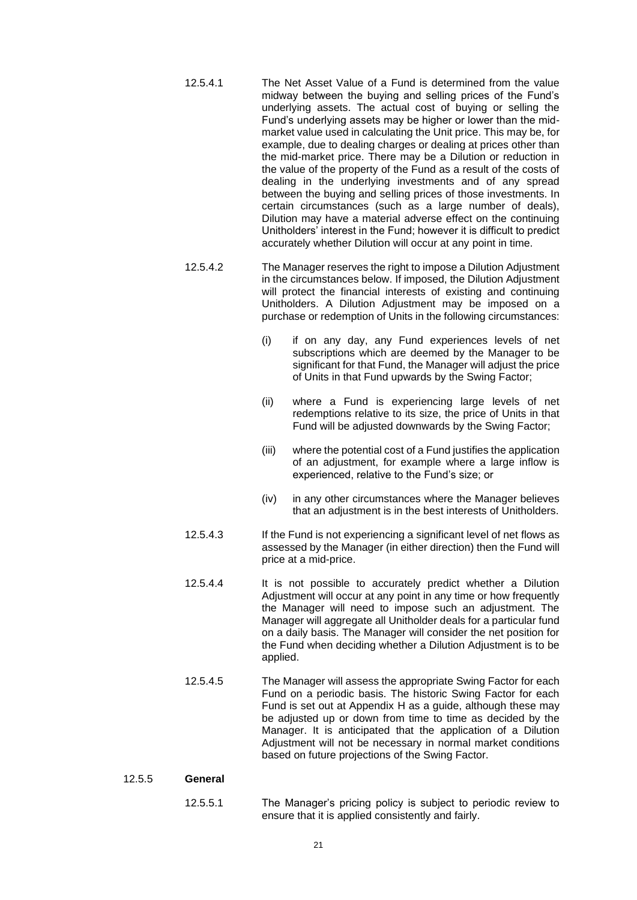- 12.5.4.1 The Net Asset Value of a Fund is determined from the value midway between the buying and selling prices of the Fund's underlying assets. The actual cost of buying or selling the Fund's underlying assets may be higher or lower than the midmarket value used in calculating the Unit price. This may be, for example, due to dealing charges or dealing at prices other than the mid-market price. There may be a Dilution or reduction in the value of the property of the Fund as a result of the costs of dealing in the underlying investments and of any spread between the buying and selling prices of those investments. In certain circumstances (such as a large number of deals), Dilution may have a material adverse effect on the continuing Unitholders' interest in the Fund; however it is difficult to predict accurately whether Dilution will occur at any point in time.
- <span id="page-24-0"></span>12.5.4.2 The Manager reserves the right to impose a Dilution Adjustment in the circumstances below. If imposed, the Dilution Adjustment will protect the financial interests of existing and continuing Unitholders. A Dilution Adjustment may be imposed on a purchase or redemption of Units in the following circumstances:
	- (i) if on any day, any Fund experiences levels of net subscriptions which are deemed by the Manager to be significant for that Fund, the Manager will adjust the price of Units in that Fund upwards by the Swing Factor;
	- (ii) where a Fund is experiencing large levels of net redemptions relative to its size, the price of Units in that Fund will be adjusted downwards by the Swing Factor;
	- (iii) where the potential cost of a Fund justifies the application of an adjustment, for example where a large inflow is experienced, relative to the Fund's size; or
	- (iv) in any other circumstances where the Manager believes that an adjustment is in the best interests of Unitholders.
- 12.5.4.3 If the Fund is not experiencing a significant level of net flows as assessed by the Manager (in either direction) then the Fund will price at a mid-price.
- 12.5.4.4 It is not possible to accurately predict whether a Dilution Adjustment will occur at any point in any time or how frequently the Manager will need to impose such an adjustment. The Manager will aggregate all Unitholder deals for a particular fund on a daily basis. The Manager will consider the net position for the Fund when deciding whether a Dilution Adjustment is to be applied.
- 12.5.4.5 The Manager will assess the appropriate Swing Factor for each Fund on a periodic basis. The historic Swing Factor for each Fund is set out at Appendix H as a guide, although these may be adjusted up or down from time to time as decided by the Manager. It is anticipated that the application of a Dilution Adjustment will not be necessary in normal market conditions based on future projections of the Swing Factor.

#### 12.5.5 **General**

12.5.5.1 The Manager's pricing policy is subject to periodic review to ensure that it is applied consistently and fairly.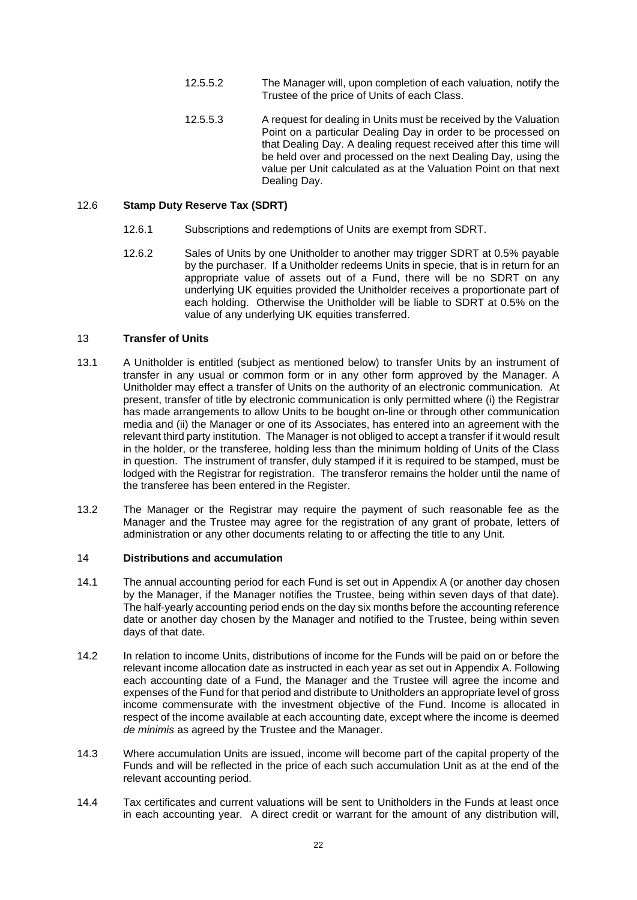- 12.5.5.2 The Manager will, upon completion of each valuation, notify the Trustee of the price of Units of each Class.
- 12.5.5.3 A request for dealing in Units must be received by the Valuation Point on a particular Dealing Day in order to be processed on that Dealing Day. A dealing request received after this time will be held over and processed on the next Dealing Day, using the value per Unit calculated as at the Valuation Point on that next Dealing Day.

# 12.6 **Stamp Duty Reserve Tax (SDRT)**

- 12.6.1 Subscriptions and redemptions of Units are exempt from SDRT.
- 12.6.2 Sales of Units by one Unitholder to another may trigger SDRT at 0.5% payable by the purchaser. If a Unitholder redeems Units in specie, that is in return for an appropriate value of assets out of a Fund, there will be no SDRT on any underlying UK equities provided the Unitholder receives a proportionate part of each holding. Otherwise the Unitholder will be liable to SDRT at 0.5% on the value of any underlying UK equities transferred.

### <span id="page-25-0"></span>13 **Transfer of Units**

- 13.1 A Unitholder is entitled (subject as mentioned below) to transfer Units by an instrument of transfer in any usual or common form or in any other form approved by the Manager. A Unitholder may effect a transfer of Units on the authority of an electronic communication. At present, transfer of title by electronic communication is only permitted where (i) the Registrar has made arrangements to allow Units to be bought on-line or through other communication media and (ii) the Manager or one of its Associates, has entered into an agreement with the relevant third party institution. The Manager is not obliged to accept a transfer if it would result in the holder, or the transferee, holding less than the minimum holding of Units of the Class in question. The instrument of transfer, duly stamped if it is required to be stamped, must be lodged with the Registrar for registration. The transferor remains the holder until the name of the transferee has been entered in the Register.
- 13.2 The Manager or the Registrar may require the payment of such reasonable fee as the Manager and the Trustee may agree for the registration of any grant of probate, letters of administration or any other documents relating to or affecting the title to any Unit.

#### <span id="page-25-1"></span>14 **Distributions and accumulation**

- 14.1 The annual accounting period for each Fund is set out in [Appendix A](#page-39-0) (or another day chosen by the Manager, if the Manager notifies the Trustee, being within seven days of that date). The half-yearly accounting period ends on the day six months before the accounting reference date or another day chosen by the Manager and notified to the Trustee, being within seven days of that date.
- 14.2 In relation to income Units, distributions of income for the Funds will be paid on or before the relevant income allocation date as instructed in each year as set out in [Appendix A.](#page-39-0) Following each accounting date of a Fund, the Manager and the Trustee will agree the income and expenses of the Fund for that period and distribute to Unitholders an appropriate level of gross income commensurate with the investment objective of the Fund. Income is allocated in respect of the income available at each accounting date, except where the income is deemed *de minimis* as agreed by the Trustee and the Manager.
- 14.3 Where accumulation Units are issued, income will become part of the capital property of the Funds and will be reflected in the price of each such accumulation Unit as at the end of the relevant accounting period.
- 14.4 Tax certificates and current valuations will be sent to Unitholders in the Funds at least once in each accounting year. A direct credit or warrant for the amount of any distribution will,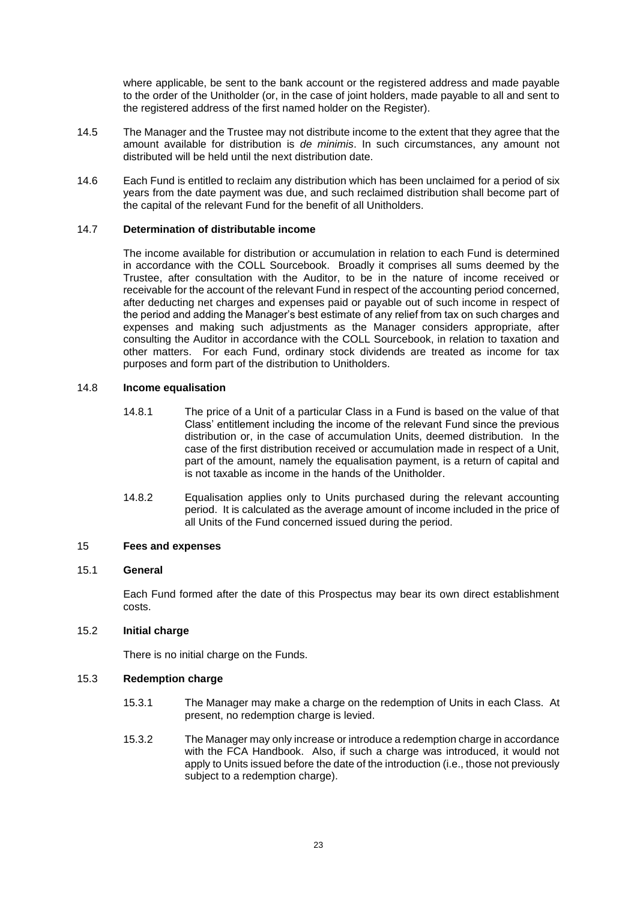where applicable, be sent to the bank account or the registered address and made payable to the order of the Unitholder (or, in the case of joint holders, made payable to all and sent to the registered address of the first named holder on the Register).

- 14.5 The Manager and the Trustee may not distribute income to the extent that they agree that the amount available for distribution is *de minimis*. In such circumstances, any amount not distributed will be held until the next distribution date.
- 14.6 Each Fund is entitled to reclaim any distribution which has been unclaimed for a period of six years from the date payment was due, and such reclaimed distribution shall become part of the capital of the relevant Fund for the benefit of all Unitholders.

### 14.7 **Determination of distributable income**

The income available for distribution or accumulation in relation to each Fund is determined in accordance with the COLL Sourcebook. Broadly it comprises all sums deemed by the Trustee, after consultation with the Auditor, to be in the nature of income received or receivable for the account of the relevant Fund in respect of the accounting period concerned, after deducting net charges and expenses paid or payable out of such income in respect of the period and adding the Manager's best estimate of any relief from tax on such charges and expenses and making such adjustments as the Manager considers appropriate, after consulting the Auditor in accordance with the COLL Sourcebook, in relation to taxation and other matters. For each Fund, ordinary stock dividends are treated as income for tax purposes and form part of the distribution to Unitholders.

#### 14.8 **Income equalisation**

- 14.8.1 The price of a Unit of a particular Class in a Fund is based on the value of that Class' entitlement including the income of the relevant Fund since the previous distribution or, in the case of accumulation Units, deemed distribution. In the case of the first distribution received or accumulation made in respect of a Unit, part of the amount, namely the equalisation payment, is a return of capital and is not taxable as income in the hands of the Unitholder.
- 14.8.2 Equalisation applies only to Units purchased during the relevant accounting period. It is calculated as the average amount of income included in the price of all Units of the Fund concerned issued during the period.

#### <span id="page-26-0"></span>15 **Fees and expenses**

#### 15.1 **General**

Each Fund formed after the date of this Prospectus may bear its own direct establishment costs.

#### 15.2 **Initial charge**

There is no initial charge on the Funds.

#### 15.3 **Redemption charge**

- 15.3.1 The Manager may make a charge on the redemption of Units in each Class. At present, no redemption charge is levied.
- 15.3.2 The Manager may only increase or introduce a redemption charge in accordance with the FCA Handbook. Also, if such a charge was introduced, it would not apply to Units issued before the date of the introduction (i.e., those not previously subject to a redemption charge).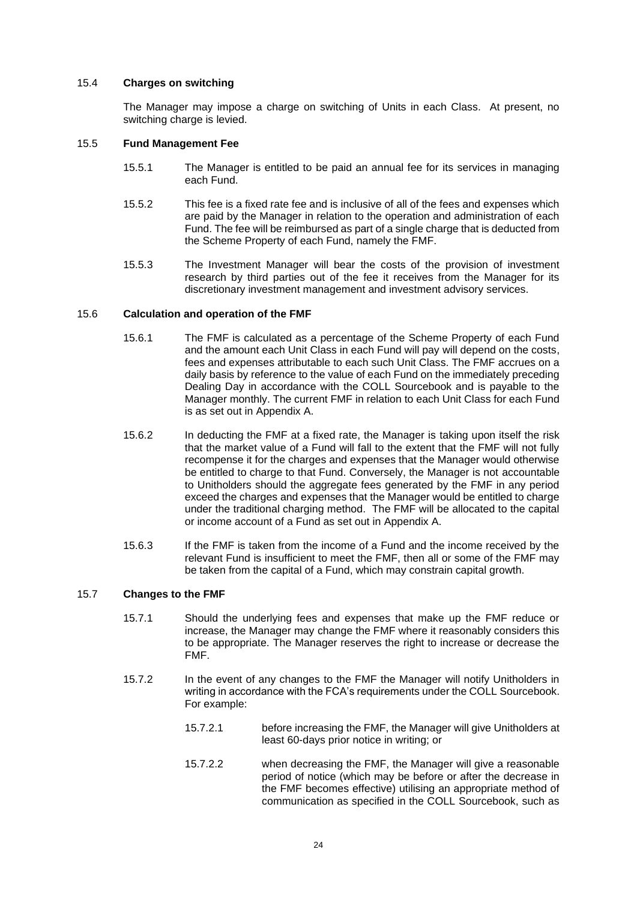### 15.4 **Charges on switching**

The Manager may impose a charge on switching of Units in each Class. At present, no switching charge is levied.

### <span id="page-27-0"></span>15.5 **Fund Management Fee**

- 15.5.1 The Manager is entitled to be paid an annual fee for its services in managing each Fund.
- 15.5.2 This fee is a fixed rate fee and is inclusive of all of the fees and expenses which are paid by the Manager in relation to the operation and administration of each Fund. The fee will be reimbursed as part of a single charge that is deducted from the Scheme Property of each Fund, namely the FMF.
- 15.5.3 The Investment Manager will bear the costs of the provision of investment research by third parties out of the fee it receives from the Manager for its discretionary investment management and investment advisory services.

### 15.6 **Calculation and operation of the FMF**

- 15.6.1 The FMF is calculated as a percentage of the Scheme Property of each Fund and the amount each Unit Class in each Fund will pay will depend on the costs, fees and expenses attributable to each such Unit Class. The FMF accrues on a daily basis by reference to the value of each Fund on the immediately preceding Dealing Day in accordance with the COLL Sourcebook and is payable to the Manager monthly. The current FMF in relation to each Unit Class for each Fund is as set out in [Appendix A.](#page-39-0)
- 15.6.2 In deducting the FMF at a fixed rate, the Manager is taking upon itself the risk that the market value of a Fund will fall to the extent that the FMF will not fully recompense it for the charges and expenses that the Manager would otherwise be entitled to charge to that Fund. Conversely, the Manager is not accountable to Unitholders should the aggregate fees generated by the FMF in any period exceed the charges and expenses that the Manager would be entitled to charge under the traditional charging method. The FMF will be allocated to the capital or income account of a Fund as set out in [Appendix A.](#page-39-0)
- 15.6.3 If the FMF is taken from the income of a Fund and the income received by the relevant Fund is insufficient to meet the FMF, then all or some of the FMF may be taken from the capital of a Fund, which may constrain capital growth.

#### 15.7 **Changes to the FMF**

- 15.7.1 Should the underlying fees and expenses that make up the FMF reduce or increase, the Manager may change the FMF where it reasonably considers this to be appropriate. The Manager reserves the right to increase or decrease the FMF.
- 15.7.2 In the event of any changes to the FMF the Manager will notify Unitholders in writing in accordance with the FCA's requirements under the COLL Sourcebook. For example:
	- 15.7.2.1 before increasing the FMF, the Manager will give Unitholders at least 60-days prior notice in writing; or
	- 15.7.2.2 when decreasing the FMF, the Manager will give a reasonable period of notice (which may be before or after the decrease in the FMF becomes effective) utilising an appropriate method of communication as specified in the COLL Sourcebook, such as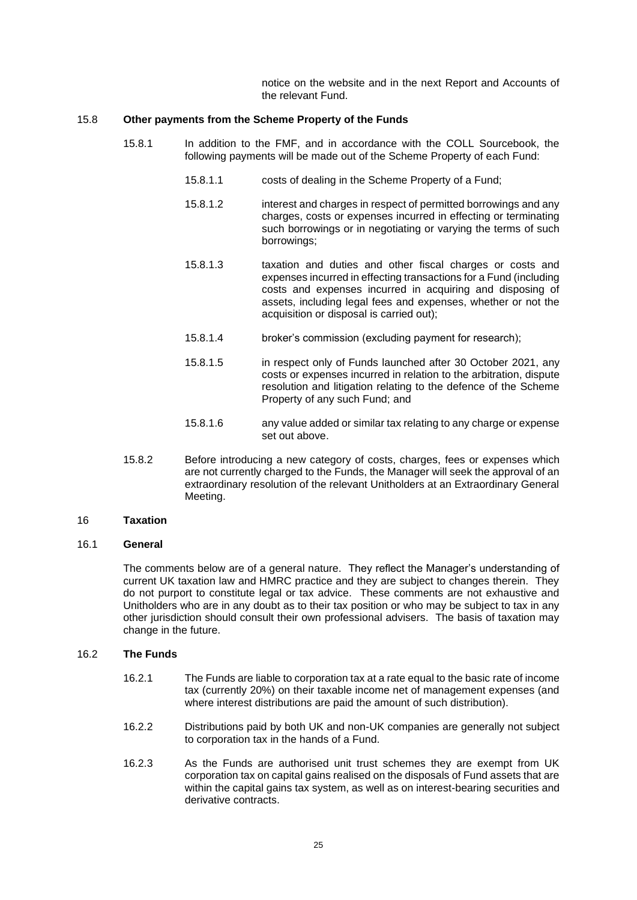notice on the website and in the next Report and Accounts of the relevant Fund.

### 15.8 **Other payments from the Scheme Property of the Funds**

- 15.8.1 In addition to the FMF, and in accordance with the COLL Sourcebook, the following payments will be made out of the Scheme Property of each Fund:
	- 15.8.1.1 costs of dealing in the Scheme Property of a Fund;
	- 15.8.1.2 interest and charges in respect of permitted borrowings and any charges, costs or expenses incurred in effecting or terminating such borrowings or in negotiating or varying the terms of such borrowings;
	- 15.8.1.3 taxation and duties and other fiscal charges or costs and expenses incurred in effecting transactions for a Fund (including costs and expenses incurred in acquiring and disposing of assets, including legal fees and expenses, whether or not the acquisition or disposal is carried out);
	- 15.8.1.4 broker's commission (excluding payment for research);
	- 15.8.1.5 in respect only of Funds launched after 30 October 2021, any costs or expenses incurred in relation to the arbitration, dispute resolution and litigation relating to the defence of the Scheme Property of any such Fund; and
	- 15.8.1.6 any value added or similar tax relating to any charge or expense set out above.
- 15.8.2 Before introducing a new category of costs, charges, fees or expenses which are not currently charged to the Funds, the Manager will seek the approval of an extraordinary resolution of the relevant Unitholders at an Extraordinary General Meeting.

### <span id="page-28-0"></span>16 **Taxation**

### 16.1 **General**

The comments below are of a general nature. They reflect the Manager's understanding of current UK taxation law and HMRC practice and they are subject to changes therein. They do not purport to constitute legal or tax advice. These comments are not exhaustive and Unitholders who are in any doubt as to their tax position or who may be subject to tax in any other jurisdiction should consult their own professional advisers. The basis of taxation may change in the future.

#### 16.2 **The Funds**

- 16.2.1 The Funds are liable to corporation tax at a rate equal to the basic rate of income tax (currently 20%) on their taxable income net of management expenses (and where interest distributions are paid the amount of such distribution).
- 16.2.2 Distributions paid by both UK and non-UK companies are generally not subject to corporation tax in the hands of a Fund.
- 16.2.3 As the Funds are authorised unit trust schemes they are exempt from UK corporation tax on capital gains realised on the disposals of Fund assets that are within the capital gains tax system, as well as on interest-bearing securities and derivative contracts.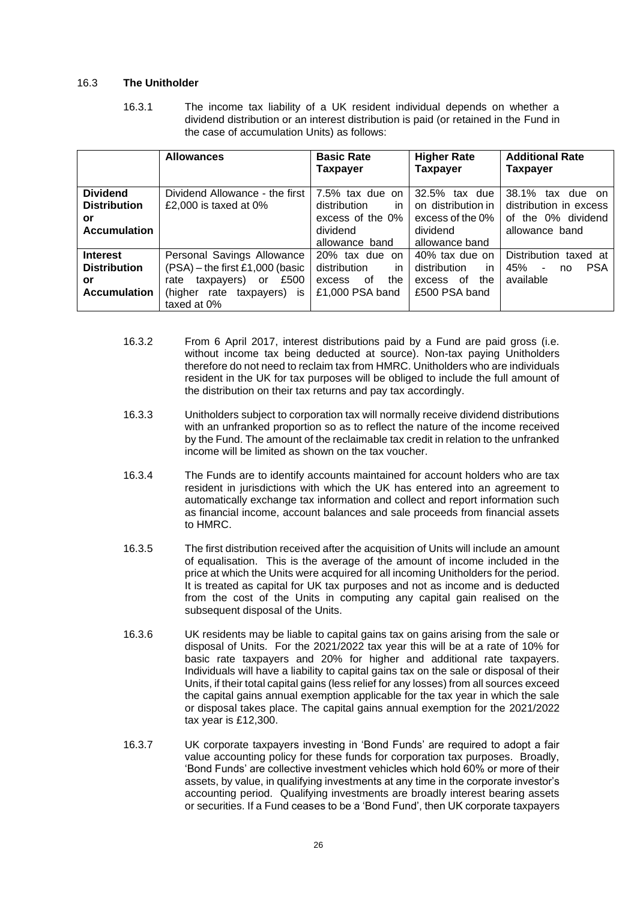### 16.3 **The Unitholder**

16.3.1 The income tax liability of a UK resident individual depends on whether a dividend distribution or an interest distribution is paid (or retained in the Fund in the case of accumulation Units) as follows:

|                                                                            | <b>Allowances</b>                                                                                                                                    | <b>Basic Rate</b><br>Taxpayer                                                           | <b>Higher Rate</b><br><b>Taxpayer</b>                                                    | <b>Additional Rate</b><br>Taxpayer                                                 |
|----------------------------------------------------------------------------|------------------------------------------------------------------------------------------------------------------------------------------------------|-----------------------------------------------------------------------------------------|------------------------------------------------------------------------------------------|------------------------------------------------------------------------------------|
| <b>Dividend</b><br><b>Distribution</b><br>or<br><b>Accumulation</b>        | Dividend Allowance - the first<br>£2,000 is taxed at $0\%$                                                                                           | 7.5% tax due on<br>distribution<br>in<br>excess of the 0%<br>dividend<br>allowance band | 32.5%<br>tax due<br>on distribution in<br>excess of the 0%<br>dividend<br>allowance band | 38.1% tax due on<br>distribution in excess<br>of the 0% dividend<br>allowance band |
| <b>Interest</b><br><b>Distribution</b><br><b>or</b><br><b>Accumulation</b> | Personal Savings Allowance<br>$(PSA)$ – the first £1,000 (basic<br>£500<br>taxpayers) or<br>rate<br>(higher rate<br>taxpayers)<br>İS.<br>taxed at 0% | 20% tax due on<br>distribution<br>in.<br>of<br>the<br>excess<br>£1,000 PSA band         | 40% tax due on<br>distribution<br>in<br>the<br>0f<br>excess<br>£500 PSA band             | Distribution taxed at<br><b>PSA</b><br>45% -<br>no<br>available                    |

- 16.3.2 From 6 April 2017, interest distributions paid by a Fund are paid gross (i.e. without income tax being deducted at source). Non-tax paying Unitholders therefore do not need to reclaim tax from HMRC. Unitholders who are individuals resident in the UK for tax purposes will be obliged to include the full amount of the distribution on their tax returns and pay tax accordingly.
- 16.3.3 Unitholders subject to corporation tax will normally receive dividend distributions with an unfranked proportion so as to reflect the nature of the income received by the Fund. The amount of the reclaimable tax credit in relation to the unfranked income will be limited as shown on the tax voucher.
- 16.3.4 The Funds are to identify accounts maintained for account holders who are tax resident in jurisdictions with which the UK has entered into an agreement to automatically exchange tax information and collect and report information such as financial income, account balances and sale proceeds from financial assets to HMRC.
- 16.3.5 The first distribution received after the acquisition of Units will include an amount of equalisation. This is the average of the amount of income included in the price at which the Units were acquired for all incoming Unitholders for the period. It is treated as capital for UK tax purposes and not as income and is deducted from the cost of the Units in computing any capital gain realised on the subsequent disposal of the Units.
- 16.3.6 UK residents may be liable to capital gains tax on gains arising from the sale or disposal of Units. For the 2021/2022 tax year this will be at a rate of 10% for basic rate taxpayers and 20% for higher and additional rate taxpayers. Individuals will have a liability to capital gains tax on the sale or disposal of their Units, if their total capital gains (less relief for any losses) from all sources exceed the capital gains annual exemption applicable for the tax year in which the sale or disposal takes place. The capital gains annual exemption for the 2021/2022 tax year is £12,300.
- 16.3.7 UK corporate taxpayers investing in 'Bond Funds' are required to adopt a fair value accounting policy for these funds for corporation tax purposes. Broadly, 'Bond Funds' are collective investment vehicles which hold 60% or more of their assets, by value, in qualifying investments at any time in the corporate investor's accounting period. Qualifying investments are broadly interest bearing assets or securities. If a Fund ceases to be a 'Bond Fund', then UK corporate taxpayers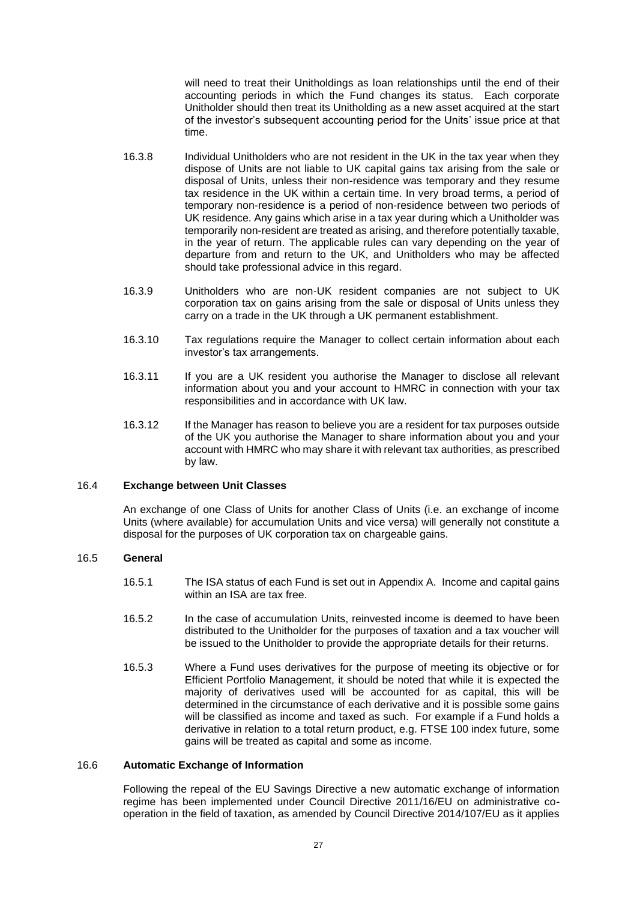will need to treat their Unitholdings as loan relationships until the end of their accounting periods in which the Fund changes its status. Each corporate Unitholder should then treat its Unitholding as a new asset acquired at the start of the investor's subsequent accounting period for the Units' issue price at that time.

- 16.3.8 Individual Unitholders who are not resident in the UK in the tax year when they dispose of Units are not liable to UK capital gains tax arising from the sale or disposal of Units, unless their non-residence was temporary and they resume tax residence in the UK within a certain time. In very broad terms, a period of temporary non-residence is a period of non-residence between two periods of UK residence. Any gains which arise in a tax year during which a Unitholder was temporarily non-resident are treated as arising, and therefore potentially taxable, in the year of return. The applicable rules can vary depending on the year of departure from and return to the UK, and Unitholders who may be affected should take professional advice in this regard.
- 16.3.9 Unitholders who are non-UK resident companies are not subject to UK corporation tax on gains arising from the sale or disposal of Units unless they carry on a trade in the UK through a UK permanent establishment.
- 16.3.10 Tax regulations require the Manager to collect certain information about each investor's tax arrangements.
- 16.3.11 If you are a UK resident you authorise the Manager to disclose all relevant information about you and your account to HMRC in connection with your tax responsibilities and in accordance with UK law.
- 16.3.12 If the Manager has reason to believe you are a resident for tax purposes outside of the UK you authorise the Manager to share information about you and your account with HMRC who may share it with relevant tax authorities, as prescribed by law.

#### 16.4 **Exchange between Unit Classes**

An exchange of one Class of Units for another Class of Units (i.e. an exchange of income Units (where available) for accumulation Units and vice versa) will generally not constitute a disposal for the purposes of UK corporation tax on chargeable gains.

#### 16.5 **General**

- 16.5.1 The ISA status of each Fund is set out in [Appendix A.](#page-39-0) Income and capital gains within an ISA are tax free.
- 16.5.2 In the case of accumulation Units, reinvested income is deemed to have been distributed to the Unitholder for the purposes of taxation and a tax voucher will be issued to the Unitholder to provide the appropriate details for their returns.
- 16.5.3 Where a Fund uses derivatives for the purpose of meeting its objective or for Efficient Portfolio Management, it should be noted that while it is expected the majority of derivatives used will be accounted for as capital, this will be determined in the circumstance of each derivative and it is possible some gains will be classified as income and taxed as such. For example if a Fund holds a derivative in relation to a total return product, e.g. FTSE 100 index future, some gains will be treated as capital and some as income.

# 16.6 **Automatic Exchange of Information**

Following the repeal of the EU Savings Directive a new automatic exchange of information regime has been implemented under Council Directive 2011/16/EU on administrative cooperation in the field of taxation, as amended by Council Directive 2014/107/EU as it applies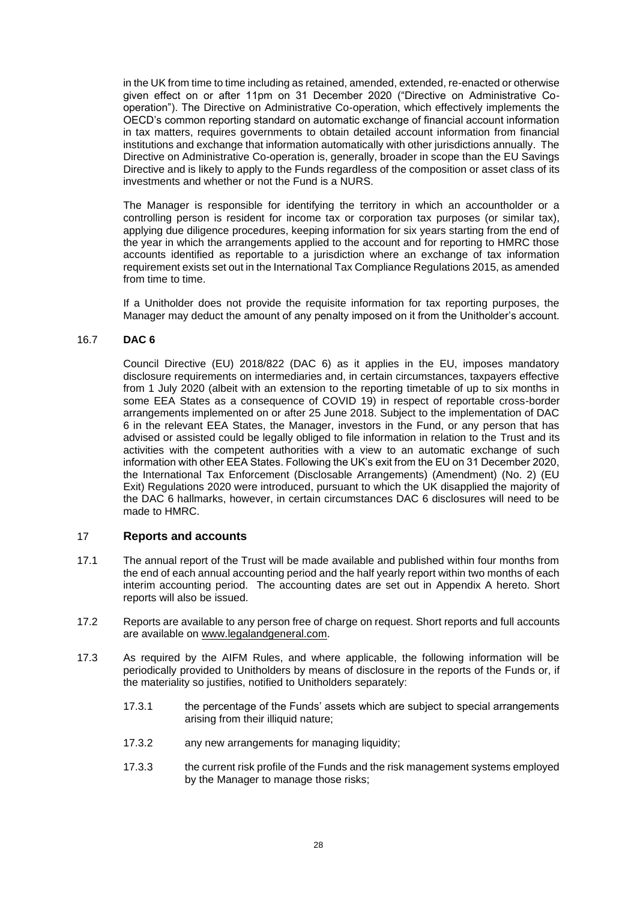in the UK from time to time including as retained, amended, extended, re-enacted or otherwise given effect on or after 11pm on 31 December 2020 ("Directive on Administrative Cooperation"). The Directive on Administrative Co-operation, which effectively implements the OECD's common reporting standard on automatic exchange of financial account information in tax matters, requires governments to obtain detailed account information from financial institutions and exchange that information automatically with other jurisdictions annually. The Directive on Administrative Co-operation is, generally, broader in scope than the EU Savings Directive and is likely to apply to the Funds regardless of the composition or asset class of its investments and whether or not the Fund is a NURS.

The Manager is responsible for identifying the territory in which an accountholder or a controlling person is resident for income tax or corporation tax purposes (or similar tax), applying due diligence procedures, keeping information for six years starting from the end of the year in which the arrangements applied to the account and for reporting to HMRC those accounts identified as reportable to a jurisdiction where an exchange of tax information requirement exists set out in the International Tax Compliance Regulations 2015, as amended from time to time.

If a Unitholder does not provide the requisite information for tax reporting purposes, the Manager may deduct the amount of any penalty imposed on it from the Unitholder's account.

### 16.7 **DAC 6**

Council Directive (EU) 2018/822 (DAC 6) as it applies in the EU, imposes mandatory disclosure requirements on intermediaries and, in certain circumstances, taxpayers effective from 1 July 2020 (albeit with an extension to the reporting timetable of up to six months in some EEA States as a consequence of COVID 19) in respect of reportable cross-border arrangements implemented on or after 25 June 2018. Subject to the implementation of DAC 6 in the relevant EEA States, the Manager, investors in the Fund, or any person that has advised or assisted could be legally obliged to file information in relation to the Trust and its activities with the competent authorities with a view to an automatic exchange of such information with other EEA States. Following the UK's exit from the EU on 31 December 2020, the International Tax Enforcement (Disclosable Arrangements) (Amendment) (No. 2) (EU Exit) Regulations 2020 were introduced, pursuant to which the UK disapplied the majority of the DAC 6 hallmarks, however, in certain circumstances DAC 6 disclosures will need to be made to HMRC.

# <span id="page-31-0"></span>17 **Reports and accounts**

- 17.1 The annual report of the Trust will be made available and published within four months from the end of each annual accounting period and the half yearly report within two months of each interim accounting period. The accounting dates are set out in [Appendix A](#page-39-0) hereto. Short reports will also be issued.
- 17.2 Reports are available to any person free of charge on request. Short reports and full accounts are available on [www.legalandgeneral.com.](http://www.legalandgeneral.com/)
- 17.3 As required by the AIFM Rules, and where applicable, the following information will be periodically provided to Unitholders by means of disclosure in the reports of the Funds or, if the materiality so justifies, notified to Unitholders separately:
	- 17.3.1 the percentage of the Funds' assets which are subject to special arrangements arising from their illiquid nature;
	- 17.3.2 any new arrangements for managing liquidity;
	- 17.3.3 the current risk profile of the Funds and the risk management systems employed by the Manager to manage those risks;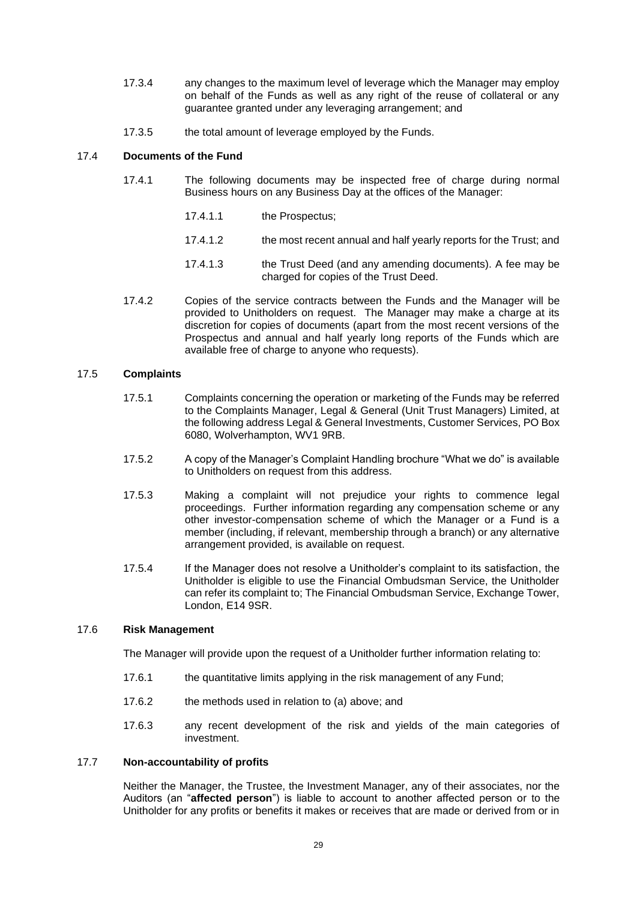- 17.3.4 any changes to the maximum level of leverage which the Manager may employ on behalf of the Funds as well as any right of the reuse of collateral or any guarantee granted under any leveraging arrangement; and
- 17.3.5 the total amount of leverage employed by the Funds.

# 17.4 **Documents of the Fund**

- 17.4.1 The following documents may be inspected free of charge during normal Business hours on any Business Day at the offices of the Manager:
	- 17.4.1.1 the Prospectus;
	- 17.4.1.2 the most recent annual and half yearly reports for the Trust; and
	- 17.4.1.3 the Trust Deed (and any amending documents). A fee may be charged for copies of the Trust Deed.
- 17.4.2 Copies of the service contracts between the Funds and the Manager will be provided to Unitholders on request. The Manager may make a charge at its discretion for copies of documents (apart from the most recent versions of the Prospectus and annual and half yearly long reports of the Funds which are available free of charge to anyone who requests).

# 17.5 **Complaints**

- 17.5.1 Complaints concerning the operation or marketing of the Funds may be referred to the Complaints Manager, Legal & General (Unit Trust Managers) Limited, at the following address Legal & General Investments, Customer Services, PO Box 6080, Wolverhampton, WV1 9RB.
- 17.5.2 A copy of the Manager's Complaint Handling brochure "What we do" is available to Unitholders on request from this address.
- 17.5.3 Making a complaint will not prejudice your rights to commence legal proceedings. Further information regarding any compensation scheme or any other investor-compensation scheme of which the Manager or a Fund is a member (including, if relevant, membership through a branch) or any alternative arrangement provided, is available on request.
- 17.5.4 If the Manager does not resolve a Unitholder's complaint to its satisfaction, the Unitholder is eligible to use the Financial Ombudsman Service, the Unitholder can refer its complaint to; The Financial Ombudsman Service, Exchange Tower, London, E14 9SR.

### 17.6 **Risk Management**

The Manager will provide upon the request of a Unitholder further information relating to:

- 17.6.1 the quantitative limits applying in the risk management of any Fund;
- 17.6.2 the methods used in relation to (a) above; and
- 17.6.3 any recent development of the risk and yields of the main categories of investment.

#### 17.7 **Non-accountability of profits**

Neither the Manager, the Trustee, the Investment Manager, any of their associates, nor the Auditors (an "**affected person**") is liable to account to another affected person or to the Unitholder for any profits or benefits it makes or receives that are made or derived from or in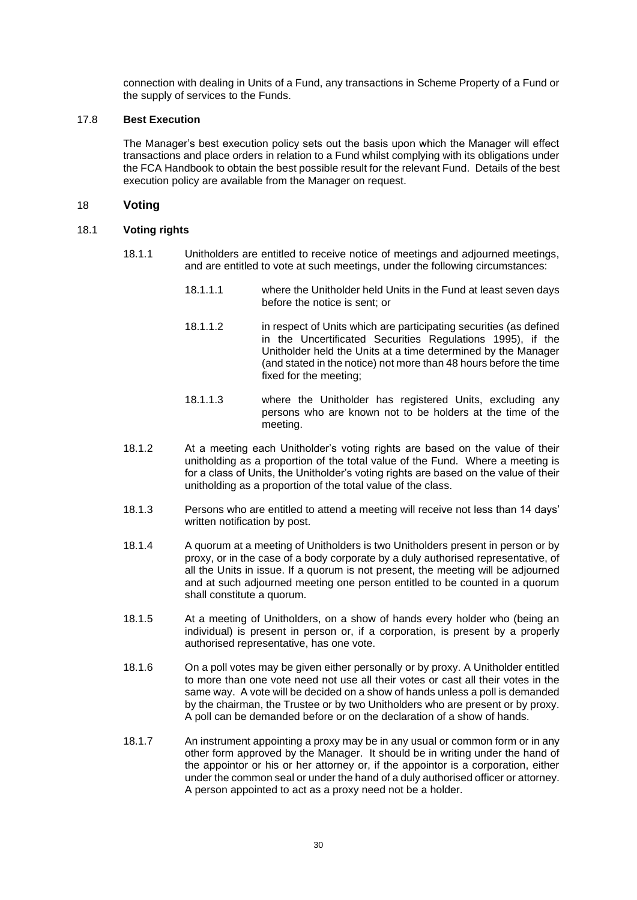connection with dealing in Units of a Fund, any transactions in Scheme Property of a Fund or the supply of services to the Funds.

# 17.8 **Best Execution**

The Manager's best execution policy sets out the basis upon which the Manager will effect transactions and place orders in relation to a Fund whilst complying with its obligations under the FCA Handbook to obtain the best possible result for the relevant Fund. Details of the best execution policy are available from the Manager on request.

### <span id="page-33-0"></span>18 **Voting**

### 18.1 **Voting rights**

- 18.1.1 Unitholders are entitled to receive notice of meetings and adjourned meetings, and are entitled to vote at such meetings, under the following circumstances:
	- 18.1.1.1 where the Unitholder held Units in the Fund at least seven days before the notice is sent; or
	- 18.1.1.2 in respect of Units which are participating securities (as defined in the Uncertificated Securities Regulations 1995), if the Unitholder held the Units at a time determined by the Manager (and stated in the notice) not more than 48 hours before the time fixed for the meeting;
	- 18.1.1.3 where the Unitholder has registered Units, excluding any persons who are known not to be holders at the time of the meeting.
- 18.1.2 At a meeting each Unitholder's voting rights are based on the value of their unitholding as a proportion of the total value of the Fund. Where a meeting is for a class of Units, the Unitholder's voting rights are based on the value of their unitholding as a proportion of the total value of the class.
- 18.1.3 Persons who are entitled to attend a meeting will receive not less than 14 days' written notification by post.
- 18.1.4 A quorum at a meeting of Unitholders is two Unitholders present in person or by proxy, or in the case of a body corporate by a duly authorised representative, of all the Units in issue. If a quorum is not present, the meeting will be adjourned and at such adjourned meeting one person entitled to be counted in a quorum shall constitute a quorum.
- 18.1.5 At a meeting of Unitholders, on a show of hands every holder who (being an individual) is present in person or, if a corporation, is present by a properly authorised representative, has one vote.
- 18.1.6 On a poll votes may be given either personally or by proxy. A Unitholder entitled to more than one vote need not use all their votes or cast all their votes in the same way. A vote will be decided on a show of hands unless a poll is demanded by the chairman, the Trustee or by two Unitholders who are present or by proxy. A poll can be demanded before or on the declaration of a show of hands.
- 18.1.7 An instrument appointing a proxy may be in any usual or common form or in any other form approved by the Manager. It should be in writing under the hand of the appointor or his or her attorney or, if the appointor is a corporation, either under the common seal or under the hand of a duly authorised officer or attorney. A person appointed to act as a proxy need not be a holder.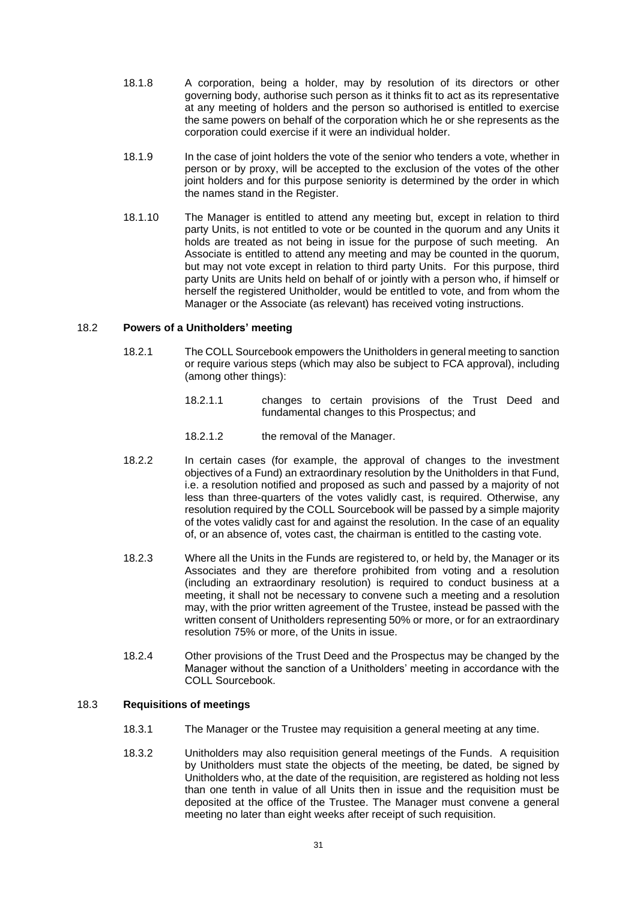- 18.1.8 A corporation, being a holder, may by resolution of its directors or other governing body, authorise such person as it thinks fit to act as its representative at any meeting of holders and the person so authorised is entitled to exercise the same powers on behalf of the corporation which he or she represents as the corporation could exercise if it were an individual holder.
- 18.1.9 In the case of joint holders the vote of the senior who tenders a vote, whether in person or by proxy, will be accepted to the exclusion of the votes of the other joint holders and for this purpose seniority is determined by the order in which the names stand in the Register.
- 18.1.10 The Manager is entitled to attend any meeting but, except in relation to third party Units, is not entitled to vote or be counted in the quorum and any Units it holds are treated as not being in issue for the purpose of such meeting. An Associate is entitled to attend any meeting and may be counted in the quorum, but may not vote except in relation to third party Units. For this purpose, third party Units are Units held on behalf of or jointly with a person who, if himself or herself the registered Unitholder, would be entitled to vote, and from whom the Manager or the Associate (as relevant) has received voting instructions.

### 18.2 **Powers of a Unitholders' meeting**

- 18.2.1 The COLL Sourcebook empowers the Unitholders in general meeting to sanction or require various steps (which may also be subject to FCA approval), including (among other things):
	- 18.2.1.1 changes to certain provisions of the Trust Deed and fundamental changes to this Prospectus; and
	- 18.2.1.2 the removal of the Manager.
- 18.2.2 In certain cases (for example, the approval of changes to the investment objectives of a Fund) an extraordinary resolution by the Unitholders in that Fund, i.e. a resolution notified and proposed as such and passed by a majority of not less than three-quarters of the votes validly cast, is required. Otherwise, any resolution required by the COLL Sourcebook will be passed by a simple majority of the votes validly cast for and against the resolution. In the case of an equality of, or an absence of, votes cast, the chairman is entitled to the casting vote.
- 18.2.3 Where all the Units in the Funds are registered to, or held by, the Manager or its Associates and they are therefore prohibited from voting and a resolution (including an extraordinary resolution) is required to conduct business at a meeting, it shall not be necessary to convene such a meeting and a resolution may, with the prior written agreement of the Trustee, instead be passed with the written consent of Unitholders representing 50% or more, or for an extraordinary resolution 75% or more, of the Units in issue.
- 18.2.4 Other provisions of the Trust Deed and the Prospectus may be changed by the Manager without the sanction of a Unitholders' meeting in accordance with the COLL Sourcebook.

#### 18.3 **Requisitions of meetings**

- 18.3.1 The Manager or the Trustee may requisition a general meeting at any time.
- 18.3.2 Unitholders may also requisition general meetings of the Funds. A requisition by Unitholders must state the objects of the meeting, be dated, be signed by Unitholders who, at the date of the requisition, are registered as holding not less than one tenth in value of all Units then in issue and the requisition must be deposited at the office of the Trustee. The Manager must convene a general meeting no later than eight weeks after receipt of such requisition.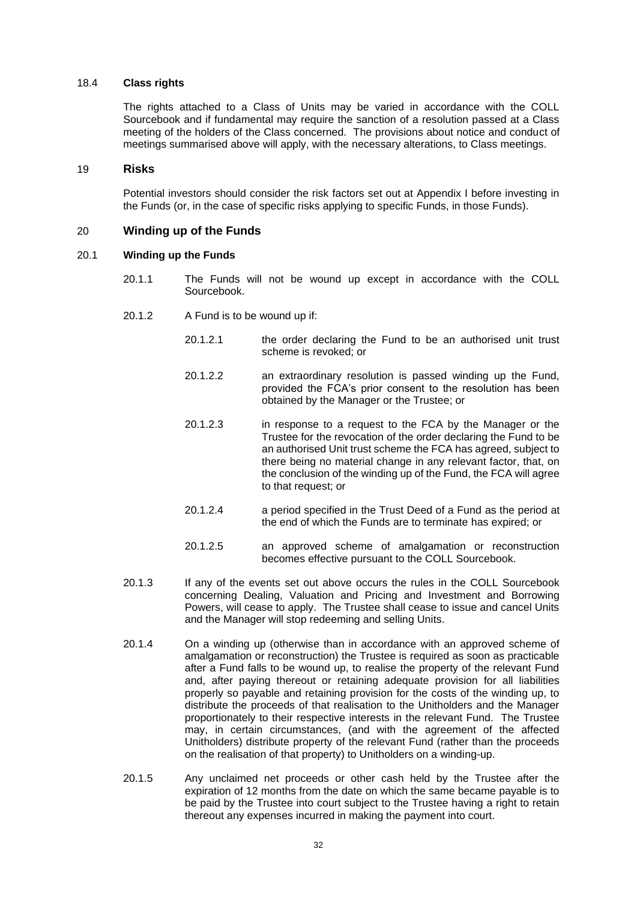#### 18.4 **Class rights**

The rights attached to a Class of Units may be varied in accordance with the COLL Sourcebook and if fundamental may require the sanction of a resolution passed at a Class meeting of the holders of the Class concerned. The provisions about notice and conduct of meetings summarised above will apply, with the necessary alterations, to Class meetings.

#### <span id="page-35-0"></span>19 **Risks**

Potential investors should consider the risk factors set out at Appendix I before investing in the Funds (or, in the case of specific risks applying to specific Funds, in those Funds).

### <span id="page-35-1"></span>20 **Winding up of the Funds**

#### 20.1 **Winding up the Funds**

- 20.1.1 The Funds will not be wound up except in accordance with the COLL Sourcebook.
- 20.1.2 A Fund is to be wound up if:
	- 20.1.2.1 the order declaring the Fund to be an authorised unit trust scheme is revoked; or
	- 20.1.2.2 an extraordinary resolution is passed winding up the Fund, provided the FCA's prior consent to the resolution has been obtained by the Manager or the Trustee; or
	- 20.1.2.3 in response to a request to the FCA by the Manager or the Trustee for the revocation of the order declaring the Fund to be an authorised Unit trust scheme the FCA has agreed, subject to there being no material change in any relevant factor, that, on the conclusion of the winding up of the Fund, the FCA will agree to that request; or
	- 20.1.2.4 a period specified in the Trust Deed of a Fund as the period at the end of which the Funds are to terminate has expired; or
	- 20.1.2.5 an approved scheme of amalgamation or reconstruction becomes effective pursuant to the COLL Sourcebook.
- 20.1.3 If any of the events set out above occurs the rules in the COLL Sourcebook concerning Dealing, Valuation and Pricing and Investment and Borrowing Powers, will cease to apply. The Trustee shall cease to issue and cancel Units and the Manager will stop redeeming and selling Units.
- 20.1.4 On a winding up (otherwise than in accordance with an approved scheme of amalgamation or reconstruction) the Trustee is required as soon as practicable after a Fund falls to be wound up, to realise the property of the relevant Fund and, after paying thereout or retaining adequate provision for all liabilities properly so payable and retaining provision for the costs of the winding up, to distribute the proceeds of that realisation to the Unitholders and the Manager proportionately to their respective interests in the relevant Fund. The Trustee may, in certain circumstances, (and with the agreement of the affected Unitholders) distribute property of the relevant Fund (rather than the proceeds on the realisation of that property) to Unitholders on a winding-up.
- 20.1.5 Any unclaimed net proceeds or other cash held by the Trustee after the expiration of 12 months from the date on which the same became payable is to be paid by the Trustee into court subject to the Trustee having a right to retain thereout any expenses incurred in making the payment into court.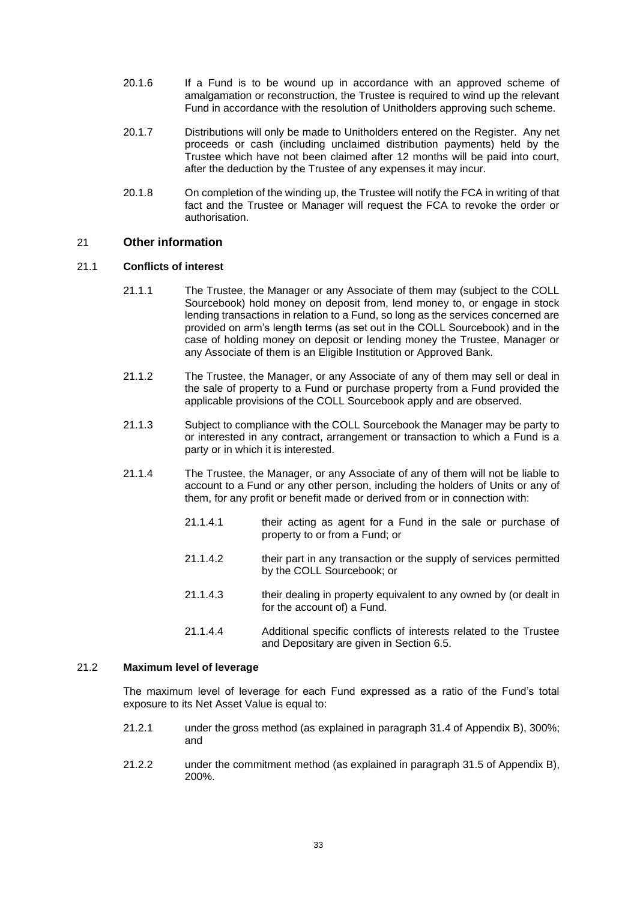- 20.1.6 If a Fund is to be wound up in accordance with an approved scheme of amalgamation or reconstruction, the Trustee is required to wind up the relevant Fund in accordance with the resolution of Unitholders approving such scheme.
- 20.1.7 Distributions will only be made to Unitholders entered on the Register. Any net proceeds or cash (including unclaimed distribution payments) held by the Trustee which have not been claimed after 12 months will be paid into court, after the deduction by the Trustee of any expenses it may incur.
- 20.1.8 On completion of the winding up, the Trustee will notify the FCA in writing of that fact and the Trustee or Manager will request the FCA to revoke the order or authorisation.

# 21 **Other information**

### 21.1 **Conflicts of interest**

- 21.1.1 The Trustee, the Manager or any Associate of them may (subject to the COLL Sourcebook) hold money on deposit from, lend money to, or engage in stock lending transactions in relation to a Fund, so long as the services concerned are provided on arm's length terms (as set out in the COLL Sourcebook) and in the case of holding money on deposit or lending money the Trustee, Manager or any Associate of them is an Eligible Institution or Approved Bank.
- 21.1.2 The Trustee, the Manager, or any Associate of any of them may sell or deal in the sale of property to a Fund or purchase property from a Fund provided the applicable provisions of the COLL Sourcebook apply and are observed.
- 21.1.3 Subject to compliance with the COLL Sourcebook the Manager may be party to or interested in any contract, arrangement or transaction to which a Fund is a party or in which it is interested.
- 21.1.4 The Trustee, the Manager, or any Associate of any of them will not be liable to account to a Fund or any other person, including the holders of Units or any of them, for any profit or benefit made or derived from or in connection with:
	- 21.1.4.1 their acting as agent for a Fund in the sale or purchase of property to or from a Fund; or
	- 21.1.4.2 their part in any transaction or the supply of services permitted by the COLL Sourcebook; or
	- 21.1.4.3 their dealing in property equivalent to any owned by (or dealt in for the account of) a Fund.
	- 21.1.4.4 Additional specific conflicts of interests related to the Trustee and Depositary are given in Section [6.5.](#page-10-0)

# 21.2 **Maximum level of leverage**

The maximum level of leverage for each Fund expressed as a ratio of the Fund's total exposure to its Net Asset Value is equal to:

- 21.2.1 under the gross method (as explained in paragraph [31.4](#page-96-0) of [Appendix B\)](#page-82-0), 300%; and
- 21.2.2 under the commitment method (as explained in paragraph [31.5](#page-96-1) of [Appendix B\)](#page-82-0), 200%.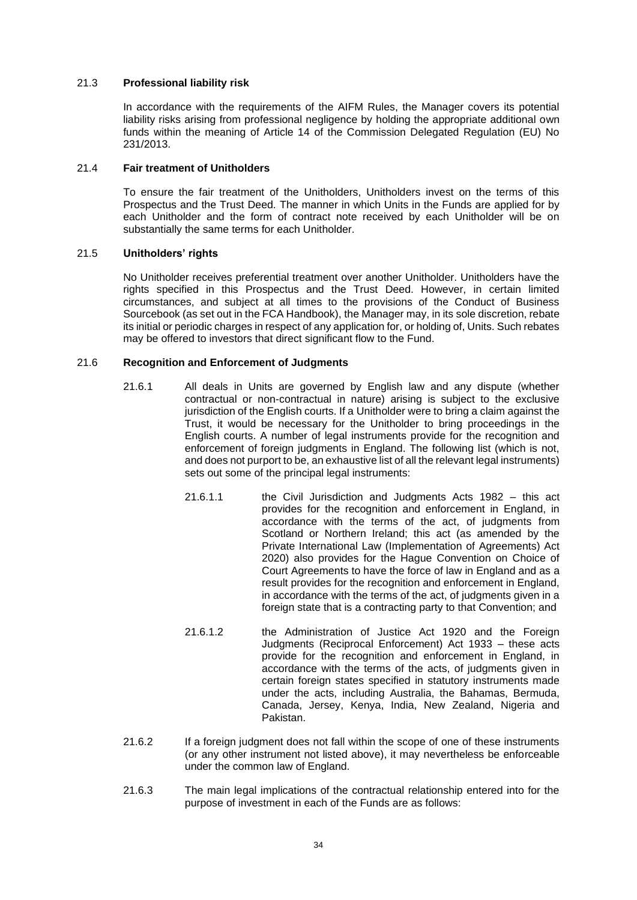### 21.3 **Professional liability risk**

In accordance with the requirements of the AIFM Rules, the Manager covers its potential liability risks arising from professional negligence by holding the appropriate additional own funds within the meaning of Article 14 of the Commission Delegated Regulation (EU) No 231/2013.

### 21.4 **Fair treatment of Unitholders**

To ensure the fair treatment of the Unitholders, Unitholders invest on the terms of this Prospectus and the Trust Deed. The manner in which Units in the Funds are applied for by each Unitholder and the form of contract note received by each Unitholder will be on substantially the same terms for each Unitholder.

# 21.5 **Unitholders' rights**

No Unitholder receives preferential treatment over another Unitholder. Unitholders have the rights specified in this Prospectus and the Trust Deed. However, in certain limited circumstances, and subject at all times to the provisions of the Conduct of Business Sourcebook (as set out in the FCA Handbook), the Manager may, in its sole discretion, rebate its initial or periodic charges in respect of any application for, or holding of, Units. Such rebates may be offered to investors that direct significant flow to the Fund.

# 21.6 **Recognition and Enforcement of Judgments**

- 21.6.1 All deals in Units are governed by English law and any dispute (whether contractual or non-contractual in nature) arising is subject to the exclusive jurisdiction of the English courts. If a Unitholder were to bring a claim against the Trust, it would be necessary for the Unitholder to bring proceedings in the English courts. A number of legal instruments provide for the recognition and enforcement of foreign judgments in England. The following list (which is not, and does not purport to be, an exhaustive list of all the relevant legal instruments) sets out some of the principal legal instruments:
	- 21.6.1.1 the Civil Jurisdiction and Judgments Acts 1982 this act provides for the recognition and enforcement in England, in accordance with the terms of the act, of judgments from Scotland or Northern Ireland; this act (as amended by the Private International Law (Implementation of Agreements) Act 2020) also provides for the Hague Convention on Choice of Court Agreements to have the force of law in England and as a result provides for the recognition and enforcement in England, in accordance with the terms of the act, of judgments given in a foreign state that is a contracting party to that Convention; and
	- 21.6.1.2 the Administration of Justice Act 1920 and the Foreign Judgments (Reciprocal Enforcement) Act 1933 – these acts provide for the recognition and enforcement in England, in accordance with the terms of the acts, of judgments given in certain foreign states specified in statutory instruments made under the acts, including Australia, the Bahamas, Bermuda, Canada, Jersey, Kenya, India, New Zealand, Nigeria and Pakistan.
- 21.6.2 If a foreign judgment does not fall within the scope of one of these instruments (or any other instrument not listed above), it may nevertheless be enforceable under the common law of England.
- 21.6.3 The main legal implications of the contractual relationship entered into for the purpose of investment in each of the Funds are as follows: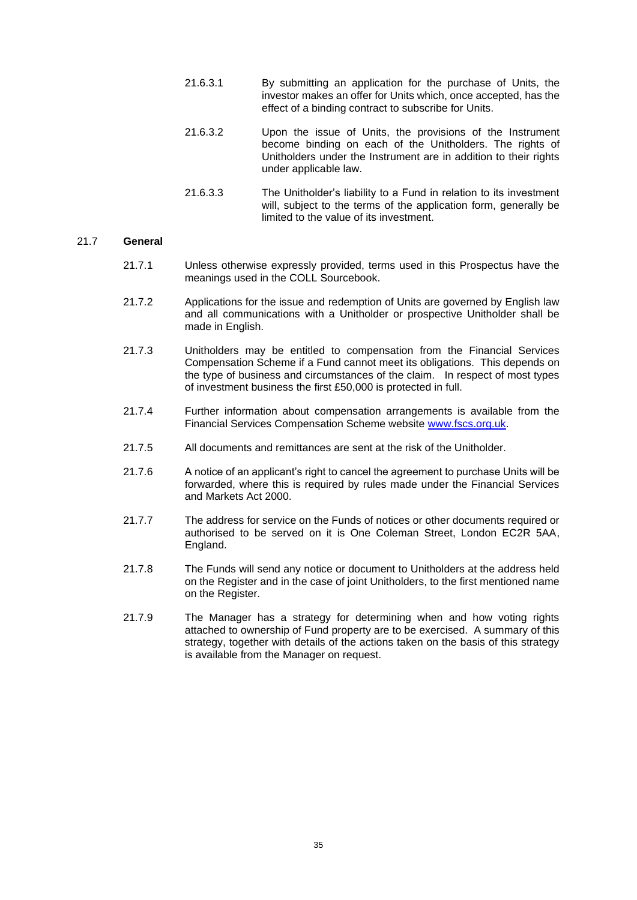- 21.6.3.1 By submitting an application for the purchase of Units, the investor makes an offer for Units which, once accepted, has the effect of a binding contract to subscribe for Units.
- 21.6.3.2 Upon the issue of Units, the provisions of the Instrument become binding on each of the Unitholders. The rights of Unitholders under the Instrument are in addition to their rights under applicable law.
- 21.6.3.3 The Unitholder's liability to a Fund in relation to its investment will, subject to the terms of the application form, generally be limited to the value of its investment.

### 21.7 **General**

- 21.7.1 Unless otherwise expressly provided, terms used in this Prospectus have the meanings used in the COLL Sourcebook.
- 21.7.2 Applications for the issue and redemption of Units are governed by English law and all communications with a Unitholder or prospective Unitholder shall be made in English.
- 21.7.3 Unitholders may be entitled to compensation from the Financial Services Compensation Scheme if a Fund cannot meet its obligations. This depends on the type of business and circumstances of the claim. In respect of most types of investment business the first £50,000 is protected in full.
- 21.7.4 Further information about compensation arrangements is available from the Financial Services Compensation Scheme website [www.fscs.org.uk.](http://www.fscs.org.uk/)
- 21.7.5 All documents and remittances are sent at the risk of the Unitholder.
- 21.7.6 A notice of an applicant's right to cancel the agreement to purchase Units will be forwarded, where this is required by rules made under the Financial Services and Markets Act 2000.
- 21.7.7 The address for service on the Funds of notices or other documents required or authorised to be served on it is One Coleman Street, London EC2R 5AA, England.
- 21.7.8 The Funds will send any notice or document to Unitholders at the address held on the Register and in the case of joint Unitholders, to the first mentioned name on the Register.
- 21.7.9 The Manager has a strategy for determining when and how voting rights attached to ownership of Fund property are to be exercised. A summary of this strategy, together with details of the actions taken on the basis of this strategy is available from the Manager on request.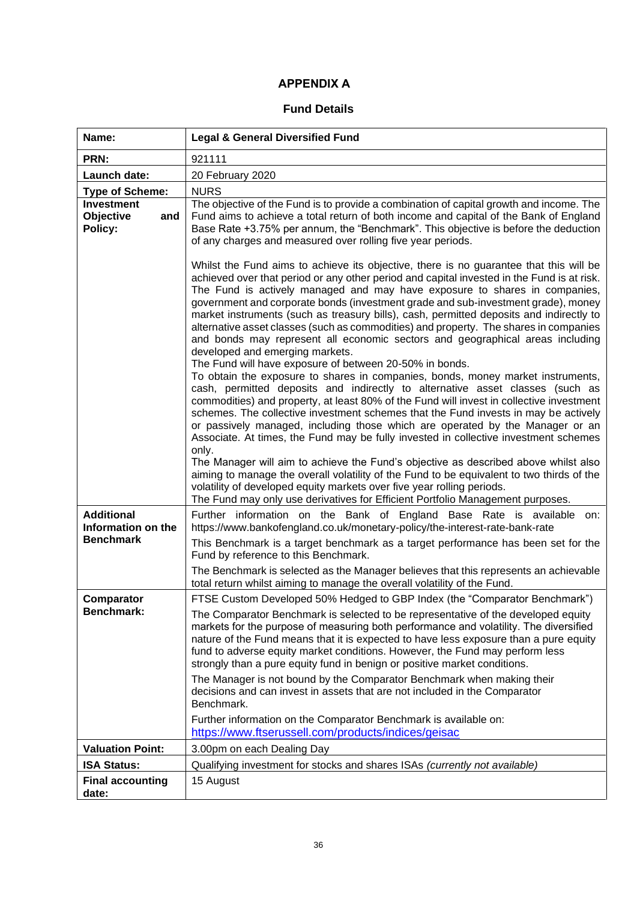# **APPENDIX A .**

# **Fund Details**

| Name:                                                       | <b>Legal &amp; General Diversified Fund</b>                                                                                                                                                                                                                                                                                                                                                                                                                                                                                                                                                                                                                                             |
|-------------------------------------------------------------|-----------------------------------------------------------------------------------------------------------------------------------------------------------------------------------------------------------------------------------------------------------------------------------------------------------------------------------------------------------------------------------------------------------------------------------------------------------------------------------------------------------------------------------------------------------------------------------------------------------------------------------------------------------------------------------------|
| PRN:                                                        | 921111                                                                                                                                                                                                                                                                                                                                                                                                                                                                                                                                                                                                                                                                                  |
| Launch date:                                                | 20 February 2020                                                                                                                                                                                                                                                                                                                                                                                                                                                                                                                                                                                                                                                                        |
| <b>Type of Scheme:</b>                                      | <b>NURS</b>                                                                                                                                                                                                                                                                                                                                                                                                                                                                                                                                                                                                                                                                             |
| <b>Investment</b><br>Objective<br>and<br>Policy:            | The objective of the Fund is to provide a combination of capital growth and income. The<br>Fund aims to achieve a total return of both income and capital of the Bank of England<br>Base Rate +3.75% per annum, the "Benchmark". This objective is before the deduction<br>of any charges and measured over rolling five year periods.                                                                                                                                                                                                                                                                                                                                                  |
|                                                             | Whilst the Fund aims to achieve its objective, there is no guarantee that this will be<br>achieved over that period or any other period and capital invested in the Fund is at risk.<br>The Fund is actively managed and may have exposure to shares in companies,<br>government and corporate bonds (investment grade and sub-investment grade), money<br>market instruments (such as treasury bills), cash, permitted deposits and indirectly to<br>alternative asset classes (such as commodities) and property. The shares in companies<br>and bonds may represent all economic sectors and geographical areas including<br>developed and emerging markets.                         |
|                                                             | The Fund will have exposure of between 20-50% in bonds.<br>To obtain the exposure to shares in companies, bonds, money market instruments,<br>cash, permitted deposits and indirectly to alternative asset classes (such as<br>commodities) and property, at least 80% of the Fund will invest in collective investment<br>schemes. The collective investment schemes that the Fund invests in may be actively<br>or passively managed, including those which are operated by the Manager or an<br>Associate. At times, the Fund may be fully invested in collective investment schemes<br>only.<br>The Manager will aim to achieve the Fund's objective as described above whilst also |
|                                                             | aiming to manage the overall volatility of the Fund to be equivalent to two thirds of the<br>volatility of developed equity markets over five year rolling periods.<br>The Fund may only use derivatives for Efficient Portfolio Management purposes.                                                                                                                                                                                                                                                                                                                                                                                                                                   |
| <b>Additional</b><br>Information on the<br><b>Benchmark</b> | Further information on the Bank of England Base Rate is available on:<br>https://www.bankofengland.co.uk/monetary-policy/the-interest-rate-bank-rate<br>This Benchmark is a target benchmark as a target performance has been set for the<br>Fund by reference to this Benchmark.                                                                                                                                                                                                                                                                                                                                                                                                       |
|                                                             | The Benchmark is selected as the Manager believes that this represents an achievable<br>total return whilst aiming to manage the overall volatility of the Fund.                                                                                                                                                                                                                                                                                                                                                                                                                                                                                                                        |
| Comparator<br><b>Benchmark:</b>                             | FTSE Custom Developed 50% Hedged to GBP Index (the "Comparator Benchmark")<br>The Comparator Benchmark is selected to be representative of the developed equity<br>markets for the purpose of measuring both performance and volatility. The diversified<br>nature of the Fund means that it is expected to have less exposure than a pure equity<br>fund to adverse equity market conditions. However, the Fund may perform less<br>strongly than a pure equity fund in benign or positive market conditions.                                                                                                                                                                          |
|                                                             | The Manager is not bound by the Comparator Benchmark when making their<br>decisions and can invest in assets that are not included in the Comparator<br>Benchmark.                                                                                                                                                                                                                                                                                                                                                                                                                                                                                                                      |
|                                                             | Further information on the Comparator Benchmark is available on:<br>https://www.ftserussell.com/products/indices/geisac                                                                                                                                                                                                                                                                                                                                                                                                                                                                                                                                                                 |
| <b>Valuation Point:</b>                                     | 3.00pm on each Dealing Day                                                                                                                                                                                                                                                                                                                                                                                                                                                                                                                                                                                                                                                              |
| <b>ISA Status:</b>                                          | Qualifying investment for stocks and shares ISAs (currently not available)                                                                                                                                                                                                                                                                                                                                                                                                                                                                                                                                                                                                              |
| <b>Final accounting</b><br>date:                            | 15 August                                                                                                                                                                                                                                                                                                                                                                                                                                                                                                                                                                                                                                                                               |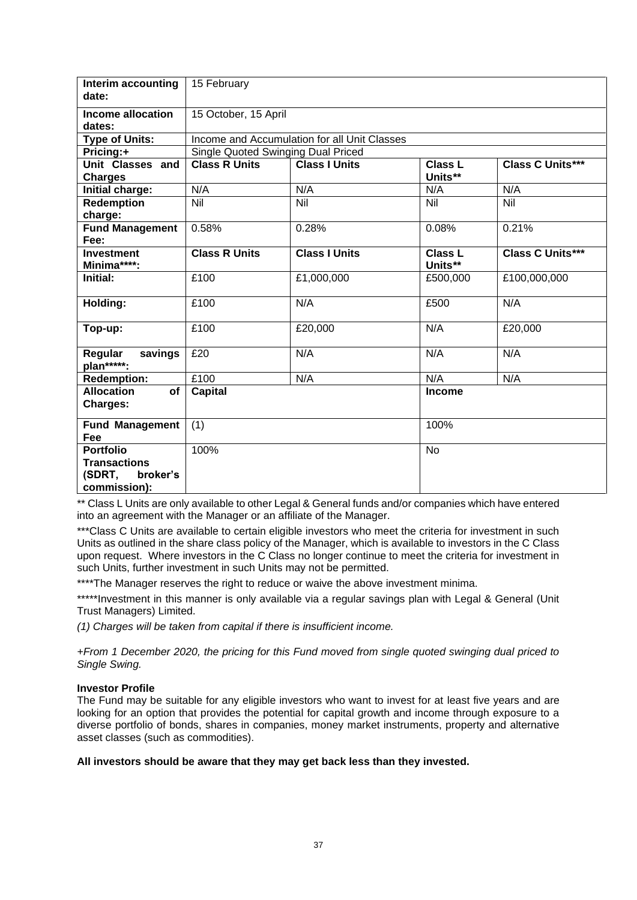| Interim accounting<br>date:                                                   | 15 February                        |                                              |                           |                         |
|-------------------------------------------------------------------------------|------------------------------------|----------------------------------------------|---------------------------|-------------------------|
| Income allocation<br>dates:                                                   | 15 October, 15 April               |                                              |                           |                         |
| <b>Type of Units:</b>                                                         |                                    | Income and Accumulation for all Unit Classes |                           |                         |
| Pricing:+                                                                     | Single Quoted Swinging Dual Priced |                                              |                           |                         |
| Unit Classes and<br><b>Charges</b>                                            | <b>Class R Units</b>               | <b>Class I Units</b>                         | <b>Class L</b><br>Units** | <b>Class C Units***</b> |
| Initial charge:                                                               | N/A                                | N/A                                          | N/A                       | N/A                     |
| <b>Redemption</b><br>charge:                                                  | Nil                                | $\overline{\text{Nil}}$                      | Nil                       | Nil                     |
| <b>Fund Management</b><br>Fee:                                                | 0.58%                              | 0.28%                                        | 0.08%                     | 0.21%                   |
| <b>Investment</b><br>Minima****:                                              | <b>Class R Units</b>               | <b>Class I Units</b>                         | <b>Class L</b><br>Units** | <b>Class C Units***</b> |
| Initial:                                                                      | £100                               | £1,000,000                                   | £500,000                  | £100,000,000            |
| Holding:                                                                      | £100                               | N/A                                          | £500                      | N/A                     |
| Top-up:                                                                       | £100                               | £20,000                                      | N/A                       | £20,000                 |
| savings<br>Regular<br>plan*****:                                              | £20                                | N/A                                          | N/A                       | N/A                     |
| <b>Redemption:</b>                                                            | £100                               | N/A                                          | N/A                       | N/A                     |
| <b>Allocation</b><br>of<br>Charges:                                           | <b>Capital</b>                     |                                              | Income                    |                         |
| <b>Fund Management</b><br>Fee                                                 | (1)                                |                                              | 100%                      |                         |
| <b>Portfolio</b><br><b>Transactions</b><br>(SDRT,<br>broker's<br>commission): | 100%                               |                                              | No                        |                         |

\*\* Class L Units are only available to other Legal & General funds and/or companies which have entered into an agreement with the Manager or an affiliate of the Manager.

\*\*\*Class C Units are available to certain eligible investors who meet the criteria for investment in such Units as outlined in the share class policy of the Manager, which is available to investors in the C Class upon request. Where investors in the C Class no longer continue to meet the criteria for investment in such Units, further investment in such Units may not be permitted.

\*\*\*\*The Manager reserves the right to reduce or waive the above investment minima.

\*\*\*\*\*Investment in this manner is only available via a regular savings plan with Legal & General (Unit Trust Managers) Limited.

*(1) Charges will be taken from capital if there is insufficient income.*

*+From 1 December 2020, the pricing for this Fund moved from single quoted swinging dual priced to Single Swing.*

### **Investor Profile**

The Fund may be suitable for any eligible investors who want to invest for at least five years and are looking for an option that provides the potential for capital growth and income through exposure to a diverse portfolio of bonds, shares in companies, money market instruments, property and alternative asset classes (such as commodities).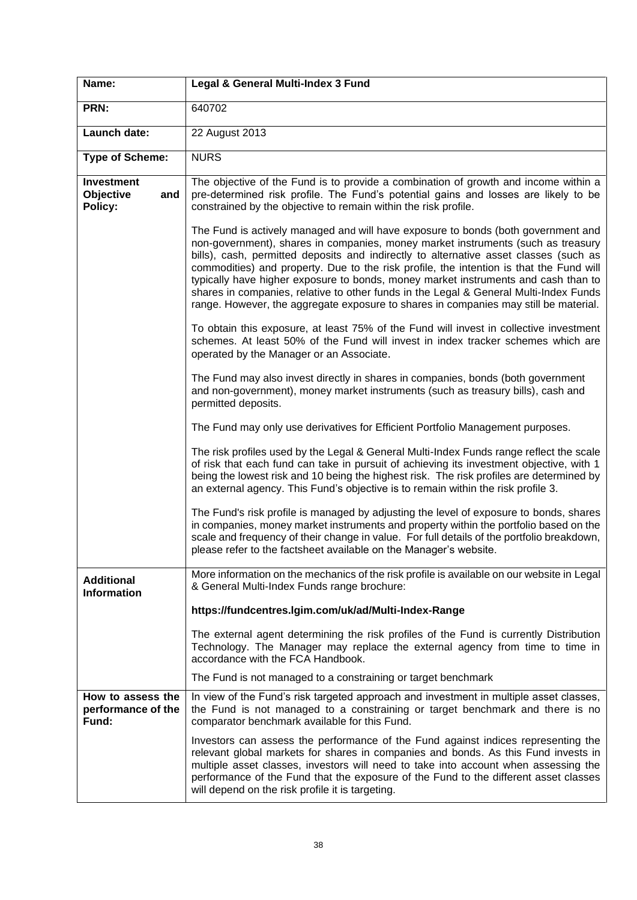| Name:                                            | Legal & General Multi-Index 3 Fund                                                                                                                                                                                                                                                                                                                                                                                                                                                                                                                                                                                               |
|--------------------------------------------------|----------------------------------------------------------------------------------------------------------------------------------------------------------------------------------------------------------------------------------------------------------------------------------------------------------------------------------------------------------------------------------------------------------------------------------------------------------------------------------------------------------------------------------------------------------------------------------------------------------------------------------|
| PRN:                                             | 640702                                                                                                                                                                                                                                                                                                                                                                                                                                                                                                                                                                                                                           |
| Launch date:                                     | 22 August 2013                                                                                                                                                                                                                                                                                                                                                                                                                                                                                                                                                                                                                   |
| <b>Type of Scheme:</b>                           | <b>NURS</b>                                                                                                                                                                                                                                                                                                                                                                                                                                                                                                                                                                                                                      |
| <b>Investment</b><br>Objective<br>and<br>Policy: | The objective of the Fund is to provide a combination of growth and income within a<br>pre-determined risk profile. The Fund's potential gains and losses are likely to be<br>constrained by the objective to remain within the risk profile.                                                                                                                                                                                                                                                                                                                                                                                    |
|                                                  | The Fund is actively managed and will have exposure to bonds (both government and<br>non-government), shares in companies, money market instruments (such as treasury<br>bills), cash, permitted deposits and indirectly to alternative asset classes (such as<br>commodities) and property. Due to the risk profile, the intention is that the Fund will<br>typically have higher exposure to bonds, money market instruments and cash than to<br>shares in companies, relative to other funds in the Legal & General Multi-Index Funds<br>range. However, the aggregate exposure to shares in companies may still be material. |
|                                                  | To obtain this exposure, at least 75% of the Fund will invest in collective investment<br>schemes. At least 50% of the Fund will invest in index tracker schemes which are<br>operated by the Manager or an Associate.                                                                                                                                                                                                                                                                                                                                                                                                           |
|                                                  | The Fund may also invest directly in shares in companies, bonds (both government<br>and non-government), money market instruments (such as treasury bills), cash and<br>permitted deposits.                                                                                                                                                                                                                                                                                                                                                                                                                                      |
|                                                  | The Fund may only use derivatives for Efficient Portfolio Management purposes.                                                                                                                                                                                                                                                                                                                                                                                                                                                                                                                                                   |
|                                                  | The risk profiles used by the Legal & General Multi-Index Funds range reflect the scale<br>of risk that each fund can take in pursuit of achieving its investment objective, with 1<br>being the lowest risk and 10 being the highest risk. The risk profiles are determined by<br>an external agency. This Fund's objective is to remain within the risk profile 3.                                                                                                                                                                                                                                                             |
|                                                  | The Fund's risk profile is managed by adjusting the level of exposure to bonds, shares<br>in companies, money market instruments and property within the portfolio based on the<br>scale and frequency of their change in value. For full details of the portfolio breakdown,<br>please refer to the factsheet available on the Manager's website.                                                                                                                                                                                                                                                                               |
| <b>Additional</b><br><b>Information</b>          | More information on the mechanics of the risk profile is available on our website in Legal<br>& General Multi-Index Funds range brochure:                                                                                                                                                                                                                                                                                                                                                                                                                                                                                        |
|                                                  | https://fundcentres.lgim.com/uk/ad/Multi-Index-Range                                                                                                                                                                                                                                                                                                                                                                                                                                                                                                                                                                             |
|                                                  | The external agent determining the risk profiles of the Fund is currently Distribution<br>Technology. The Manager may replace the external agency from time to time in<br>accordance with the FCA Handbook.                                                                                                                                                                                                                                                                                                                                                                                                                      |
|                                                  | The Fund is not managed to a constraining or target benchmark                                                                                                                                                                                                                                                                                                                                                                                                                                                                                                                                                                    |
| How to assess the<br>performance of the<br>Fund: | In view of the Fund's risk targeted approach and investment in multiple asset classes,<br>the Fund is not managed to a constraining or target benchmark and there is no<br>comparator benchmark available for this Fund.                                                                                                                                                                                                                                                                                                                                                                                                         |
|                                                  | Investors can assess the performance of the Fund against indices representing the<br>relevant global markets for shares in companies and bonds. As this Fund invests in<br>multiple asset classes, investors will need to take into account when assessing the<br>performance of the Fund that the exposure of the Fund to the different asset classes<br>will depend on the risk profile it is targeting.                                                                                                                                                                                                                       |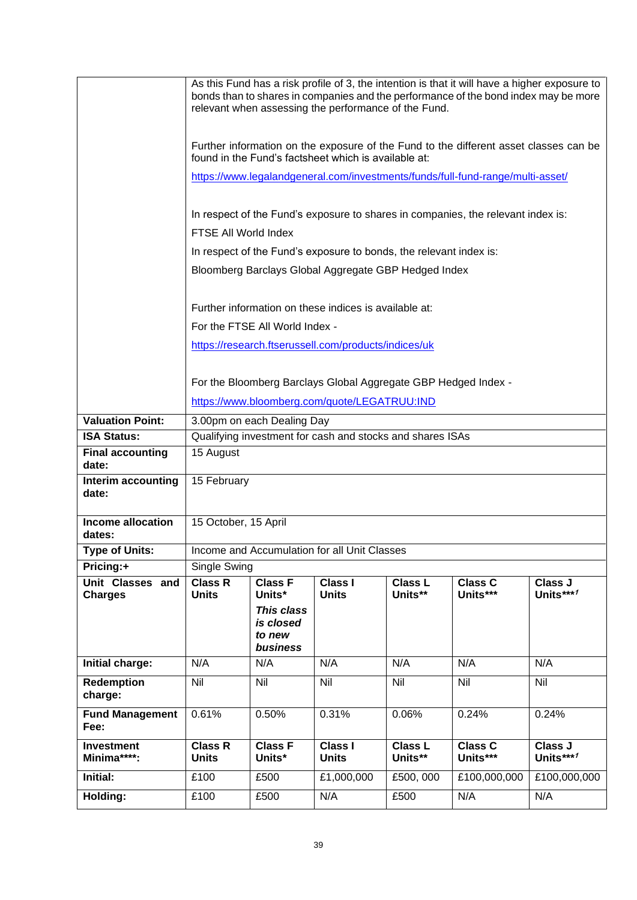|                                    | As this Fund has a risk profile of 3, the intention is that it will have a higher exposure to<br>bonds than to shares in companies and the performance of the bond index may be more<br>relevant when assessing the performance of the Fund. |                                               |                                                                    |                           |                                                                                  |                      |
|------------------------------------|----------------------------------------------------------------------------------------------------------------------------------------------------------------------------------------------------------------------------------------------|-----------------------------------------------|--------------------------------------------------------------------|---------------------------|----------------------------------------------------------------------------------|----------------------|
|                                    | Further information on the exposure of the Fund to the different asset classes can be<br>found in the Fund's factsheet which is available at:                                                                                                |                                               |                                                                    |                           |                                                                                  |                      |
|                                    |                                                                                                                                                                                                                                              |                                               |                                                                    |                           | https://www.legalandgeneral.com/investments/funds/full-fund-range/multi-asset/   |                      |
|                                    | FTSE All World Index                                                                                                                                                                                                                         |                                               |                                                                    |                           | In respect of the Fund's exposure to shares in companies, the relevant index is: |                      |
|                                    |                                                                                                                                                                                                                                              |                                               | In respect of the Fund's exposure to bonds, the relevant index is: |                           |                                                                                  |                      |
|                                    |                                                                                                                                                                                                                                              |                                               |                                                                    |                           |                                                                                  |                      |
|                                    |                                                                                                                                                                                                                                              |                                               | Bloomberg Barclays Global Aggregate GBP Hedged Index               |                           |                                                                                  |                      |
|                                    |                                                                                                                                                                                                                                              |                                               | Further information on these indices is available at:              |                           |                                                                                  |                      |
|                                    |                                                                                                                                                                                                                                              | For the FTSE All World Index -                |                                                                    |                           |                                                                                  |                      |
|                                    |                                                                                                                                                                                                                                              |                                               | https://research.ftserussell.com/products/indices/uk               |                           |                                                                                  |                      |
|                                    |                                                                                                                                                                                                                                              |                                               |                                                                    |                           |                                                                                  |                      |
|                                    |                                                                                                                                                                                                                                              |                                               | For the Bloomberg Barclays Global Aggregate GBP Hedged Index -     |                           |                                                                                  |                      |
|                                    |                                                                                                                                                                                                                                              |                                               | https://www.bloomberg.com/quote/LEGATRUU:IND                       |                           |                                                                                  |                      |
| <b>Valuation Point:</b>            |                                                                                                                                                                                                                                              | 3.00pm on each Dealing Day                    |                                                                    |                           |                                                                                  |                      |
| <b>ISA Status:</b>                 | Qualifying investment for cash and stocks and shares ISAs                                                                                                                                                                                    |                                               |                                                                    |                           |                                                                                  |                      |
| <b>Final accounting</b><br>date:   | 15 August                                                                                                                                                                                                                                    |                                               |                                                                    |                           |                                                                                  |                      |
| Interim accounting<br>date:        | 15 February                                                                                                                                                                                                                                  |                                               |                                                                    |                           |                                                                                  |                      |
| <b>Income allocation</b><br>dates: | 15 October, 15 April                                                                                                                                                                                                                         |                                               |                                                                    |                           |                                                                                  |                      |
| <b>Type of Units:</b>              |                                                                                                                                                                                                                                              |                                               | Income and Accumulation for all Unit Classes                       |                           |                                                                                  |                      |
| Pricing:+                          | Single Swing                                                                                                                                                                                                                                 |                                               |                                                                    |                           |                                                                                  |                      |
| Unit Classes and<br><b>Charges</b> | <b>Class R</b><br><b>Units</b>                                                                                                                                                                                                               | <b>Class F</b><br>Units*                      | <b>Class I</b><br><b>Units</b>                                     | <b>Class L</b><br>Units** | <b>Class C</b><br>Units***                                                       | Class J<br>Units***1 |
|                                    |                                                                                                                                                                                                                                              | This class<br>is closed<br>to new<br>business |                                                                    |                           |                                                                                  |                      |
| Initial charge:                    | N/A                                                                                                                                                                                                                                          | N/A                                           | N/A                                                                | N/A                       | N/A                                                                              | N/A                  |
| Redemption<br>charge:              | Nil                                                                                                                                                                                                                                          | Nil                                           | Nil                                                                | Nil                       | Nil                                                                              | Nil                  |
| <b>Fund Management</b><br>Fee:     | 0.61%                                                                                                                                                                                                                                        | 0.50%                                         | 0.31%                                                              | 0.06%                     | 0.24%                                                                            | 0.24%                |
| <b>Investment</b><br>Minima****:   | <b>Class R</b><br><b>Units</b>                                                                                                                                                                                                               | <b>Class F</b><br>Units*                      | <b>Class I</b><br><b>Units</b>                                     | <b>Class L</b><br>Units** | <b>Class C</b><br>Units***                                                       | Class J<br>Units***1 |
| Initial:                           | £100                                                                                                                                                                                                                                         | £500                                          | £1,000,000                                                         | £500, 000                 | £100,000,000                                                                     | £100,000,000         |
| Holding:                           | £100                                                                                                                                                                                                                                         | £500                                          | N/A                                                                | £500                      | N/A                                                                              | N/A                  |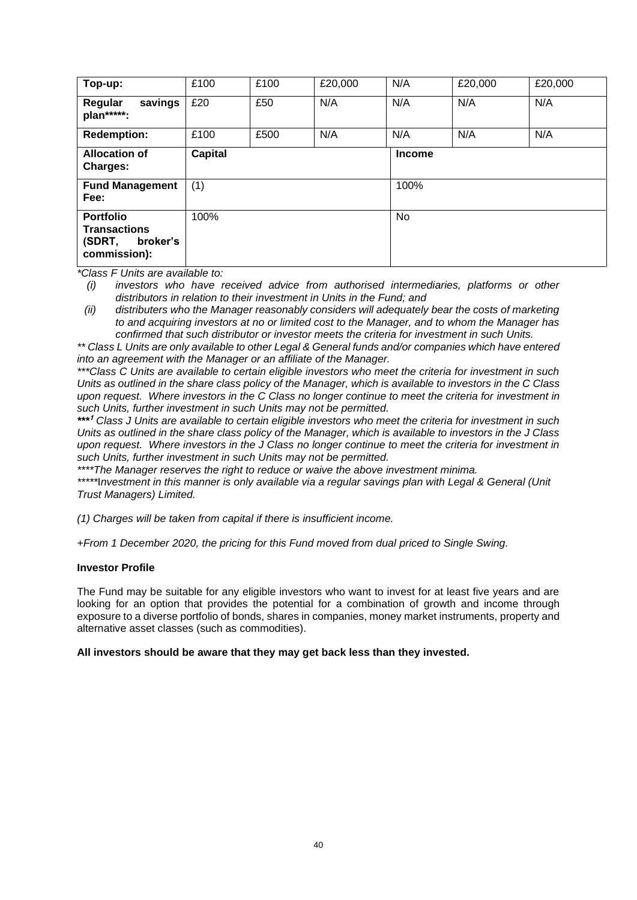| Top-up:                                                                       | £100           | £100 | £20,000 | N/A | £20,000       | £20,000 |  |
|-------------------------------------------------------------------------------|----------------|------|---------|-----|---------------|---------|--|
| savings<br>Regular<br>plan*****:                                              | £20            | £50  | N/A     | N/A | N/A           | N/A     |  |
| <b>Redemption:</b>                                                            | £100           | £500 | N/A     | N/A | N/A           | N/A     |  |
| <b>Allocation of</b><br><b>Charges:</b>                                       | <b>Capital</b> |      |         |     | <b>Income</b> |         |  |
| <b>Fund Management</b><br>Fee:                                                | (1)            |      |         |     | 100%          |         |  |
| <b>Portfolio</b><br><b>Transactions</b><br>(SDRT,<br>broker's<br>commission): | 100%           |      |         | No  |               |         |  |

*(i) investors who have received advice from authorised intermediaries, platforms or other distributors in relation to their investment in Units in the Fund; and* 

*(ii) distributers who the Manager reasonably considers will adequately bear the costs of marketing to and acquiring investors at no or limited cost to the Manager, and to whom the Manager has confirmed that such distributor or investor meets the criteria for investment in such Units.*

*\*\* Class L Units are only available to other Legal & General funds and/or companies which have entered into an agreement with the Manager or an affiliate of the Manager.*

*\*\*\*Class C Units are available to certain eligible investors who meet the criteria for investment in such Units as outlined in the share class policy of the Manager, which is available to investors in the C Class upon request. Where investors in the C Class no longer continue to meet the criteria for investment in such Units, further investment in such Units may not be permitted.*

*\*\*\** **<sup>1</sup>** *Class J Units are available to certain eligible investors who meet the criteria for investment in such Units as outlined in the share class policy of the Manager, which is available to investors in the J Class upon request. Where investors in the J Class no longer continue to meet the criteria for investment in such Units, further investment in such Units may not be permitted.*

*\*\*\*\*The Manager reserves the right to reduce or waive the above investment minima.*

*\*\*\*\*\**I*nvestment in this manner is only available via a regular savings plan with Legal & General (Unit Trust Managers) Limited.*

*(1) Charges will be taken from capital if there is insufficient income.*

*+From 1 December 2020, the pricing for this Fund moved from dual priced to Single Swing.*

### **Investor Profile**

The Fund may be suitable for any eligible investors who want to invest for at least five years and are looking for an option that provides the potential for a combination of growth and income through exposure to a diverse portfolio of bonds, shares in companies, money market instruments, property and alternative asset classes (such as commodities).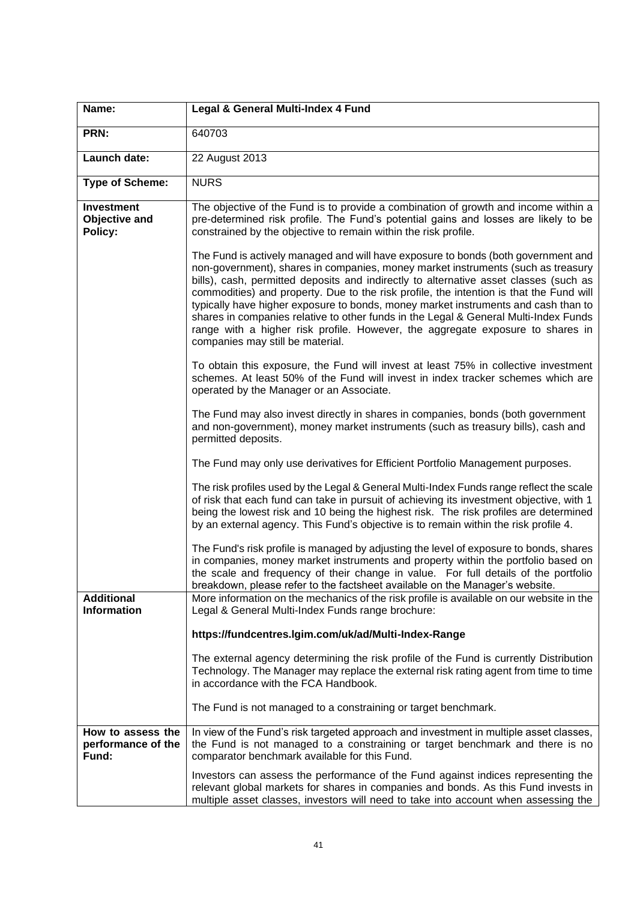| Name:                                                | Legal & General Multi-Index 4 Fund                                                                                                                                                                                                                                                                                                                                                                                                                                                                                                                                                                                                                            |
|------------------------------------------------------|---------------------------------------------------------------------------------------------------------------------------------------------------------------------------------------------------------------------------------------------------------------------------------------------------------------------------------------------------------------------------------------------------------------------------------------------------------------------------------------------------------------------------------------------------------------------------------------------------------------------------------------------------------------|
| PRN:                                                 | 640703                                                                                                                                                                                                                                                                                                                                                                                                                                                                                                                                                                                                                                                        |
| Launch date:                                         | 22 August 2013                                                                                                                                                                                                                                                                                                                                                                                                                                                                                                                                                                                                                                                |
| <b>Type of Scheme:</b>                               | <b>NURS</b>                                                                                                                                                                                                                                                                                                                                                                                                                                                                                                                                                                                                                                                   |
| <b>Investment</b><br><b>Objective and</b><br>Policy: | The objective of the Fund is to provide a combination of growth and income within a<br>pre-determined risk profile. The Fund's potential gains and losses are likely to be<br>constrained by the objective to remain within the risk profile.                                                                                                                                                                                                                                                                                                                                                                                                                 |
|                                                      | The Fund is actively managed and will have exposure to bonds (both government and<br>non-government), shares in companies, money market instruments (such as treasury<br>bills), cash, permitted deposits and indirectly to alternative asset classes (such as<br>commodities) and property. Due to the risk profile, the intention is that the Fund will<br>typically have higher exposure to bonds, money market instruments and cash than to<br>shares in companies relative to other funds in the Legal & General Multi-Index Funds<br>range with a higher risk profile. However, the aggregate exposure to shares in<br>companies may still be material. |
|                                                      | To obtain this exposure, the Fund will invest at least 75% in collective investment<br>schemes. At least 50% of the Fund will invest in index tracker schemes which are<br>operated by the Manager or an Associate.                                                                                                                                                                                                                                                                                                                                                                                                                                           |
|                                                      | The Fund may also invest directly in shares in companies, bonds (both government<br>and non-government), money market instruments (such as treasury bills), cash and<br>permitted deposits.                                                                                                                                                                                                                                                                                                                                                                                                                                                                   |
|                                                      | The Fund may only use derivatives for Efficient Portfolio Management purposes.                                                                                                                                                                                                                                                                                                                                                                                                                                                                                                                                                                                |
|                                                      | The risk profiles used by the Legal & General Multi-Index Funds range reflect the scale<br>of risk that each fund can take in pursuit of achieving its investment objective, with 1<br>being the lowest risk and 10 being the highest risk. The risk profiles are determined<br>by an external agency. This Fund's objective is to remain within the risk profile 4.                                                                                                                                                                                                                                                                                          |
|                                                      | The Fund's risk profile is managed by adjusting the level of exposure to bonds, shares<br>in companies, money market instruments and property within the portfolio based on<br>the scale and frequency of their change in value. For full details of the portfolio<br>breakdown, please refer to the factsheet available on the Manager's website.                                                                                                                                                                                                                                                                                                            |
| <b>Additional</b><br><b>Information</b>              | More information on the mechanics of the risk profile is available on our website in the<br>Legal & General Multi-Index Funds range brochure:                                                                                                                                                                                                                                                                                                                                                                                                                                                                                                                 |
|                                                      | https://fundcentres.lgim.com/uk/ad/Multi-Index-Range                                                                                                                                                                                                                                                                                                                                                                                                                                                                                                                                                                                                          |
|                                                      | The external agency determining the risk profile of the Fund is currently Distribution<br>Technology. The Manager may replace the external risk rating agent from time to time<br>in accordance with the FCA Handbook.                                                                                                                                                                                                                                                                                                                                                                                                                                        |
|                                                      | The Fund is not managed to a constraining or target benchmark.                                                                                                                                                                                                                                                                                                                                                                                                                                                                                                                                                                                                |
| How to assess the<br>performance of the<br>Fund:     | In view of the Fund's risk targeted approach and investment in multiple asset classes,<br>the Fund is not managed to a constraining or target benchmark and there is no<br>comparator benchmark available for this Fund.                                                                                                                                                                                                                                                                                                                                                                                                                                      |
|                                                      | Investors can assess the performance of the Fund against indices representing the<br>relevant global markets for shares in companies and bonds. As this Fund invests in<br>multiple asset classes, investors will need to take into account when assessing the                                                                                                                                                                                                                                                                                                                                                                                                |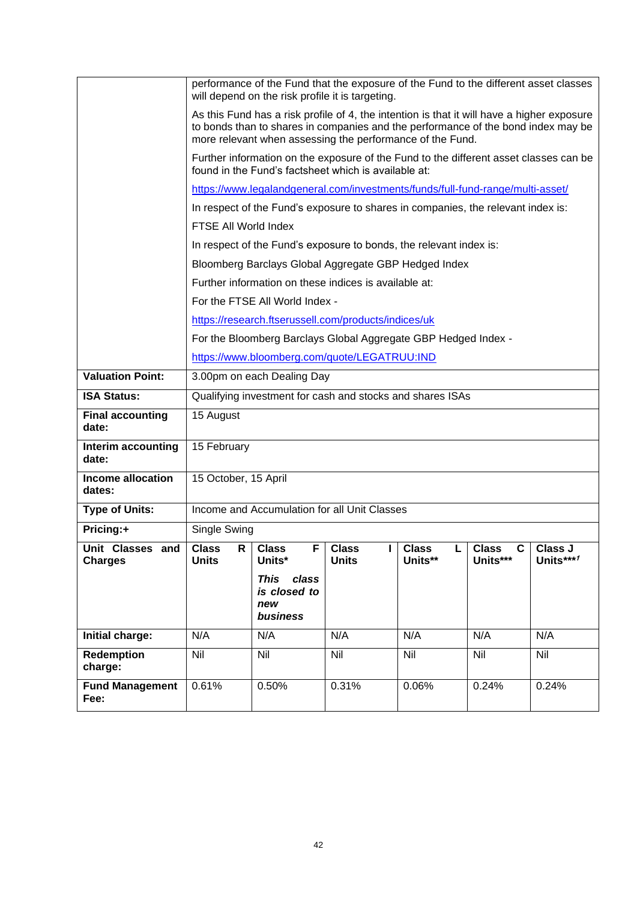|                                    |                                                                                                                                                                                                                                              | performance of the Fund that the exposure of the Fund to the different asset classes                                                          |                              |                              |                                 |                      |
|------------------------------------|----------------------------------------------------------------------------------------------------------------------------------------------------------------------------------------------------------------------------------------------|-----------------------------------------------------------------------------------------------------------------------------------------------|------------------------------|------------------------------|---------------------------------|----------------------|
|                                    |                                                                                                                                                                                                                                              | will depend on the risk profile it is targeting.                                                                                              |                              |                              |                                 |                      |
|                                    | As this Fund has a risk profile of 4, the intention is that it will have a higher exposure<br>to bonds than to shares in companies and the performance of the bond index may be<br>more relevant when assessing the performance of the Fund. |                                                                                                                                               |                              |                              |                                 |                      |
|                                    |                                                                                                                                                                                                                                              | Further information on the exposure of the Fund to the different asset classes can be<br>found in the Fund's factsheet which is available at: |                              |                              |                                 |                      |
|                                    |                                                                                                                                                                                                                                              | https://www.legalandgeneral.com/investments/funds/full-fund-range/multi-asset/                                                                |                              |                              |                                 |                      |
|                                    |                                                                                                                                                                                                                                              | In respect of the Fund's exposure to shares in companies, the relevant index is:                                                              |                              |                              |                                 |                      |
|                                    | FTSE All World Index                                                                                                                                                                                                                         |                                                                                                                                               |                              |                              |                                 |                      |
|                                    |                                                                                                                                                                                                                                              | In respect of the Fund's exposure to bonds, the relevant index is:                                                                            |                              |                              |                                 |                      |
|                                    |                                                                                                                                                                                                                                              | Bloomberg Barclays Global Aggregate GBP Hedged Index                                                                                          |                              |                              |                                 |                      |
|                                    |                                                                                                                                                                                                                                              | Further information on these indices is available at:                                                                                         |                              |                              |                                 |                      |
|                                    |                                                                                                                                                                                                                                              | For the FTSE All World Index -                                                                                                                |                              |                              |                                 |                      |
|                                    |                                                                                                                                                                                                                                              | https://research.ftserussell.com/products/indices/uk                                                                                          |                              |                              |                                 |                      |
|                                    |                                                                                                                                                                                                                                              | For the Bloomberg Barclays Global Aggregate GBP Hedged Index -                                                                                |                              |                              |                                 |                      |
|                                    | https://www.bloomberg.com/quote/LEGATRUU:IND                                                                                                                                                                                                 |                                                                                                                                               |                              |                              |                                 |                      |
| <b>Valuation Point:</b>            | 3.00pm on each Dealing Day                                                                                                                                                                                                                   |                                                                                                                                               |                              |                              |                                 |                      |
| <b>ISA Status:</b>                 | Qualifying investment for cash and stocks and shares ISAs                                                                                                                                                                                    |                                                                                                                                               |                              |                              |                                 |                      |
| <b>Final accounting</b><br>date:   | 15 August                                                                                                                                                                                                                                    |                                                                                                                                               |                              |                              |                                 |                      |
| Interim accounting<br>date:        | 15 February                                                                                                                                                                                                                                  |                                                                                                                                               |                              |                              |                                 |                      |
| <b>Income allocation</b><br>dates: | 15 October, 15 April                                                                                                                                                                                                                         |                                                                                                                                               |                              |                              |                                 |                      |
| <b>Type of Units:</b>              |                                                                                                                                                                                                                                              | Income and Accumulation for all Unit Classes                                                                                                  |                              |                              |                                 |                      |
| Pricing:+                          | Single Swing                                                                                                                                                                                                                                 |                                                                                                                                               |                              |                              |                                 |                      |
| Unit Classes and<br><b>Charges</b> | <b>Class</b><br>R<br><b>Units</b>                                                                                                                                                                                                            | <b>Class</b><br>F.<br>Units*                                                                                                                  | <b>Class</b><br><b>Units</b> | <b>Class</b><br>L<br>Units** | <b>Class</b><br>C I<br>Units*** | Class J<br>Units***1 |
|                                    |                                                                                                                                                                                                                                              | <b>This</b><br>class<br>is closed to<br>new<br>business                                                                                       |                              |                              |                                 |                      |
| Initial charge:                    | N/A                                                                                                                                                                                                                                          | N/A                                                                                                                                           | N/A                          | N/A                          | N/A                             | N/A                  |
| <b>Redemption</b><br>charge:       | <b>Nil</b>                                                                                                                                                                                                                                   | Nil                                                                                                                                           | <b>Nil</b>                   | Nil                          | Nil                             | Nil                  |
| <b>Fund Management</b><br>Fee:     | 0.61%                                                                                                                                                                                                                                        | 0.50%                                                                                                                                         | 0.31%                        | 0.06%                        | 0.24%                           | 0.24%                |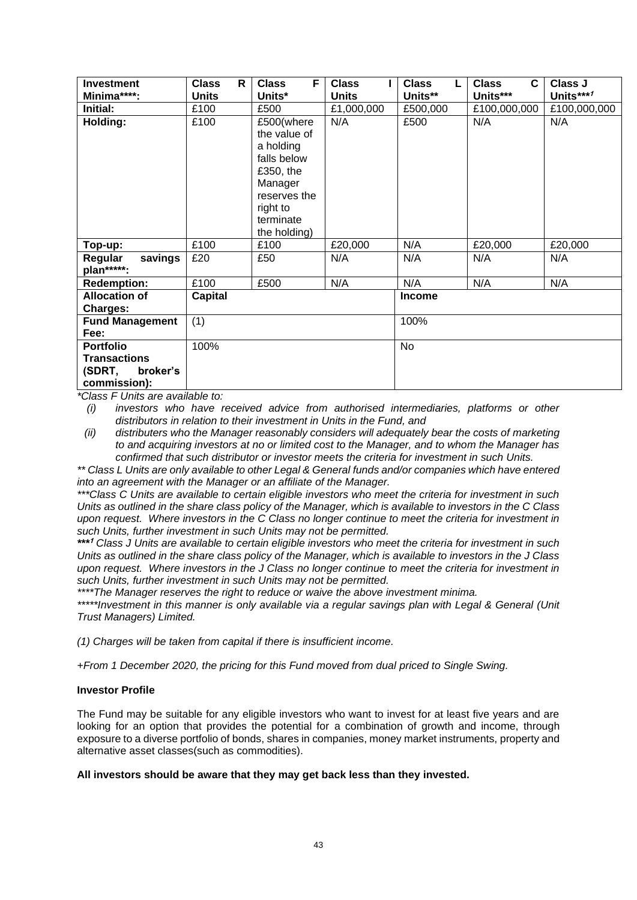| <b>Investment</b>      | R<br><b>Class</b> | F<br><b>Class</b>       | <b>Class</b> | <b>Class</b>  | <b>Class</b><br>C | Class J      |
|------------------------|-------------------|-------------------------|--------------|---------------|-------------------|--------------|
| Minima****:            | <b>Units</b>      | Units*                  | <b>Units</b> | Units**       | Units***          | Units***1    |
| Initial:               | £100              | £500                    | £1,000,000   | £500,000      | £100,000,000      | £100,000,000 |
| Holding:               | £100              | £500(where              | N/A          | £500          | N/A               | N/A          |
|                        |                   | the value of            |              |               |                   |              |
|                        |                   | a holding               |              |               |                   |              |
|                        |                   | falls below             |              |               |                   |              |
|                        |                   | £350, the               |              |               |                   |              |
|                        |                   | Manager<br>reserves the |              |               |                   |              |
|                        |                   | right to                |              |               |                   |              |
|                        |                   | terminate               |              |               |                   |              |
|                        |                   | the holding)            |              |               |                   |              |
| Top-up:                | £100              | £100                    | £20,000      | N/A           | £20,000           | £20,000      |
| Regular<br>savings     | £20               | £50                     | N/A          | N/A           | N/A               | N/A          |
| plan*****:             |                   |                         |              |               |                   |              |
| <b>Redemption:</b>     | £100              | £500                    | N/A          | N/A           | N/A               | N/A          |
| <b>Allocation of</b>   | Capital           |                         |              | <b>Income</b> |                   |              |
| <b>Charges:</b>        |                   |                         |              |               |                   |              |
| <b>Fund Management</b> | (1)               |                         |              | 100%          |                   |              |
| Fee:                   |                   |                         |              |               |                   |              |
| <b>Portfolio</b>       | 100%              |                         |              | <b>No</b>     |                   |              |
| <b>Transactions</b>    |                   |                         |              |               |                   |              |
| (SDRT,<br>broker's     |                   |                         |              |               |                   |              |
| commission):           |                   |                         |              |               |                   |              |

*(i) investors who have received advice from authorised intermediaries, platforms or other distributors in relation to their investment in Units in the Fund, and* 

*(ii) distributers who the Manager reasonably considers will adequately bear the costs of marketing to and acquiring investors at no or limited cost to the Manager, and to whom the Manager has confirmed that such distributor or investor meets the criteria for investment in such Units.*

*\*\* Class L Units are only available to other Legal & General funds and/or companies which have entered into an agreement with the Manager or an affiliate of the Manager.*

*\*\*\*Class C Units are available to certain eligible investors who meet the criteria for investment in such Units as outlined in the share class policy of the Manager, which is available to investors in the C Class upon request. Where investors in the C Class no longer continue to meet the criteria for investment in such Units, further investment in such Units may not be permitted.*

*\*\*\** **<sup>1</sup>** *Class J Units are available to certain eligible investors who meet the criteria for investment in such Units as outlined in the share class policy of the Manager, which is available to investors in the J Class upon request. Where investors in the J Class no longer continue to meet the criteria for investment in such Units, further investment in such Units may not be permitted.*

*\*\*\*\*The Manager reserves the right to reduce or waive the above investment minima.*

*\*\*\*\*\*Investment in this manner is only available via a regular savings plan with Legal & General (Unit Trust Managers) Limited.*

*(1) Charges will be taken from capital if there is insufficient income.*

*+From 1 December 2020, the pricing for this Fund moved from dual priced to Single Swing.*

# **Investor Profile**

The Fund may be suitable for any eligible investors who want to invest for at least five years and are looking for an option that provides the potential for a combination of growth and income, through exposure to a diverse portfolio of bonds, shares in companies, money market instruments, property and alternative asset classes(such as commodities).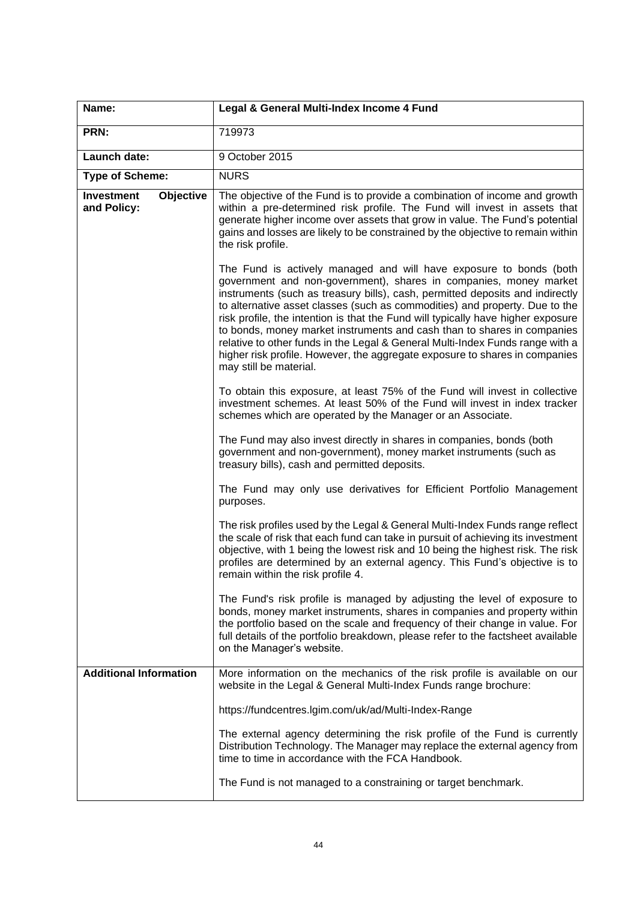| Name:                                         | Legal & General Multi-Index Income 4 Fund                                                                                                                                                                                                                                                                                                                                                                                                                                                                                                                                                                                                                        |
|-----------------------------------------------|------------------------------------------------------------------------------------------------------------------------------------------------------------------------------------------------------------------------------------------------------------------------------------------------------------------------------------------------------------------------------------------------------------------------------------------------------------------------------------------------------------------------------------------------------------------------------------------------------------------------------------------------------------------|
| PRN:                                          | 719973                                                                                                                                                                                                                                                                                                                                                                                                                                                                                                                                                                                                                                                           |
| Launch date:                                  | 9 October 2015                                                                                                                                                                                                                                                                                                                                                                                                                                                                                                                                                                                                                                                   |
| <b>Type of Scheme:</b>                        | <b>NURS</b>                                                                                                                                                                                                                                                                                                                                                                                                                                                                                                                                                                                                                                                      |
| Objective<br><b>Investment</b><br>and Policy: | The objective of the Fund is to provide a combination of income and growth<br>within a pre-determined risk profile. The Fund will invest in assets that<br>generate higher income over assets that grow in value. The Fund's potential<br>gains and losses are likely to be constrained by the objective to remain within<br>the risk profile.                                                                                                                                                                                                                                                                                                                   |
|                                               | The Fund is actively managed and will have exposure to bonds (both<br>government and non-government), shares in companies, money market<br>instruments (such as treasury bills), cash, permitted deposits and indirectly<br>to alternative asset classes (such as commodities) and property. Due to the<br>risk profile, the intention is that the Fund will typically have higher exposure<br>to bonds, money market instruments and cash than to shares in companies<br>relative to other funds in the Legal & General Multi-Index Funds range with a<br>higher risk profile. However, the aggregate exposure to shares in companies<br>may still be material. |
|                                               | To obtain this exposure, at least 75% of the Fund will invest in collective<br>investment schemes. At least 50% of the Fund will invest in index tracker<br>schemes which are operated by the Manager or an Associate.                                                                                                                                                                                                                                                                                                                                                                                                                                           |
|                                               | The Fund may also invest directly in shares in companies, bonds (both<br>government and non-government), money market instruments (such as<br>treasury bills), cash and permitted deposits.                                                                                                                                                                                                                                                                                                                                                                                                                                                                      |
|                                               | The Fund may only use derivatives for Efficient Portfolio Management<br>purposes.                                                                                                                                                                                                                                                                                                                                                                                                                                                                                                                                                                                |
|                                               | The risk profiles used by the Legal & General Multi-Index Funds range reflect<br>the scale of risk that each fund can take in pursuit of achieving its investment<br>objective, with 1 being the lowest risk and 10 being the highest risk. The risk<br>profiles are determined by an external agency. This Fund's objective is to<br>remain within the risk profile 4.                                                                                                                                                                                                                                                                                          |
|                                               | The Fund's risk profile is managed by adjusting the level of exposure to<br>bonds, money market instruments, shares in companies and property within<br>the portfolio based on the scale and frequency of their change in value. For<br>full details of the portfolio breakdown, please refer to the factsheet available<br>on the Manager's website.                                                                                                                                                                                                                                                                                                            |
| <b>Additional Information</b>                 | More information on the mechanics of the risk profile is available on our<br>website in the Legal & General Multi-Index Funds range brochure:                                                                                                                                                                                                                                                                                                                                                                                                                                                                                                                    |
|                                               | https://fundcentres.lgim.com/uk/ad/Multi-Index-Range                                                                                                                                                                                                                                                                                                                                                                                                                                                                                                                                                                                                             |
|                                               | The external agency determining the risk profile of the Fund is currently<br>Distribution Technology. The Manager may replace the external agency from<br>time to time in accordance with the FCA Handbook.                                                                                                                                                                                                                                                                                                                                                                                                                                                      |
|                                               | The Fund is not managed to a constraining or target benchmark.                                                                                                                                                                                                                                                                                                                                                                                                                                                                                                                                                                                                   |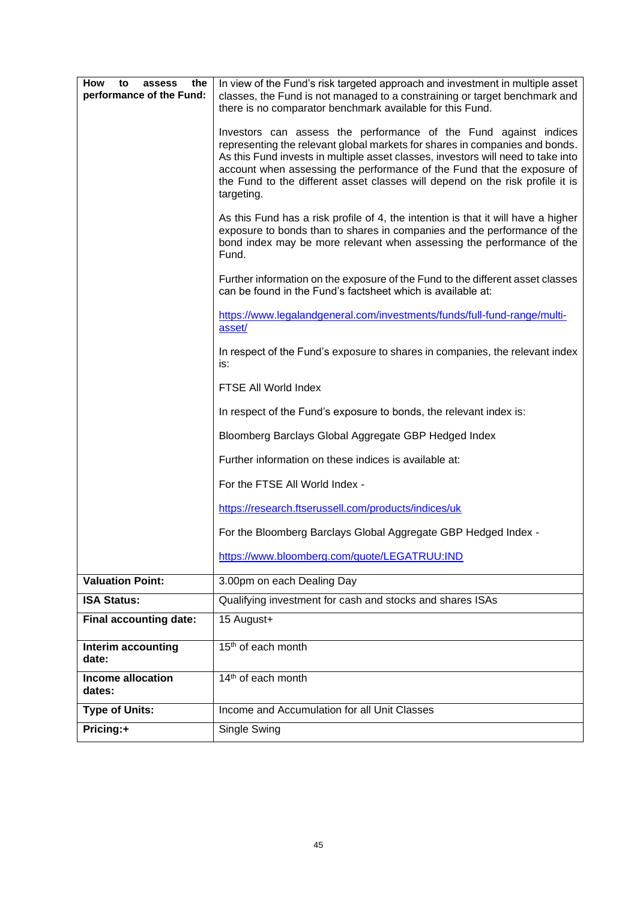| <b>How</b><br>to<br>the<br>assess<br>performance of the Fund: | In view of the Fund's risk targeted approach and investment in multiple asset<br>classes, the Fund is not managed to a constraining or target benchmark and                                                                                                                                                                                                                                                   |
|---------------------------------------------------------------|---------------------------------------------------------------------------------------------------------------------------------------------------------------------------------------------------------------------------------------------------------------------------------------------------------------------------------------------------------------------------------------------------------------|
|                                                               | there is no comparator benchmark available for this Fund.                                                                                                                                                                                                                                                                                                                                                     |
|                                                               | Investors can assess the performance of the Fund against indices<br>representing the relevant global markets for shares in companies and bonds.<br>As this Fund invests in multiple asset classes, investors will need to take into<br>account when assessing the performance of the Fund that the exposure of<br>the Fund to the different asset classes will depend on the risk profile it is<br>targeting. |
|                                                               | As this Fund has a risk profile of 4, the intention is that it will have a higher<br>exposure to bonds than to shares in companies and the performance of the<br>bond index may be more relevant when assessing the performance of the<br>Fund.                                                                                                                                                               |
|                                                               | Further information on the exposure of the Fund to the different asset classes<br>can be found in the Fund's factsheet which is available at:                                                                                                                                                                                                                                                                 |
|                                                               | https://www.legalandgeneral.com/investments/funds/full-fund-range/multi-<br>asset/                                                                                                                                                                                                                                                                                                                            |
|                                                               | In respect of the Fund's exposure to shares in companies, the relevant index<br>is:                                                                                                                                                                                                                                                                                                                           |
|                                                               | FTSE All World Index                                                                                                                                                                                                                                                                                                                                                                                          |
|                                                               | In respect of the Fund's exposure to bonds, the relevant index is:                                                                                                                                                                                                                                                                                                                                            |
|                                                               | Bloomberg Barclays Global Aggregate GBP Hedged Index                                                                                                                                                                                                                                                                                                                                                          |
|                                                               | Further information on these indices is available at:                                                                                                                                                                                                                                                                                                                                                         |
|                                                               | For the FTSE All World Index -                                                                                                                                                                                                                                                                                                                                                                                |
|                                                               | https://research.ftserussell.com/products/indices/uk                                                                                                                                                                                                                                                                                                                                                          |
|                                                               | For the Bloomberg Barclays Global Aggregate GBP Hedged Index -                                                                                                                                                                                                                                                                                                                                                |
|                                                               | https://www.bloomberg.com/quote/LEGATRUU:IND                                                                                                                                                                                                                                                                                                                                                                  |
| <b>Valuation Point:</b>                                       | 3.00pm on each Dealing Day                                                                                                                                                                                                                                                                                                                                                                                    |
| <b>ISA Status:</b>                                            | Qualifying investment for cash and stocks and shares ISAs                                                                                                                                                                                                                                                                                                                                                     |
| <b>Final accounting date:</b>                                 | 15 August+                                                                                                                                                                                                                                                                                                                                                                                                    |
| Interim accounting<br>date:                                   | 15 <sup>th</sup> of each month                                                                                                                                                                                                                                                                                                                                                                                |
| Income allocation<br>dates:                                   | 14 <sup>th</sup> of each month                                                                                                                                                                                                                                                                                                                                                                                |
| <b>Type of Units:</b>                                         | Income and Accumulation for all Unit Classes                                                                                                                                                                                                                                                                                                                                                                  |
| Pricing:+                                                     | Single Swing                                                                                                                                                                                                                                                                                                                                                                                                  |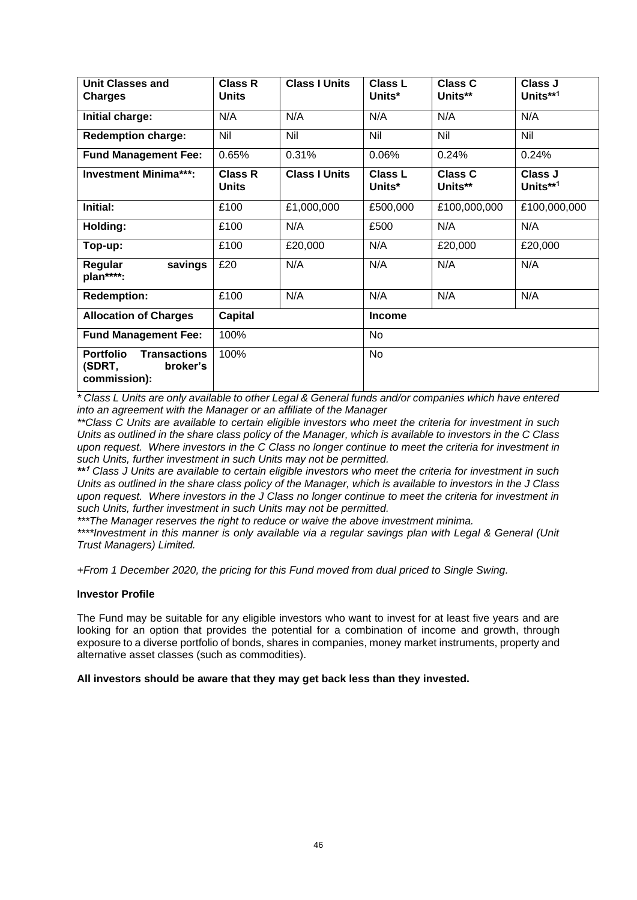| <b>Unit Classes and</b><br><b>Charges</b>                                     | <b>Class R</b><br><b>Units</b> | <b>Class I Units</b> | <b>Class L</b><br>Units* | <b>Class C</b><br>Units** | Class J<br>Units**1 |
|-------------------------------------------------------------------------------|--------------------------------|----------------------|--------------------------|---------------------------|---------------------|
| Initial charge:                                                               | N/A                            | N/A                  | N/A                      | N/A                       | N/A                 |
| <b>Redemption charge:</b>                                                     | Nil                            | Nil                  | Nil                      | Nil                       | Nil                 |
| <b>Fund Management Fee:</b>                                                   | 0.65%                          | 0.31%                | 0.06%                    | 0.24%                     | 0.24%               |
| <b>Investment Minima***:</b>                                                  | <b>Class R</b><br><b>Units</b> | <b>Class I Units</b> | <b>Class L</b><br>Units* | <b>Class C</b><br>Units** | Class J<br>Units**1 |
| Initial:                                                                      | £100                           | £1,000,000           | £500,000                 | £100,000,000              | £100,000,000        |
| Holding:                                                                      | £100                           | N/A                  | £500                     | N/A                       | N/A                 |
| Top-up:                                                                       | £100                           | £20,000              | N/A                      | £20,000                   | £20,000             |
| savings<br>Regular<br>plan****:                                               | £20                            | N/A                  | N/A                      | N/A                       | N/A                 |
| <b>Redemption:</b>                                                            | £100                           | N/A                  | N/A                      | N/A                       | N/A                 |
| <b>Allocation of Charges</b>                                                  | <b>Capital</b>                 |                      | <b>Income</b>            |                           |                     |
| <b>Fund Management Fee:</b>                                                   | 100%                           |                      | <b>No</b>                |                           |                     |
| <b>Portfolio</b><br><b>Transactions</b><br>(SDRT,<br>broker's<br>commission): | 100%                           |                      | <b>No</b>                |                           |                     |

*\* Class L Units are only available to other Legal & General funds and/or companies which have entered into an agreement with the Manager or an affiliate of the Manager*

*\*\*Class C Units are available to certain eligible investors who meet the criteria for investment in such Units as outlined in the share class policy of the Manager, which is available to investors in the C Class upon request. Where investors in the C Class no longer continue to meet the criteria for investment in such Units, further investment in such Units may not be permitted.*

*\*\** **<sup>1</sup>** *Class J Units are available to certain eligible investors who meet the criteria for investment in such Units as outlined in the share class policy of the Manager, which is available to investors in the J Class upon request. Where investors in the J Class no longer continue to meet the criteria for investment in such Units, further investment in such Units may not be permitted.*

*\*\*\*The Manager reserves the right to reduce or waive the above investment minima.*

*\*\*\*\*Investment in this manner is only available via a regular savings plan with Legal & General (Unit Trust Managers) Limited.*

*+From 1 December 2020, the pricing for this Fund moved from dual priced to Single Swing.*

### **Investor Profile**

The Fund may be suitable for any eligible investors who want to invest for at least five years and are looking for an option that provides the potential for a combination of income and growth, through exposure to a diverse portfolio of bonds, shares in companies, money market instruments, property and alternative asset classes (such as commodities).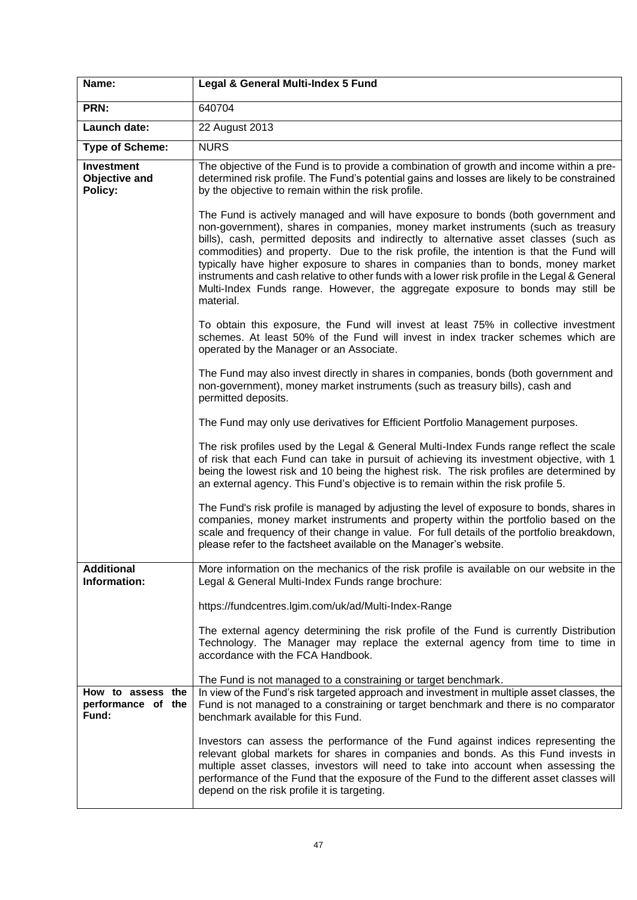| Name:                                            | Legal & General Multi-Index 5 Fund                                                                                                                                                                                                                                                                                                                                                                                                                                                                                                                                                                                                             |
|--------------------------------------------------|------------------------------------------------------------------------------------------------------------------------------------------------------------------------------------------------------------------------------------------------------------------------------------------------------------------------------------------------------------------------------------------------------------------------------------------------------------------------------------------------------------------------------------------------------------------------------------------------------------------------------------------------|
| PRN:                                             | 640704                                                                                                                                                                                                                                                                                                                                                                                                                                                                                                                                                                                                                                         |
| Launch date:                                     | 22 August 2013                                                                                                                                                                                                                                                                                                                                                                                                                                                                                                                                                                                                                                 |
| <b>Type of Scheme:</b>                           | <b>NURS</b>                                                                                                                                                                                                                                                                                                                                                                                                                                                                                                                                                                                                                                    |
| <b>Investment</b><br>Objective and<br>Policy:    | The objective of the Fund is to provide a combination of growth and income within a pre-<br>determined risk profile. The Fund's potential gains and losses are likely to be constrained<br>by the objective to remain within the risk profile.                                                                                                                                                                                                                                                                                                                                                                                                 |
|                                                  | The Fund is actively managed and will have exposure to bonds (both government and<br>non-government), shares in companies, money market instruments (such as treasury<br>bills), cash, permitted deposits and indirectly to alternative asset classes (such as<br>commodities) and property. Due to the risk profile, the intention is that the Fund will<br>typically have higher exposure to shares in companies than to bonds, money market<br>instruments and cash relative to other funds with a lower risk profile in the Legal & General<br>Multi-Index Funds range. However, the aggregate exposure to bonds may still be<br>material. |
|                                                  | To obtain this exposure, the Fund will invest at least 75% in collective investment<br>schemes. At least 50% of the Fund will invest in index tracker schemes which are<br>operated by the Manager or an Associate.                                                                                                                                                                                                                                                                                                                                                                                                                            |
|                                                  | The Fund may also invest directly in shares in companies, bonds (both government and<br>non-government), money market instruments (such as treasury bills), cash and<br>permitted deposits.                                                                                                                                                                                                                                                                                                                                                                                                                                                    |
|                                                  | The Fund may only use derivatives for Efficient Portfolio Management purposes.                                                                                                                                                                                                                                                                                                                                                                                                                                                                                                                                                                 |
|                                                  | The risk profiles used by the Legal & General Multi-Index Funds range reflect the scale<br>of risk that each Fund can take in pursuit of achieving its investment objective, with 1<br>being the lowest risk and 10 being the highest risk. The risk profiles are determined by<br>an external agency. This Fund's objective is to remain within the risk profile 5.                                                                                                                                                                                                                                                                           |
|                                                  | The Fund's risk profile is managed by adjusting the level of exposure to bonds, shares in<br>companies, money market instruments and property within the portfolio based on the<br>scale and frequency of their change in value. For full details of the portfolio breakdown,<br>please refer to the factsheet available on the Manager's website.                                                                                                                                                                                                                                                                                             |
| <b>Additional</b><br>Information:                | More information on the mechanics of the risk profile is available on our website in the<br>Legal & General Multi-Index Funds range brochure:                                                                                                                                                                                                                                                                                                                                                                                                                                                                                                  |
|                                                  | https://fundcentres.lgim.com/uk/ad/Multi-Index-Range                                                                                                                                                                                                                                                                                                                                                                                                                                                                                                                                                                                           |
|                                                  | The external agency determining the risk profile of the Fund is currently Distribution<br>Technology. The Manager may replace the external agency from time to time in<br>accordance with the FCA Handbook.                                                                                                                                                                                                                                                                                                                                                                                                                                    |
|                                                  | The Fund is not managed to a constraining or target benchmark.                                                                                                                                                                                                                                                                                                                                                                                                                                                                                                                                                                                 |
| How to assess the<br>performance of the<br>Fund: | In view of the Fund's risk targeted approach and investment in multiple asset classes, the<br>Fund is not managed to a constraining or target benchmark and there is no comparator<br>benchmark available for this Fund.                                                                                                                                                                                                                                                                                                                                                                                                                       |
|                                                  | Investors can assess the performance of the Fund against indices representing the<br>relevant global markets for shares in companies and bonds. As this Fund invests in<br>multiple asset classes, investors will need to take into account when assessing the<br>performance of the Fund that the exposure of the Fund to the different asset classes will<br>depend on the risk profile it is targeting.                                                                                                                                                                                                                                     |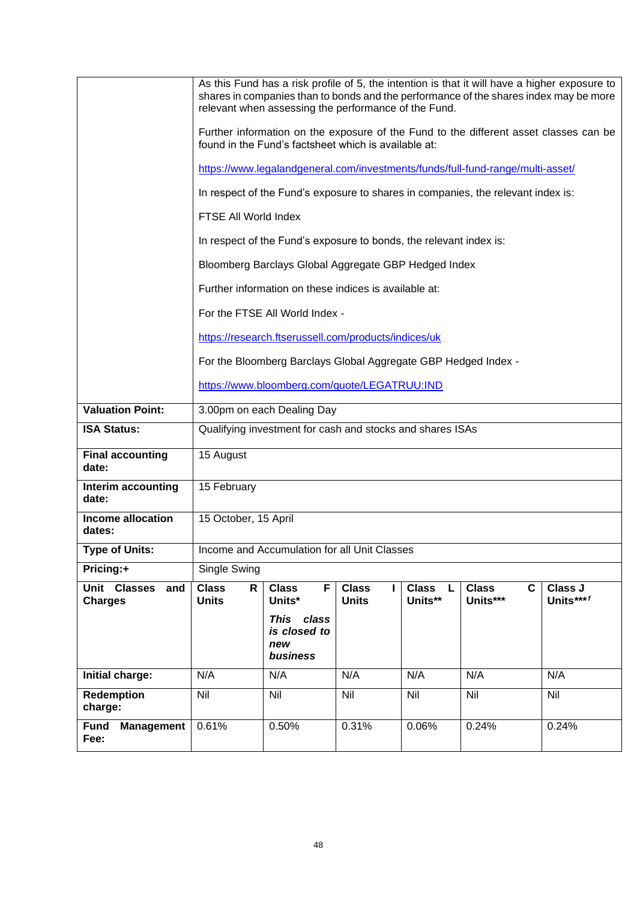|                                          |                                                           | relevant when assessing the performance of the Fund.                             |                              |                              | As this Fund has a risk profile of 5, the intention is that it will have a higher exposure to<br>shares in companies than to bonds and the performance of the shares index may be more |                      |  |
|------------------------------------------|-----------------------------------------------------------|----------------------------------------------------------------------------------|------------------------------|------------------------------|----------------------------------------------------------------------------------------------------------------------------------------------------------------------------------------|----------------------|--|
|                                          |                                                           | found in the Fund's factsheet which is available at:                             |                              |                              | Further information on the exposure of the Fund to the different asset classes can be                                                                                                  |                      |  |
|                                          |                                                           |                                                                                  |                              |                              | https://www.legalandgeneral.com/investments/funds/full-fund-range/multi-asset/                                                                                                         |                      |  |
|                                          |                                                           | In respect of the Fund's exposure to shares in companies, the relevant index is: |                              |                              |                                                                                                                                                                                        |                      |  |
|                                          |                                                           | FTSE All World Index                                                             |                              |                              |                                                                                                                                                                                        |                      |  |
|                                          |                                                           | In respect of the Fund's exposure to bonds, the relevant index is:               |                              |                              |                                                                                                                                                                                        |                      |  |
|                                          |                                                           | Bloomberg Barclays Global Aggregate GBP Hedged Index                             |                              |                              |                                                                                                                                                                                        |                      |  |
|                                          |                                                           | Further information on these indices is available at:                            |                              |                              |                                                                                                                                                                                        |                      |  |
|                                          |                                                           | For the FTSE All World Index -                                                   |                              |                              |                                                                                                                                                                                        |                      |  |
|                                          |                                                           | https://research.ftserussell.com/products/indices/uk                             |                              |                              |                                                                                                                                                                                        |                      |  |
|                                          |                                                           | For the Bloomberg Barclays Global Aggregate GBP Hedged Index -                   |                              |                              |                                                                                                                                                                                        |                      |  |
|                                          |                                                           | https://www.bloomberg.com/quote/LEGATRUU:IND                                     |                              |                              |                                                                                                                                                                                        |                      |  |
| <b>Valuation Point:</b>                  | 3.00pm on each Dealing Day                                |                                                                                  |                              |                              |                                                                                                                                                                                        |                      |  |
| <b>ISA Status:</b>                       | Qualifying investment for cash and stocks and shares ISAs |                                                                                  |                              |                              |                                                                                                                                                                                        |                      |  |
| <b>Final accounting</b><br>date:         | 15 August                                                 |                                                                                  |                              |                              |                                                                                                                                                                                        |                      |  |
| Interim accounting<br>date:              | 15 February                                               |                                                                                  |                              |                              |                                                                                                                                                                                        |                      |  |
| Income allocation<br>dates:              |                                                           | 15 October, 15 April                                                             |                              |                              |                                                                                                                                                                                        |                      |  |
| <b>Type of Units:</b>                    |                                                           | Income and Accumulation for all Unit Classes                                     |                              |                              |                                                                                                                                                                                        |                      |  |
| Pricing:+                                | Single Swing                                              |                                                                                  |                              |                              |                                                                                                                                                                                        |                      |  |
| Unit Classes and<br><b>Charges</b>       | <b>Class</b><br>R<br><b>Units</b>                         | <b>Class</b><br>F<br>Units*                                                      | <b>Class</b><br><b>Units</b> | <b>Class</b><br>L<br>Units** | <b>Class</b><br>C<br>Units***                                                                                                                                                          | Class J<br>Units***1 |  |
|                                          |                                                           | This class<br>is closed to<br>new<br>business                                    |                              |                              |                                                                                                                                                                                        |                      |  |
| Initial charge:                          | N/A                                                       | N/A                                                                              | N/A                          | N/A                          | N/A                                                                                                                                                                                    | N/A                  |  |
| Redemption<br>charge:                    | <b>Nil</b>                                                | <b>Nil</b>                                                                       | <b>Nil</b>                   | Nil                          | Nil                                                                                                                                                                                    | Nil                  |  |
| <b>Fund</b><br><b>Management</b><br>Fee: | 0.61%                                                     | 0.50%                                                                            | 0.31%                        | 0.06%                        | 0.24%                                                                                                                                                                                  | 0.24%                |  |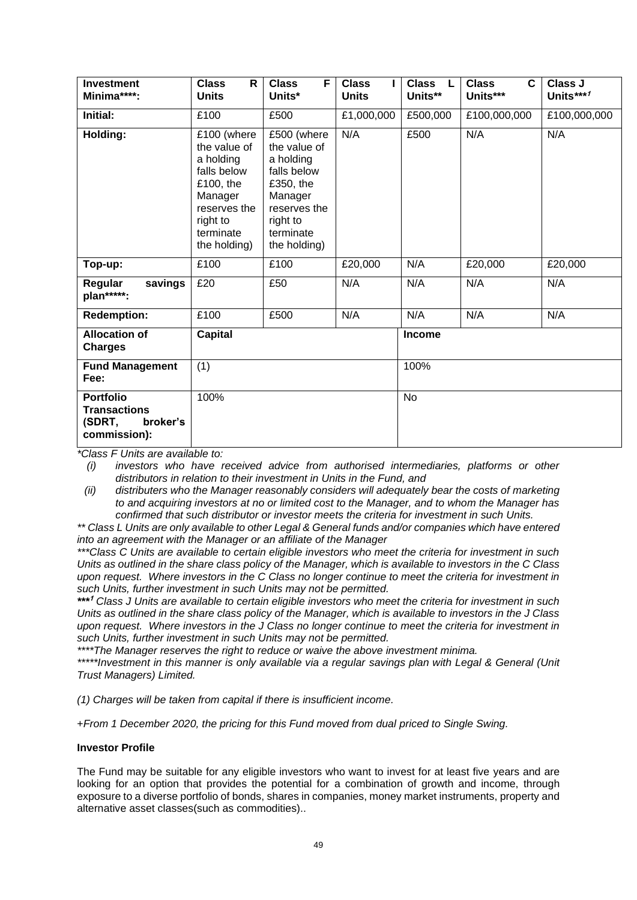| <b>Investment</b><br>Minima****:                                              | <b>Class</b><br>R<br><b>Units</b>                                                                                                        | F<br><b>Class</b><br>Units*                                                                                                              | <b>Class</b><br><b>Units</b> | <b>Class</b><br>L<br>Units** | C<br><b>Class</b><br>Units*** | Class J<br>Units***1 |
|-------------------------------------------------------------------------------|------------------------------------------------------------------------------------------------------------------------------------------|------------------------------------------------------------------------------------------------------------------------------------------|------------------------------|------------------------------|-------------------------------|----------------------|
| Initial:                                                                      | £100                                                                                                                                     | £500                                                                                                                                     | £1,000,000                   | £500,000                     | £100,000,000                  | £100,000,000         |
| Holding:                                                                      | £100 (where<br>the value of<br>a holding<br>falls below<br>£100, the<br>Manager<br>reserves the<br>right to<br>terminate<br>the holding) | £500 (where<br>the value of<br>a holding<br>falls below<br>£350, the<br>Manager<br>reserves the<br>right to<br>terminate<br>the holding) | N/A                          | £500                         | N/A                           | N/A                  |
| Top-up:                                                                       | £100                                                                                                                                     | £100                                                                                                                                     | £20,000                      | N/A                          | £20,000                       | £20,000              |
| Regular<br>savings<br>plan*****:                                              | £20                                                                                                                                      | £50                                                                                                                                      | N/A                          | N/A                          | N/A                           | N/A                  |
| <b>Redemption:</b>                                                            | £100                                                                                                                                     | £500                                                                                                                                     | N/A                          | N/A                          | N/A                           | N/A                  |
| <b>Allocation of</b><br><b>Charges</b>                                        | <b>Capital</b>                                                                                                                           |                                                                                                                                          |                              | <b>Income</b>                |                               |                      |
| <b>Fund Management</b><br>Fee:                                                | (1)                                                                                                                                      |                                                                                                                                          |                              | 100%                         |                               |                      |
| <b>Portfolio</b><br><b>Transactions</b><br>(SDRT,<br>broker's<br>commission): | 100%                                                                                                                                     |                                                                                                                                          |                              | No                           |                               |                      |

*(i) investors who have received advice from authorised intermediaries, platforms or other distributors in relation to their investment in Units in the Fund, and* 

*(ii) distributers who the Manager reasonably considers will adequately bear the costs of marketing to and acquiring investors at no or limited cost to the Manager, and to whom the Manager has confirmed that such distributor or investor meets the criteria for investment in such Units.*

*\*\* Class L Units are only available to other Legal & General funds and/or companies which have entered into an agreement with the Manager or an affiliate of the Manager*

*\*\*\*Class C Units are available to certain eligible investors who meet the criteria for investment in such Units as outlined in the share class policy of the Manager, which is available to investors in the C Class upon request. Where investors in the C Class no longer continue to meet the criteria for investment in such Units, further investment in such Units may not be permitted.*

*\*\*\** **<sup>1</sup>** *Class J Units are available to certain eligible investors who meet the criteria for investment in such Units as outlined in the share class policy of the Manager, which is available to investors in the J Class upon request. Where investors in the J Class no longer continue to meet the criteria for investment in such Units, further investment in such Units may not be permitted.*

*\*\*\*\*The Manager reserves the right to reduce or waive the above investment minima.*

*\*\*\*\*\*Investment in this manner is only available via a regular savings plan with Legal & General (Unit Trust Managers) Limited.*

*(1) Charges will be taken from capital if there is insufficient income.*

+*From 1 December 2020, the pricing for this Fund moved from dual priced to Single Swing.*

### **Investor Profile**

The Fund may be suitable for any eligible investors who want to invest for at least five years and are looking for an option that provides the potential for a combination of growth and income, through exposure to a diverse portfolio of bonds, shares in companies, money market instruments, property and alternative asset classes(such as commodities)..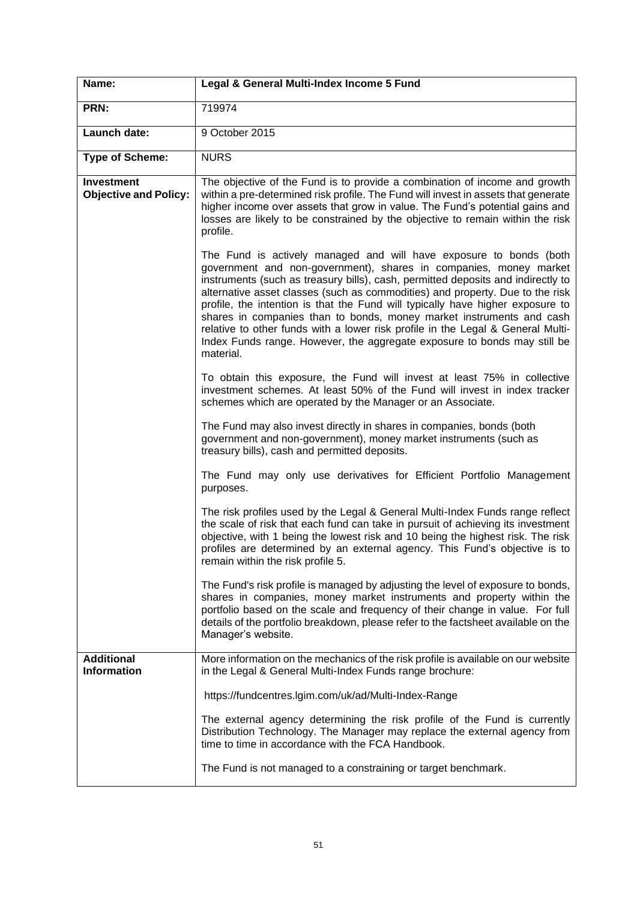| Name:                                             | Legal & General Multi-Index Income 5 Fund                                                                                                                                                                                                                                                                                                                                                                                                                                                                                                                                                                                                          |
|---------------------------------------------------|----------------------------------------------------------------------------------------------------------------------------------------------------------------------------------------------------------------------------------------------------------------------------------------------------------------------------------------------------------------------------------------------------------------------------------------------------------------------------------------------------------------------------------------------------------------------------------------------------------------------------------------------------|
| PRN:                                              | 719974                                                                                                                                                                                                                                                                                                                                                                                                                                                                                                                                                                                                                                             |
| Launch date:                                      | 9 October 2015                                                                                                                                                                                                                                                                                                                                                                                                                                                                                                                                                                                                                                     |
| <b>Type of Scheme:</b>                            | <b>NURS</b>                                                                                                                                                                                                                                                                                                                                                                                                                                                                                                                                                                                                                                        |
| <b>Investment</b><br><b>Objective and Policy:</b> | The objective of the Fund is to provide a combination of income and growth<br>within a pre-determined risk profile. The Fund will invest in assets that generate<br>higher income over assets that grow in value. The Fund's potential gains and<br>losses are likely to be constrained by the objective to remain within the risk<br>profile.                                                                                                                                                                                                                                                                                                     |
|                                                   | The Fund is actively managed and will have exposure to bonds (both<br>government and non-government), shares in companies, money market<br>instruments (such as treasury bills), cash, permitted deposits and indirectly to<br>alternative asset classes (such as commodities) and property. Due to the risk<br>profile, the intention is that the Fund will typically have higher exposure to<br>shares in companies than to bonds, money market instruments and cash<br>relative to other funds with a lower risk profile in the Legal & General Multi-<br>Index Funds range. However, the aggregate exposure to bonds may still be<br>material. |
|                                                   | To obtain this exposure, the Fund will invest at least 75% in collective<br>investment schemes. At least 50% of the Fund will invest in index tracker<br>schemes which are operated by the Manager or an Associate.                                                                                                                                                                                                                                                                                                                                                                                                                                |
|                                                   | The Fund may also invest directly in shares in companies, bonds (both<br>government and non-government), money market instruments (such as<br>treasury bills), cash and permitted deposits.                                                                                                                                                                                                                                                                                                                                                                                                                                                        |
|                                                   | The Fund may only use derivatives for Efficient Portfolio Management<br>purposes.                                                                                                                                                                                                                                                                                                                                                                                                                                                                                                                                                                  |
|                                                   | The risk profiles used by the Legal & General Multi-Index Funds range reflect<br>the scale of risk that each fund can take in pursuit of achieving its investment<br>objective, with 1 being the lowest risk and 10 being the highest risk. The risk<br>profiles are determined by an external agency. This Fund's objective is to<br>remain within the risk profile 5.                                                                                                                                                                                                                                                                            |
|                                                   | The Fund's risk profile is managed by adjusting the level of exposure to bonds,<br>shares in companies, money market instruments and property within the<br>portfolio based on the scale and frequency of their change in value. For full<br>details of the portfolio breakdown, please refer to the factsheet available on the<br>Manager's website.                                                                                                                                                                                                                                                                                              |
| <b>Additional</b><br><b>Information</b>           | More information on the mechanics of the risk profile is available on our website<br>in the Legal & General Multi-Index Funds range brochure:                                                                                                                                                                                                                                                                                                                                                                                                                                                                                                      |
|                                                   | https://fundcentres.lgim.com/uk/ad/Multi-Index-Range                                                                                                                                                                                                                                                                                                                                                                                                                                                                                                                                                                                               |
|                                                   | The external agency determining the risk profile of the Fund is currently<br>Distribution Technology. The Manager may replace the external agency from<br>time to time in accordance with the FCA Handbook.                                                                                                                                                                                                                                                                                                                                                                                                                                        |
|                                                   | The Fund is not managed to a constraining or target benchmark.                                                                                                                                                                                                                                                                                                                                                                                                                                                                                                                                                                                     |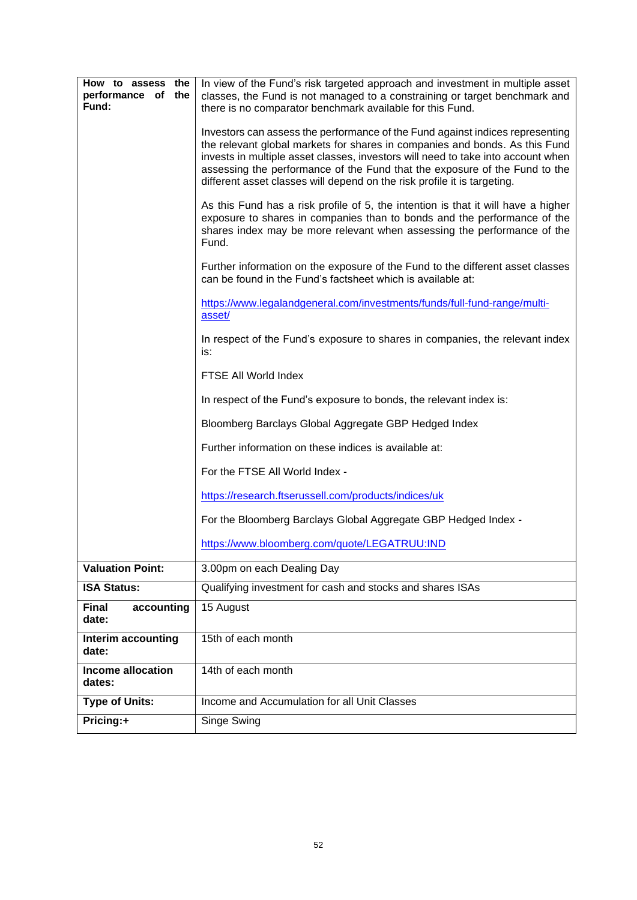| How to assess the<br>performance of the<br>Fund: | In view of the Fund's risk targeted approach and investment in multiple asset<br>classes, the Fund is not managed to a constraining or target benchmark and<br>there is no comparator benchmark available for this Fund.<br>Investors can assess the performance of the Fund against indices representing<br>the relevant global markets for shares in companies and bonds. As this Fund<br>invests in multiple asset classes, investors will need to take into account when<br>assessing the performance of the Fund that the exposure of the Fund to the<br>different asset classes will depend on the risk profile it is targeting.<br>As this Fund has a risk profile of 5, the intention is that it will have a higher<br>exposure to shares in companies than to bonds and the performance of the<br>shares index may be more relevant when assessing the performance of the<br>Fund.<br>Further information on the exposure of the Fund to the different asset classes<br>can be found in the Fund's factsheet which is available at:<br>https://www.legalandgeneral.com/investments/funds/full-fund-range/multi-<br>asset/<br>In respect of the Fund's exposure to shares in companies, the relevant index<br>is:<br>FTSE All World Index<br>In respect of the Fund's exposure to bonds, the relevant index is:<br>Bloomberg Barclays Global Aggregate GBP Hedged Index<br>Further information on these indices is available at:<br>For the FTSE All World Index -<br>https://research.ftserussell.com/products/indices/uk<br>For the Bloomberg Barclays Global Aggregate GBP Hedged Index - |
|--------------------------------------------------|------------------------------------------------------------------------------------------------------------------------------------------------------------------------------------------------------------------------------------------------------------------------------------------------------------------------------------------------------------------------------------------------------------------------------------------------------------------------------------------------------------------------------------------------------------------------------------------------------------------------------------------------------------------------------------------------------------------------------------------------------------------------------------------------------------------------------------------------------------------------------------------------------------------------------------------------------------------------------------------------------------------------------------------------------------------------------------------------------------------------------------------------------------------------------------------------------------------------------------------------------------------------------------------------------------------------------------------------------------------------------------------------------------------------------------------------------------------------------------------------------------------------------------------------------------------------------------------------------|
|                                                  | https://www.bloomberg.com/quote/LEGATRUU:IND                                                                                                                                                                                                                                                                                                                                                                                                                                                                                                                                                                                                                                                                                                                                                                                                                                                                                                                                                                                                                                                                                                                                                                                                                                                                                                                                                                                                                                                                                                                                                         |
| <b>Valuation Point:</b>                          | 3.00pm on each Dealing Day                                                                                                                                                                                                                                                                                                                                                                                                                                                                                                                                                                                                                                                                                                                                                                                                                                                                                                                                                                                                                                                                                                                                                                                                                                                                                                                                                                                                                                                                                                                                                                           |
| <b>ISA Status:</b>                               | Qualifying investment for cash and stocks and shares ISAs                                                                                                                                                                                                                                                                                                                                                                                                                                                                                                                                                                                                                                                                                                                                                                                                                                                                                                                                                                                                                                                                                                                                                                                                                                                                                                                                                                                                                                                                                                                                            |
| <b>Final</b><br>accounting<br>date:              | 15 August                                                                                                                                                                                                                                                                                                                                                                                                                                                                                                                                                                                                                                                                                                                                                                                                                                                                                                                                                                                                                                                                                                                                                                                                                                                                                                                                                                                                                                                                                                                                                                                            |
| Interim accounting<br>date:                      | 15th of each month                                                                                                                                                                                                                                                                                                                                                                                                                                                                                                                                                                                                                                                                                                                                                                                                                                                                                                                                                                                                                                                                                                                                                                                                                                                                                                                                                                                                                                                                                                                                                                                   |
| <b>Income allocation</b><br>dates:               | 14th of each month                                                                                                                                                                                                                                                                                                                                                                                                                                                                                                                                                                                                                                                                                                                                                                                                                                                                                                                                                                                                                                                                                                                                                                                                                                                                                                                                                                                                                                                                                                                                                                                   |
| <b>Type of Units:</b>                            | Income and Accumulation for all Unit Classes                                                                                                                                                                                                                                                                                                                                                                                                                                                                                                                                                                                                                                                                                                                                                                                                                                                                                                                                                                                                                                                                                                                                                                                                                                                                                                                                                                                                                                                                                                                                                         |
| Pricing:+                                        | Singe Swing                                                                                                                                                                                                                                                                                                                                                                                                                                                                                                                                                                                                                                                                                                                                                                                                                                                                                                                                                                                                                                                                                                                                                                                                                                                                                                                                                                                                                                                                                                                                                                                          |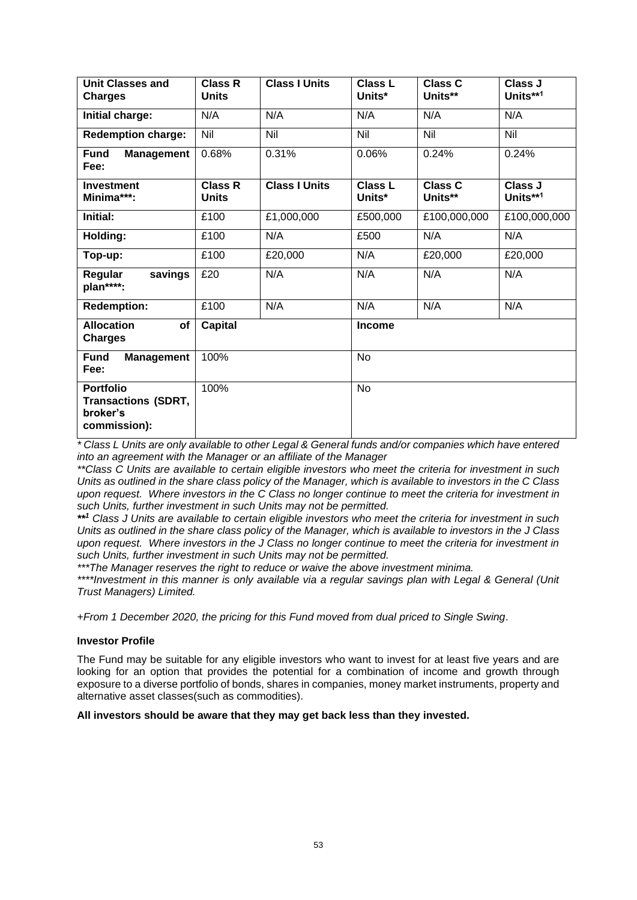| <b>Unit Classes and</b><br><b>Charges</b>                                  | <b>Class R</b><br><b>Units</b> | <b>Class I Units</b> | <b>Class L</b><br>Units* | <b>Class C</b><br>Units** | Class J<br>Units**1 |
|----------------------------------------------------------------------------|--------------------------------|----------------------|--------------------------|---------------------------|---------------------|
| Initial charge:                                                            | N/A                            | N/A                  | N/A                      | N/A                       | N/A                 |
| <b>Redemption charge:</b>                                                  | Nil                            | Nil                  | Nil                      | Nil                       | Nil                 |
| <b>Fund</b><br><b>Management</b><br>Fee:                                   | 0.68%                          | 0.31%                | 0.06%                    | 0.24%                     | 0.24%               |
| <b>Investment</b><br>Minima***:                                            | <b>Class R</b><br><b>Units</b> | <b>Class I Units</b> | <b>Class L</b><br>Units* | <b>Class C</b><br>Units** | Class J<br>Units**1 |
| Initial:                                                                   | £100                           | £1,000,000           | £500,000                 | £100,000,000              | £100,000,000        |
| Holding:                                                                   | £100                           | N/A                  | £500                     | N/A                       | N/A                 |
| Top-up:                                                                    | £100                           | £20,000              | N/A                      | £20,000                   | £20,000             |
| savings<br>Regular<br>plan****:                                            | £20                            | N/A                  | N/A                      | N/A                       | N/A                 |
| <b>Redemption:</b>                                                         | £100                           | N/A                  | N/A                      | N/A                       | N/A                 |
| <b>Allocation</b><br>of<br><b>Charges</b>                                  | <b>Capital</b>                 |                      | <b>Income</b>            |                           |                     |
| <b>Fund</b><br><b>Management</b><br>Fee:                                   | 100%                           |                      | <b>No</b>                |                           |                     |
| <b>Portfolio</b><br><b>Transactions (SDRT,</b><br>broker's<br>commission): | 100%                           |                      | <b>No</b>                |                           |                     |

*\* Class L Units are only available to other Legal & General funds and/or companies which have entered into an agreement with the Manager or an affiliate of the Manager*

*\*\*Class C Units are available to certain eligible investors who meet the criteria for investment in such Units as outlined in the share class policy of the Manager, which is available to investors in the C Class upon request. Where investors in the C Class no longer continue to meet the criteria for investment in such Units, further investment in such Units may not be permitted.*

*\*\* <sup>1</sup> Class J Units are available to certain eligible investors who meet the criteria for investment in such Units as outlined in the share class policy of the Manager, which is available to investors in the J Class upon request. Where investors in the J Class no longer continue to meet the criteria for investment in such Units, further investment in such Units may not be permitted.*

*\*\*\*The Manager reserves the right to reduce or waive the above investment minima.*

*\*\*\*\*Investment in this manner is only available via a regular savings plan with Legal & General (Unit Trust Managers) Limited.*

*+From 1 December 2020, the pricing for this Fund moved from dual priced to Single Swing*.

### **Investor Profile**

The Fund may be suitable for any eligible investors who want to invest for at least five years and are looking for an option that provides the potential for a combination of income and growth through exposure to a diverse portfolio of bonds, shares in companies, money market instruments, property and alternative asset classes(such as commodities).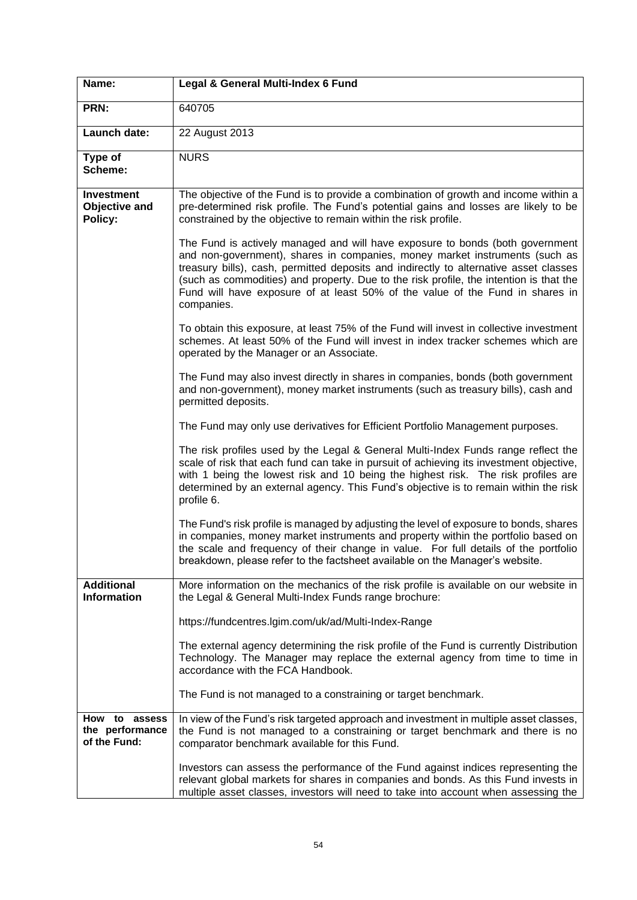| Name:                                            | Legal & General Multi-Index 6 Fund                                                                                                                                                                                                                                                                                                                                                                                                             |
|--------------------------------------------------|------------------------------------------------------------------------------------------------------------------------------------------------------------------------------------------------------------------------------------------------------------------------------------------------------------------------------------------------------------------------------------------------------------------------------------------------|
| PRN:                                             | 640705                                                                                                                                                                                                                                                                                                                                                                                                                                         |
| Launch date:                                     | 22 August 2013                                                                                                                                                                                                                                                                                                                                                                                                                                 |
| Type of<br>Scheme:                               | <b>NURS</b>                                                                                                                                                                                                                                                                                                                                                                                                                                    |
| <b>Investment</b><br>Objective and<br>Policy:    | The objective of the Fund is to provide a combination of growth and income within a<br>pre-determined risk profile. The Fund's potential gains and losses are likely to be<br>constrained by the objective to remain within the risk profile.                                                                                                                                                                                                  |
|                                                  | The Fund is actively managed and will have exposure to bonds (both government<br>and non-government), shares in companies, money market instruments (such as<br>treasury bills), cash, permitted deposits and indirectly to alternative asset classes<br>(such as commodities) and property. Due to the risk profile, the intention is that the<br>Fund will have exposure of at least 50% of the value of the Fund in shares in<br>companies. |
|                                                  | To obtain this exposure, at least 75% of the Fund will invest in collective investment<br>schemes. At least 50% of the Fund will invest in index tracker schemes which are<br>operated by the Manager or an Associate.                                                                                                                                                                                                                         |
|                                                  | The Fund may also invest directly in shares in companies, bonds (both government<br>and non-government), money market instruments (such as treasury bills), cash and<br>permitted deposits.                                                                                                                                                                                                                                                    |
|                                                  | The Fund may only use derivatives for Efficient Portfolio Management purposes.                                                                                                                                                                                                                                                                                                                                                                 |
|                                                  | The risk profiles used by the Legal & General Multi-Index Funds range reflect the<br>scale of risk that each fund can take in pursuit of achieving its investment objective,<br>with 1 being the lowest risk and 10 being the highest risk. The risk profiles are<br>determined by an external agency. This Fund's objective is to remain within the risk<br>profile 6.                                                                        |
|                                                  | The Fund's risk profile is managed by adjusting the level of exposure to bonds, shares<br>in companies, money market instruments and property within the portfolio based on<br>the scale and frequency of their change in value. For full details of the portfolio<br>breakdown, please refer to the factsheet available on the Manager's website.                                                                                             |
| <b>Additional</b><br><b>Information</b>          | More information on the mechanics of the risk profile is available on our website in<br>the Legal & General Multi-Index Funds range brochure:                                                                                                                                                                                                                                                                                                  |
|                                                  | https://fundcentres.lgim.com/uk/ad/Multi-Index-Range                                                                                                                                                                                                                                                                                                                                                                                           |
|                                                  | The external agency determining the risk profile of the Fund is currently Distribution<br>Technology. The Manager may replace the external agency from time to time in<br>accordance with the FCA Handbook.                                                                                                                                                                                                                                    |
|                                                  | The Fund is not managed to a constraining or target benchmark.                                                                                                                                                                                                                                                                                                                                                                                 |
| How to assess<br>the performance<br>of the Fund: | In view of the Fund's risk targeted approach and investment in multiple asset classes,<br>the Fund is not managed to a constraining or target benchmark and there is no<br>comparator benchmark available for this Fund.                                                                                                                                                                                                                       |
|                                                  | Investors can assess the performance of the Fund against indices representing the<br>relevant global markets for shares in companies and bonds. As this Fund invests in<br>multiple asset classes, investors will need to take into account when assessing the                                                                                                                                                                                 |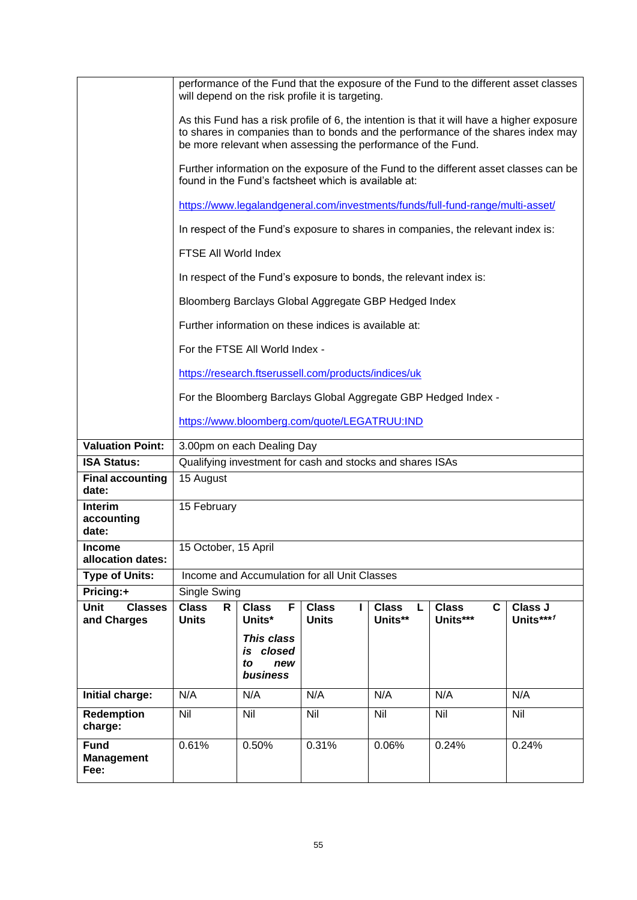|                                              |                                                                                                                                                                                                                                                |                                                     | will depend on the risk profile it is targeting.                   |                              | performance of the Fund that the exposure of the Fund to the different asset classes |                      |
|----------------------------------------------|------------------------------------------------------------------------------------------------------------------------------------------------------------------------------------------------------------------------------------------------|-----------------------------------------------------|--------------------------------------------------------------------|------------------------------|--------------------------------------------------------------------------------------|----------------------|
|                                              | As this Fund has a risk profile of 6, the intention is that it will have a higher exposure<br>to shares in companies than to bonds and the performance of the shares index may<br>be more relevant when assessing the performance of the Fund. |                                                     |                                                                    |                              |                                                                                      |                      |
|                                              | Further information on the exposure of the Fund to the different asset classes can be<br>found in the Fund's factsheet which is available at:                                                                                                  |                                                     |                                                                    |                              |                                                                                      |                      |
|                                              |                                                                                                                                                                                                                                                |                                                     |                                                                    |                              | https://www.legalandgeneral.com/investments/funds/full-fund-range/multi-asset/       |                      |
|                                              |                                                                                                                                                                                                                                                |                                                     |                                                                    |                              | In respect of the Fund's exposure to shares in companies, the relevant index is:     |                      |
|                                              | FTSE All World Index                                                                                                                                                                                                                           |                                                     |                                                                    |                              |                                                                                      |                      |
|                                              |                                                                                                                                                                                                                                                |                                                     | In respect of the Fund's exposure to bonds, the relevant index is: |                              |                                                                                      |                      |
|                                              |                                                                                                                                                                                                                                                |                                                     | Bloomberg Barclays Global Aggregate GBP Hedged Index               |                              |                                                                                      |                      |
|                                              |                                                                                                                                                                                                                                                |                                                     | Further information on these indices is available at:              |                              |                                                                                      |                      |
|                                              |                                                                                                                                                                                                                                                | For the FTSE All World Index -                      |                                                                    |                              |                                                                                      |                      |
|                                              |                                                                                                                                                                                                                                                |                                                     | https://research.ftserussell.com/products/indices/uk               |                              |                                                                                      |                      |
|                                              | For the Bloomberg Barclays Global Aggregate GBP Hedged Index -                                                                                                                                                                                 |                                                     |                                                                    |                              |                                                                                      |                      |
|                                              | https://www.bloomberg.com/quote/LEGATRUU:IND                                                                                                                                                                                                   |                                                     |                                                                    |                              |                                                                                      |                      |
| <b>Valuation Point:</b>                      | 3.00pm on each Dealing Day                                                                                                                                                                                                                     |                                                     |                                                                    |                              |                                                                                      |                      |
| <b>ISA Status:</b>                           | Qualifying investment for cash and stocks and shares ISAs                                                                                                                                                                                      |                                                     |                                                                    |                              |                                                                                      |                      |
| <b>Final accounting</b><br>date:             | 15 August                                                                                                                                                                                                                                      |                                                     |                                                                    |                              |                                                                                      |                      |
| <b>Interim</b><br>accounting<br>date:        | 15 February                                                                                                                                                                                                                                    |                                                     |                                                                    |                              |                                                                                      |                      |
| <b>Income</b><br>allocation dates:           | 15 October, 15 April                                                                                                                                                                                                                           |                                                     |                                                                    |                              |                                                                                      |                      |
| Type of Units:                               | Income and Accumulation for all Unit Classes                                                                                                                                                                                                   |                                                     |                                                                    |                              |                                                                                      |                      |
| Pricing:+                                    | Single Swing                                                                                                                                                                                                                                   |                                                     |                                                                    |                              |                                                                                      |                      |
| <b>Unit</b><br><b>Classes</b><br>and Charges | <b>Class</b><br>R<br><b>Units</b>                                                                                                                                                                                                              | <b>Class</b><br>F.<br>Units*                        | <b>Class</b><br><b>Units</b>                                       | <b>Class</b><br>L<br>Units** | <b>Class</b><br>C<br>Units***                                                        | Class J<br>Units***1 |
|                                              |                                                                                                                                                                                                                                                | This class<br>closed<br>is<br>to<br>new<br>business |                                                                    |                              |                                                                                      |                      |
| Initial charge:                              | N/A                                                                                                                                                                                                                                            | N/A                                                 | N/A                                                                | N/A                          | N/A                                                                                  | N/A                  |
| Redemption<br>charge:                        | Nil                                                                                                                                                                                                                                            | Nil                                                 | Nil                                                                | Nil                          | Nil                                                                                  | Nil                  |
| <b>Fund</b><br><b>Management</b><br>Fee:     | 0.61%                                                                                                                                                                                                                                          | 0.50%                                               | 0.31%                                                              | 0.06%                        | 0.24%                                                                                | 0.24%                |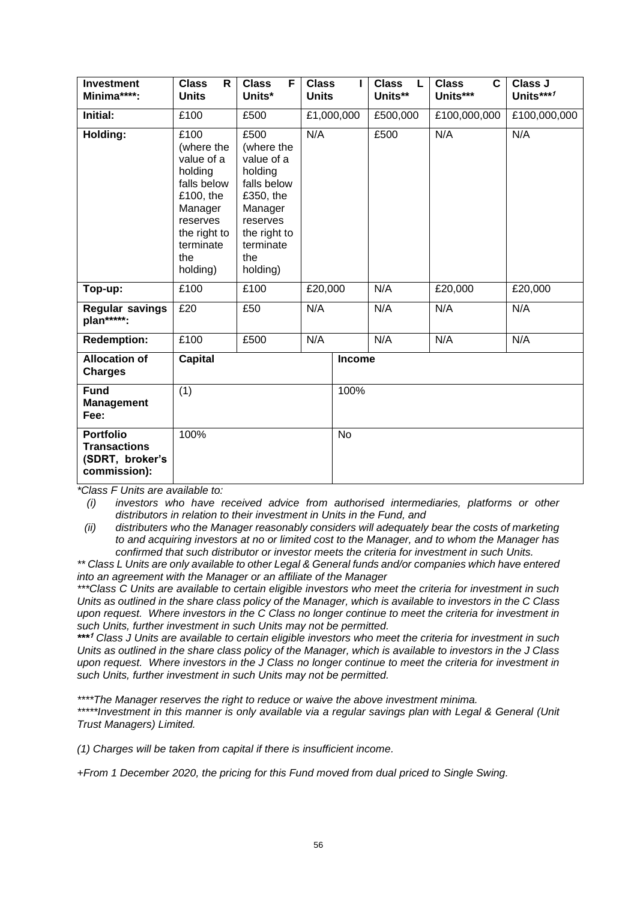| <b>Investment</b><br>Minima****:                                           | <b>Class</b><br>R<br><b>Units</b>                                                                                                              | <b>Class</b><br>F<br>Units*                                                                                                                    | <b>Class</b><br><b>Units</b> |               | <b>Class</b><br>L<br>Units** | <b>Class</b><br>C<br>Units*** | Class J<br>Units***/ |
|----------------------------------------------------------------------------|------------------------------------------------------------------------------------------------------------------------------------------------|------------------------------------------------------------------------------------------------------------------------------------------------|------------------------------|---------------|------------------------------|-------------------------------|----------------------|
| Initial:                                                                   | £100                                                                                                                                           | £500                                                                                                                                           |                              | £1,000,000    | £500,000                     | £100,000,000                  | £100,000,000         |
| Holding:                                                                   | £100<br>(where the<br>value of a<br>holding<br>falls below<br>£100, the<br>Manager<br>reserves<br>the right to<br>terminate<br>the<br>holding) | £500<br>(where the<br>value of a<br>holding<br>falls below<br>£350, the<br>Manager<br>reserves<br>the right to<br>terminate<br>the<br>holding) | N/A                          |               | £500                         | N/A                           | N/A                  |
| Top-up:                                                                    | £100                                                                                                                                           | £100                                                                                                                                           | £20,000                      |               | N/A                          | £20,000                       | £20,000              |
| <b>Regular savings</b><br>plan*****:                                       | £20                                                                                                                                            | N/A<br>£50                                                                                                                                     |                              |               | N/A                          | N/A                           | N/A                  |
| <b>Redemption:</b>                                                         | £100                                                                                                                                           | £500                                                                                                                                           | N/A                          |               | N/A                          | N/A                           | N/A                  |
| <b>Allocation of</b><br><b>Charges</b>                                     | <b>Capital</b>                                                                                                                                 |                                                                                                                                                |                              | <b>Income</b> |                              |                               |                      |
| <b>Fund</b><br><b>Management</b><br>Fee:                                   | (1)                                                                                                                                            |                                                                                                                                                |                              | 100%          |                              |                               |                      |
| <b>Portfolio</b><br><b>Transactions</b><br>(SDRT, broker's<br>commission): | 100%                                                                                                                                           |                                                                                                                                                |                              |               |                              |                               |                      |

*(i) investors who have received advice from authorised intermediaries, platforms or other distributors in relation to their investment in Units in the Fund, and* 

*(ii) distributers who the Manager reasonably considers will adequately bear the costs of marketing to and acquiring investors at no or limited cost to the Manager, and to whom the Manager has confirmed that such distributor or investor meets the criteria for investment in such Units.*

*\*\* Class L Units are only available to other Legal & General funds and/or companies which have entered into an agreement with the Manager or an affiliate of the Manager*

*\*\*\*Class C Units are available to certain eligible investors who meet the criteria for investment in such Units as outlined in the share class policy of the Manager, which is available to investors in the C Class upon request. Where investors in the C Class no longer continue to meet the criteria for investment in such Units, further investment in such Units may not be permitted.*

*\*\*\** **<sup>1</sup>** *Class J Units are available to certain eligible investors who meet the criteria for investment in such Units as outlined in the share class policy of the Manager, which is available to investors in the J Class upon request. Where investors in the J Class no longer continue to meet the criteria for investment in such Units, further investment in such Units may not be permitted.*

*\*\*\*\*The Manager reserves the right to reduce or waive the above investment minima.*

\*\*\*\*\*Investment in this manner is only available via a regular savings plan with Legal & General (Unit *Trust Managers) Limited.*

*(1) Charges will be taken from capital if there is insufficient income.*

*+From 1 December 2020, the pricing for this Fund moved from dual priced to Single Swing.*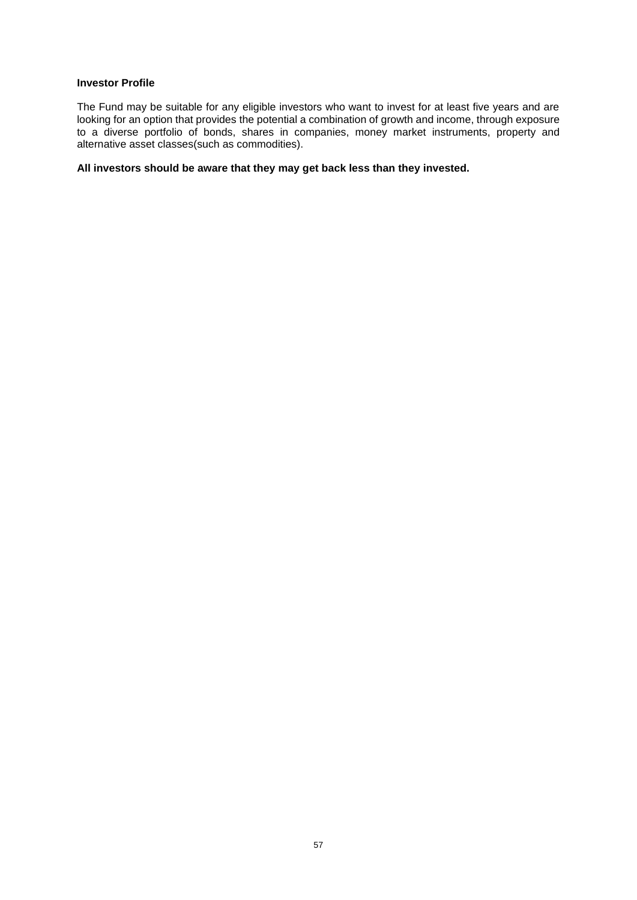# **Investor Profile**

The Fund may be suitable for any eligible investors who want to invest for at least five years and are looking for an option that provides the potential a combination of growth and income, through exposure to a diverse portfolio of bonds, shares in companies, money market instruments, property and alternative asset classes(such as commodities).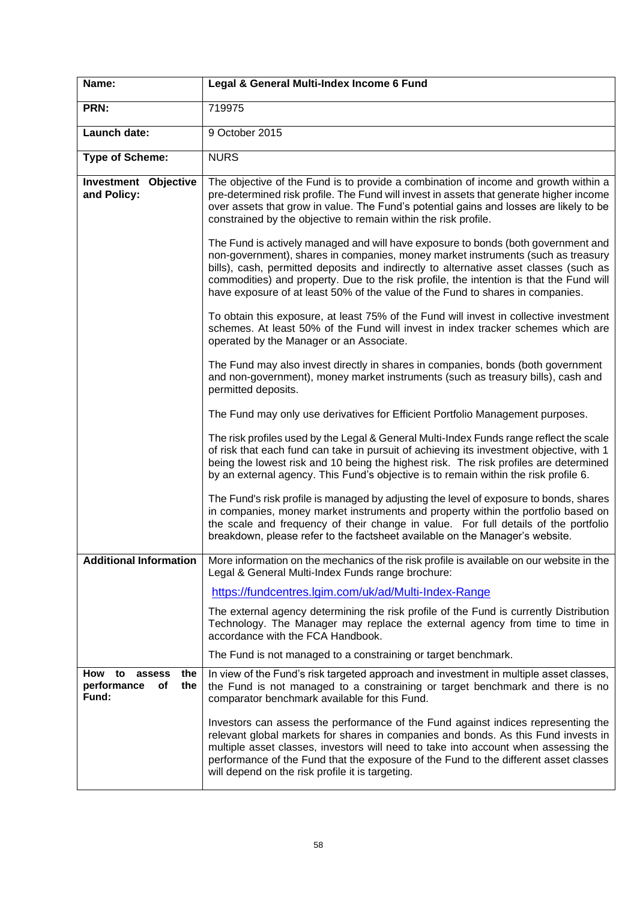| Name:                                                           | Legal & General Multi-Index Income 6 Fund                                                                                                                                                                                                                                                                                                                                                                                                   |
|-----------------------------------------------------------------|---------------------------------------------------------------------------------------------------------------------------------------------------------------------------------------------------------------------------------------------------------------------------------------------------------------------------------------------------------------------------------------------------------------------------------------------|
| PRN:                                                            | 719975                                                                                                                                                                                                                                                                                                                                                                                                                                      |
| Launch date:                                                    | 9 October 2015                                                                                                                                                                                                                                                                                                                                                                                                                              |
| <b>Type of Scheme:</b>                                          | <b>NURS</b>                                                                                                                                                                                                                                                                                                                                                                                                                                 |
| <b>Investment Objective</b><br>and Policy:                      | The objective of the Fund is to provide a combination of income and growth within a<br>pre-determined risk profile. The Fund will invest in assets that generate higher income<br>over assets that grow in value. The Fund's potential gains and losses are likely to be<br>constrained by the objective to remain within the risk profile.                                                                                                 |
|                                                                 | The Fund is actively managed and will have exposure to bonds (both government and<br>non-government), shares in companies, money market instruments (such as treasury<br>bills), cash, permitted deposits and indirectly to alternative asset classes (such as<br>commodities) and property. Due to the risk profile, the intention is that the Fund will<br>have exposure of at least 50% of the value of the Fund to shares in companies. |
|                                                                 | To obtain this exposure, at least 75% of the Fund will invest in collective investment<br>schemes. At least 50% of the Fund will invest in index tracker schemes which are<br>operated by the Manager or an Associate.                                                                                                                                                                                                                      |
|                                                                 | The Fund may also invest directly in shares in companies, bonds (both government<br>and non-government), money market instruments (such as treasury bills), cash and<br>permitted deposits.                                                                                                                                                                                                                                                 |
|                                                                 | The Fund may only use derivatives for Efficient Portfolio Management purposes.                                                                                                                                                                                                                                                                                                                                                              |
|                                                                 | The risk profiles used by the Legal & General Multi-Index Funds range reflect the scale<br>of risk that each fund can take in pursuit of achieving its investment objective, with 1<br>being the lowest risk and 10 being the highest risk. The risk profiles are determined<br>by an external agency. This Fund's objective is to remain within the risk profile 6.                                                                        |
|                                                                 | The Fund's risk profile is managed by adjusting the level of exposure to bonds, shares<br>in companies, money market instruments and property within the portfolio based on<br>the scale and frequency of their change in value. For full details of the portfolio<br>breakdown, please refer to the factsheet available on the Manager's website.                                                                                          |
| <b>Additional Information</b>                                   | More information on the mechanics of the risk profile is available on our website in the<br>Legal & General Multi-Index Funds range brochure:                                                                                                                                                                                                                                                                                               |
|                                                                 | https://fundcentres.lgim.com/uk/ad/Multi-Index-Range                                                                                                                                                                                                                                                                                                                                                                                        |
|                                                                 | The external agency determining the risk profile of the Fund is currently Distribution<br>Technology. The Manager may replace the external agency from time to time in<br>accordance with the FCA Handbook.                                                                                                                                                                                                                                 |
|                                                                 | The Fund is not managed to a constraining or target benchmark.                                                                                                                                                                                                                                                                                                                                                                              |
| How<br>to<br>the<br>assess<br>performance<br>Οf<br>the<br>Fund: | In view of the Fund's risk targeted approach and investment in multiple asset classes,<br>the Fund is not managed to a constraining or target benchmark and there is no<br>comparator benchmark available for this Fund.                                                                                                                                                                                                                    |
|                                                                 | Investors can assess the performance of the Fund against indices representing the<br>relevant global markets for shares in companies and bonds. As this Fund invests in<br>multiple asset classes, investors will need to take into account when assessing the<br>performance of the Fund that the exposure of the Fund to the different asset classes<br>will depend on the risk profile it is targeting.                                  |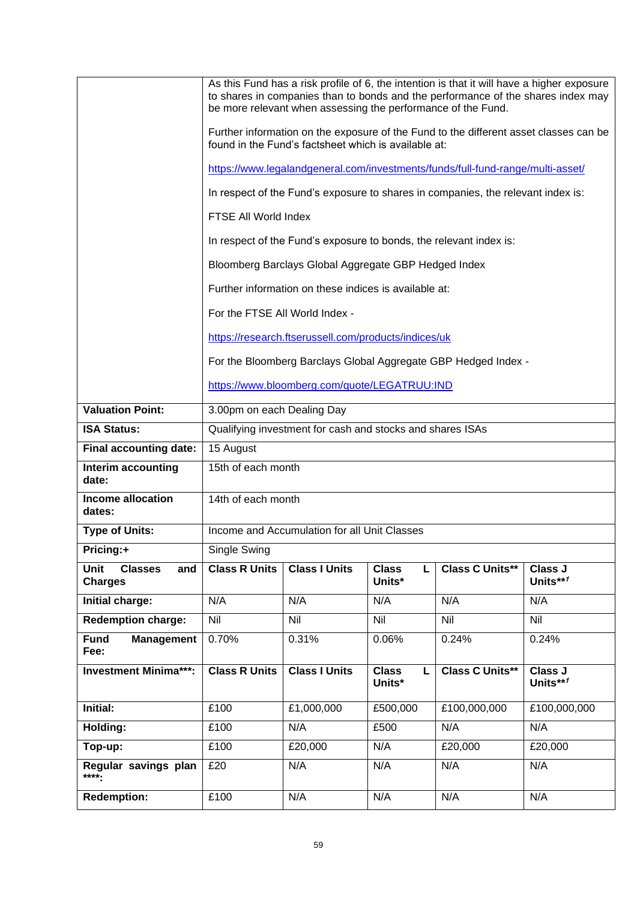|                                                 | As this Fund has a risk profile of 6, the intention is that it will have a higher exposure<br>to shares in companies than to bonds and the performance of the shares index may<br>be more relevant when assessing the performance of the Fund. |                                                                                                                                               |                             |                                                                |                            |  |  |
|-------------------------------------------------|------------------------------------------------------------------------------------------------------------------------------------------------------------------------------------------------------------------------------------------------|-----------------------------------------------------------------------------------------------------------------------------------------------|-----------------------------|----------------------------------------------------------------|----------------------------|--|--|
|                                                 |                                                                                                                                                                                                                                                | Further information on the exposure of the Fund to the different asset classes can be<br>found in the Fund's factsheet which is available at: |                             |                                                                |                            |  |  |
|                                                 | https://www.legalandgeneral.com/investments/funds/full-fund-range/multi-asset/                                                                                                                                                                 |                                                                                                                                               |                             |                                                                |                            |  |  |
|                                                 | In respect of the Fund's exposure to shares in companies, the relevant index is:                                                                                                                                                               |                                                                                                                                               |                             |                                                                |                            |  |  |
|                                                 | FTSE All World Index                                                                                                                                                                                                                           |                                                                                                                                               |                             |                                                                |                            |  |  |
|                                                 |                                                                                                                                                                                                                                                | In respect of the Fund's exposure to bonds, the relevant index is:                                                                            |                             |                                                                |                            |  |  |
|                                                 |                                                                                                                                                                                                                                                | Bloomberg Barclays Global Aggregate GBP Hedged Index                                                                                          |                             |                                                                |                            |  |  |
|                                                 |                                                                                                                                                                                                                                                | Further information on these indices is available at:                                                                                         |                             |                                                                |                            |  |  |
|                                                 | For the FTSE All World Index -                                                                                                                                                                                                                 |                                                                                                                                               |                             |                                                                |                            |  |  |
|                                                 |                                                                                                                                                                                                                                                | https://research.ftserussell.com/products/indices/uk                                                                                          |                             |                                                                |                            |  |  |
|                                                 |                                                                                                                                                                                                                                                |                                                                                                                                               |                             | For the Bloomberg Barclays Global Aggregate GBP Hedged Index - |                            |  |  |
|                                                 |                                                                                                                                                                                                                                                | https://www.bloomberg.com/quote/LEGATRUU:IND                                                                                                  |                             |                                                                |                            |  |  |
| <b>Valuation Point:</b>                         | 3.00pm on each Dealing Day                                                                                                                                                                                                                     |                                                                                                                                               |                             |                                                                |                            |  |  |
| <b>ISA Status:</b>                              | Qualifying investment for cash and stocks and shares ISAs                                                                                                                                                                                      |                                                                                                                                               |                             |                                                                |                            |  |  |
| Final accounting date:                          | 15 August                                                                                                                                                                                                                                      |                                                                                                                                               |                             |                                                                |                            |  |  |
| Interim accounting<br>date:                     | 15th of each month                                                                                                                                                                                                                             |                                                                                                                                               |                             |                                                                |                            |  |  |
| <b>Income allocation</b><br>dates:              | 14th of each month                                                                                                                                                                                                                             |                                                                                                                                               |                             |                                                                |                            |  |  |
| <b>Type of Units:</b>                           | Income and Accumulation for all Unit Classes                                                                                                                                                                                                   |                                                                                                                                               |                             |                                                                |                            |  |  |
| Pricing:+                                       | Single Swing                                                                                                                                                                                                                                   |                                                                                                                                               |                             |                                                                |                            |  |  |
| Unit<br><b>Classes</b><br>and<br><b>Charges</b> | <b>Class R Units</b>                                                                                                                                                                                                                           | <b>Class I Units</b>                                                                                                                          | <b>Class</b><br>L<br>Units* | <b>Class C Units**</b>                                         | Class J<br>Units**1        |  |  |
| Initial charge:                                 | N/A                                                                                                                                                                                                                                            | N/A                                                                                                                                           | N/A                         | N/A                                                            | N/A                        |  |  |
| <b>Redemption charge:</b>                       | Nil                                                                                                                                                                                                                                            | <b>Nil</b>                                                                                                                                    | Nil                         | Nil                                                            | Nil                        |  |  |
| <b>Fund</b><br><b>Management</b><br>Fee:        | 0.70%                                                                                                                                                                                                                                          | 0.31%                                                                                                                                         | 0.06%                       | 0.24%                                                          | 0.24%                      |  |  |
| <b>Investment Minima***:</b>                    | <b>Class R Units</b>                                                                                                                                                                                                                           | <b>Class I Units</b>                                                                                                                          | <b>Class</b><br>L<br>Units* | <b>Class C Units**</b>                                         | <b>Class J</b><br>Units**1 |  |  |
| Initial:                                        | £100                                                                                                                                                                                                                                           | £1,000,000                                                                                                                                    | £500,000                    | £100,000,000                                                   | £100,000,000               |  |  |
| Holding:                                        | £100                                                                                                                                                                                                                                           | N/A                                                                                                                                           | £500                        | N/A                                                            | N/A                        |  |  |
| Top-up:                                         | £100                                                                                                                                                                                                                                           | £20,000                                                                                                                                       | N/A                         | £20,000                                                        | £20,000                    |  |  |
| Regular savings plan<br>****.                   | £20                                                                                                                                                                                                                                            | N/A                                                                                                                                           | N/A                         | N/A                                                            | N/A                        |  |  |
| <b>Redemption:</b>                              | £100                                                                                                                                                                                                                                           | N/A                                                                                                                                           | N/A                         | N/A                                                            | N/A                        |  |  |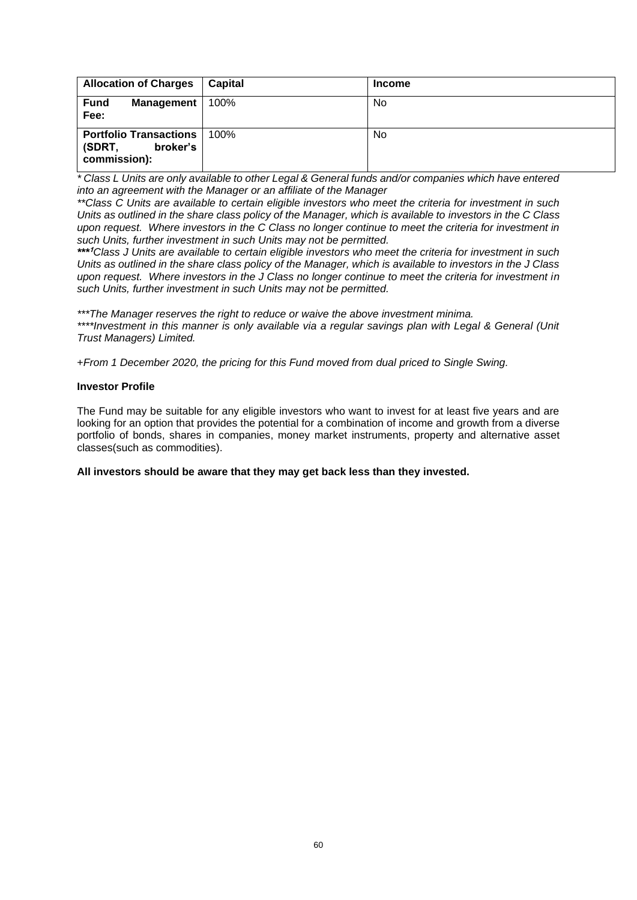| <b>Allocation of Charges</b>                                        | <b>Capital</b> | <b>Income</b> |
|---------------------------------------------------------------------|----------------|---------------|
| <b>Fund</b><br>Management  <br>Fee:                                 | 100%           | No            |
| <b>Portfolio Transactions</b><br>broker's<br>(SDRT,<br>commission): | 100%           | No            |

*\* Class L Units are only available to other Legal & General funds and/or companies which have entered into an agreement with the Manager or an affiliate of the Manager*

*\*\*Class C Units are available to certain eligible investors who meet the criteria for investment in such Units as outlined in the share class policy of the Manager, which is available to investors in the C Class upon request. Where investors in the C Class no longer continue to meet the criteria for investment in such Units, further investment in such Units may not be permitted.*

*\*\*\** **<sup>1</sup>***Class J Units are available to certain eligible investors who meet the criteria for investment in such Units as outlined in the share class policy of the Manager, which is available to investors in the J Class upon request. Where investors in the J Class no longer continue to meet the criteria for investment in such Units, further investment in such Units may not be permitted.*

*\*\*\*The Manager reserves the right to reduce or waive the above investment minima. \*\*\*\*Investment in this manner is only available via a regular savings plan with Legal & General (Unit Trust Managers) Limited.*

+*From 1 December 2020, the pricing for this Fund moved from dual priced to Single Swing.*

# **Investor Profile**

The Fund may be suitable for any eligible investors who want to invest for at least five years and are looking for an option that provides the potential for a combination of income and growth from a diverse portfolio of bonds, shares in companies, money market instruments, property and alternative asset classes(such as commodities).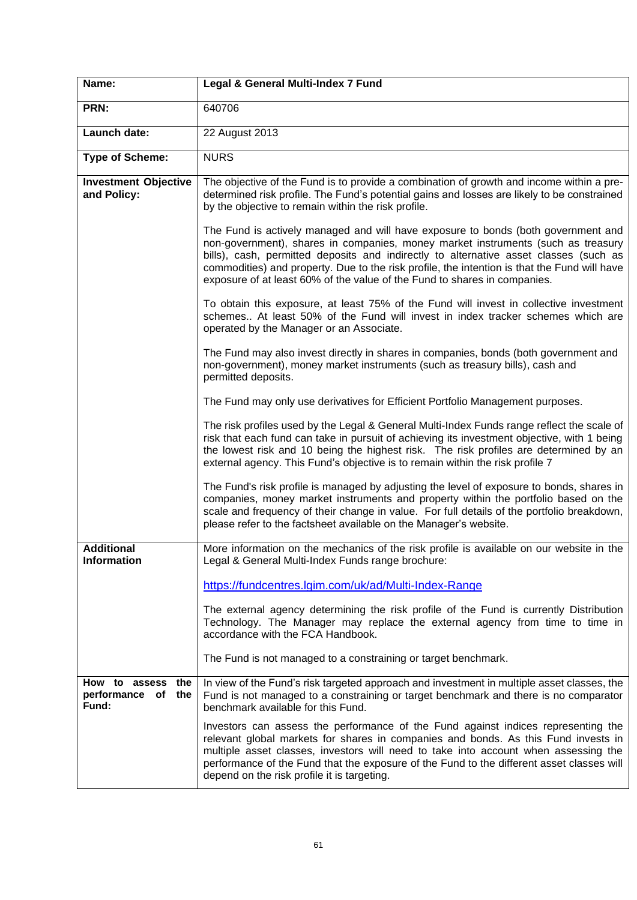| Name:                                                     | Legal & General Multi-Index 7 Fund                                                                                                                                                                                                                                                                                                                                                                                                          |
|-----------------------------------------------------------|---------------------------------------------------------------------------------------------------------------------------------------------------------------------------------------------------------------------------------------------------------------------------------------------------------------------------------------------------------------------------------------------------------------------------------------------|
| PRN:                                                      | 640706                                                                                                                                                                                                                                                                                                                                                                                                                                      |
| Launch date:                                              | 22 August 2013                                                                                                                                                                                                                                                                                                                                                                                                                              |
| <b>Type of Scheme:</b>                                    | <b>NURS</b>                                                                                                                                                                                                                                                                                                                                                                                                                                 |
| <b>Investment Objective</b><br>and Policy:                | The objective of the Fund is to provide a combination of growth and income within a pre-<br>determined risk profile. The Fund's potential gains and losses are likely to be constrained<br>by the objective to remain within the risk profile.                                                                                                                                                                                              |
|                                                           | The Fund is actively managed and will have exposure to bonds (both government and<br>non-government), shares in companies, money market instruments (such as treasury<br>bills), cash, permitted deposits and indirectly to alternative asset classes (such as<br>commodities) and property. Due to the risk profile, the intention is that the Fund will have<br>exposure of at least 60% of the value of the Fund to shares in companies. |
|                                                           | To obtain this exposure, at least 75% of the Fund will invest in collective investment<br>schemes At least 50% of the Fund will invest in index tracker schemes which are<br>operated by the Manager or an Associate.                                                                                                                                                                                                                       |
|                                                           | The Fund may also invest directly in shares in companies, bonds (both government and<br>non-government), money market instruments (such as treasury bills), cash and<br>permitted deposits.                                                                                                                                                                                                                                                 |
|                                                           | The Fund may only use derivatives for Efficient Portfolio Management purposes.                                                                                                                                                                                                                                                                                                                                                              |
|                                                           | The risk profiles used by the Legal & General Multi-Index Funds range reflect the scale of<br>risk that each fund can take in pursuit of achieving its investment objective, with 1 being<br>the lowest risk and 10 being the highest risk. The risk profiles are determined by an<br>external agency. This Fund's objective is to remain within the risk profile 7                                                                         |
|                                                           | The Fund's risk profile is managed by adjusting the level of exposure to bonds, shares in<br>companies, money market instruments and property within the portfolio based on the<br>scale and frequency of their change in value. For full details of the portfolio breakdown,<br>please refer to the factsheet available on the Manager's website.                                                                                          |
| <b>Additional</b><br><b>Information</b>                   | More information on the mechanics of the risk profile is available on our website in the<br>Legal & General Multi-Index Funds range brochure:                                                                                                                                                                                                                                                                                               |
|                                                           | https://fundcentres.lgim.com/uk/ad/Multi-Index-Range                                                                                                                                                                                                                                                                                                                                                                                        |
|                                                           | The external agency determining the risk profile of the Fund is currently Distribution<br>Technology. The Manager may replace the external agency from time to time in<br>accordance with the FCA Handbook.                                                                                                                                                                                                                                 |
|                                                           | The Fund is not managed to a constraining or target benchmark.                                                                                                                                                                                                                                                                                                                                                                              |
| How to assess<br>the<br>performance<br>of<br>the<br>Fund: | In view of the Fund's risk targeted approach and investment in multiple asset classes, the<br>Fund is not managed to a constraining or target benchmark and there is no comparator<br>benchmark available for this Fund.                                                                                                                                                                                                                    |
|                                                           | Investors can assess the performance of the Fund against indices representing the<br>relevant global markets for shares in companies and bonds. As this Fund invests in<br>multiple asset classes, investors will need to take into account when assessing the<br>performance of the Fund that the exposure of the Fund to the different asset classes will<br>depend on the risk profile it is targeting.                                  |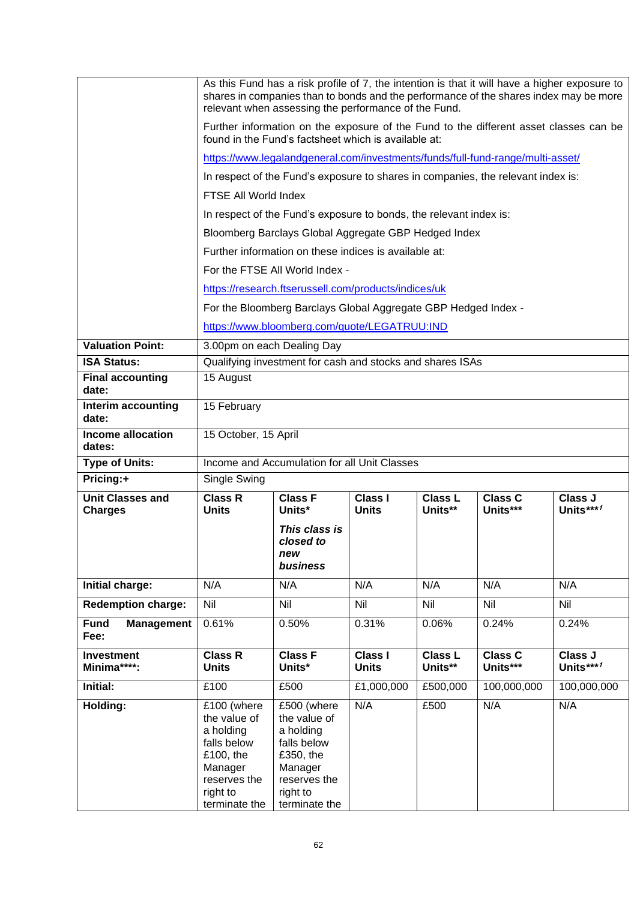|                                    | As this Fund has a risk profile of 7, the intention is that it will have a higher exposure to<br>shares in companies than to bonds and the performance of the shares index may be more<br>relevant when assessing the performance of the Fund. |                                                                                                                              |                                |                           |                            |                        |
|------------------------------------|------------------------------------------------------------------------------------------------------------------------------------------------------------------------------------------------------------------------------------------------|------------------------------------------------------------------------------------------------------------------------------|--------------------------------|---------------------------|----------------------------|------------------------|
|                                    | Further information on the exposure of the Fund to the different asset classes can be<br>found in the Fund's factsheet which is available at:                                                                                                  |                                                                                                                              |                                |                           |                            |                        |
|                                    | https://www.legalandgeneral.com/investments/funds/full-fund-range/multi-asset/                                                                                                                                                                 |                                                                                                                              |                                |                           |                            |                        |
|                                    | In respect of the Fund's exposure to shares in companies, the relevant index is:                                                                                                                                                               |                                                                                                                              |                                |                           |                            |                        |
|                                    | FTSE All World Index                                                                                                                                                                                                                           |                                                                                                                              |                                |                           |                            |                        |
|                                    | In respect of the Fund's exposure to bonds, the relevant index is:                                                                                                                                                                             |                                                                                                                              |                                |                           |                            |                        |
|                                    | Bloomberg Barclays Global Aggregate GBP Hedged Index                                                                                                                                                                                           |                                                                                                                              |                                |                           |                            |                        |
|                                    | Further information on these indices is available at:                                                                                                                                                                                          |                                                                                                                              |                                |                           |                            |                        |
|                                    |                                                                                                                                                                                                                                                |                                                                                                                              |                                |                           |                            |                        |
|                                    | For the FTSE All World Index -<br>https://research.ftserussell.com/products/indices/uk                                                                                                                                                         |                                                                                                                              |                                |                           |                            |                        |
|                                    |                                                                                                                                                                                                                                                | For the Bloomberg Barclays Global Aggregate GBP Hedged Index -                                                               |                                |                           |                            |                        |
|                                    |                                                                                                                                                                                                                                                | https://www.bloomberg.com/quote/LEGATRUU:IND                                                                                 |                                |                           |                            |                        |
| <b>Valuation Point:</b>            | 3.00pm on each Dealing Day                                                                                                                                                                                                                     |                                                                                                                              |                                |                           |                            |                        |
| <b>ISA Status:</b>                 |                                                                                                                                                                                                                                                | Qualifying investment for cash and stocks and shares ISAs                                                                    |                                |                           |                            |                        |
| <b>Final accounting</b><br>date:   | 15 August                                                                                                                                                                                                                                      |                                                                                                                              |                                |                           |                            |                        |
| Interim accounting<br>date:        | 15 February                                                                                                                                                                                                                                    |                                                                                                                              |                                |                           |                            |                        |
| <b>Income allocation</b><br>dates: | 15 October, 15 April                                                                                                                                                                                                                           |                                                                                                                              |                                |                           |                            |                        |
| <b>Type of Units:</b>              | Income and Accumulation for all Unit Classes                                                                                                                                                                                                   |                                                                                                                              |                                |                           |                            |                        |
| Pricing:+                          | Single Swing                                                                                                                                                                                                                                   |                                                                                                                              |                                |                           |                            |                        |
| <b>Unit Classes and</b>            | <b>Class R</b><br><b>Units</b>                                                                                                                                                                                                                 | <b>Class F</b><br>Units*                                                                                                     | <b>Class I</b><br><b>Units</b> | Class L<br>Units**        | <b>Class C</b><br>Units*** | Class J<br>Units $***$ |
| <b>Charges</b>                     |                                                                                                                                                                                                                                                |                                                                                                                              |                                |                           |                            |                        |
|                                    |                                                                                                                                                                                                                                                | This class is<br>closed to<br>new<br>business                                                                                |                                |                           |                            |                        |
| Initial charge:                    | N/A                                                                                                                                                                                                                                            | N/A                                                                                                                          | N/A                            | N/A                       | N/A                        | N/A                    |
| <b>Redemption charge:</b>          | Nil                                                                                                                                                                                                                                            | Nil                                                                                                                          | <b>Nil</b>                     | Nil                       | Nil                        | Nil                    |
| Fund<br><b>Management</b><br>Fee:  | 0.61%                                                                                                                                                                                                                                          | 0.50%                                                                                                                        | 0.31%                          | 0.06%                     | 0.24%                      | 0.24%                  |
| <b>Investment</b><br>Minima****:   | <b>Class R</b><br><b>Units</b>                                                                                                                                                                                                                 | <b>Class F</b><br>Units*                                                                                                     | <b>Class I</b><br><b>Units</b> | <b>Class L</b><br>Units** | <b>Class C</b><br>Units*** | Class J<br>Units***1   |
| Initial:                           | £100                                                                                                                                                                                                                                           | £500                                                                                                                         | £1,000,000                     | £500,000                  | 100,000,000                | 100,000,000            |
| Holding:                           | £100 (where<br>the value of<br>a holding<br>falls below<br>£100, the<br>Manager<br>reserves the<br>right to<br>terminate the                                                                                                                   | £500 (where<br>the value of<br>a holding<br>falls below<br>£350, the<br>Manager<br>reserves the<br>right to<br>terminate the | N/A                            | £500                      | N/A                        | N/A                    |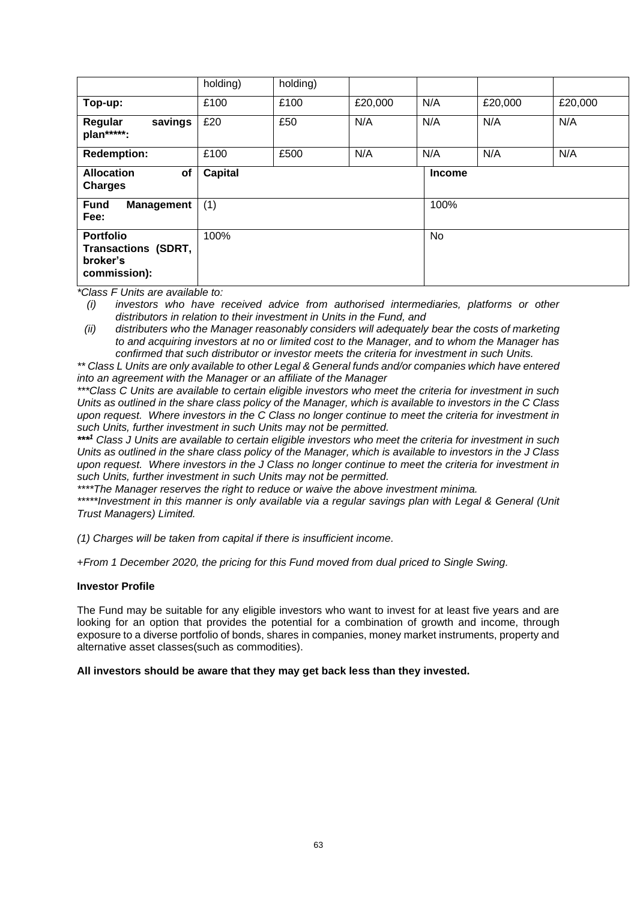|                                                                            | holding)       | holding) |         |               |         |         |
|----------------------------------------------------------------------------|----------------|----------|---------|---------------|---------|---------|
| Top-up:                                                                    | £100           | £100     | £20,000 | N/A           | £20,000 | £20,000 |
| savings<br>Regular<br>plan*****:                                           | £20            | £50      | N/A     | N/A           | N/A     | N/A     |
| <b>Redemption:</b>                                                         | £100           | £500     | N/A     | N/A           | N/A     | N/A     |
| <b>Allocation</b><br>of<br><b>Charges</b>                                  | <b>Capital</b> |          |         | <b>Income</b> |         |         |
| <b>Fund</b><br><b>Management</b><br>Fee:                                   | (1)            |          |         | 100%          |         |         |
| <b>Portfolio</b><br><b>Transactions (SDRT,</b><br>broker's<br>commission): | 100%           |          |         | <b>No</b>     |         |         |

*(i) investors who have received advice from authorised intermediaries, platforms or other distributors in relation to their investment in Units in the Fund, and* 

*(ii) distributers who the Manager reasonably considers will adequately bear the costs of marketing to and acquiring investors at no or limited cost to the Manager, and to whom the Manager has confirmed that such distributor or investor meets the criteria for investment in such Units.*

*\*\* Class L Units are only available to other Legal & General funds and/or companies which have entered into an agreement with the Manager or an affiliate of the Manager*

*\*\*\*Class C Units are available to certain eligible investors who meet the criteria for investment in such Units as outlined in the share class policy of the Manager, which is available to investors in the C Class upon request. Where investors in the C Class no longer continue to meet the criteria for investment in such Units, further investment in such Units may not be permitted.*

*\*\*\* <sup>1</sup> Class J Units are available to certain eligible investors who meet the criteria for investment in such Units as outlined in the share class policy of the Manager, which is available to investors in the J Class upon request. Where investors in the J Class no longer continue to meet the criteria for investment in such Units, further investment in such Units may not be permitted.*

*\*\*\*\*The Manager reserves the right to reduce or waive the above investment minima.*

*\*\*\*\*\*Investment in this manner is only available via a regular savings plan with Legal & General (Unit Trust Managers) Limited.*

*(1) Charges will be taken from capital if there is insufficient income.*

+*From 1 December 2020, the pricing for this Fund moved from dual priced to Single Swing.*

### **Investor Profile**

The Fund may be suitable for any eligible investors who want to invest for at least five years and are looking for an option that provides the potential for a combination of growth and income, through exposure to a diverse portfolio of bonds, shares in companies, money market instruments, property and alternative asset classes(such as commodities).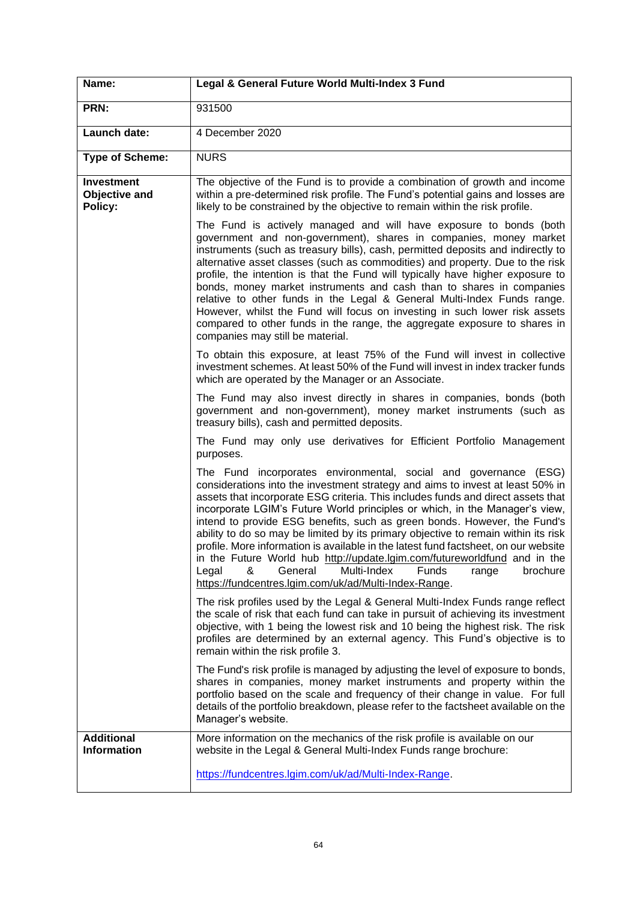| Name:                                                | Legal & General Future World Multi-Index 3 Fund                                                                                                                                                                                                                                                                                                                                                                                                                                                                                                                                                                                                                                                                                                                                            |  |  |
|------------------------------------------------------|--------------------------------------------------------------------------------------------------------------------------------------------------------------------------------------------------------------------------------------------------------------------------------------------------------------------------------------------------------------------------------------------------------------------------------------------------------------------------------------------------------------------------------------------------------------------------------------------------------------------------------------------------------------------------------------------------------------------------------------------------------------------------------------------|--|--|
| PRN:                                                 | 931500                                                                                                                                                                                                                                                                                                                                                                                                                                                                                                                                                                                                                                                                                                                                                                                     |  |  |
| Launch date:                                         | 4 December 2020                                                                                                                                                                                                                                                                                                                                                                                                                                                                                                                                                                                                                                                                                                                                                                            |  |  |
| <b>Type of Scheme:</b>                               | <b>NURS</b>                                                                                                                                                                                                                                                                                                                                                                                                                                                                                                                                                                                                                                                                                                                                                                                |  |  |
| <b>Investment</b><br><b>Objective and</b><br>Policy: | The objective of the Fund is to provide a combination of growth and income<br>within a pre-determined risk profile. The Fund's potential gains and losses are<br>likely to be constrained by the objective to remain within the risk profile.                                                                                                                                                                                                                                                                                                                                                                                                                                                                                                                                              |  |  |
|                                                      | The Fund is actively managed and will have exposure to bonds (both<br>government and non-government), shares in companies, money market<br>instruments (such as treasury bills), cash, permitted deposits and indirectly to<br>alternative asset classes (such as commodities) and property. Due to the risk<br>profile, the intention is that the Fund will typically have higher exposure to<br>bonds, money market instruments and cash than to shares in companies<br>relative to other funds in the Legal & General Multi-Index Funds range.<br>However, whilst the Fund will focus on investing in such lower risk assets<br>compared to other funds in the range, the aggregate exposure to shares in<br>companies may still be material.                                           |  |  |
|                                                      | To obtain this exposure, at least 75% of the Fund will invest in collective<br>investment schemes. At least 50% of the Fund will invest in index tracker funds<br>which are operated by the Manager or an Associate.                                                                                                                                                                                                                                                                                                                                                                                                                                                                                                                                                                       |  |  |
|                                                      | The Fund may also invest directly in shares in companies, bonds (both<br>government and non-government), money market instruments (such as<br>treasury bills), cash and permitted deposits.                                                                                                                                                                                                                                                                                                                                                                                                                                                                                                                                                                                                |  |  |
|                                                      | The Fund may only use derivatives for Efficient Portfolio Management<br>purposes.                                                                                                                                                                                                                                                                                                                                                                                                                                                                                                                                                                                                                                                                                                          |  |  |
|                                                      | The Fund incorporates environmental, social and governance (ESG)<br>considerations into the investment strategy and aims to invest at least 50% in<br>assets that incorporate ESG criteria. This includes funds and direct assets that<br>incorporate LGIM's Future World principles or which, in the Manager's view,<br>intend to provide ESG benefits, such as green bonds. However, the Fund's<br>ability to do so may be limited by its primary objective to remain within its risk<br>profile. More information is available in the latest fund factsheet, on our website<br>in the Future World hub http://update.lgim.com/futureworldfund and in the<br>Multi-Index<br>Funds<br>brochure<br>Legal<br>General<br>&<br>range<br>https://fundcentres.lgim.com/uk/ad/Multi-Index-Range. |  |  |
|                                                      | The risk profiles used by the Legal & General Multi-Index Funds range reflect<br>the scale of risk that each fund can take in pursuit of achieving its investment<br>objective, with 1 being the lowest risk and 10 being the highest risk. The risk<br>profiles are determined by an external agency. This Fund's objective is to<br>remain within the risk profile 3.                                                                                                                                                                                                                                                                                                                                                                                                                    |  |  |
|                                                      | The Fund's risk profile is managed by adjusting the level of exposure to bonds,<br>shares in companies, money market instruments and property within the<br>portfolio based on the scale and frequency of their change in value. For full<br>details of the portfolio breakdown, please refer to the factsheet available on the<br>Manager's website.                                                                                                                                                                                                                                                                                                                                                                                                                                      |  |  |
| <b>Additional</b><br><b>Information</b>              | More information on the mechanics of the risk profile is available on our<br>website in the Legal & General Multi-Index Funds range brochure:                                                                                                                                                                                                                                                                                                                                                                                                                                                                                                                                                                                                                                              |  |  |
|                                                      | https://fundcentres.lgim.com/uk/ad/Multi-Index-Range.                                                                                                                                                                                                                                                                                                                                                                                                                                                                                                                                                                                                                                                                                                                                      |  |  |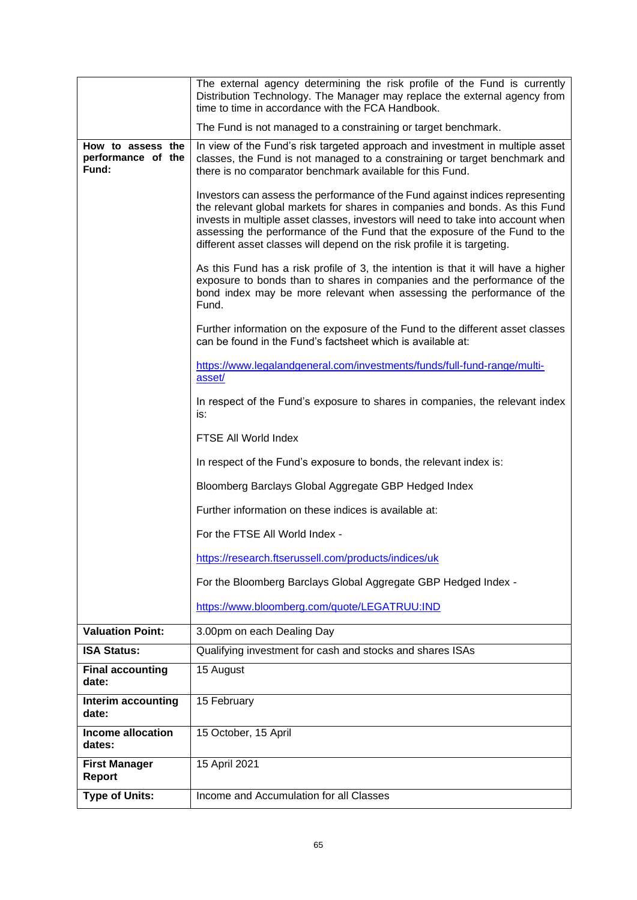|                                                  | The external agency determining the risk profile of the Fund is currently<br>Distribution Technology. The Manager may replace the external agency from<br>time to time in accordance with the FCA Handbook.                                                                                                                                                                                                |  |  |
|--------------------------------------------------|------------------------------------------------------------------------------------------------------------------------------------------------------------------------------------------------------------------------------------------------------------------------------------------------------------------------------------------------------------------------------------------------------------|--|--|
|                                                  | The Fund is not managed to a constraining or target benchmark.                                                                                                                                                                                                                                                                                                                                             |  |  |
| How to assess the<br>performance of the<br>Fund: | In view of the Fund's risk targeted approach and investment in multiple asset<br>classes, the Fund is not managed to a constraining or target benchmark and<br>there is no comparator benchmark available for this Fund.                                                                                                                                                                                   |  |  |
|                                                  | Investors can assess the performance of the Fund against indices representing<br>the relevant global markets for shares in companies and bonds. As this Fund<br>invests in multiple asset classes, investors will need to take into account when<br>assessing the performance of the Fund that the exposure of the Fund to the<br>different asset classes will depend on the risk profile it is targeting. |  |  |
|                                                  | As this Fund has a risk profile of 3, the intention is that it will have a higher<br>exposure to bonds than to shares in companies and the performance of the<br>bond index may be more relevant when assessing the performance of the<br>Fund.                                                                                                                                                            |  |  |
|                                                  | Further information on the exposure of the Fund to the different asset classes<br>can be found in the Fund's factsheet which is available at:                                                                                                                                                                                                                                                              |  |  |
|                                                  | https://www.legalandgeneral.com/investments/funds/full-fund-range/multi-<br>asset/                                                                                                                                                                                                                                                                                                                         |  |  |
|                                                  | In respect of the Fund's exposure to shares in companies, the relevant index<br>is:                                                                                                                                                                                                                                                                                                                        |  |  |
|                                                  | FTSE All World Index                                                                                                                                                                                                                                                                                                                                                                                       |  |  |
|                                                  | In respect of the Fund's exposure to bonds, the relevant index is:                                                                                                                                                                                                                                                                                                                                         |  |  |
|                                                  | Bloomberg Barclays Global Aggregate GBP Hedged Index                                                                                                                                                                                                                                                                                                                                                       |  |  |
|                                                  | Further information on these indices is available at:                                                                                                                                                                                                                                                                                                                                                      |  |  |
|                                                  | For the FTSE All World Index -                                                                                                                                                                                                                                                                                                                                                                             |  |  |
|                                                  | https://research.ftserussell.com/products/indices/uk                                                                                                                                                                                                                                                                                                                                                       |  |  |
|                                                  | For the Bloomberg Barclays Global Aggregate GBP Hedged Index -                                                                                                                                                                                                                                                                                                                                             |  |  |
|                                                  | https://www.bloomberg.com/quote/LEGATRUU:IND                                                                                                                                                                                                                                                                                                                                                               |  |  |
| <b>Valuation Point:</b>                          | 3.00pm on each Dealing Day                                                                                                                                                                                                                                                                                                                                                                                 |  |  |
| <b>ISA Status:</b>                               | Qualifying investment for cash and stocks and shares ISAs                                                                                                                                                                                                                                                                                                                                                  |  |  |
| <b>Final accounting</b><br>date:                 | 15 August                                                                                                                                                                                                                                                                                                                                                                                                  |  |  |
| Interim accounting<br>date:                      | 15 February                                                                                                                                                                                                                                                                                                                                                                                                |  |  |
| <b>Income allocation</b><br>dates:               | 15 October, 15 April                                                                                                                                                                                                                                                                                                                                                                                       |  |  |
| <b>First Manager</b><br><b>Report</b>            | 15 April 2021                                                                                                                                                                                                                                                                                                                                                                                              |  |  |
| <b>Type of Units:</b>                            | Income and Accumulation for all Classes                                                                                                                                                                                                                                                                                                                                                                    |  |  |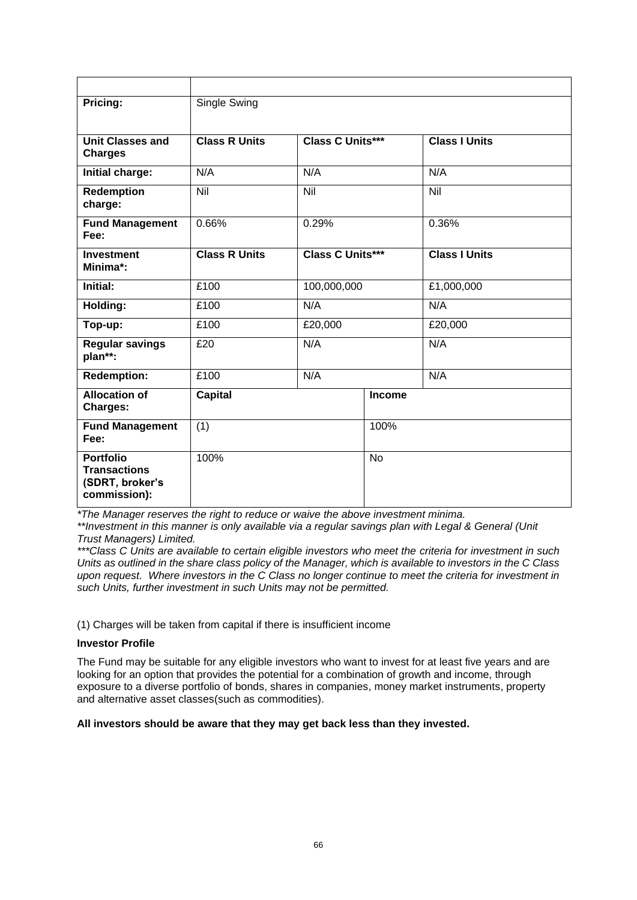| Pricing:                                                                   | Single Swing         |                         |               |                      |  |
|----------------------------------------------------------------------------|----------------------|-------------------------|---------------|----------------------|--|
|                                                                            |                      |                         |               |                      |  |
| <b>Unit Classes and</b><br><b>Charges</b>                                  | <b>Class R Units</b> | <b>Class C Units***</b> |               | <b>Class I Units</b> |  |
| Initial charge:                                                            | N/A                  | N/A                     |               | N/A                  |  |
| Redemption<br>charge:                                                      | Nil                  | Nil                     |               | Nil                  |  |
| <b>Fund Management</b><br>Fee:                                             | 0.66%                | 0.29%                   |               | 0.36%                |  |
| <b>Investment</b><br>Minima*:                                              | <b>Class R Units</b> | Class C Units***        |               | <b>Class I Units</b> |  |
| Initial:                                                                   | 100,000,000<br>£100  |                         |               | £1,000,000           |  |
| Holding:                                                                   | N/A<br>£100          |                         |               | N/A                  |  |
| Top-up:                                                                    | £100<br>£20,000      |                         |               | £20,000              |  |
| <b>Regular savings</b><br>plan**:                                          | N/A<br>£20           |                         |               | N/A                  |  |
| <b>Redemption:</b>                                                         | N/A<br>£100          |                         |               | N/A                  |  |
| <b>Allocation of</b><br><b>Charges:</b>                                    | <b>Capital</b>       |                         | <b>Income</b> |                      |  |
| <b>Fund Management</b><br>Fee:                                             | (1)                  |                         | 100%          |                      |  |
| <b>Portfolio</b><br><b>Transactions</b><br>(SDRT, broker's<br>commission): | 100%                 |                         | <b>No</b>     |                      |  |

*\*The Manager reserves the right to reduce or waive the above investment minima.*

*\*\*Investment in this manner is only available via a regular savings plan with Legal & General (Unit Trust Managers) Limited.*

*\*\*\*Class C Units are available to certain eligible investors who meet the criteria for investment in such Units as outlined in the share class policy of the Manager, which is available to investors in the C Class upon request. Where investors in the C Class no longer continue to meet the criteria for investment in such Units, further investment in such Units may not be permitted.*

(1) Charges will be taken from capital if there is insufficient income

### **Investor Profile**

The Fund may be suitable for any eligible investors who want to invest for at least five years and are looking for an option that provides the potential for a combination of growth and income, through exposure to a diverse portfolio of bonds, shares in companies, money market instruments, property and alternative asset classes(such as commodities).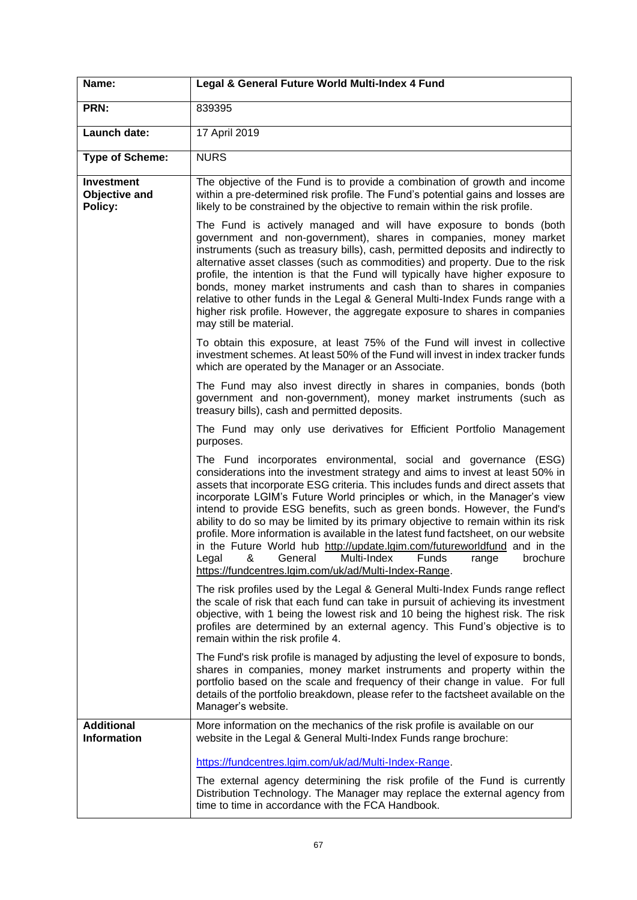| Name:                                         | Legal & General Future World Multi-Index 4 Fund                                                                                                                                                                                                                                                                                                                                                                                                                                                                                                                                                                                                                                                                                                                                           |
|-----------------------------------------------|-------------------------------------------------------------------------------------------------------------------------------------------------------------------------------------------------------------------------------------------------------------------------------------------------------------------------------------------------------------------------------------------------------------------------------------------------------------------------------------------------------------------------------------------------------------------------------------------------------------------------------------------------------------------------------------------------------------------------------------------------------------------------------------------|
| PRN:                                          | 839395                                                                                                                                                                                                                                                                                                                                                                                                                                                                                                                                                                                                                                                                                                                                                                                    |
| Launch date:                                  | 17 April 2019                                                                                                                                                                                                                                                                                                                                                                                                                                                                                                                                                                                                                                                                                                                                                                             |
| <b>Type of Scheme:</b>                        | <b>NURS</b>                                                                                                                                                                                                                                                                                                                                                                                                                                                                                                                                                                                                                                                                                                                                                                               |
| <b>Investment</b><br>Objective and<br>Policy: | The objective of the Fund is to provide a combination of growth and income<br>within a pre-determined risk profile. The Fund's potential gains and losses are<br>likely to be constrained by the objective to remain within the risk profile.                                                                                                                                                                                                                                                                                                                                                                                                                                                                                                                                             |
|                                               | The Fund is actively managed and will have exposure to bonds (both<br>government and non-government), shares in companies, money market<br>instruments (such as treasury bills), cash, permitted deposits and indirectly to<br>alternative asset classes (such as commodities) and property. Due to the risk<br>profile, the intention is that the Fund will typically have higher exposure to<br>bonds, money market instruments and cash than to shares in companies<br>relative to other funds in the Legal & General Multi-Index Funds range with a<br>higher risk profile. However, the aggregate exposure to shares in companies<br>may still be material.                                                                                                                          |
|                                               | To obtain this exposure, at least 75% of the Fund will invest in collective<br>investment schemes. At least 50% of the Fund will invest in index tracker funds<br>which are operated by the Manager or an Associate.                                                                                                                                                                                                                                                                                                                                                                                                                                                                                                                                                                      |
|                                               | The Fund may also invest directly in shares in companies, bonds (both<br>government and non-government), money market instruments (such as<br>treasury bills), cash and permitted deposits.                                                                                                                                                                                                                                                                                                                                                                                                                                                                                                                                                                                               |
|                                               | The Fund may only use derivatives for Efficient Portfolio Management<br>purposes.                                                                                                                                                                                                                                                                                                                                                                                                                                                                                                                                                                                                                                                                                                         |
|                                               | The Fund incorporates environmental, social and governance (ESG)<br>considerations into the investment strategy and aims to invest at least 50% in<br>assets that incorporate ESG criteria. This includes funds and direct assets that<br>incorporate LGIM's Future World principles or which, in the Manager's view<br>intend to provide ESG benefits, such as green bonds. However, the Fund's<br>ability to do so may be limited by its primary objective to remain within its risk<br>profile. More information is available in the latest fund factsheet, on our website<br>in the Future World hub http://update.lgim.com/futureworldfund and in the<br>Legal<br>&<br>General<br>Multi-Index<br>Funds<br>range<br>brochure<br>https://fundcentres.lgim.com/uk/ad/Multi-Index-Range. |
|                                               | The risk profiles used by the Legal & General Multi-Index Funds range reflect<br>the scale of risk that each fund can take in pursuit of achieving its investment<br>objective, with 1 being the lowest risk and 10 being the highest risk. The risk<br>profiles are determined by an external agency. This Fund's objective is to<br>remain within the risk profile 4.                                                                                                                                                                                                                                                                                                                                                                                                                   |
|                                               | The Fund's risk profile is managed by adjusting the level of exposure to bonds,<br>shares in companies, money market instruments and property within the<br>portfolio based on the scale and frequency of their change in value. For full<br>details of the portfolio breakdown, please refer to the factsheet available on the<br>Manager's website.                                                                                                                                                                                                                                                                                                                                                                                                                                     |
| <b>Additional</b><br><b>Information</b>       | More information on the mechanics of the risk profile is available on our<br>website in the Legal & General Multi-Index Funds range brochure:                                                                                                                                                                                                                                                                                                                                                                                                                                                                                                                                                                                                                                             |
|                                               | https://fundcentres.lgim.com/uk/ad/Multi-Index-Range.<br>The external agency determining the risk profile of the Fund is currently<br>Distribution Technology. The Manager may replace the external agency from<br>time to time in accordance with the FCA Handbook.                                                                                                                                                                                                                                                                                                                                                                                                                                                                                                                      |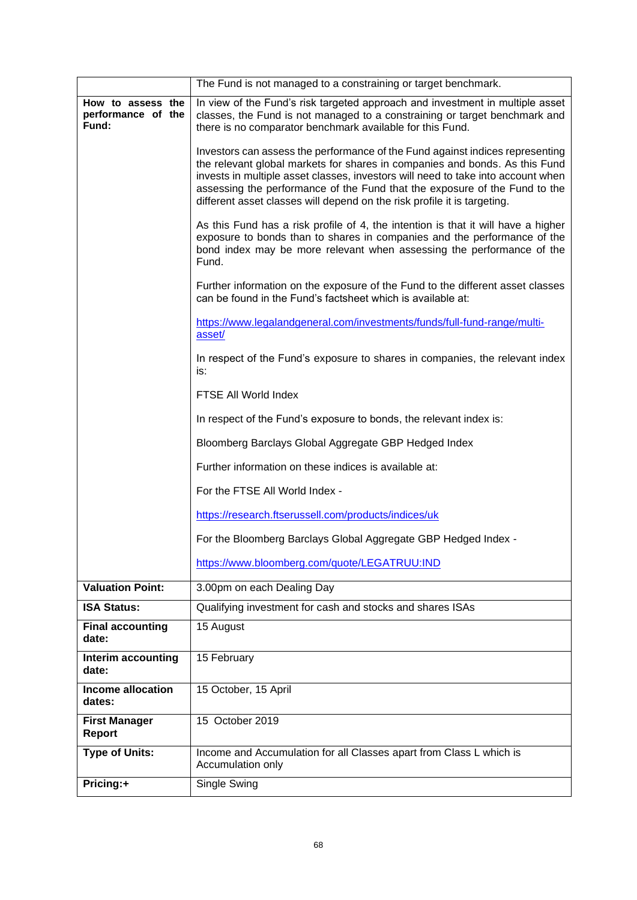|                                                  | The Fund is not managed to a constraining or target benchmark.                                                                                                                                                                                                                                                                                                                                             |  |
|--------------------------------------------------|------------------------------------------------------------------------------------------------------------------------------------------------------------------------------------------------------------------------------------------------------------------------------------------------------------------------------------------------------------------------------------------------------------|--|
| How to assess the<br>performance of the<br>Fund: | In view of the Fund's risk targeted approach and investment in multiple asset<br>classes, the Fund is not managed to a constraining or target benchmark and<br>there is no comparator benchmark available for this Fund.                                                                                                                                                                                   |  |
|                                                  | Investors can assess the performance of the Fund against indices representing<br>the relevant global markets for shares in companies and bonds. As this Fund<br>invests in multiple asset classes, investors will need to take into account when<br>assessing the performance of the Fund that the exposure of the Fund to the<br>different asset classes will depend on the risk profile it is targeting. |  |
|                                                  | As this Fund has a risk profile of 4, the intention is that it will have a higher<br>exposure to bonds than to shares in companies and the performance of the<br>bond index may be more relevant when assessing the performance of the<br>Fund.                                                                                                                                                            |  |
|                                                  | Further information on the exposure of the Fund to the different asset classes<br>can be found in the Fund's factsheet which is available at:                                                                                                                                                                                                                                                              |  |
|                                                  | https://www.legalandgeneral.com/investments/funds/full-fund-range/multi-<br>asset/                                                                                                                                                                                                                                                                                                                         |  |
|                                                  | In respect of the Fund's exposure to shares in companies, the relevant index<br>is:                                                                                                                                                                                                                                                                                                                        |  |
|                                                  | FTSE All World Index                                                                                                                                                                                                                                                                                                                                                                                       |  |
|                                                  | In respect of the Fund's exposure to bonds, the relevant index is:                                                                                                                                                                                                                                                                                                                                         |  |
|                                                  | Bloomberg Barclays Global Aggregate GBP Hedged Index                                                                                                                                                                                                                                                                                                                                                       |  |
|                                                  | Further information on these indices is available at:                                                                                                                                                                                                                                                                                                                                                      |  |
|                                                  | For the FTSE All World Index -                                                                                                                                                                                                                                                                                                                                                                             |  |
|                                                  | https://research.ftserussell.com/products/indices/uk                                                                                                                                                                                                                                                                                                                                                       |  |
|                                                  | For the Bloomberg Barclays Global Aggregate GBP Hedged Index -                                                                                                                                                                                                                                                                                                                                             |  |
|                                                  | https://www.bloomberg.com/quote/LEGATRUU:IND                                                                                                                                                                                                                                                                                                                                                               |  |
| <b>Valuation Point:</b>                          | 3.00pm on each Dealing Day                                                                                                                                                                                                                                                                                                                                                                                 |  |
| <b>ISA Status:</b>                               | Qualifying investment for cash and stocks and shares ISAs                                                                                                                                                                                                                                                                                                                                                  |  |
| <b>Final accounting</b><br>date:                 | 15 August                                                                                                                                                                                                                                                                                                                                                                                                  |  |
| Interim accounting<br>date:                      | 15 February                                                                                                                                                                                                                                                                                                                                                                                                |  |
| Income allocation<br>dates:                      | 15 October, 15 April                                                                                                                                                                                                                                                                                                                                                                                       |  |
| <b>First Manager</b><br><b>Report</b>            | 15 October 2019                                                                                                                                                                                                                                                                                                                                                                                            |  |
| <b>Type of Units:</b>                            | Income and Accumulation for all Classes apart from Class L which is<br>Accumulation only                                                                                                                                                                                                                                                                                                                   |  |
| Pricing:+                                        | Single Swing                                                                                                                                                                                                                                                                                                                                                                                               |  |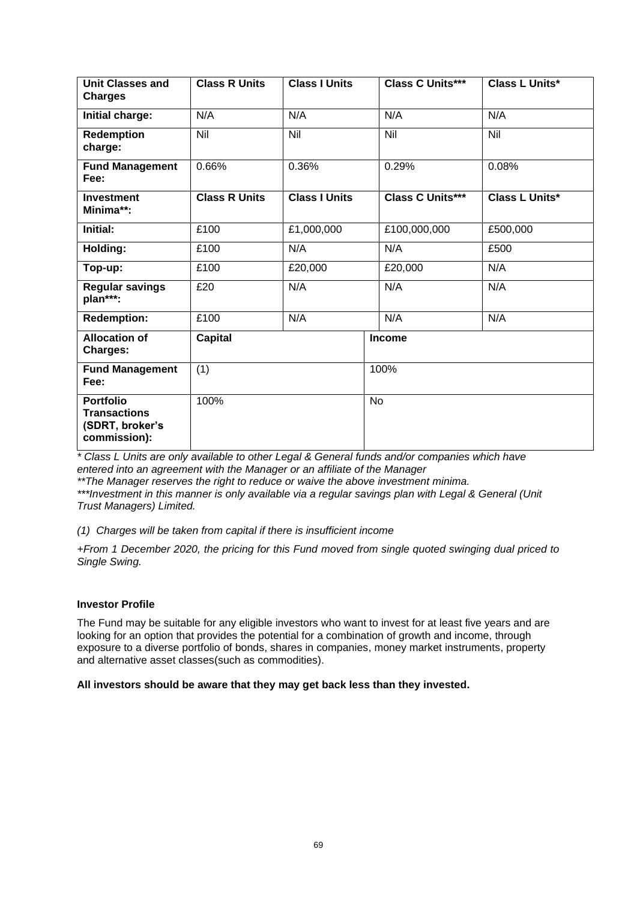| <b>Unit Classes and</b><br><b>Charges</b>                                  | <b>Class R Units</b> | <b>Class I Units</b> | <b>Class C Units***</b> | <b>Class L Units*</b> |  |  |  |
|----------------------------------------------------------------------------|----------------------|----------------------|-------------------------|-----------------------|--|--|--|
| Initial charge:                                                            | N/A                  | N/A                  | N/A                     | N/A                   |  |  |  |
| <b>Redemption</b><br>charge:                                               | $\overline{N}$       | Nil                  | $\overline{N}$          | $\overline{N}$        |  |  |  |
| <b>Fund Management</b><br>Fee:                                             | 0.66%                | 0.36%                | 0.29%                   | 0.08%                 |  |  |  |
| <b>Investment</b><br>Minima**:                                             | <b>Class R Units</b> | <b>Class I Units</b> | <b>Class C Units***</b> | <b>Class L Units*</b> |  |  |  |
| Initial:                                                                   | £100                 | £1,000,000           | £100,000,000            | £500,000              |  |  |  |
| Holding:                                                                   | £100                 | N/A                  | N/A                     | £500                  |  |  |  |
| Top-up:                                                                    | £100                 | £20,000              | £20,000                 | N/A                   |  |  |  |
| <b>Regular savings</b><br>plan***:                                         | £20                  | N/A                  | N/A                     | N/A                   |  |  |  |
| <b>Redemption:</b>                                                         | £100                 | N/A                  | N/A                     | N/A                   |  |  |  |
| <b>Allocation of</b><br>Charges:                                           | <b>Capital</b>       |                      | <b>Income</b>           |                       |  |  |  |
| <b>Fund Management</b><br>Fee:                                             | (1)                  |                      | 100%                    |                       |  |  |  |
| <b>Portfolio</b><br><b>Transactions</b><br>(SDRT, broker's<br>commission): | 100%                 |                      | <b>No</b>               |                       |  |  |  |

*\* Class L Units are only available to other Legal & General funds and/or companies which have entered into an agreement with the Manager or an affiliate of the Manager*

*\*\*The Manager reserves the right to reduce or waive the above investment minima.*

*\*\*\*Investment in this manner is only available via a regular savings plan with Legal & General (Unit Trust Managers) Limited.*

*(1) Charges will be taken from capital if there is insufficient income*

*+From 1 December 2020, the pricing for this Fund moved from single quoted swinging dual priced to Single Swing.*

#### **Investor Profile**

The Fund may be suitable for any eligible investors who want to invest for at least five years and are looking for an option that provides the potential for a combination of growth and income, through exposure to a diverse portfolio of bonds, shares in companies, money market instruments, property and alternative asset classes(such as commodities).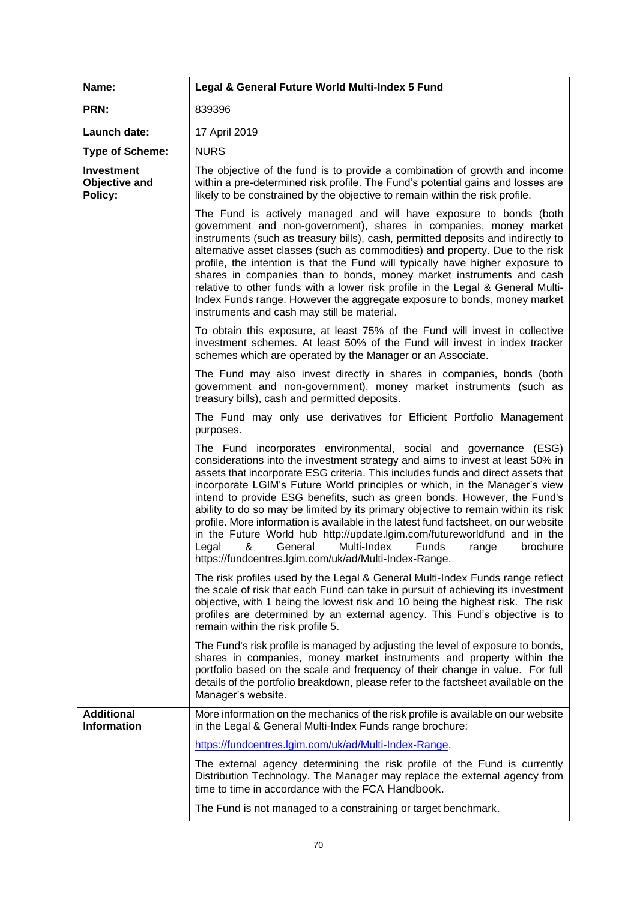| Name:                                         | Legal & General Future World Multi-Index 5 Fund                                                                                                                                                                                                                                                                                                                                                                                                                                                                                                                                                                                                                                                                                                                                           |
|-----------------------------------------------|-------------------------------------------------------------------------------------------------------------------------------------------------------------------------------------------------------------------------------------------------------------------------------------------------------------------------------------------------------------------------------------------------------------------------------------------------------------------------------------------------------------------------------------------------------------------------------------------------------------------------------------------------------------------------------------------------------------------------------------------------------------------------------------------|
| PRN:                                          | 839396                                                                                                                                                                                                                                                                                                                                                                                                                                                                                                                                                                                                                                                                                                                                                                                    |
| Launch date:                                  | 17 April 2019                                                                                                                                                                                                                                                                                                                                                                                                                                                                                                                                                                                                                                                                                                                                                                             |
| <b>Type of Scheme:</b>                        | <b>NURS</b>                                                                                                                                                                                                                                                                                                                                                                                                                                                                                                                                                                                                                                                                                                                                                                               |
| <b>Investment</b><br>Objective and<br>Policy: | The objective of the fund is to provide a combination of growth and income<br>within a pre-determined risk profile. The Fund's potential gains and losses are<br>likely to be constrained by the objective to remain within the risk profile.                                                                                                                                                                                                                                                                                                                                                                                                                                                                                                                                             |
|                                               | The Fund is actively managed and will have exposure to bonds (both<br>government and non-government), shares in companies, money market<br>instruments (such as treasury bills), cash, permitted deposits and indirectly to<br>alternative asset classes (such as commodities) and property. Due to the risk<br>profile, the intention is that the Fund will typically have higher exposure to<br>shares in companies than to bonds, money market instruments and cash<br>relative to other funds with a lower risk profile in the Legal & General Multi-<br>Index Funds range. However the aggregate exposure to bonds, money market<br>instruments and cash may still be material.                                                                                                      |
|                                               | To obtain this exposure, at least 75% of the Fund will invest in collective<br>investment schemes. At least 50% of the Fund will invest in index tracker<br>schemes which are operated by the Manager or an Associate.                                                                                                                                                                                                                                                                                                                                                                                                                                                                                                                                                                    |
|                                               | The Fund may also invest directly in shares in companies, bonds (both<br>government and non-government), money market instruments (such as<br>treasury bills), cash and permitted deposits.                                                                                                                                                                                                                                                                                                                                                                                                                                                                                                                                                                                               |
|                                               | The Fund may only use derivatives for Efficient Portfolio Management<br>purposes.                                                                                                                                                                                                                                                                                                                                                                                                                                                                                                                                                                                                                                                                                                         |
|                                               | The Fund incorporates environmental, social and governance (ESG)<br>considerations into the investment strategy and aims to invest at least 50% in<br>assets that incorporate ESG criteria. This includes funds and direct assets that<br>incorporate LGIM's Future World principles or which, in the Manager's view<br>intend to provide ESG benefits, such as green bonds. However, the Fund's<br>ability to do so may be limited by its primary objective to remain within its risk<br>profile. More information is available in the latest fund factsheet, on our website<br>in the Future World hub http://update.lgim.com/futureworldfund and in the<br>General<br>Multi-Index<br>Funds<br>Legal<br>&<br>range<br>brochure<br>https://fundcentres.lgim.com/uk/ad/Multi-Index-Range. |
|                                               | The risk profiles used by the Legal & General Multi-Index Funds range reflect<br>the scale of risk that each Fund can take in pursuit of achieving its investment<br>objective, with 1 being the lowest risk and 10 being the highest risk. The risk<br>profiles are determined by an external agency. This Fund's objective is to<br>remain within the risk profile 5.                                                                                                                                                                                                                                                                                                                                                                                                                   |
|                                               | The Fund's risk profile is managed by adjusting the level of exposure to bonds,<br>shares in companies, money market instruments and property within the<br>portfolio based on the scale and frequency of their change in value. For full<br>details of the portfolio breakdown, please refer to the factsheet available on the<br>Manager's website.                                                                                                                                                                                                                                                                                                                                                                                                                                     |
| <b>Additional</b><br><b>Information</b>       | More information on the mechanics of the risk profile is available on our website<br>in the Legal & General Multi-Index Funds range brochure:                                                                                                                                                                                                                                                                                                                                                                                                                                                                                                                                                                                                                                             |
|                                               | https://fundcentres.lgim.com/uk/ad/Multi-Index-Range.                                                                                                                                                                                                                                                                                                                                                                                                                                                                                                                                                                                                                                                                                                                                     |
|                                               | The external agency determining the risk profile of the Fund is currently<br>Distribution Technology. The Manager may replace the external agency from<br>time to time in accordance with the FCA Handbook.                                                                                                                                                                                                                                                                                                                                                                                                                                                                                                                                                                               |
|                                               | The Fund is not managed to a constraining or target benchmark.                                                                                                                                                                                                                                                                                                                                                                                                                                                                                                                                                                                                                                                                                                                            |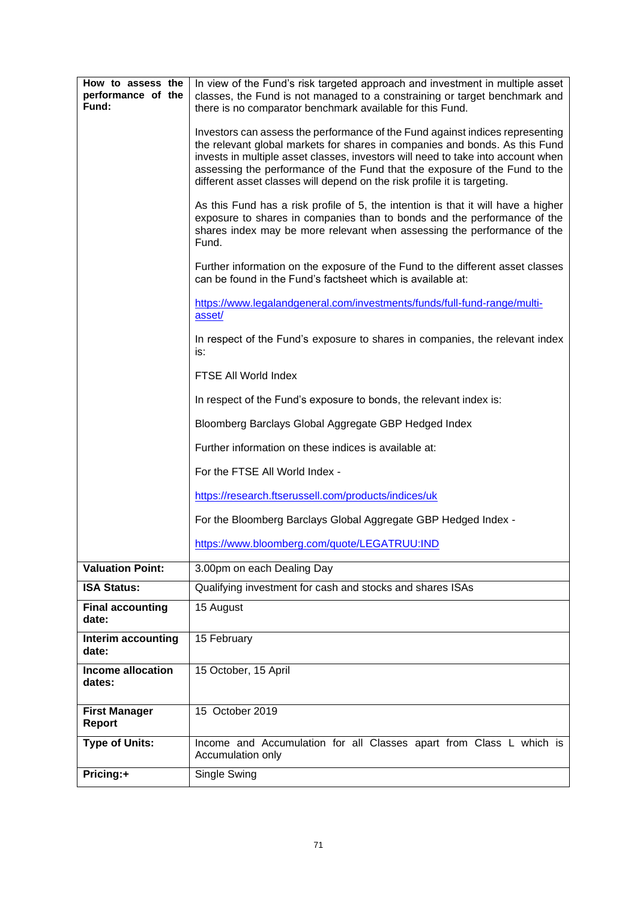| How to assess the<br>performance of the<br>Fund: | In view of the Fund's risk targeted approach and investment in multiple asset<br>classes, the Fund is not managed to a constraining or target benchmark and<br>there is no comparator benchmark available for this Fund.                                                                                                                                                                                   |
|--------------------------------------------------|------------------------------------------------------------------------------------------------------------------------------------------------------------------------------------------------------------------------------------------------------------------------------------------------------------------------------------------------------------------------------------------------------------|
|                                                  | Investors can assess the performance of the Fund against indices representing<br>the relevant global markets for shares in companies and bonds. As this Fund<br>invests in multiple asset classes, investors will need to take into account when<br>assessing the performance of the Fund that the exposure of the Fund to the<br>different asset classes will depend on the risk profile it is targeting. |
|                                                  | As this Fund has a risk profile of 5, the intention is that it will have a higher<br>exposure to shares in companies than to bonds and the performance of the<br>shares index may be more relevant when assessing the performance of the<br>Fund.                                                                                                                                                          |
|                                                  | Further information on the exposure of the Fund to the different asset classes<br>can be found in the Fund's factsheet which is available at:                                                                                                                                                                                                                                                              |
|                                                  | https://www.legalandgeneral.com/investments/funds/full-fund-range/multi-<br>asset/                                                                                                                                                                                                                                                                                                                         |
|                                                  | In respect of the Fund's exposure to shares in companies, the relevant index<br>is:                                                                                                                                                                                                                                                                                                                        |
|                                                  | FTSE All World Index                                                                                                                                                                                                                                                                                                                                                                                       |
|                                                  | In respect of the Fund's exposure to bonds, the relevant index is:                                                                                                                                                                                                                                                                                                                                         |
|                                                  | Bloomberg Barclays Global Aggregate GBP Hedged Index                                                                                                                                                                                                                                                                                                                                                       |
|                                                  | Further information on these indices is available at:                                                                                                                                                                                                                                                                                                                                                      |
|                                                  | For the FTSE All World Index -                                                                                                                                                                                                                                                                                                                                                                             |
|                                                  | https://research.ftserussell.com/products/indices/uk                                                                                                                                                                                                                                                                                                                                                       |
|                                                  | For the Bloomberg Barclays Global Aggregate GBP Hedged Index -                                                                                                                                                                                                                                                                                                                                             |
|                                                  | https://www.bloomberg.com/quote/LEGATRUU:IND                                                                                                                                                                                                                                                                                                                                                               |
| <b>Valuation Point:</b>                          | 3.00pm on each Dealing Day                                                                                                                                                                                                                                                                                                                                                                                 |
| <b>ISA Status:</b>                               | Qualifying investment for cash and stocks and shares ISAs                                                                                                                                                                                                                                                                                                                                                  |
| <b>Final accounting</b><br>date:                 | 15 August                                                                                                                                                                                                                                                                                                                                                                                                  |
| Interim accounting<br>date:                      | 15 February                                                                                                                                                                                                                                                                                                                                                                                                |
| <b>Income allocation</b><br>dates:               | 15 October, 15 April                                                                                                                                                                                                                                                                                                                                                                                       |
| <b>First Manager</b><br>Report                   | 15 October 2019                                                                                                                                                                                                                                                                                                                                                                                            |
| <b>Type of Units:</b>                            | Income and Accumulation for all Classes apart from Class L which is<br>Accumulation only                                                                                                                                                                                                                                                                                                                   |
| Pricing:+                                        | Single Swing                                                                                                                                                                                                                                                                                                                                                                                               |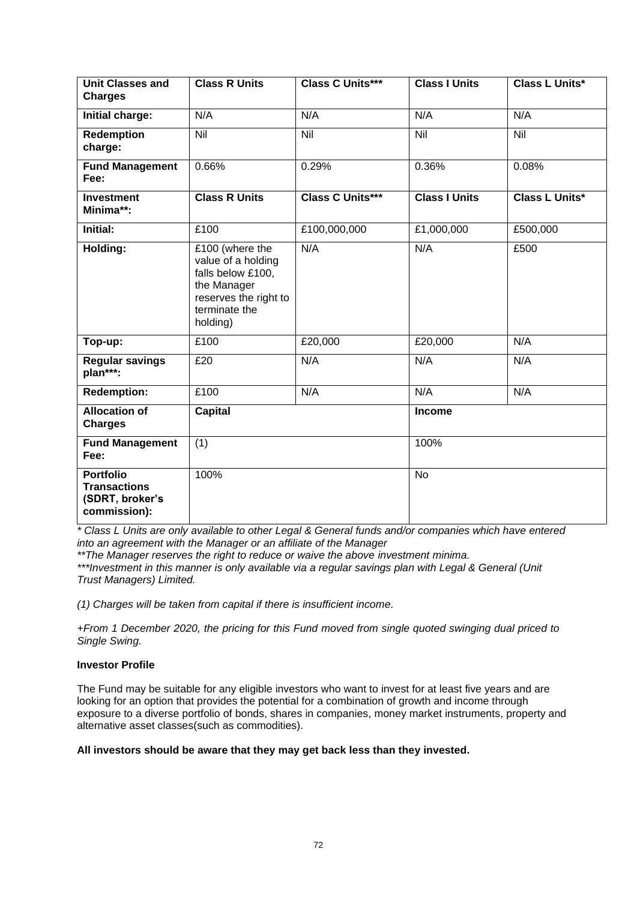| <b>Unit Classes and</b><br><b>Charges</b>                                  | <b>Class R Units</b>                                                                                                            | <b>Class C Units***</b> | <b>Class I Units</b> | <b>Class L Units*</b> |
|----------------------------------------------------------------------------|---------------------------------------------------------------------------------------------------------------------------------|-------------------------|----------------------|-----------------------|
| Initial charge:                                                            | N/A                                                                                                                             | N/A                     | N/A                  | N/A                   |
| Redemption<br>charge:                                                      | Nil                                                                                                                             | <b>Nil</b>              | $\overline{N}$       | <b>Nil</b>            |
| <b>Fund Management</b><br>Fee:                                             | 0.66%                                                                                                                           | 0.29%                   | 0.36%                | 0.08%                 |
| <b>Investment</b><br>Minima**:                                             | <b>Class R Units</b>                                                                                                            | <b>Class C Units***</b> | <b>Class I Units</b> | Class L Units*        |
| Initial:                                                                   | £100                                                                                                                            | £100,000,000            | £1,000,000           | £500,000              |
| Holding:                                                                   | £100 (where the<br>value of a holding<br>falls below £100,<br>the Manager<br>reserves the right to<br>terminate the<br>holding) | N/A                     | N/A                  | £500                  |
| Top-up:                                                                    | £100                                                                                                                            | £20,000                 | £20,000              | N/A                   |
| <b>Regular savings</b><br>plan***:                                         | £20                                                                                                                             | N/A                     | N/A                  | N/A                   |
| <b>Redemption:</b>                                                         | £100                                                                                                                            | N/A                     | N/A                  | N/A                   |
| <b>Allocation of</b><br><b>Charges</b>                                     | <b>Capital</b>                                                                                                                  |                         | <b>Income</b>        |                       |
| <b>Fund Management</b><br>Fee:                                             | (1)                                                                                                                             |                         | 100%                 |                       |
| <b>Portfolio</b><br><b>Transactions</b><br>(SDRT, broker's<br>commission): | 100%                                                                                                                            |                         | <b>No</b>            |                       |

*\* Class L Units are only available to other Legal & General funds and/or companies which have entered into an agreement with the Manager or an affiliate of the Manager*

*\*\*The Manager reserves the right to reduce or waive the above investment minima.*

*\*\*\*Investment in this manner is only available via a regular savings plan with Legal & General (Unit Trust Managers) Limited.*

*(1) Charges will be taken from capital if there is insufficient income.*

*+From 1 December 2020, the pricing for this Fund moved from single quoted swinging dual priced to Single Swing.*

## **Investor Profile**

The Fund may be suitable for any eligible investors who want to invest for at least five years and are looking for an option that provides the potential for a combination of growth and income through exposure to a diverse portfolio of bonds, shares in companies, money market instruments, property and alternative asset classes(such as commodities).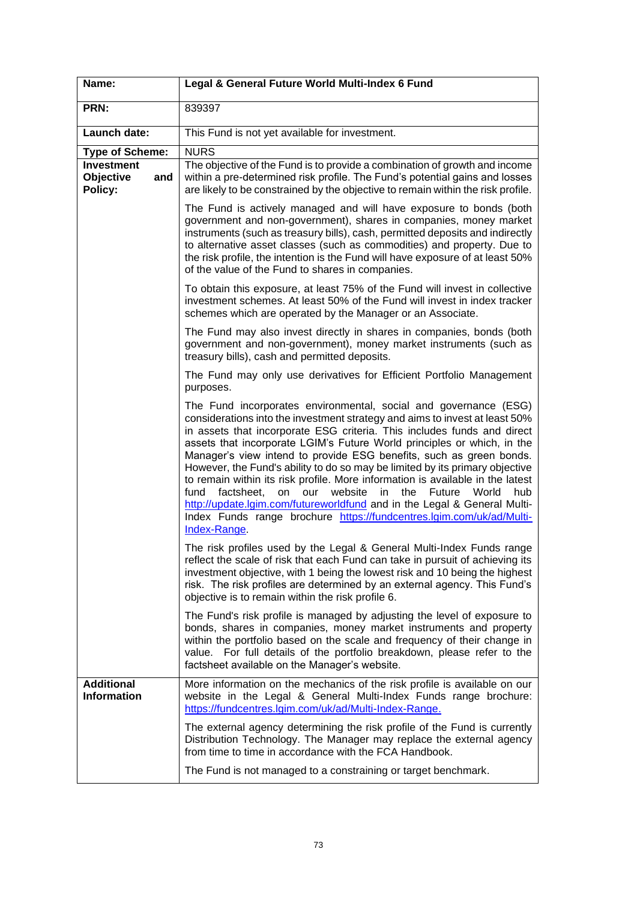| Name:                                            | Legal & General Future World Multi-Index 6 Fund                                                                                                                                                                                                                                                                                                                                                                                                                                                                                                                                                                                                                                                                                                                                                |
|--------------------------------------------------|------------------------------------------------------------------------------------------------------------------------------------------------------------------------------------------------------------------------------------------------------------------------------------------------------------------------------------------------------------------------------------------------------------------------------------------------------------------------------------------------------------------------------------------------------------------------------------------------------------------------------------------------------------------------------------------------------------------------------------------------------------------------------------------------|
| PRN:                                             | 839397                                                                                                                                                                                                                                                                                                                                                                                                                                                                                                                                                                                                                                                                                                                                                                                         |
| Launch date:                                     | This Fund is not yet available for investment.                                                                                                                                                                                                                                                                                                                                                                                                                                                                                                                                                                                                                                                                                                                                                 |
| <b>Type of Scheme:</b>                           | <b>NURS</b>                                                                                                                                                                                                                                                                                                                                                                                                                                                                                                                                                                                                                                                                                                                                                                                    |
| <b>Investment</b><br>Objective<br>and<br>Policy: | The objective of the Fund is to provide a combination of growth and income<br>within a pre-determined risk profile. The Fund's potential gains and losses<br>are likely to be constrained by the objective to remain within the risk profile.                                                                                                                                                                                                                                                                                                                                                                                                                                                                                                                                                  |
|                                                  | The Fund is actively managed and will have exposure to bonds (both<br>government and non-government), shares in companies, money market<br>instruments (such as treasury bills), cash, permitted deposits and indirectly<br>to alternative asset classes (such as commodities) and property. Due to<br>the risk profile, the intention is the Fund will have exposure of at least 50%<br>of the value of the Fund to shares in companies.                                                                                                                                                                                                                                                                                                                                                      |
|                                                  | To obtain this exposure, at least 75% of the Fund will invest in collective<br>investment schemes. At least 50% of the Fund will invest in index tracker<br>schemes which are operated by the Manager or an Associate.                                                                                                                                                                                                                                                                                                                                                                                                                                                                                                                                                                         |
|                                                  | The Fund may also invest directly in shares in companies, bonds (both<br>government and non-government), money market instruments (such as<br>treasury bills), cash and permitted deposits.                                                                                                                                                                                                                                                                                                                                                                                                                                                                                                                                                                                                    |
|                                                  | The Fund may only use derivatives for Efficient Portfolio Management<br>purposes.                                                                                                                                                                                                                                                                                                                                                                                                                                                                                                                                                                                                                                                                                                              |
|                                                  | The Fund incorporates environmental, social and governance (ESG)<br>considerations into the investment strategy and aims to invest at least 50%<br>in assets that incorporate ESG criteria. This includes funds and direct<br>assets that incorporate LGIM's Future World principles or which, in the<br>Manager's view intend to provide ESG benefits, such as green bonds.<br>However, the Fund's ability to do so may be limited by its primary objective<br>to remain within its risk profile. More information is available in the latest<br>on<br>our website<br>in<br>the Future World<br>fund<br>factsheet,<br>hub<br>http://update.lgim.com/futureworldfund and in the Legal & General Multi-<br>Index Funds range brochure https://fundcentres.lgim.com/uk/ad/Multi-<br>Index-Range. |
|                                                  | The risk profiles used by the Legal & General Multi-Index Funds range<br>reflect the scale of risk that each Fund can take in pursuit of achieving its<br>investment objective, with 1 being the lowest risk and 10 being the highest<br>risk. The risk profiles are determined by an external agency. This Fund's<br>objective is to remain within the risk profile 6.                                                                                                                                                                                                                                                                                                                                                                                                                        |
|                                                  | The Fund's risk profile is managed by adjusting the level of exposure to<br>bonds, shares in companies, money market instruments and property<br>within the portfolio based on the scale and frequency of their change in<br>value. For full details of the portfolio breakdown, please refer to the<br>factsheet available on the Manager's website.                                                                                                                                                                                                                                                                                                                                                                                                                                          |
| <b>Additional</b><br><b>Information</b>          | More information on the mechanics of the risk profile is available on our<br>website in the Legal & General Multi-Index Funds range brochure:<br>https://fundcentres.lgim.com/uk/ad/Multi-Index-Range.                                                                                                                                                                                                                                                                                                                                                                                                                                                                                                                                                                                         |
|                                                  | The external agency determining the risk profile of the Fund is currently<br>Distribution Technology. The Manager may replace the external agency<br>from time to time in accordance with the FCA Handbook.                                                                                                                                                                                                                                                                                                                                                                                                                                                                                                                                                                                    |
|                                                  | The Fund is not managed to a constraining or target benchmark.                                                                                                                                                                                                                                                                                                                                                                                                                                                                                                                                                                                                                                                                                                                                 |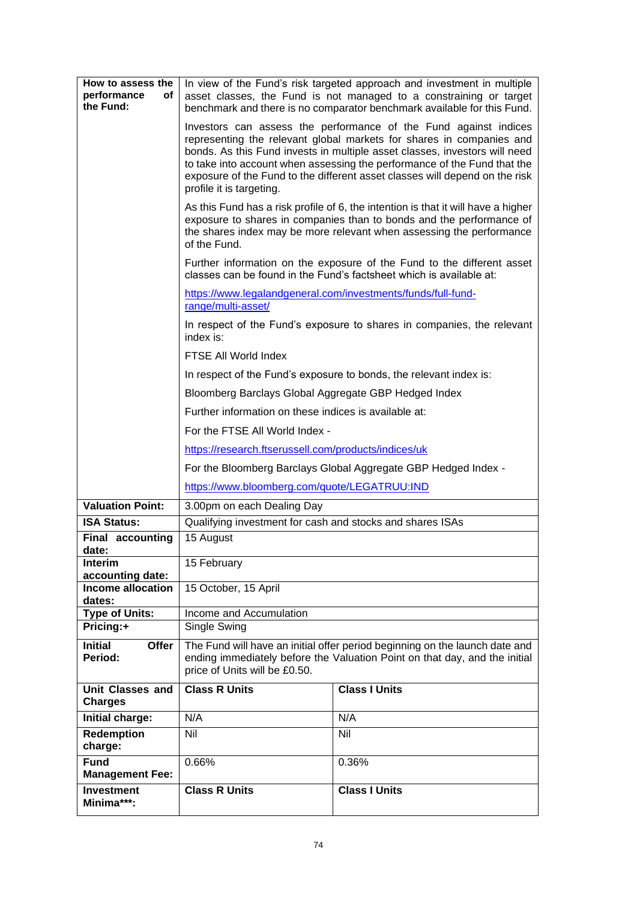| How to assess the<br>performance<br>оf<br>the Fund:    |                                                                                                                                                                                                                                                   | In view of the Fund's risk targeted approach and investment in multiple<br>asset classes, the Fund is not managed to a constraining or target<br>benchmark and there is no comparator benchmark available for this Fund.                                                                                                                                                          |  |  |  |  |  |  |  |  |  |
|--------------------------------------------------------|---------------------------------------------------------------------------------------------------------------------------------------------------------------------------------------------------------------------------------------------------|-----------------------------------------------------------------------------------------------------------------------------------------------------------------------------------------------------------------------------------------------------------------------------------------------------------------------------------------------------------------------------------|--|--|--|--|--|--|--|--|--|
|                                                        | profile it is targeting.                                                                                                                                                                                                                          | Investors can assess the performance of the Fund against indices<br>representing the relevant global markets for shares in companies and<br>bonds. As this Fund invests in multiple asset classes, investors will need<br>to take into account when assessing the performance of the Fund that the<br>exposure of the Fund to the different asset classes will depend on the risk |  |  |  |  |  |  |  |  |  |
|                                                        | As this Fund has a risk profile of 6, the intention is that it will have a higher<br>exposure to shares in companies than to bonds and the performance of<br>the shares index may be more relevant when assessing the performance<br>of the Fund. |                                                                                                                                                                                                                                                                                                                                                                                   |  |  |  |  |  |  |  |  |  |
|                                                        | Further information on the exposure of the Fund to the different asset<br>classes can be found in the Fund's factsheet which is available at:                                                                                                     |                                                                                                                                                                                                                                                                                                                                                                                   |  |  |  |  |  |  |  |  |  |
|                                                        | range/multi-asset/                                                                                                                                                                                                                                | https://www.legalandgeneral.com/investments/funds/full-fund-                                                                                                                                                                                                                                                                                                                      |  |  |  |  |  |  |  |  |  |
|                                                        | index is:                                                                                                                                                                                                                                         | In respect of the Fund's exposure to shares in companies, the relevant                                                                                                                                                                                                                                                                                                            |  |  |  |  |  |  |  |  |  |
|                                                        | FTSE All World Index                                                                                                                                                                                                                              |                                                                                                                                                                                                                                                                                                                                                                                   |  |  |  |  |  |  |  |  |  |
|                                                        | In respect of the Fund's exposure to bonds, the relevant index is:                                                                                                                                                                                |                                                                                                                                                                                                                                                                                                                                                                                   |  |  |  |  |  |  |  |  |  |
|                                                        | Bloomberg Barclays Global Aggregate GBP Hedged Index                                                                                                                                                                                              |                                                                                                                                                                                                                                                                                                                                                                                   |  |  |  |  |  |  |  |  |  |
|                                                        | Further information on these indices is available at:                                                                                                                                                                                             |                                                                                                                                                                                                                                                                                                                                                                                   |  |  |  |  |  |  |  |  |  |
|                                                        | For the FTSE All World Index -                                                                                                                                                                                                                    |                                                                                                                                                                                                                                                                                                                                                                                   |  |  |  |  |  |  |  |  |  |
|                                                        | https://research.ftserussell.com/products/indices/uk                                                                                                                                                                                              |                                                                                                                                                                                                                                                                                                                                                                                   |  |  |  |  |  |  |  |  |  |
|                                                        | For the Bloomberg Barclays Global Aggregate GBP Hedged Index -                                                                                                                                                                                    |                                                                                                                                                                                                                                                                                                                                                                                   |  |  |  |  |  |  |  |  |  |
|                                                        | https://www.bloomberg.com/quote/LEGATRUU:IND                                                                                                                                                                                                      |                                                                                                                                                                                                                                                                                                                                                                                   |  |  |  |  |  |  |  |  |  |
| <b>Valuation Point:</b>                                | 3.00pm on each Dealing Day                                                                                                                                                                                                                        |                                                                                                                                                                                                                                                                                                                                                                                   |  |  |  |  |  |  |  |  |  |
| <b>ISA Status:</b>                                     | Qualifying investment for cash and stocks and shares ISAs                                                                                                                                                                                         |                                                                                                                                                                                                                                                                                                                                                                                   |  |  |  |  |  |  |  |  |  |
| <b>Final accounting</b><br>date:                       | 15 August                                                                                                                                                                                                                                         |                                                                                                                                                                                                                                                                                                                                                                                   |  |  |  |  |  |  |  |  |  |
| <b>Interim</b>                                         | 15 February                                                                                                                                                                                                                                       |                                                                                                                                                                                                                                                                                                                                                                                   |  |  |  |  |  |  |  |  |  |
| accounting date:<br><b>Income allocation</b><br>dates: | 15 October, 15 April                                                                                                                                                                                                                              |                                                                                                                                                                                                                                                                                                                                                                                   |  |  |  |  |  |  |  |  |  |
| <b>Type of Units:</b>                                  | Income and Accumulation                                                                                                                                                                                                                           |                                                                                                                                                                                                                                                                                                                                                                                   |  |  |  |  |  |  |  |  |  |
| Pricing:+                                              | Single Swing                                                                                                                                                                                                                                      |                                                                                                                                                                                                                                                                                                                                                                                   |  |  |  |  |  |  |  |  |  |
| <b>Initial</b><br><b>Offer</b><br>Period:              | price of Units will be £0.50.                                                                                                                                                                                                                     | The Fund will have an initial offer period beginning on the launch date and<br>ending immediately before the Valuation Point on that day, and the initial                                                                                                                                                                                                                         |  |  |  |  |  |  |  |  |  |
| <b>Unit Classes and</b><br><b>Charges</b>              | <b>Class R Units</b>                                                                                                                                                                                                                              | <b>Class I Units</b>                                                                                                                                                                                                                                                                                                                                                              |  |  |  |  |  |  |  |  |  |
| Initial charge:                                        | N/A                                                                                                                                                                                                                                               | N/A                                                                                                                                                                                                                                                                                                                                                                               |  |  |  |  |  |  |  |  |  |
| Redemption<br>charge:                                  | Nil                                                                                                                                                                                                                                               | Nil                                                                                                                                                                                                                                                                                                                                                                               |  |  |  |  |  |  |  |  |  |
| <b>Fund</b><br><b>Management Fee:</b>                  | 0.66%                                                                                                                                                                                                                                             | 0.36%                                                                                                                                                                                                                                                                                                                                                                             |  |  |  |  |  |  |  |  |  |
| <b>Investment</b><br>Minima***:                        | <b>Class R Units</b>                                                                                                                                                                                                                              | <b>Class I Units</b>                                                                                                                                                                                                                                                                                                                                                              |  |  |  |  |  |  |  |  |  |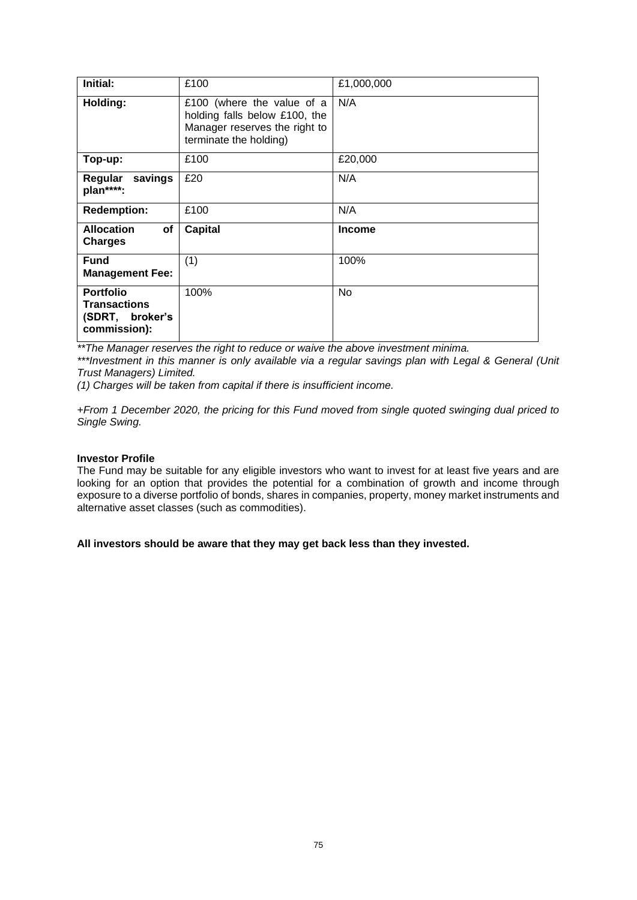| Initial:                                                                   | £100                                                                                                                   | £1,000,000    |
|----------------------------------------------------------------------------|------------------------------------------------------------------------------------------------------------------------|---------------|
| Holding:                                                                   | £100 (where the value of a<br>holding falls below £100, the<br>Manager reserves the right to<br>terminate the holding) | N/A           |
| Top-up:                                                                    | £100                                                                                                                   | £20,000       |
| Regular savings<br>plan****:                                               | £20                                                                                                                    | N/A           |
| <b>Redemption:</b>                                                         | £100                                                                                                                   | N/A           |
| <b>Allocation</b><br>of<br><b>Charges</b>                                  | <b>Capital</b>                                                                                                         | <b>Income</b> |
| <b>Fund</b><br><b>Management Fee:</b>                                      | (1)                                                                                                                    | 100%          |
| <b>Portfolio</b><br><b>Transactions</b><br>(SDRT, broker's<br>commission): | 100%                                                                                                                   | No            |

*\*\*The Manager reserves the right to reduce or waive the above investment minima.*

*\*\*\*Investment in this manner is only available via a regular savings plan with Legal & General (Unit Trust Managers) Limited.*

*(1) Charges will be taken from capital if there is insufficient income.*

*+From 1 December 2020, the pricing for this Fund moved from single quoted swinging dual priced to Single Swing.*

## **Investor Profile**

The Fund may be suitable for any eligible investors who want to invest for at least five years and are looking for an option that provides the potential for a combination of growth and income through exposure to a diverse portfolio of bonds, shares in companies, property, money market instruments and alternative asset classes (such as commodities).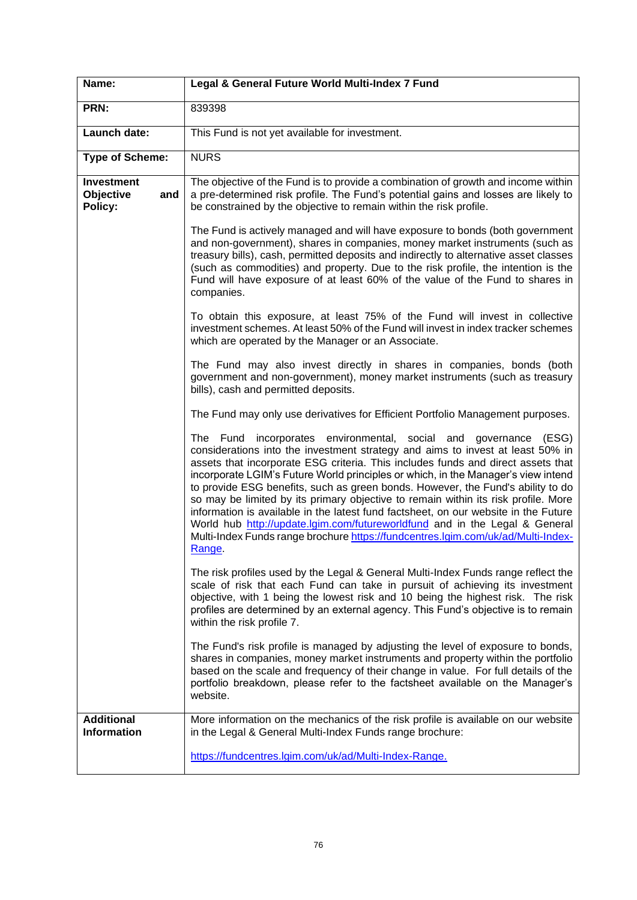| Name:                                            | Legal & General Future World Multi-Index 7 Fund                                                                                                                                                                                                                                                                                                                                                                                                                                                                                                                                                                                                                                                                                                                            |  |  |  |  |  |  |
|--------------------------------------------------|----------------------------------------------------------------------------------------------------------------------------------------------------------------------------------------------------------------------------------------------------------------------------------------------------------------------------------------------------------------------------------------------------------------------------------------------------------------------------------------------------------------------------------------------------------------------------------------------------------------------------------------------------------------------------------------------------------------------------------------------------------------------------|--|--|--|--|--|--|
| PRN:                                             | 839398                                                                                                                                                                                                                                                                                                                                                                                                                                                                                                                                                                                                                                                                                                                                                                     |  |  |  |  |  |  |
| Launch date:                                     | This Fund is not yet available for investment.                                                                                                                                                                                                                                                                                                                                                                                                                                                                                                                                                                                                                                                                                                                             |  |  |  |  |  |  |
| <b>Type of Scheme:</b>                           | <b>NURS</b>                                                                                                                                                                                                                                                                                                                                                                                                                                                                                                                                                                                                                                                                                                                                                                |  |  |  |  |  |  |
| <b>Investment</b><br>Objective<br>and<br>Policy: | The objective of the Fund is to provide a combination of growth and income within<br>a pre-determined risk profile. The Fund's potential gains and losses are likely to<br>be constrained by the objective to remain within the risk profile.                                                                                                                                                                                                                                                                                                                                                                                                                                                                                                                              |  |  |  |  |  |  |
|                                                  | The Fund is actively managed and will have exposure to bonds (both government<br>and non-government), shares in companies, money market instruments (such as<br>treasury bills), cash, permitted deposits and indirectly to alternative asset classes<br>(such as commodities) and property. Due to the risk profile, the intention is the<br>Fund will have exposure of at least 60% of the value of the Fund to shares in<br>companies.                                                                                                                                                                                                                                                                                                                                  |  |  |  |  |  |  |
|                                                  | To obtain this exposure, at least 75% of the Fund will invest in collective<br>investment schemes. At least 50% of the Fund will invest in index tracker schemes<br>which are operated by the Manager or an Associate.                                                                                                                                                                                                                                                                                                                                                                                                                                                                                                                                                     |  |  |  |  |  |  |
|                                                  | The Fund may also invest directly in shares in companies, bonds (both<br>government and non-government), money market instruments (such as treasury<br>bills), cash and permitted deposits.                                                                                                                                                                                                                                                                                                                                                                                                                                                                                                                                                                                |  |  |  |  |  |  |
|                                                  | The Fund may only use derivatives for Efficient Portfolio Management purposes.                                                                                                                                                                                                                                                                                                                                                                                                                                                                                                                                                                                                                                                                                             |  |  |  |  |  |  |
|                                                  | incorporates environmental, social and governance (ESG)<br>The Fund<br>considerations into the investment strategy and aims to invest at least 50% in<br>assets that incorporate ESG criteria. This includes funds and direct assets that<br>incorporate LGIM's Future World principles or which, in the Manager's view intend<br>to provide ESG benefits, such as green bonds. However, the Fund's ability to do<br>so may be limited by its primary objective to remain within its risk profile. More<br>information is available in the latest fund factsheet, on our website in the Future<br>World hub http://update.lgim.com/futureworldfund and in the Legal & General<br>Multi-Index Funds range brochure https://fundcentres.lgim.com/uk/ad/Multi-Index-<br>Range |  |  |  |  |  |  |
|                                                  | The risk profiles used by the Legal & General Multi-Index Funds range reflect the<br>scale of risk that each Fund can take in pursuit of achieving its investment<br>objective, with 1 being the lowest risk and 10 being the highest risk. The risk<br>profiles are determined by an external agency. This Fund's objective is to remain<br>within the risk profile 7.                                                                                                                                                                                                                                                                                                                                                                                                    |  |  |  |  |  |  |
|                                                  | The Fund's risk profile is managed by adjusting the level of exposure to bonds,<br>shares in companies, money market instruments and property within the portfolio<br>based on the scale and frequency of their change in value. For full details of the<br>portfolio breakdown, please refer to the factsheet available on the Manager's<br>website.                                                                                                                                                                                                                                                                                                                                                                                                                      |  |  |  |  |  |  |
| <b>Additional</b><br><b>Information</b>          | More information on the mechanics of the risk profile is available on our website<br>in the Legal & General Multi-Index Funds range brochure:                                                                                                                                                                                                                                                                                                                                                                                                                                                                                                                                                                                                                              |  |  |  |  |  |  |
|                                                  | https://fundcentres.lgim.com/uk/ad/Multi-Index-Range.                                                                                                                                                                                                                                                                                                                                                                                                                                                                                                                                                                                                                                                                                                                      |  |  |  |  |  |  |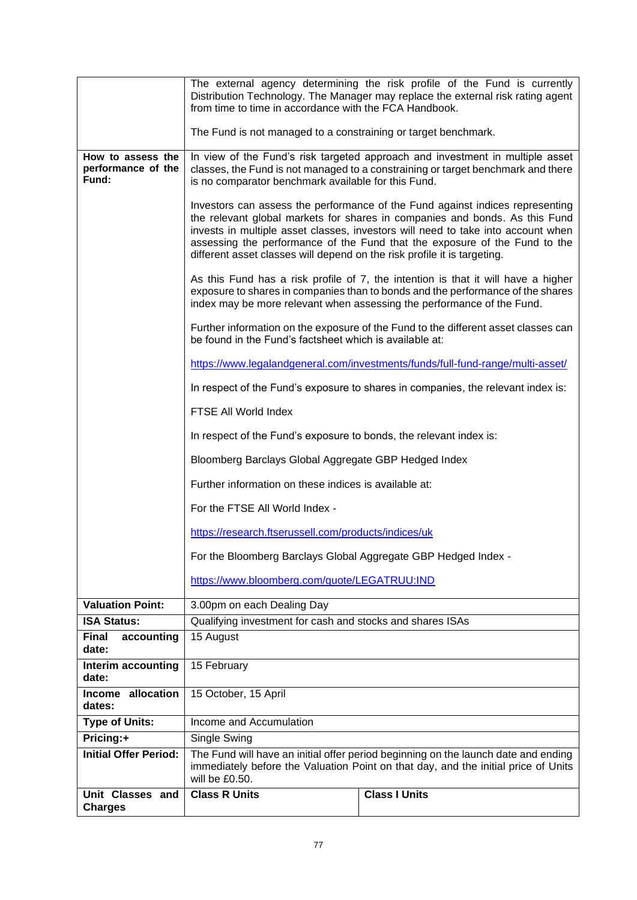|                                                  | from time to time in accordance with the FCA Handbook.                                                                                                                                                                                         | The external agency determining the risk profile of the Fund is currently<br>Distribution Technology. The Manager may replace the external risk rating agent                                                                                                                                                                   |  |  |  |  |  |  |  |  |  |
|--------------------------------------------------|------------------------------------------------------------------------------------------------------------------------------------------------------------------------------------------------------------------------------------------------|--------------------------------------------------------------------------------------------------------------------------------------------------------------------------------------------------------------------------------------------------------------------------------------------------------------------------------|--|--|--|--|--|--|--|--|--|
|                                                  | The Fund is not managed to a constraining or target benchmark.                                                                                                                                                                                 |                                                                                                                                                                                                                                                                                                                                |  |  |  |  |  |  |  |  |  |
| How to assess the<br>performance of the<br>Fund: | is no comparator benchmark available for this Fund.                                                                                                                                                                                            | In view of the Fund's risk targeted approach and investment in multiple asset<br>classes, the Fund is not managed to a constraining or target benchmark and there                                                                                                                                                              |  |  |  |  |  |  |  |  |  |
|                                                  | different asset classes will depend on the risk profile it is targeting.                                                                                                                                                                       | Investors can assess the performance of the Fund against indices representing<br>the relevant global markets for shares in companies and bonds. As this Fund<br>invests in multiple asset classes, investors will need to take into account when<br>assessing the performance of the Fund that the exposure of the Fund to the |  |  |  |  |  |  |  |  |  |
|                                                  | As this Fund has a risk profile of 7, the intention is that it will have a higher<br>exposure to shares in companies than to bonds and the performance of the shares<br>index may be more relevant when assessing the performance of the Fund. |                                                                                                                                                                                                                                                                                                                                |  |  |  |  |  |  |  |  |  |
|                                                  | Further information on the exposure of the Fund to the different asset classes can<br>be found in the Fund's factsheet which is available at:                                                                                                  |                                                                                                                                                                                                                                                                                                                                |  |  |  |  |  |  |  |  |  |
|                                                  |                                                                                                                                                                                                                                                | https://www.legalandgeneral.com/investments/funds/full-fund-range/multi-asset/                                                                                                                                                                                                                                                 |  |  |  |  |  |  |  |  |  |
|                                                  |                                                                                                                                                                                                                                                | In respect of the Fund's exposure to shares in companies, the relevant index is:                                                                                                                                                                                                                                               |  |  |  |  |  |  |  |  |  |
|                                                  | FTSE All World Index                                                                                                                                                                                                                           |                                                                                                                                                                                                                                                                                                                                |  |  |  |  |  |  |  |  |  |
|                                                  | In respect of the Fund's exposure to bonds, the relevant index is:                                                                                                                                                                             |                                                                                                                                                                                                                                                                                                                                |  |  |  |  |  |  |  |  |  |
|                                                  | Bloomberg Barclays Global Aggregate GBP Hedged Index                                                                                                                                                                                           |                                                                                                                                                                                                                                                                                                                                |  |  |  |  |  |  |  |  |  |
|                                                  | Further information on these indices is available at:                                                                                                                                                                                          |                                                                                                                                                                                                                                                                                                                                |  |  |  |  |  |  |  |  |  |
|                                                  |                                                                                                                                                                                                                                                |                                                                                                                                                                                                                                                                                                                                |  |  |  |  |  |  |  |  |  |
|                                                  | For the FTSE All World Index -                                                                                                                                                                                                                 |                                                                                                                                                                                                                                                                                                                                |  |  |  |  |  |  |  |  |  |
|                                                  | https://research.ftserussell.com/products/indices/uk                                                                                                                                                                                           |                                                                                                                                                                                                                                                                                                                                |  |  |  |  |  |  |  |  |  |
|                                                  | For the Bloomberg Barclays Global Aggregate GBP Hedged Index -                                                                                                                                                                                 |                                                                                                                                                                                                                                                                                                                                |  |  |  |  |  |  |  |  |  |
|                                                  | https://www.bloomberg.com/quote/LEGATRUU:IND                                                                                                                                                                                                   |                                                                                                                                                                                                                                                                                                                                |  |  |  |  |  |  |  |  |  |
| <b>Valuation Point:</b>                          | 3.00pm on each Dealing Day                                                                                                                                                                                                                     |                                                                                                                                                                                                                                                                                                                                |  |  |  |  |  |  |  |  |  |
| <b>ISA Status:</b>                               | Qualifying investment for cash and stocks and shares ISAs                                                                                                                                                                                      |                                                                                                                                                                                                                                                                                                                                |  |  |  |  |  |  |  |  |  |
| <b>Final</b><br>accounting<br>date:              | 15 August                                                                                                                                                                                                                                      |                                                                                                                                                                                                                                                                                                                                |  |  |  |  |  |  |  |  |  |
| Interim accounting<br>date:                      | 15 February                                                                                                                                                                                                                                    |                                                                                                                                                                                                                                                                                                                                |  |  |  |  |  |  |  |  |  |
| allocation<br><b>Income</b><br>dates:            | 15 October, 15 April                                                                                                                                                                                                                           |                                                                                                                                                                                                                                                                                                                                |  |  |  |  |  |  |  |  |  |
| <b>Type of Units:</b>                            | Income and Accumulation                                                                                                                                                                                                                        |                                                                                                                                                                                                                                                                                                                                |  |  |  |  |  |  |  |  |  |
| Pricing:+                                        | Single Swing                                                                                                                                                                                                                                   |                                                                                                                                                                                                                                                                                                                                |  |  |  |  |  |  |  |  |  |
| <b>Initial Offer Period:</b>                     | will be £0.50.                                                                                                                                                                                                                                 | The Fund will have an initial offer period beginning on the launch date and ending<br>immediately before the Valuation Point on that day, and the initial price of Units                                                                                                                                                       |  |  |  |  |  |  |  |  |  |
| Unit Classes and<br><b>Charges</b>               | <b>Class R Units</b>                                                                                                                                                                                                                           | <b>Class I Units</b>                                                                                                                                                                                                                                                                                                           |  |  |  |  |  |  |  |  |  |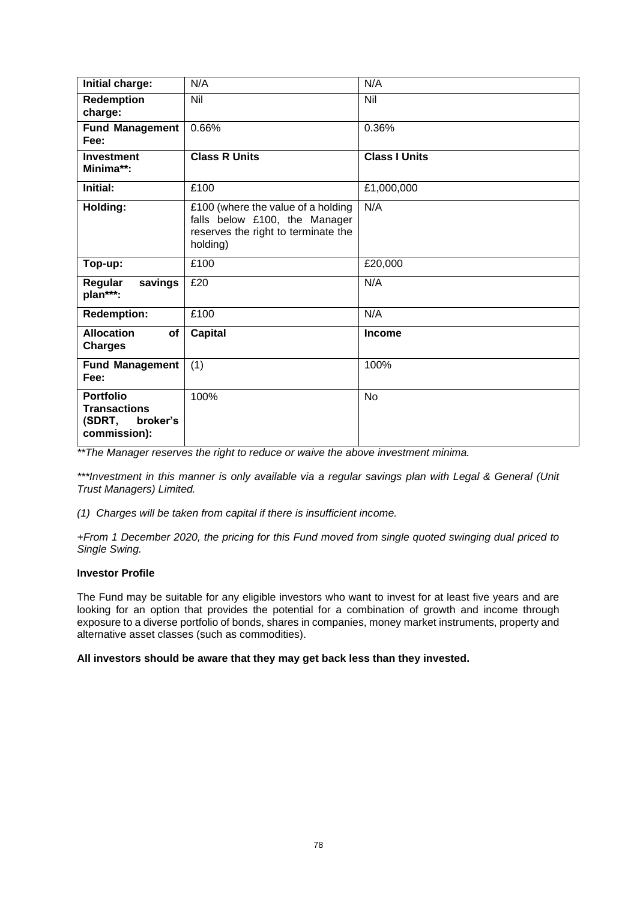| Initial charge:                                                               | N/A                                                                                                                    | N/A                  |
|-------------------------------------------------------------------------------|------------------------------------------------------------------------------------------------------------------------|----------------------|
| <b>Redemption</b><br>charge:                                                  | Nil                                                                                                                    | Nil                  |
| <b>Fund Management</b><br>Fee:                                                | 0.66%                                                                                                                  | 0.36%                |
| <b>Investment</b><br>Minima**:                                                | <b>Class R Units</b>                                                                                                   | <b>Class I Units</b> |
| Initial:                                                                      | £100                                                                                                                   | £1,000,000           |
| Holding:                                                                      | £100 (where the value of a holding<br>falls below £100, the Manager<br>reserves the right to terminate the<br>holding) | N/A                  |
| Top-up:                                                                       | £100                                                                                                                   | £20,000              |
| Regular<br>savings<br>plan***:                                                | £20                                                                                                                    | N/A                  |
| <b>Redemption:</b>                                                            | £100                                                                                                                   | N/A                  |
| <b>Allocation</b><br>of<br><b>Charges</b>                                     | Capital                                                                                                                | <b>Income</b>        |
| <b>Fund Management</b><br>Fee:                                                | (1)                                                                                                                    | 100%                 |
| <b>Portfolio</b><br><b>Transactions</b><br>(SDRT,<br>broker's<br>commission): | 100%                                                                                                                   | <b>No</b>            |

*\*\*The Manager reserves the right to reduce or waive the above investment minima.*

*\*\*\*Investment in this manner is only available via a regular savings plan with Legal & General (Unit Trust Managers) Limited.*

*(1) Charges will be taken from capital if there is insufficient income.*

*+From 1 December 2020, the pricing for this Fund moved from single quoted swinging dual priced to Single Swing.*

#### **Investor Profile**

The Fund may be suitable for any eligible investors who want to invest for at least five years and are looking for an option that provides the potential for a combination of growth and income through exposure to a diverse portfolio of bonds, shares in companies, money market instruments, property and alternative asset classes (such as commodities).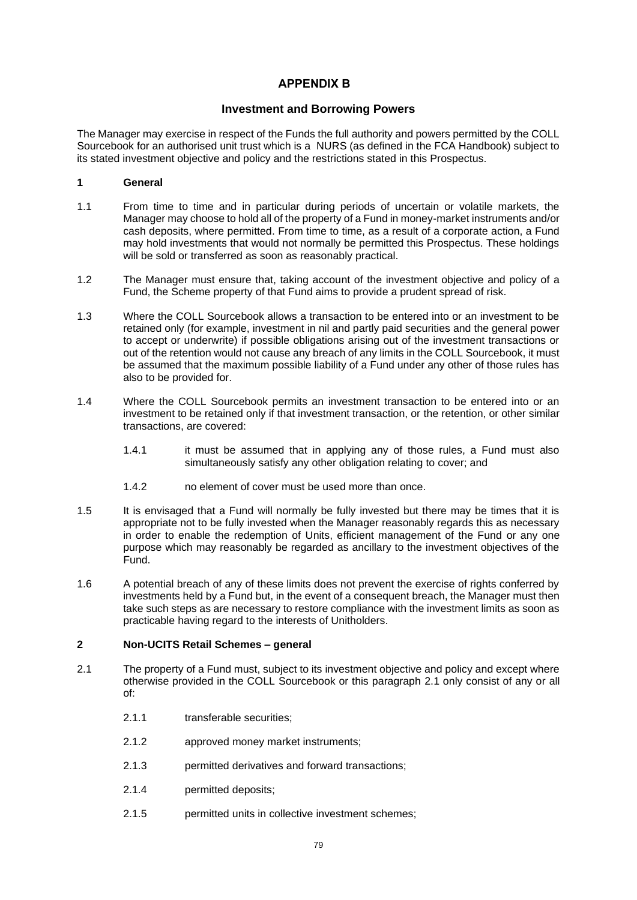# **APPENDIX B .**

# **Investment and Borrowing Powers**

<span id="page-82-1"></span>The Manager may exercise in respect of the Funds the full authority and powers permitted by the COLL Sourcebook for an authorised unit trust which is a NURS (as defined in the FCA Handbook) subject to its stated investment objective and policy and the restrictions stated in this Prospectus.

## **1 General**

- 1.1 From time to time and in particular during periods of uncertain or volatile markets, the Manager may choose to hold all of the property of a Fund in money-market instruments and/or cash deposits, where permitted. From time to time, as a result of a corporate action, a Fund may hold investments that would not normally be permitted this Prospectus. These holdings will be sold or transferred as soon as reasonably practical.
- 1.2 The Manager must ensure that, taking account of the investment objective and policy of a Fund, the Scheme property of that Fund aims to provide a prudent spread of risk.
- 1.3 Where the COLL Sourcebook allows a transaction to be entered into or an investment to be retained only (for example, investment in nil and partly paid securities and the general power to accept or underwrite) if possible obligations arising out of the investment transactions or out of the retention would not cause any breach of any limits in the COLL Sourcebook, it must be assumed that the maximum possible liability of a Fund under any other of those rules has also to be provided for.
- 1.4 Where the COLL Sourcebook permits an investment transaction to be entered into or an investment to be retained only if that investment transaction, or the retention, or other similar transactions, are covered:
	- 1.4.1 it must be assumed that in applying any of those rules, a Fund must also simultaneously satisfy any other obligation relating to cover; and
	- 1.4.2 no element of cover must be used more than once.
- 1.5 It is envisaged that a Fund will normally be fully invested but there may be times that it is appropriate not to be fully invested when the Manager reasonably regards this as necessary in order to enable the redemption of Units, efficient management of the Fund or any one purpose which may reasonably be regarded as ancillary to the investment objectives of the Fund.
- 1.6 A potential breach of any of these limits does not prevent the exercise of rights conferred by investments held by a Fund but, in the event of a consequent breach, the Manager must then take such steps as are necessary to restore compliance with the investment limits as soon as practicable having regard to the interests of Unitholders.

#### **2 Non-UCITS Retail Schemes – general**

- <span id="page-82-0"></span>2.1 The property of a Fund must, subject to its investment objective and policy and except where otherwise provided in the COLL Sourcebook or this paragraph [2.1](#page-82-0) only consist of any or all of:
	- 2.1.1 transferable securities:
	- 2.1.2 approved money market instruments;
	- 2.1.3 permitted derivatives and forward transactions;
	- 2.1.4 permitted deposits;
	- 2.1.5 **permitted units in collective investment schemes:**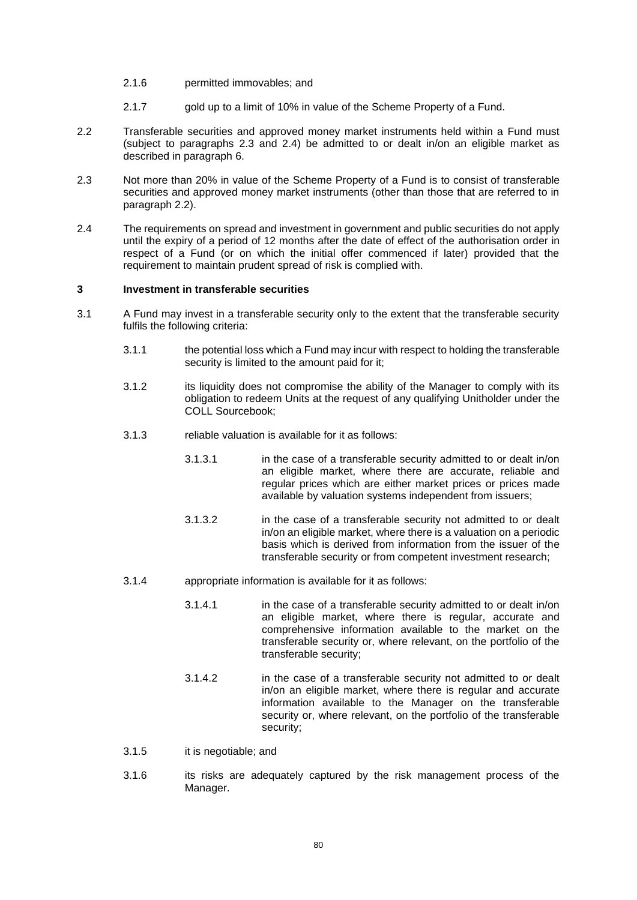- 2.1.6 permitted immovables; and
- 2.1.7 gold up to a limit of 10% in value of the Scheme Property of a Fund.
- <span id="page-83-2"></span>2.2 Transferable securities and approved money market instruments held within a Fund must (subject to paragraphs [2.3](#page-83-0) and [2.4\)](#page-83-1) be admitted to or dealt in/on an eligible market as described in paragraph [6.](#page-85-0)
- <span id="page-83-0"></span>2.3 Not more than 20% in value of the Scheme Property of a Fund is to consist of transferable securities and approved money market instruments (other than those that are referred to in paragraph [2.2\)](#page-83-2).
- <span id="page-83-1"></span>2.4 The requirements on spread and investment in government and public securities do not apply until the expiry of a period of 12 months after the date of effect of the authorisation order in respect of a Fund (or on which the initial offer commenced if later) provided that the requirement to maintain prudent spread of risk is complied with.

## <span id="page-83-3"></span>**3 Investment in transferable securities**

- 3.1 A Fund may invest in a transferable security only to the extent that the transferable security fulfils the following criteria:
	- 3.1.1 the potential loss which a Fund may incur with respect to holding the transferable security is limited to the amount paid for it;
	- 3.1.2 its liquidity does not compromise the ability of the Manager to comply with its obligation to redeem Units at the request of any qualifying Unitholder under the COLL Sourcebook;
	- 3.1.3 reliable valuation is available for it as follows:
		- 3.1.3.1 in the case of a transferable security admitted to or dealt in/on an eligible market, where there are accurate, reliable and regular prices which are either market prices or prices made available by valuation systems independent from issuers;
		- 3.1.3.2 in the case of a transferable security not admitted to or dealt in/on an eligible market, where there is a valuation on a periodic basis which is derived from information from the issuer of the transferable security or from competent investment research;
	- 3.1.4 appropriate information is available for it as follows:
		- 3.1.4.1 in the case of a transferable security admitted to or dealt in/on an eligible market, where there is regular, accurate and comprehensive information available to the market on the transferable security or, where relevant, on the portfolio of the transferable security;
		- 3.1.4.2 in the case of a transferable security not admitted to or dealt in/on an eligible market, where there is regular and accurate information available to the Manager on the transferable security or, where relevant, on the portfolio of the transferable security;
	- 3.1.5 it is negotiable; and
	- 3.1.6 its risks are adequately captured by the risk management process of the Manager.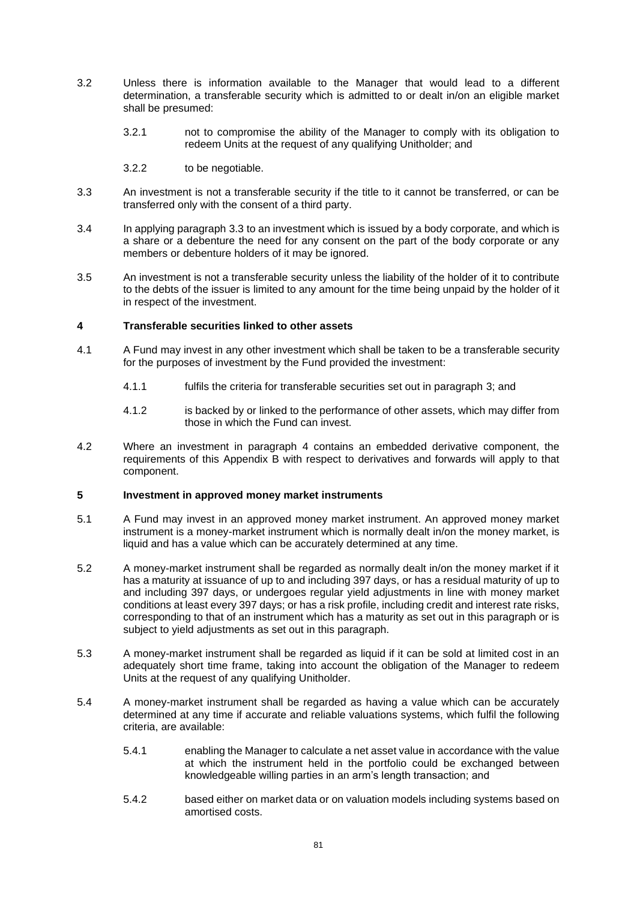- 3.2 Unless there is information available to the Manager that would lead to a different determination, a transferable security which is admitted to or dealt in/on an eligible market shall be presumed:
	- 3.2.1 not to compromise the ability of the Manager to comply with its obligation to redeem Units at the request of any qualifying Unitholder; and
	- 3.2.2 to be negotiable.
- <span id="page-84-0"></span>3.3 An investment is not a transferable security if the title to it cannot be transferred, or can be transferred only with the consent of a third party.
- 3.4 In applying paragraph [3.3](#page-84-0) to an investment which is issued by a body corporate, and which is a share or a debenture the need for any consent on the part of the body corporate or any members or debenture holders of it may be ignored.
- 3.5 An investment is not a transferable security unless the liability of the holder of it to contribute to the debts of the issuer is limited to any amount for the time being unpaid by the holder of it in respect of the investment.

## <span id="page-84-1"></span>**4 Transferable securities linked to other assets**

- 4.1 A Fund may invest in any other investment which shall be taken to be a transferable security for the purposes of investment by the Fund provided the investment:
	- 4.1.1 fulfils the criteria for transferable securities set out in paragraph [3;](#page-83-3) and
	- 4.1.2 is backed by or linked to the performance of other assets, which may differ from those in which the Fund can invest.
- 4.2 Where an investment in paragraph [4](#page-84-1) contains an embedded derivative component, the requirements of this [Appendix B](#page-82-1) with respect to derivatives and forwards will apply to that component.

#### **5 Investment in approved money market instruments**

- 5.1 A Fund may invest in an approved money market instrument. An approved money market instrument is a money-market instrument which is normally dealt in/on the money market, is liquid and has a value which can be accurately determined at any time.
- 5.2 A money-market instrument shall be regarded as normally dealt in/on the money market if it has a maturity at issuance of up to and including 397 days, or has a residual maturity of up to and including 397 days, or undergoes regular yield adjustments in line with money market conditions at least every 397 days; or has a risk profile, including credit and interest rate risks, corresponding to that of an instrument which has a maturity as set out in this paragraph or is subject to yield adjustments as set out in this paragraph.
- 5.3 A money-market instrument shall be regarded as liquid if it can be sold at limited cost in an adequately short time frame, taking into account the obligation of the Manager to redeem Units at the request of any qualifying Unitholder.
- 5.4 A money-market instrument shall be regarded as having a value which can be accurately determined at any time if accurate and reliable valuations systems, which fulfil the following criteria, are available:
	- 5.4.1 enabling the Manager to calculate a net asset value in accordance with the value at which the instrument held in the portfolio could be exchanged between knowledgeable willing parties in an arm's length transaction; and
	- 5.4.2 based either on market data or on valuation models including systems based on amortised costs.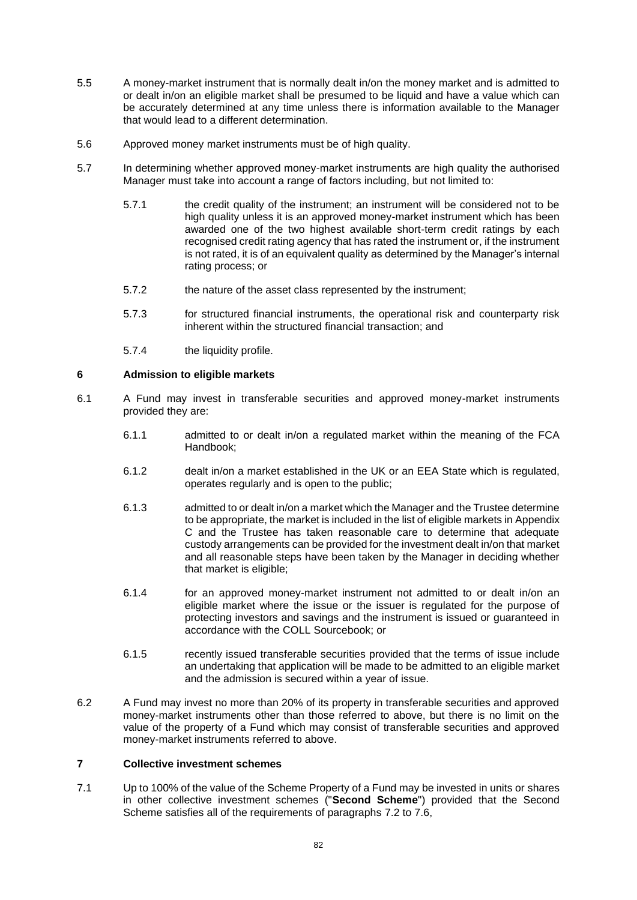- 5.5 A money-market instrument that is normally dealt in/on the money market and is admitted to or dealt in/on an eligible market shall be presumed to be liquid and have a value which can be accurately determined at any time unless there is information available to the Manager that would lead to a different determination.
- 5.6 Approved money market instruments must be of high quality.
- 5.7 In determining whether approved money-market instruments are high quality the authorised Manager must take into account a range of factors including, but not limited to:
	- 5.7.1 the credit quality of the instrument; an instrument will be considered not to be high quality unless it is an approved money-market instrument which has been awarded one of the two highest available short-term credit ratings by each recognised credit rating agency that has rated the instrument or, if the instrument is not rated, it is of an equivalent quality as determined by the Manager's internal rating process; or
	- 5.7.2 the nature of the asset class represented by the instrument;
	- 5.7.3 for structured financial instruments, the operational risk and counterparty risk inherent within the structured financial transaction; and
	- 5.7.4 the liquidity profile.

## <span id="page-85-0"></span>**6 Admission to eligible markets**

- 6.1 A Fund may invest in transferable securities and approved money-market instruments provided they are:
	- 6.1.1 admitted to or dealt in/on a regulated market within the meaning of the FCA Handbook;
	- 6.1.2 dealt in/on a market established in the UK or an EEA State which is regulated, operates regularly and is open to the public;
	- 6.1.3 admitted to or dealt in/on a market which the Manager and the Trustee determine to be appropriate, the market is included in the list of eligible markets i[n Appendix](#page-97-0)  [C](#page-97-0) and the Trustee has taken reasonable care to determine that adequate custody arrangements can be provided for the investment dealt in/on that market and all reasonable steps have been taken by the Manager in deciding whether that market is eligible;
	- 6.1.4 for an approved money-market instrument not admitted to or dealt in/on an eligible market where the issue or the issuer is regulated for the purpose of protecting investors and savings and the instrument is issued or guaranteed in accordance with the COLL Sourcebook; or
	- 6.1.5 recently issued transferable securities provided that the terms of issue include an undertaking that application will be made to be admitted to an eligible market and the admission is secured within a year of issue.
- 6.2 A Fund may invest no more than 20% of its property in transferable securities and approved money-market instruments other than those referred to above, but there is no limit on the value of the property of a Fund which may consist of transferable securities and approved money-market instruments referred to above.

#### <span id="page-85-2"></span>**7 Collective investment schemes**

<span id="page-85-1"></span>7.1 Up to 100% of the value of the Scheme Property of a Fund may be invested in units or shares in other collective investment schemes ("**Second Scheme**") provided that the Second Scheme satisfies all of the requirements of paragraphs [7.2](#page-86-0) to [7.6,](#page-86-1)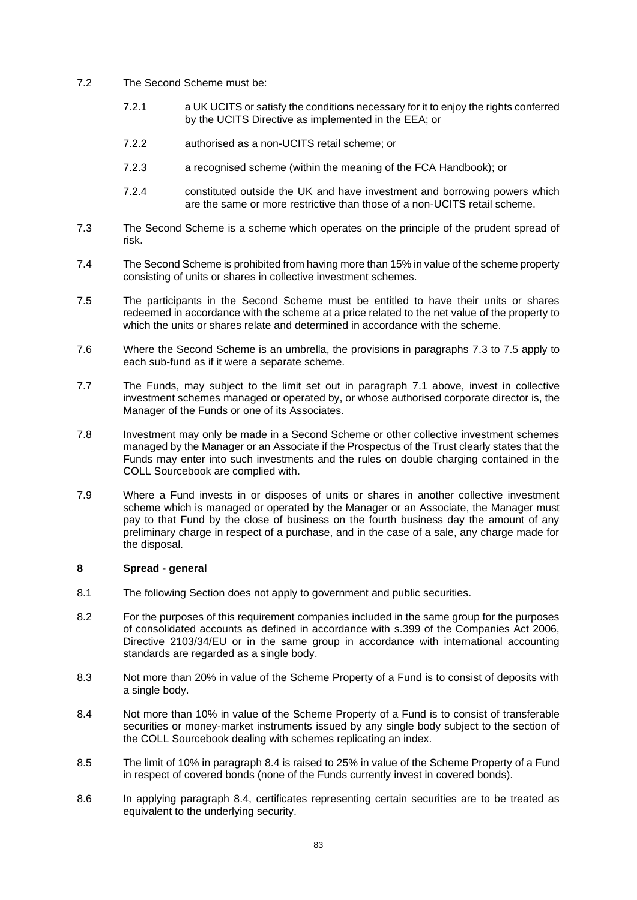- <span id="page-86-0"></span>7.2 The Second Scheme must be:
	- 7.2.1 a UK UCITS or satisfy the conditions necessary for it to enjoy the rights conferred by the UCITS Directive as implemented in the EEA; or
	- 7.2.2 authorised as a non-UCITS retail scheme; or
	- 7.2.3 a recognised scheme (within the meaning of the FCA Handbook); or
	- 7.2.4 constituted outside the UK and have investment and borrowing powers which are the same or more restrictive than those of a non-UCITS retail scheme.
- <span id="page-86-2"></span>7.3 The Second Scheme is a scheme which operates on the principle of the prudent spread of risk.
- 7.4 The Second Scheme is prohibited from having more than 15% in value of the scheme property consisting of units or shares in collective investment schemes.
- <span id="page-86-3"></span>7.5 The participants in the Second Scheme must be entitled to have their units or shares redeemed in accordance with the scheme at a price related to the net value of the property to which the units or shares relate and determined in accordance with the scheme.
- <span id="page-86-1"></span>7.6 Where the Second Scheme is an umbrella, the provisions in paragraphs [7.3](#page-86-2) to [7.5](#page-86-3) apply to each sub-fund as if it were a separate scheme.
- 7.7 The Funds, may subject to the limit set out in paragraph [7.1](#page-85-1) above, invest in collective investment schemes managed or operated by, or whose authorised corporate director is, the Manager of the Funds or one of its Associates.
- 7.8 Investment may only be made in a Second Scheme or other collective investment schemes managed by the Manager or an Associate if the Prospectus of the Trust clearly states that the Funds may enter into such investments and the rules on double charging contained in the COLL Sourcebook are complied with.
- 7.9 Where a Fund invests in or disposes of units or shares in another collective investment scheme which is managed or operated by the Manager or an Associate, the Manager must pay to that Fund by the close of business on the fourth business day the amount of any preliminary charge in respect of a purchase, and in the case of a sale, any charge made for the disposal.

## <span id="page-86-5"></span>**8 Spread - general**

- 8.1 The following Section does not apply to government and public securities.
- 8.2 For the purposes of this requirement companies included in the same group for the purposes of consolidated accounts as defined in accordance with s.399 of the Companies Act 2006, Directive 2103/34/EU or in the same group in accordance with international accounting standards are regarded as a single body.
- 8.3 Not more than 20% in value of the Scheme Property of a Fund is to consist of deposits with a single body.
- <span id="page-86-4"></span>8.4 Not more than 10% in value of the Scheme Property of a Fund is to consist of transferable securities or money-market instruments issued by any single body subject to the section of the COLL Sourcebook dealing with schemes replicating an index.
- 8.5 The limit of 10% in paragraph [8.4](#page-86-4) is raised to 25% in value of the Scheme Property of a Fund in respect of covered bonds (none of the Funds currently invest in covered bonds).
- 8.6 In applying paragraph [8.4,](#page-86-4) certificates representing certain securities are to be treated as equivalent to the underlying security.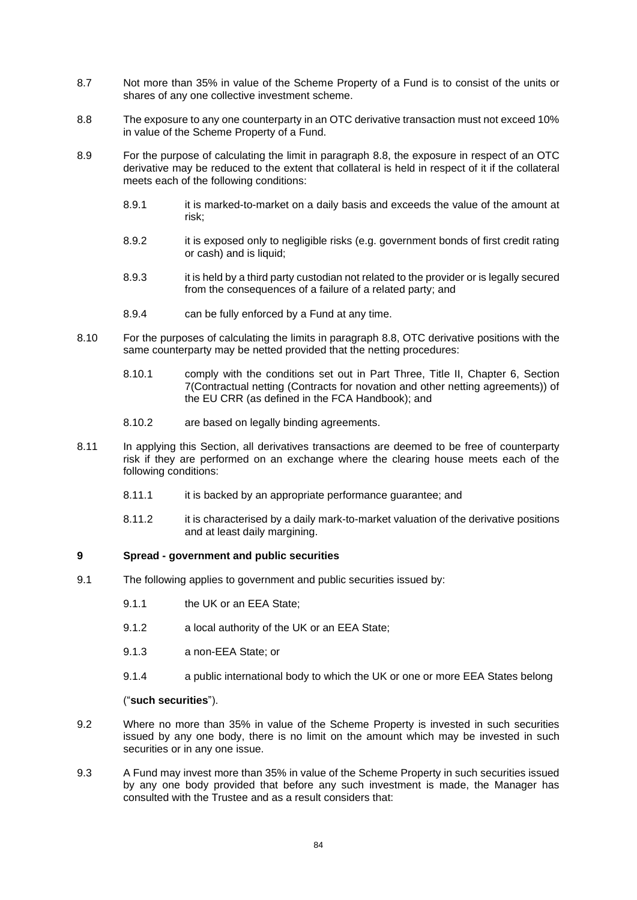- 8.7 Not more than 35% in value of the Scheme Property of a Fund is to consist of the units or shares of any one collective investment scheme.
- <span id="page-87-0"></span>8.8 The exposure to any one counterparty in an OTC derivative transaction must not exceed 10% in value of the Scheme Property of a Fund.
- 8.9 For the purpose of calculating the limit in paragraph [8.8,](#page-87-0) the exposure in respect of an OTC derivative may be reduced to the extent that collateral is held in respect of it if the collateral meets each of the following conditions:
	- 8.9.1 it is marked-to-market on a daily basis and exceeds the value of the amount at risk;
	- 8.9.2 it is exposed only to negligible risks (e.g. government bonds of first credit rating or cash) and is liquid;
	- 8.9.3 it is held by a third party custodian not related to the provider or is legally secured from the consequences of a failure of a related party; and
	- 8.9.4 can be fully enforced by a Fund at any time.
- 8.10 For the purposes of calculating the limits in paragraph [8.8,](#page-87-0) OTC derivative positions with the same counterparty may be netted provided that the netting procedures:
	- 8.10.1 comply with the conditions set out in Part Three, Title II, Chapter 6, Section 7(Contractual netting (Contracts for novation and other netting agreements)) of the EU CRR (as defined in the FCA Handbook); and
	- 8.10.2 are based on legally binding agreements.
- 8.11 In applying this Section, all derivatives transactions are deemed to be free of counterparty risk if they are performed on an exchange where the clearing house meets each of the following conditions:
	- 8.11.1 it is backed by an appropriate performance guarantee; and
	- 8.11.2 it is characterised by a daily mark-to-market valuation of the derivative positions and at least daily margining.

#### <span id="page-87-1"></span>**9 Spread - government and public securities**

- 9.1 The following applies to government and public securities issued by:
	- 9.1.1 the UK or an EEA State:
	- 9.1.2 a local authority of the UK or an EEA State;
	- 9.1.3 a non-EEA State; or
	- 9.1.4 a public international body to which the UK or one or more EEA States belong

## ("**such securities**").

- 9.2 Where no more than 35% in value of the Scheme Property is invested in such securities issued by any one body, there is no limit on the amount which may be invested in such securities or in any one issue.
- 9.3 A Fund may invest more than 35% in value of the Scheme Property in such securities issued by any one body provided that before any such investment is made, the Manager has consulted with the Trustee and as a result considers that: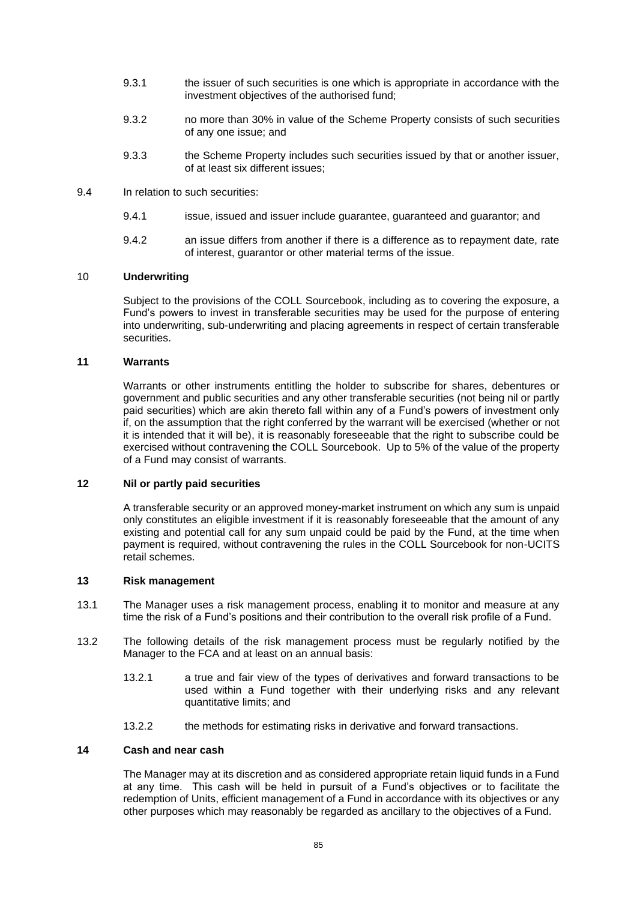- 9.3.1 the issuer of such securities is one which is appropriate in accordance with the investment objectives of the authorised fund;
- 9.3.2 no more than 30% in value of the Scheme Property consists of such securities of any one issue; and
- 9.3.3 the Scheme Property includes such securities issued by that or another issuer, of at least six different issues;
- 9.4 In relation to such securities:
	- 9.4.1 issue, issued and issuer include guarantee, guaranteed and guarantor; and
	- 9.4.2 an issue differs from another if there is a difference as to repayment date, rate of interest, guarantor or other material terms of the issue.

## 10 **Underwriting**

Subject to the provisions of the COLL Sourcebook, including as to covering the exposure, a Fund's powers to invest in transferable securities may be used for the purpose of entering into underwriting, sub-underwriting and placing agreements in respect of certain transferable securities.

### **11 Warrants**

Warrants or other instruments entitling the holder to subscribe for shares, debentures or government and public securities and any other transferable securities (not being nil or partly paid securities) which are akin thereto fall within any of a Fund's powers of investment only if, on the assumption that the right conferred by the warrant will be exercised (whether or not it is intended that it will be), it is reasonably foreseeable that the right to subscribe could be exercised without contravening the COLL Sourcebook. Up to 5% of the value of the property of a Fund may consist of warrants.

#### **12 Nil or partly paid securities**

A transferable security or an approved money-market instrument on which any sum is unpaid only constitutes an eligible investment if it is reasonably foreseeable that the amount of any existing and potential call for any sum unpaid could be paid by the Fund, at the time when payment is required, without contravening the rules in the COLL Sourcebook for non-UCITS retail schemes.

### **13 Risk management**

- 13.1 The Manager uses a risk management process, enabling it to monitor and measure at any time the risk of a Fund's positions and their contribution to the overall risk profile of a Fund.
- 13.2 The following details of the risk management process must be regularly notified by the Manager to the FCA and at least on an annual basis:
	- 13.2.1 a true and fair view of the types of derivatives and forward transactions to be used within a Fund together with their underlying risks and any relevant quantitative limits; and
	- 13.2.2 the methods for estimating risks in derivative and forward transactions.

#### **14 Cash and near cash**

The Manager may at its discretion and as considered appropriate retain liquid funds in a Fund at any time. This cash will be held in pursuit of a Fund's objectives or to facilitate the redemption of Units, efficient management of a Fund in accordance with its objectives or any other purposes which may reasonably be regarded as ancillary to the objectives of a Fund.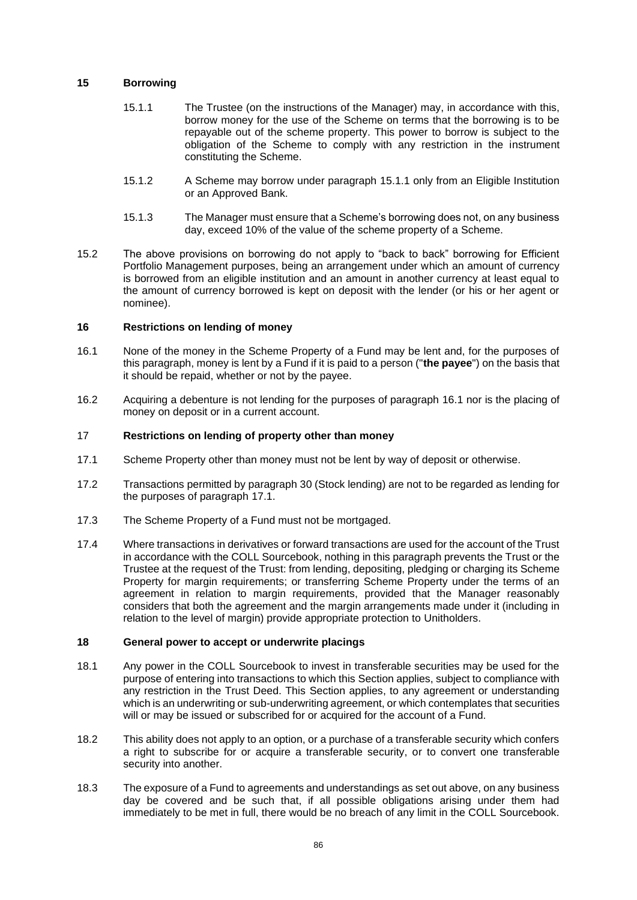### <span id="page-89-3"></span><span id="page-89-0"></span>**15 Borrowing**

- 15.1.1 The Trustee (on the instructions of the Manager) may, in accordance with this, borrow money for the use of the Scheme on terms that the borrowing is to be repayable out of the scheme property. This power to borrow is subject to the obligation of the Scheme to comply with any restriction in the instrument constituting the Scheme.
- 15.1.2 A Scheme may borrow under paragraph [15.1.1](#page-89-0) only from an Eligible Institution or an Approved Bank.
- 15.1.3 The Manager must ensure that a Scheme's borrowing does not, on any business day, exceed 10% of the value of the scheme property of a Scheme.
- 15.2 The above provisions on borrowing do not apply to "back to back" borrowing for Efficient Portfolio Management purposes, being an arrangement under which an amount of currency is borrowed from an eligible institution and an amount in another currency at least equal to the amount of currency borrowed is kept on deposit with the lender (or his or her agent or nominee).

## <span id="page-89-4"></span>**16 Restrictions on lending of money**

- <span id="page-89-1"></span>16.1 None of the money in the Scheme Property of a Fund may be lent and, for the purposes of this paragraph, money is lent by a Fund if it is paid to a person ("**the payee**") on the basis that it should be repaid, whether or not by the payee.
- 16.2 Acquiring a debenture is not lending for the purposes of paragraph [16.1](#page-89-1) nor is the placing of money on deposit or in a current account.

## <span id="page-89-5"></span>17 **Restrictions on lending of property other than money**

- <span id="page-89-2"></span>17.1 Scheme Property other than money must not be lent by way of deposit or otherwise.
- 17.2 Transactions permitted by paragraph [30](#page-95-0) (Stock lending) are not to be regarded as lending for the purposes of paragraph [17.1.](#page-89-2)
- 17.3 The Scheme Property of a Fund must not be mortgaged.
- 17.4 Where transactions in derivatives or forward transactions are used for the account of the Trust in accordance with the COLL Sourcebook, nothing in this paragraph prevents the Trust or the Trustee at the request of the Trust: from lending, depositing, pledging or charging its Scheme Property for margin requirements; or transferring Scheme Property under the terms of an agreement in relation to margin requirements, provided that the Manager reasonably considers that both the agreement and the margin arrangements made under it (including in relation to the level of margin) provide appropriate protection to Unitholders.

#### **18 General power to accept or underwrite placings**

- 18.1 Any power in the COLL Sourcebook to invest in transferable securities may be used for the purpose of entering into transactions to which this Section applies, subject to compliance with any restriction in the Trust Deed. This Section applies, to any agreement or understanding which is an underwriting or sub-underwriting agreement, or which contemplates that securities will or may be issued or subscribed for or acquired for the account of a Fund.
- 18.2 This ability does not apply to an option, or a purchase of a transferable security which confers a right to subscribe for or acquire a transferable security, or to convert one transferable security into another.
- 18.3 The exposure of a Fund to agreements and understandings as set out above, on any business day be covered and be such that, if all possible obligations arising under them had immediately to be met in full, there would be no breach of any limit in the COLL Sourcebook.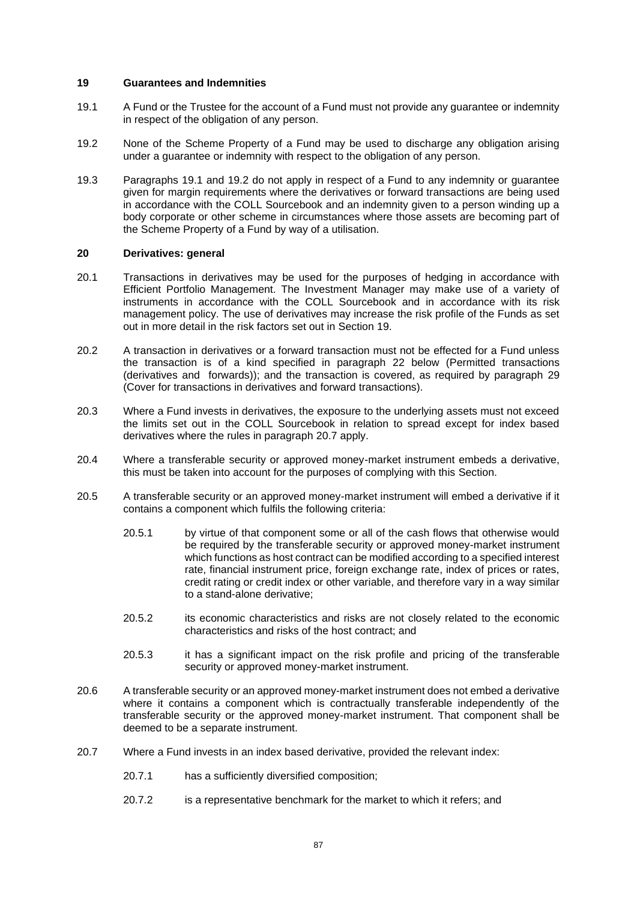### **19 Guarantees and Indemnities**

- <span id="page-90-0"></span>19.1 A Fund or the Trustee for the account of a Fund must not provide any guarantee or indemnity in respect of the obligation of any person.
- <span id="page-90-1"></span>19.2 None of the Scheme Property of a Fund may be used to discharge any obligation arising under a guarantee or indemnity with respect to the obligation of any person.
- 19.3 Paragraphs [19.1](#page-90-0) and [19.2](#page-90-1) do not apply in respect of a Fund to any indemnity or guarantee given for margin requirements where the derivatives or forward transactions are being used in accordance with the COLL Sourcebook and an indemnity given to a person winding up a body corporate or other scheme in circumstances where those assets are becoming part of the Scheme Property of a Fund by way of a utilisation.

### **20 Derivatives: general**

- 20.1 Transactions in derivatives may be used for the purposes of hedging in accordance with Efficient Portfolio Management. The Investment Manager may make use of a variety of instruments in accordance with the COLL Sourcebook and in accordance with its risk management policy. The use of derivatives may increase the risk profile of the Funds as set out in more detail in the risk factors set out in Section [19.](#page-35-0)
- 20.2 A transaction in derivatives or a forward transaction must not be effected for a Fund unless the transaction is of a kind specified in paragraph [22](#page-91-0) below (Permitted transactions (derivatives and forwards)); and the transaction is covered, as required by paragraph [29](#page-94-0) (Cover for transactions in derivatives and forward transactions).
- 20.3 Where a Fund invests in derivatives, the exposure to the underlying assets must not exceed the limits set out in the COLL Sourcebook in relation to spread except for index based derivatives where the rules in paragraph [20.7](#page-90-2) apply.
- 20.4 Where a transferable security or approved money-market instrument embeds a derivative, this must be taken into account for the purposes of complying with this Section.
- 20.5 A transferable security or an approved money-market instrument will embed a derivative if it contains a component which fulfils the following criteria:
	- 20.5.1 by virtue of that component some or all of the cash flows that otherwise would be required by the transferable security or approved money-market instrument which functions as host contract can be modified according to a specified interest rate, financial instrument price, foreign exchange rate, index of prices or rates, credit rating or credit index or other variable, and therefore vary in a way similar to a stand-alone derivative;
	- 20.5.2 its economic characteristics and risks are not closely related to the economic characteristics and risks of the host contract; and
	- 20.5.3 it has a significant impact on the risk profile and pricing of the transferable security or approved money-market instrument.
- 20.6 A transferable security or an approved money-market instrument does not embed a derivative where it contains a component which is contractually transferable independently of the transferable security or the approved money-market instrument. That component shall be deemed to be a separate instrument.
- <span id="page-90-2"></span>20.7 Where a Fund invests in an index based derivative, provided the relevant index:
	- 20.7.1 has a sufficiently diversified composition;
	- 20.7.2 is a representative benchmark for the market to which it refers; and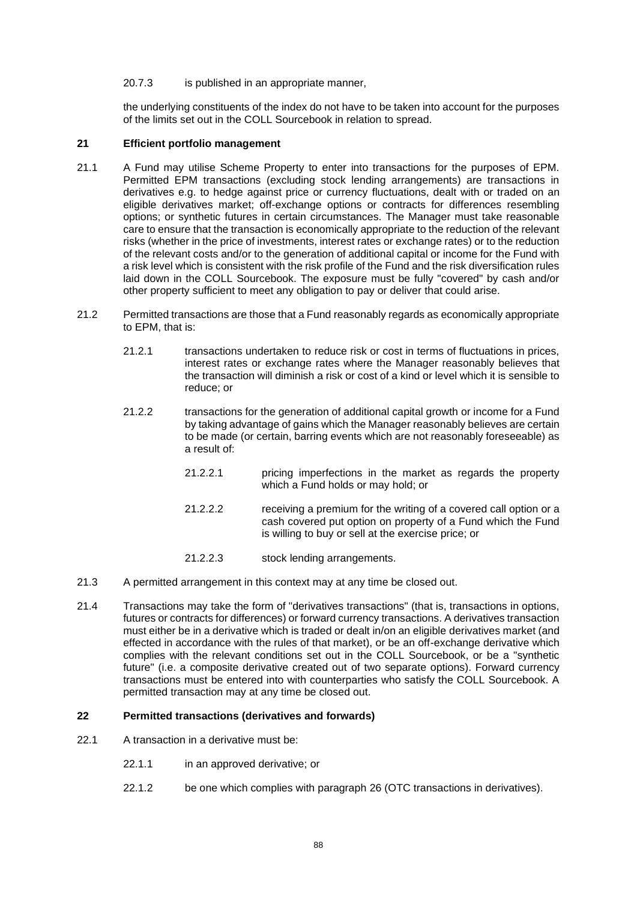#### 20.7.3 is published in an appropriate manner,

the underlying constituents of the index do not have to be taken into account for the purposes of the limits set out in the COLL Sourcebook in relation to spread.

## **21 Efficient portfolio management**

- 21.1 A Fund may utilise Scheme Property to enter into transactions for the purposes of EPM. Permitted EPM transactions (excluding stock lending arrangements) are transactions in derivatives e.g. to hedge against price or currency fluctuations, dealt with or traded on an eligible derivatives market; off-exchange options or contracts for differences resembling options; or synthetic futures in certain circumstances. The Manager must take reasonable care to ensure that the transaction is economically appropriate to the reduction of the relevant risks (whether in the price of investments, interest rates or exchange rates) or to the reduction of the relevant costs and/or to the generation of additional capital or income for the Fund with a risk level which is consistent with the risk profile of the Fund and the risk diversification rules laid down in the COLL Sourcebook. The exposure must be fully "covered" by cash and/or other property sufficient to meet any obligation to pay or deliver that could arise.
- 21.2 Permitted transactions are those that a Fund reasonably regards as economically appropriate to EPM, that is:
	- 21.2.1 transactions undertaken to reduce risk or cost in terms of fluctuations in prices, interest rates or exchange rates where the Manager reasonably believes that the transaction will diminish a risk or cost of a kind or level which it is sensible to reduce; or
	- 21.2.2 transactions for the generation of additional capital growth or income for a Fund by taking advantage of gains which the Manager reasonably believes are certain to be made (or certain, barring events which are not reasonably foreseeable) as a result of:
		- 21.2.2.1 pricing imperfections in the market as regards the property which a Fund holds or may hold; or
		- 21.2.2.2 receiving a premium for the writing of a covered call option or a cash covered put option on property of a Fund which the Fund is willing to buy or sell at the exercise price; or
		- 21.2.2.3 stock lending arrangements.
- 21.3 A permitted arrangement in this context may at any time be closed out.
- 21.4 Transactions may take the form of "derivatives transactions" (that is, transactions in options, futures or contracts for differences) or forward currency transactions. A derivatives transaction must either be in a derivative which is traded or dealt in/on an eligible derivatives market (and effected in accordance with the rules of that market), or be an off-exchange derivative which complies with the relevant conditions set out in the COLL Sourcebook, or be a "synthetic future" (i.e. a composite derivative created out of two separate options). Forward currency transactions must be entered into with counterparties who satisfy the COLL Sourcebook. A permitted transaction may at any time be closed out.

## <span id="page-91-0"></span>**22 Permitted transactions (derivatives and forwards)**

- <span id="page-91-1"></span>22.1 A transaction in a derivative must be:
	- 22.1.1 in an approved derivative; or
	- 22.1.2 be one which complies with paragraph [26](#page-93-0) (OTC transactions in derivatives).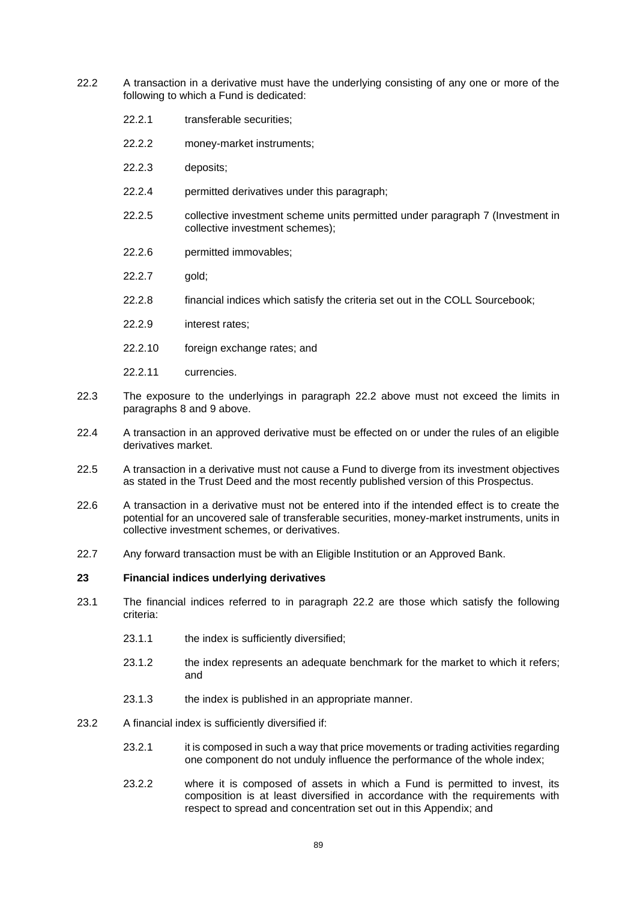- <span id="page-92-0"></span>22.2 A transaction in a derivative must have the underlying consisting of any one or more of the following to which a Fund is dedicated:
	- 22.2.1 transferable securities;
	- 22.2.2 money-market instruments;
	- 22.2.3 deposits;
	- 22.2.4 permitted derivatives under this paragraph;
	- 22.2.5 collective investment scheme units permitted under paragraph [7](#page-85-2) (Investment in collective investment schemes);
	- 22.2.6 permitted immovables;
	- 22.2.7 aold:
	- 22.2.8 financial indices which satisfy the criteria set out in the COLL Sourcebook;
	- 22.2.9 interest rates;
	- 22.2.10 foreign exchange rates; and
	- 22.2.11 currencies.
- 22.3 The exposure to the underlyings in paragraph [22.2](#page-92-0) above must not exceed the limits in paragraphs [8](#page-86-5) and [9](#page-87-1) above.
- 22.4 A transaction in an approved derivative must be effected on or under the rules of an eligible derivatives market.
- 22.5 A transaction in a derivative must not cause a Fund to diverge from its investment objectives as stated in the Trust Deed and the most recently published version of this Prospectus.
- 22.6 A transaction in a derivative must not be entered into if the intended effect is to create the potential for an uncovered sale of transferable securities, money-market instruments, units in collective investment schemes, or derivatives.
- 22.7 Any forward transaction must be with an Eligible Institution or an Approved Bank.

#### **23 Financial indices underlying derivatives**

- 23.1 The financial indices referred to in paragraph [22.2](#page-92-0) are those which satisfy the following criteria:
	- 23.1.1 the index is sufficiently diversified:
	- 23.1.2 the index represents an adequate benchmark for the market to which it refers; and
	- 23.1.3 the index is published in an appropriate manner.
- 23.2 A financial index is sufficiently diversified if:
	- 23.2.1 it is composed in such a way that price movements or trading activities regarding one component do not unduly influence the performance of the whole index;
	- 23.2.2 where it is composed of assets in which a Fund is permitted to invest, its composition is at least diversified in accordance with the requirements with respect to spread and concentration set out in this Appendix; and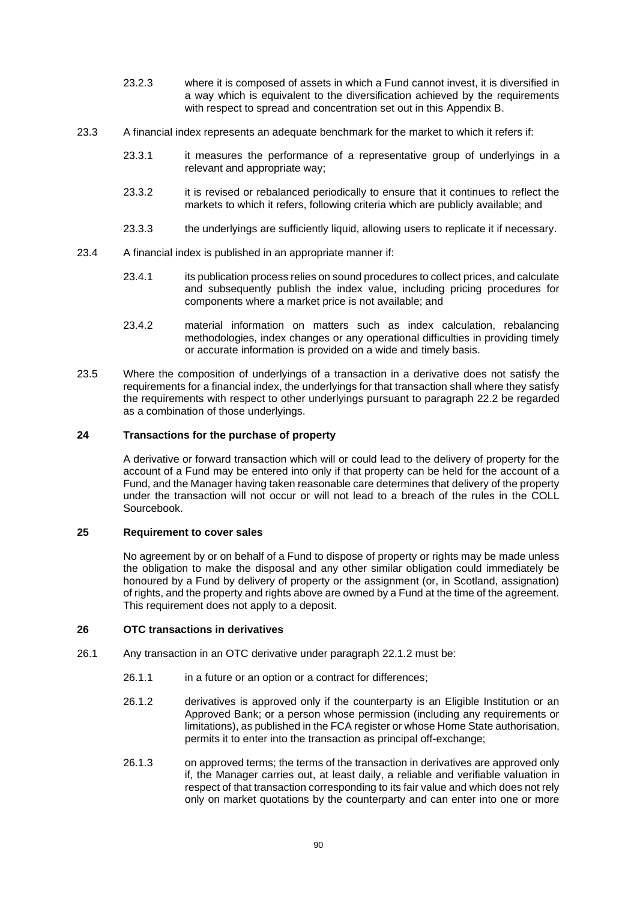- 23.2.3 where it is composed of assets in which a Fund cannot invest, it is diversified in a way which is equivalent to the diversification achieved by the requirements with respect to spread and concentration set out in this [Appendix B.](#page-82-1)
- 23.3 A financial index represents an adequate benchmark for the market to which it refers if:
	- 23.3.1 it measures the performance of a representative group of underlyings in a relevant and appropriate way;
	- 23.3.2 it is revised or rebalanced periodically to ensure that it continues to reflect the markets to which it refers, following criteria which are publicly available; and
	- 23.3.3 the underlyings are sufficiently liquid, allowing users to replicate it if necessary.
- 23.4 A financial index is published in an appropriate manner if:
	- 23.4.1 its publication process relies on sound procedures to collect prices, and calculate and subsequently publish the index value, including pricing procedures for components where a market price is not available; and
	- 23.4.2 material information on matters such as index calculation, rebalancing methodologies, index changes or any operational difficulties in providing timely or accurate information is provided on a wide and timely basis.
- 23.5 Where the composition of underlyings of a transaction in a derivative does not satisfy the requirements for a financial index, the underlyings for that transaction shall where they satisfy the requirements with respect to other underlyings pursuant to paragraph [22.2](#page-92-0) be regarded as a combination of those underlyings.

## **24 Transactions for the purchase of property**

A derivative or forward transaction which will or could lead to the delivery of property for the account of a Fund may be entered into only if that property can be held for the account of a Fund, and the Manager having taken reasonable care determines that delivery of the property under the transaction will not occur or will not lead to a breach of the rules in the COLL Sourcebook.

## **25 Requirement to cover sales**

No agreement by or on behalf of a Fund to dispose of property or rights may be made unless the obligation to make the disposal and any other similar obligation could immediately be honoured by a Fund by delivery of property or the assignment (or, in Scotland, assignation) of rights, and the property and rights above are owned by a Fund at the time of the agreement. This requirement does not apply to a deposit.

#### <span id="page-93-0"></span>**26 OTC transactions in derivatives**

- <span id="page-93-1"></span>26.1 Any transaction in an OTC derivative under paragraph [22.1.2](#page-91-1) must be:
	- 26.1.1 in a future or an option or a contract for differences;
	- 26.1.2 derivatives is approved only if the counterparty is an Eligible Institution or an Approved Bank; or a person whose permission (including any requirements or limitations), as published in the FCA register or whose Home State authorisation, permits it to enter into the transaction as principal off-exchange;
	- 26.1.3 on approved terms; the terms of the transaction in derivatives are approved only if, the Manager carries out, at least daily, a reliable and verifiable valuation in respect of that transaction corresponding to its fair value and which does not rely only on market quotations by the counterparty and can enter into one or more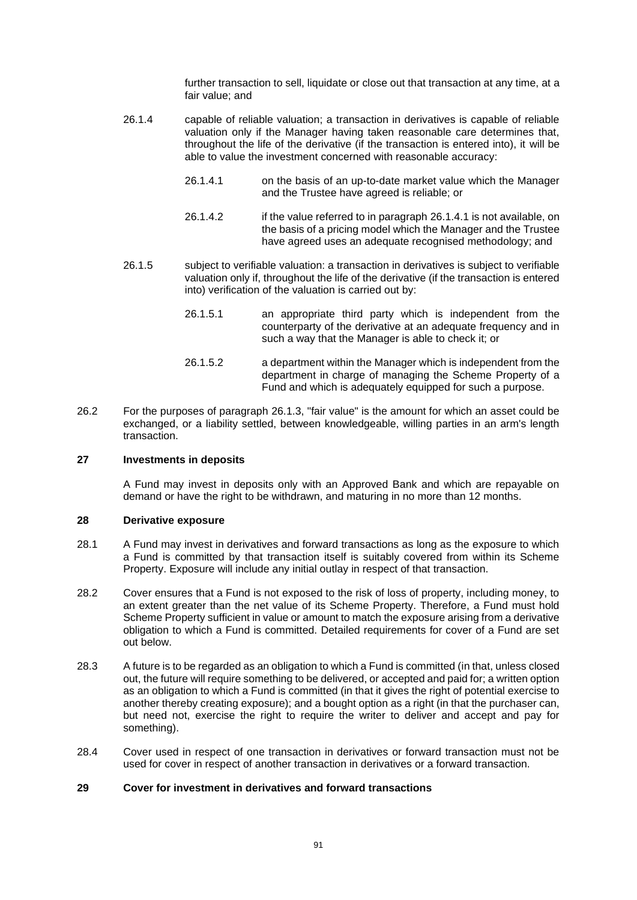further transaction to sell, liquidate or close out that transaction at any time, at a fair value; and

- <span id="page-94-1"></span>26.1.4 capable of reliable valuation; a transaction in derivatives is capable of reliable valuation only if the Manager having taken reasonable care determines that, throughout the life of the derivative (if the transaction is entered into), it will be able to value the investment concerned with reasonable accuracy:
	- 26.1.4.1 on the basis of an up-to-date market value which the Manager and the Trustee have agreed is reliable; or
	- 26.1.4.2 if the value referred to in paragraph [26.1.4.1](#page-94-1) is not available, on the basis of a pricing model which the Manager and the Trustee have agreed uses an adequate recognised methodology; and
- 26.1.5 subject to verifiable valuation: a transaction in derivatives is subject to verifiable valuation only if, throughout the life of the derivative (if the transaction is entered into) verification of the valuation is carried out by:
	- 26.1.5.1 an appropriate third party which is independent from the counterparty of the derivative at an adequate frequency and in such a way that the Manager is able to check it; or
	- 26.1.5.2 a department within the Manager which is independent from the department in charge of managing the Scheme Property of a Fund and which is adequately equipped for such a purpose.
- 26.2 For the purposes of paragraph [26.1.3,](#page-93-1) "fair value" is the amount for which an asset could be exchanged, or a liability settled, between knowledgeable, willing parties in an arm's length transaction.

#### **27 Investments in deposits**

A Fund may invest in deposits only with an Approved Bank and which are repayable on demand or have the right to be withdrawn, and maturing in no more than 12 months.

## **28 Derivative exposure**

- 28.1 A Fund may invest in derivatives and forward transactions as long as the exposure to which a Fund is committed by that transaction itself is suitably covered from within its Scheme Property. Exposure will include any initial outlay in respect of that transaction.
- 28.2 Cover ensures that a Fund is not exposed to the risk of loss of property, including money, to an extent greater than the net value of its Scheme Property. Therefore, a Fund must hold Scheme Property sufficient in value or amount to match the exposure arising from a derivative obligation to which a Fund is committed. Detailed requirements for cover of a Fund are set out below.
- 28.3 A future is to be regarded as an obligation to which a Fund is committed (in that, unless closed out, the future will require something to be delivered, or accepted and paid for; a written option as an obligation to which a Fund is committed (in that it gives the right of potential exercise to another thereby creating exposure); and a bought option as a right (in that the purchaser can, but need not, exercise the right to require the writer to deliver and accept and pay for something).
- 28.4 Cover used in respect of one transaction in derivatives or forward transaction must not be used for cover in respect of another transaction in derivatives or a forward transaction.

## <span id="page-94-0"></span>**29 Cover for investment in derivatives and forward transactions**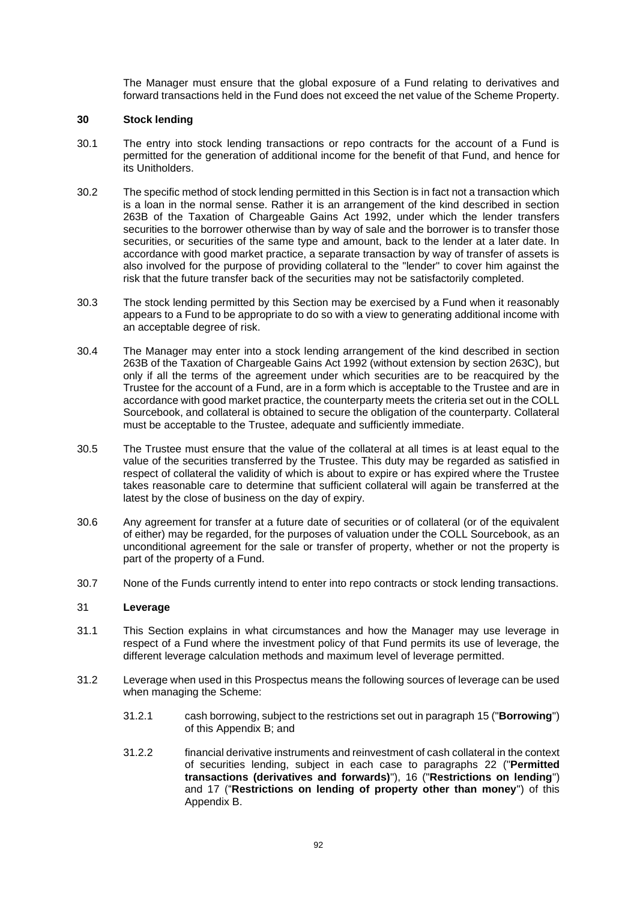The Manager must ensure that the global exposure of a Fund relating to derivatives and forward transactions held in the Fund does not exceed the net value of the Scheme Property.

## <span id="page-95-0"></span>**30 Stock lending**

- 30.1 The entry into stock lending transactions or repo contracts for the account of a Fund is permitted for the generation of additional income for the benefit of that Fund, and hence for its Unitholders.
- 30.2 The specific method of stock lending permitted in this Section is in fact not a transaction which is a loan in the normal sense. Rather it is an arrangement of the kind described in section 263B of the Taxation of Chargeable Gains Act 1992, under which the lender transfers securities to the borrower otherwise than by way of sale and the borrower is to transfer those securities, or securities of the same type and amount, back to the lender at a later date. In accordance with good market practice, a separate transaction by way of transfer of assets is also involved for the purpose of providing collateral to the "lender" to cover him against the risk that the future transfer back of the securities may not be satisfactorily completed.
- 30.3 The stock lending permitted by this Section may be exercised by a Fund when it reasonably appears to a Fund to be appropriate to do so with a view to generating additional income with an acceptable degree of risk.
- 30.4 The Manager may enter into a stock lending arrangement of the kind described in section 263B of the Taxation of Chargeable Gains Act 1992 (without extension by section 263C), but only if all the terms of the agreement under which securities are to be reacquired by the Trustee for the account of a Fund, are in a form which is acceptable to the Trustee and are in accordance with good market practice, the counterparty meets the criteria set out in the COLL Sourcebook, and collateral is obtained to secure the obligation of the counterparty. Collateral must be acceptable to the Trustee, adequate and sufficiently immediate.
- 30.5 The Trustee must ensure that the value of the collateral at all times is at least equal to the value of the securities transferred by the Trustee. This duty may be regarded as satisfied in respect of collateral the validity of which is about to expire or has expired where the Trustee takes reasonable care to determine that sufficient collateral will again be transferred at the latest by the close of business on the day of expiry.
- 30.6 Any agreement for transfer at a future date of securities or of collateral (or of the equivalent of either) may be regarded, for the purposes of valuation under the COLL Sourcebook, as an unconditional agreement for the sale or transfer of property, whether or not the property is part of the property of a Fund.
- 30.7 None of the Funds currently intend to enter into repo contracts or stock lending transactions.

#### 31 **Leverage**

- 31.1 This Section explains in what circumstances and how the Manager may use leverage in respect of a Fund where the investment policy of that Fund permits its use of leverage, the different leverage calculation methods and maximum level of leverage permitted.
- 31.2 Leverage when used in this Prospectus means the following sources of leverage can be used when managing the Scheme:
	- 31.2.1 cash borrowing, subject to the restrictions set out in paragraph [15](#page-89-3) ("**Borrowing**") of this [Appendix B;](#page-82-1) and
	- 31.2.2 financial derivative instruments and reinvestment of cash collateral in the context of securities lending, subject in each case to paragraphs [22](#page-91-0) ("**Permitted transactions (derivatives and forwards)**"), [16](#page-89-4) ("**Restrictions on lending**") and [17](#page-89-5) ("**Restrictions on lending of property other than money**") of this [Appendix B.](#page-82-1)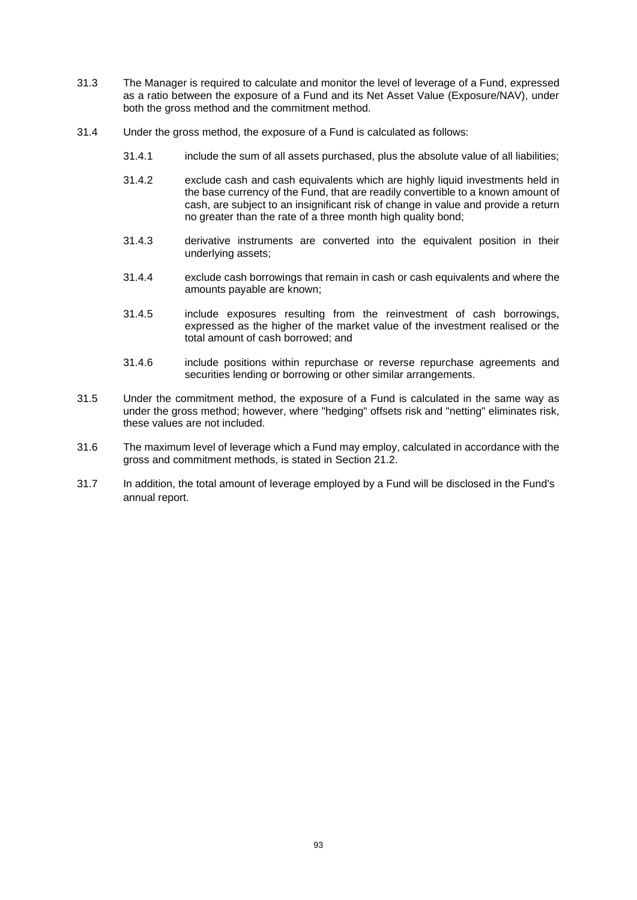- 31.3 The Manager is required to calculate and monitor the level of leverage of a Fund, expressed as a ratio between the exposure of a Fund and its Net Asset Value (Exposure/NAV), under both the gross method and the commitment method.
- 31.4 Under the gross method, the exposure of a Fund is calculated as follows:
	- 31.4.1 include the sum of all assets purchased, plus the absolute value of all liabilities;
	- 31.4.2 exclude cash and cash equivalents which are highly liquid investments held in the base currency of the Fund, that are readily convertible to a known amount of cash, are subject to an insignificant risk of change in value and provide a return no greater than the rate of a three month high quality bond;
	- 31.4.3 derivative instruments are converted into the equivalent position in their underlying assets;
	- 31.4.4 exclude cash borrowings that remain in cash or cash equivalents and where the amounts payable are known;
	- 31.4.5 include exposures resulting from the reinvestment of cash borrowings, expressed as the higher of the market value of the investment realised or the total amount of cash borrowed; and
	- 31.4.6 include positions within repurchase or reverse repurchase agreements and securities lending or borrowing or other similar arrangements.
- 31.5 Under the commitment method, the exposure of a Fund is calculated in the same way as under the gross method; however, where "hedging" offsets risk and "netting" eliminates risk, these values are not included.
- 31.6 The maximum level of leverage which a Fund may employ, calculated in accordance with the gross and commitment methods, is stated in Section [21.2.](#page-36-0)
- 31.7 In addition, the total amount of leverage employed by a Fund will be disclosed in the Fund's annual report.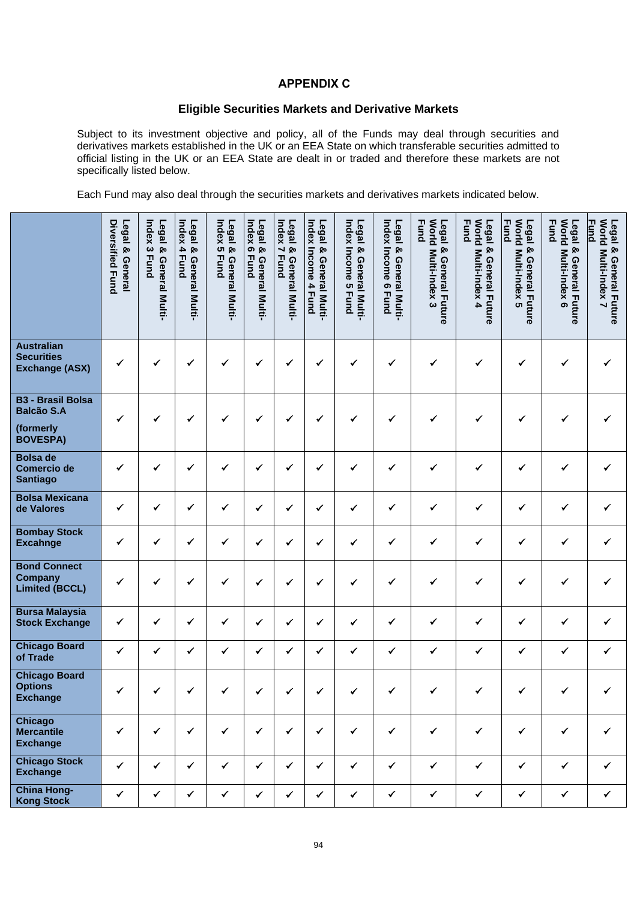## **APPENDIX C .**

## **Eligible Securities Markets and Derivative Markets**

<span id="page-97-0"></span>Subject to its investment objective and policy, all of the Funds may deal through securities and derivatives markets established in the UK or an EEA State on which transferable securities admitted to official listing in the UK or an EEA State are dealt in or traded and therefore these markets are not specifically listed below.

Each Fund may also deal through the securities markets and derivatives markets indicated below.

|                                                                               | Diversified Fund<br>Legal & General | Index <sub>3</sub><br>Legal & General Multi-<br><b>Fund</b> | Index <sub>4</sub><br>Legal<br>& General Multi-<br><b>Fund</b> | Index 5 Fund<br>Legal & General Multi- | Index 6 Fund<br>Legal &<br>General Multi- | Index 7<br>Legal & General Multi-<br><b>Fund</b> | Index<br>Legal<br>Income 4<br>ନ୍ତ<br>General Multi-<br><b>Fund</b> | Index Income 5<br>Legal & General Multi-<br><b>Fund</b> | Index Income 6 Fund<br>Legal<br>& General Multi- | <b>Fund</b><br>World Multi-Index 3<br>Legal<br>ჯ<br>General Future | <b>World</b><br><b>Fund</b><br>Legal<br>& General Future<br>Multi-Index 4 | <b>Fund</b><br><b>Morld</b><br>Legal & General Future<br>Multi-Index 5 | <b>Fund</b><br><b>World</b><br>Legal & General Future<br>Multi-Index 6 | <b><u>Fund</u></b><br>World Multi-Index 7<br>Legal & General Future |
|-------------------------------------------------------------------------------|-------------------------------------|-------------------------------------------------------------|----------------------------------------------------------------|----------------------------------------|-------------------------------------------|--------------------------------------------------|--------------------------------------------------------------------|---------------------------------------------------------|--------------------------------------------------|--------------------------------------------------------------------|---------------------------------------------------------------------------|------------------------------------------------------------------------|------------------------------------------------------------------------|---------------------------------------------------------------------|
| <b>Australian</b><br><b>Securities</b><br><b>Exchange (ASX)</b>               | ✓                                   | ✔                                                           | ✔                                                              | ✓                                      | ✓                                         | ✓                                                | ✓                                                                  | ✓                                                       | ✓                                                | ✓                                                                  | ✓                                                                         | ✔                                                                      | ✓                                                                      | ✔                                                                   |
| <b>B3 - Brasil Bolsa</b><br><b>Balcão S.A</b><br>(formerly<br><b>BOVESPA)</b> | ✔                                   | ✓                                                           | $\checkmark$                                                   | ✔                                      | $\checkmark$                              | $\checkmark$                                     | ✓                                                                  | ✓                                                       | ✓                                                | ✓                                                                  | ✓                                                                         | ✓                                                                      | ✓                                                                      | ✔                                                                   |
| <b>Bolsa de</b><br>Comercio de<br><b>Santiago</b>                             | ✔                                   | ✔                                                           | ✓                                                              | ✓                                      | $\checkmark$                              | ✓                                                | ✓                                                                  | ✓                                                       | ✔                                                | ✓                                                                  | $\checkmark$                                                              | ✓                                                                      | ✓                                                                      | ✔                                                                   |
| <b>Bolsa Mexicana</b><br>de Valores                                           | ✔                                   | ✓                                                           | ✓                                                              | ✓                                      | $\checkmark$                              | $\checkmark$                                     | ✓                                                                  | ✓                                                       | ✔                                                | ✓                                                                  | ✓                                                                         | ✓                                                                      | ✔                                                                      | ✓                                                                   |
| <b>Bombay Stock</b><br><b>Excahnge</b>                                        | ✔                                   | ✔                                                           | ✔                                                              | ✓                                      | $\checkmark$                              | ✓                                                | ✓                                                                  | ✓                                                       | ✓                                                | $\checkmark$                                                       | ✓                                                                         | ✓                                                                      | $\checkmark$                                                           | ✔                                                                   |
| <b>Bond Connect</b><br><b>Company</b><br><b>Limited (BCCL)</b>                | ✔                                   | ✔                                                           | ✔                                                              | ✔                                      | $\checkmark$                              | ✓                                                | ✔                                                                  | ✔                                                       | ✔                                                | ✓                                                                  | ✓                                                                         | ✓                                                                      | ✓                                                                      | ✔                                                                   |
| <b>Bursa Malaysia</b><br><b>Stock Exchange</b>                                | ✓                                   | $\checkmark$                                                | ✓                                                              | ✓                                      | $\checkmark$                              | ✓                                                | ✔                                                                  | ✔                                                       | $\checkmark$                                     | ✓                                                                  | ✓                                                                         | ✓                                                                      | $\checkmark$                                                           | $\checkmark$                                                        |
| <b>Chicago Board</b><br>of Trade                                              | $\checkmark$                        | ✓                                                           | ✓                                                              | ✓                                      | $\checkmark$                              | ✔                                                | ✓                                                                  | ✓                                                       | ✓                                                | ✓                                                                  | ✔                                                                         | ✓                                                                      | ✓                                                                      | ✔                                                                   |
| <b>Chicago Board</b><br><b>Options</b><br><b>Exchange</b>                     | ✔                                   | ✔                                                           | ✔                                                              | ✓                                      | ✓                                         | ✓                                                | ✓                                                                  | ✓                                                       | ✔                                                | ✔                                                                  | ✓                                                                         | ✓                                                                      | ✓                                                                      | ✔                                                                   |
| Chicago<br><b>Mercantile</b><br><b>Exchange</b>                               | $\checkmark$                        | $\checkmark$                                                | $\checkmark$                                                   | $\checkmark$                           | $\checkmark$                              | $\checkmark$                                     | $\checkmark$                                                       | $\checkmark$                                            | $\checkmark$                                     | $\checkmark$                                                       | $\checkmark$                                                              | $\checkmark$                                                           | $\checkmark$                                                           | ✓                                                                   |
| <b>Chicago Stock</b><br><b>Exchange</b>                                       | $\checkmark$                        | $\checkmark$                                                | $\checkmark$                                                   | $\checkmark$                           | $\checkmark$                              | $\checkmark$                                     | $\checkmark$                                                       | $\checkmark$                                            | $\checkmark$                                     | $\checkmark$                                                       | $\checkmark$                                                              | $\checkmark$                                                           | $\checkmark$                                                           | $\checkmark$                                                        |
| <b>China Hong-</b><br><b>Kong Stock</b>                                       | $\checkmark$                        | $\checkmark$                                                | $\checkmark$                                                   | $\checkmark$                           | $\checkmark$                              | $\checkmark$                                     | $\checkmark$                                                       | $\checkmark$                                            | $\checkmark$                                     | $\checkmark$                                                       | $\checkmark$                                                              | $\checkmark$                                                           | $\checkmark$                                                           | $\checkmark$                                                        |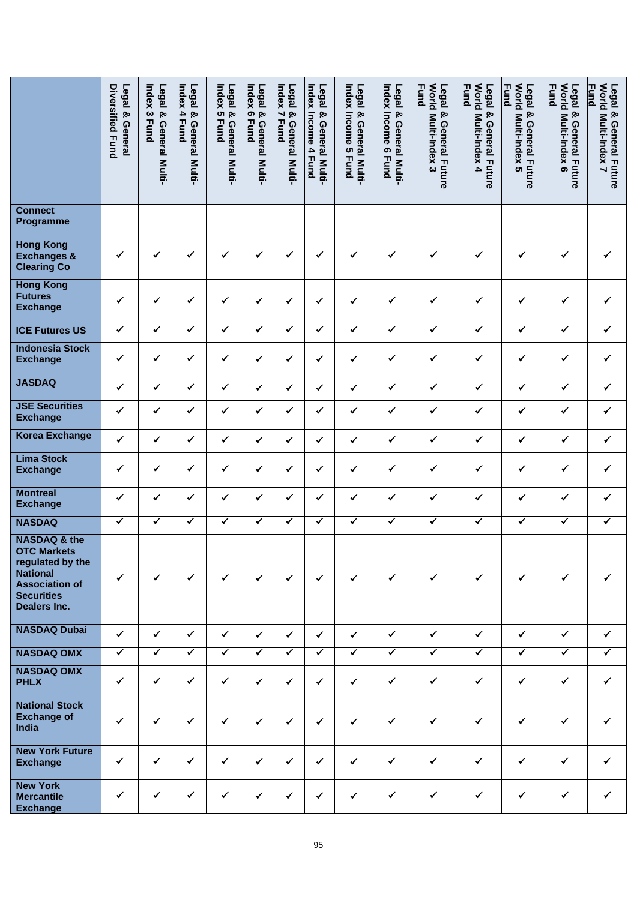|                                                                                                                                                    | Diversified Fund<br>Legal & General | Index<br>Legal & General Multi-<br>$\boldsymbol{\omega}$<br><b>Fund</b> | Index<br>Legal &<br>4<br><b>Fund</b><br>General Multi- | Index 5<br>Legal &<br><b>Fund</b><br>General Multi- | Index 6<br>Legal &<br><b>Fund</b><br>General Multi- | Index 7<br>Legal &<br><b>Fund</b><br>General Multi- | Index Income<br>Legal<br>⊗<br>General Multi-<br>4 Fund | Index Income<br>Legal & General Multi-<br><b>ຕາ</b><br><b>Fund</b> | Index Income 6 Fund<br>Legal & General Multi- | <b>Fund</b><br><b>World</b><br>Legal &<br>Multi-Index 3<br><b>General Future</b> | World Multi-Index 4<br><b>Fund</b><br>Legal & General Future | <b>Fund</b><br>World Multi-Index 5<br>Legal & General Future | <b>Morld</b><br><b>Fund</b><br>Legal & General Future<br>Multi-Index 6 | World Multi-Index 7<br><b>Fund</b><br>Legal & General Future |
|----------------------------------------------------------------------------------------------------------------------------------------------------|-------------------------------------|-------------------------------------------------------------------------|--------------------------------------------------------|-----------------------------------------------------|-----------------------------------------------------|-----------------------------------------------------|--------------------------------------------------------|--------------------------------------------------------------------|-----------------------------------------------|----------------------------------------------------------------------------------|--------------------------------------------------------------|--------------------------------------------------------------|------------------------------------------------------------------------|--------------------------------------------------------------|
| <b>Connect</b><br>Programme                                                                                                                        |                                     |                                                                         |                                                        |                                                     |                                                     |                                                     |                                                        |                                                                    |                                               |                                                                                  |                                                              |                                                              |                                                                        |                                                              |
| <b>Hong Kong</b><br><b>Exchanges &amp;</b><br><b>Clearing Co</b>                                                                                   | ✔                                   | ✓                                                                       | ✓                                                      | ✓                                                   | ✓                                                   | ✓                                                   | ✔                                                      | $\checkmark$                                                       | ✓                                             | ✔                                                                                | ✓                                                            | ✓                                                            | ✓                                                                      |                                                              |
| <b>Hong Kong</b><br><b>Futures</b><br><b>Exchange</b>                                                                                              | ✓                                   | ✓                                                                       | ✓                                                      | ✓                                                   | ✔                                                   | ✓                                                   | ✓                                                      | ✓                                                                  | ✓                                             | ✓                                                                                | ✓                                                            | ✓                                                            | ✓                                                                      | ✓                                                            |
| <b>ICE Futures US</b>                                                                                                                              | $\checkmark$                        | ✔                                                                       | ✔                                                      | ✓                                                   | ✓                                                   | ✔                                                   | ✓                                                      | ✓                                                                  | ✓                                             | ✓                                                                                | ✔                                                            | ✓                                                            | $\checkmark$                                                           | ✔                                                            |
| <b>Indonesia Stock</b><br><b>Exchange</b>                                                                                                          | ✔                                   | ✔                                                                       | ✓                                                      | ✓                                                   | ✔                                                   | ✓                                                   | ✓                                                      | ✔                                                                  | ✔                                             | ✓                                                                                | ✓                                                            | ✓                                                            | ✔                                                                      | ✓                                                            |
| <b>JASDAQ</b>                                                                                                                                      | $\checkmark$                        | $\checkmark$                                                            | $\checkmark$                                           | ✓                                                   | $\checkmark$                                        | ✓                                                   | $\checkmark$                                           | $\checkmark$                                                       | ✓                                             | ✓                                                                                | ✓                                                            | $\checkmark$                                                 | $\checkmark$                                                           | ✓                                                            |
| <b>JSE Securities</b><br><b>Exchange</b>                                                                                                           | ✓                                   | ✔                                                                       | ✓                                                      | ✔                                                   | ✓                                                   | ✓                                                   | ✓                                                      | ✓                                                                  | ✓                                             | ✔                                                                                | ✔                                                            | ✓                                                            | ✓                                                                      | ✔                                                            |
| <b>Korea Exchange</b>                                                                                                                              | $\checkmark$                        | $\checkmark$                                                            | $\checkmark$                                           | $\checkmark$                                        | $\checkmark$                                        | ✓                                                   | ✓                                                      | $\checkmark$                                                       | $\checkmark$                                  | $\checkmark$                                                                     | ✓                                                            | $\checkmark$                                                 | $\checkmark$                                                           | $\checkmark$                                                 |
| <b>Lima Stock</b><br><b>Exchange</b>                                                                                                               | ✔                                   | ✔                                                                       | ✓                                                      | ✓                                                   | ✔                                                   | ✓                                                   | ✔                                                      | ✓                                                                  | ✓                                             | ✓                                                                                | ✓                                                            | ✓                                                            | ✔                                                                      | ✔                                                            |
| <b>Montreal</b><br><b>Exchange</b>                                                                                                                 | ✔                                   | ✔                                                                       | $\checkmark$                                           | ✔                                                   | ✔                                                   | ✓                                                   | ✓                                                      | ✓                                                                  | $\checkmark$                                  | ✓                                                                                | $\checkmark$                                                 | ✓                                                            | $\checkmark$                                                           | $\checkmark$                                                 |
| <b>NASDAQ</b>                                                                                                                                      | $\checkmark$                        | ✓                                                                       | $\checkmark$                                           | ✔                                                   | $\checkmark$                                        | ✓                                                   | ✓                                                      | ✓                                                                  | $\blacktriangledown$                          | ✓                                                                                | ✔                                                            | $\checkmark$                                                 | ✓                                                                      | ✔                                                            |
| <b>NASDAQ &amp; the</b><br><b>OTC Markets</b><br>regulated by the<br><b>National</b><br><b>Association of</b><br><b>Securities</b><br>Dealers Inc. | $\checkmark$                        | ✔                                                                       | ✔                                                      | $\checkmark$                                        | $\checkmark$                                        | $\checkmark$                                        | $\checkmark$                                           | $\checkmark$                                                       | $\checkmark$                                  | $\checkmark$                                                                     | $\checkmark$                                                 | ✓                                                            | ✓                                                                      | ✓                                                            |
| <b>NASDAQ Dubai</b>                                                                                                                                | $\checkmark$                        | ✓                                                                       | ✓                                                      | $\checkmark$                                        | $\checkmark$                                        | $\checkmark$                                        | $\checkmark$                                           | $\checkmark$                                                       | $\checkmark$                                  | $\checkmark$                                                                     | $\checkmark$                                                 | $\checkmark$                                                 | $\checkmark$                                                           | $\checkmark$                                                 |
| <b>NASDAQ OMX</b>                                                                                                                                  | $\blacktriangledown$                | $\checkmark$                                                            | $\checkmark$                                           | $\overline{\checkmark}$                             | $\blacktriangledown$                                | $\overline{\checkmark}$                             | $\checkmark$                                           | $\overline{\checkmark}$                                            | $\blacktriangledown$                          | ✓                                                                                | $\blacktriangledown$                                         | ✓                                                            | $\checkmark$                                                           | $\checkmark$                                                 |
| <b>NASDAQ OMX</b><br><b>PHLX</b>                                                                                                                   | $\checkmark$                        | $\checkmark$                                                            | $\checkmark$                                           | $\checkmark$                                        | $\checkmark$                                        | $\checkmark$                                        | $\checkmark$                                           | $\checkmark$                                                       | $\checkmark$                                  | $\checkmark$                                                                     | $\checkmark$                                                 | $\checkmark$                                                 | $\checkmark$                                                           | ✔                                                            |
| <b>National Stock</b><br><b>Exchange of</b><br>India                                                                                               | $\checkmark$                        | $\checkmark$                                                            | ✔                                                      | $\checkmark$                                        | $\checkmark$                                        | $\checkmark$                                        | $\checkmark$                                           | $\checkmark$                                                       | $\checkmark$                                  | $\checkmark$                                                                     | $\checkmark$                                                 | $\checkmark$                                                 | $\checkmark$                                                           |                                                              |
| <b>New York Future</b><br><b>Exchange</b>                                                                                                          | $\checkmark$                        | $\checkmark$                                                            | $\checkmark$                                           | $\checkmark$                                        | $\checkmark$                                        | $\checkmark$                                        | $\checkmark$                                           | $\checkmark$                                                       | $\checkmark$                                  | $\checkmark$                                                                     | $\checkmark$                                                 | $\checkmark$                                                 | $\checkmark$                                                           | ✔                                                            |
| <b>New York</b><br><b>Mercantile</b><br><b>Exchange</b>                                                                                            | $\checkmark$                        | ✔                                                                       | ✔                                                      | ✔                                                   | $\checkmark$                                        | $\checkmark$                                        | $\checkmark$                                           | $\checkmark$                                                       | $\checkmark$                                  | $\checkmark$                                                                     | $\checkmark$                                                 | $\checkmark$                                                 | $\checkmark$                                                           | ✔                                                            |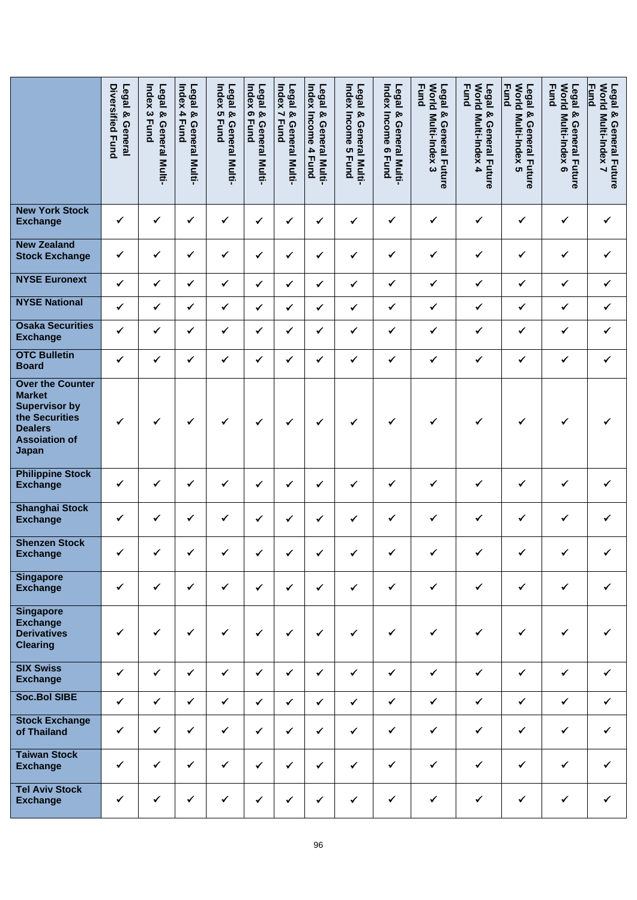|                                                                                                                                       | Diversified Fund<br>Legal & General | Index<br>Legal & General Multi-<br>$\boldsymbol{\omega}$<br><b>Fund</b> | Index<br>Legal<br>⊗<br>4<br><b>Fund</b><br>General<br>Multi- | Index 5<br>Legal &<br><b>Fund</b><br>General<br>Multi- | Index<br>Legal &<br>$\bullet$<br><b>Fund</b><br>General Multi- | Legal &<br>Index 7<br><b>Fund</b><br>General Multi- | Index<br>Legal<br><b>بو</b><br>Income<br>General Multi-<br>4 Fund | Index Income<br>Legal & General Multi-<br><b>ຕ</b><br><b>Fund</b> | Legal & General Multi-<br><b>Index Income 6</b><br><b>Edge</b> | <b>Fund</b><br><b>Morld</b><br>Legal &<br>Multi-Index 3<br><b>General Future</b> | <b>Morld</b><br><b>Fund</b><br>Legal & General Future<br>Multi-Index 4 | World Multi-Index 5<br><b>Fund</b><br>Legal & General Future | <b>Morld</b><br><b>Fund</b><br>Legal &<br>Multi-Index 6<br><b>General Future</b> | World Multi-Index 7<br><b>Fund</b><br>Legal & General Future |
|---------------------------------------------------------------------------------------------------------------------------------------|-------------------------------------|-------------------------------------------------------------------------|--------------------------------------------------------------|--------------------------------------------------------|----------------------------------------------------------------|-----------------------------------------------------|-------------------------------------------------------------------|-------------------------------------------------------------------|----------------------------------------------------------------|----------------------------------------------------------------------------------|------------------------------------------------------------------------|--------------------------------------------------------------|----------------------------------------------------------------------------------|--------------------------------------------------------------|
| <b>New York Stock</b><br><b>Exchange</b>                                                                                              | ✓                                   | $\checkmark$                                                            | $\checkmark$                                                 | $\checkmark$                                           | ✔                                                              | $\checkmark$                                        | ✓                                                                 | ✓                                                                 | ✔                                                              | $\checkmark$                                                                     | ✓                                                                      | $\checkmark$                                                 | $\checkmark$                                                                     | ✓                                                            |
| <b>New Zealand</b><br><b>Stock Exchange</b>                                                                                           | ✓                                   | ✔                                                                       | ✔                                                            | $\checkmark$                                           | ✔                                                              | $\checkmark$                                        | ✓                                                                 | $\checkmark$                                                      | ✓                                                              | $\checkmark$                                                                     | $\checkmark$                                                           | ✓                                                            | $\checkmark$                                                                     | ✔                                                            |
| <b>NYSE Euronext</b>                                                                                                                  | $\checkmark$                        | $\checkmark$                                                            | $\checkmark$                                                 | $\checkmark$                                           | ✓                                                              | $\checkmark$                                        | $\checkmark$                                                      | $\checkmark$                                                      | $\checkmark$                                                   | $\checkmark$                                                                     | $\checkmark$                                                           | $\checkmark$                                                 | $\checkmark$                                                                     | $\checkmark$                                                 |
| <b>NYSE National</b>                                                                                                                  | $\checkmark$                        | ✓                                                                       | $\checkmark$                                                 | $\checkmark$                                           | ✓                                                              | ✓                                                   | ✔                                                                 | ✓                                                                 | $\checkmark$                                                   | $\checkmark$                                                                     | $\checkmark$                                                           | ✓                                                            | $\checkmark$                                                                     | ✔                                                            |
| <b>Osaka Securities</b><br><b>Exchange</b>                                                                                            | $\checkmark$                        | $\checkmark$                                                            | ✓                                                            | $\checkmark$                                           | ✔                                                              | ✓                                                   | ✔                                                                 | ✔                                                                 | ✓                                                              | $\checkmark$                                                                     | ✓                                                                      | ✓                                                            | ✓                                                                                | ✔                                                            |
| <b>OTC Bulletin</b><br><b>Board</b>                                                                                                   | $\checkmark$                        | ✓                                                                       | ✔                                                            | ✓                                                      | ✓                                                              | $\checkmark$                                        | ✓                                                                 | ✓                                                                 | ✓                                                              | $\checkmark$                                                                     | $\checkmark$                                                           | ✓                                                            | ✓                                                                                | ✓                                                            |
| <b>Over the Counter</b><br><b>Market</b><br><b>Supervisor by</b><br>the Securities<br><b>Dealers</b><br><b>Assoiation of</b><br>Japan | ✔                                   | ✓                                                                       | ✓                                                            | ✔                                                      | ✓                                                              | ✓                                                   | $\checkmark$                                                      | ✔                                                                 | ✓                                                              | $\checkmark$                                                                     | ✓                                                                      | ✓                                                            | ✓                                                                                |                                                              |
| <b>Philippine Stock</b><br><b>Exchange</b>                                                                                            | ✔                                   | ✔                                                                       | ✓                                                            | ✔                                                      | ✓                                                              | ✓                                                   | ✓                                                                 | ✔                                                                 | ✓                                                              | ✔                                                                                | ✔                                                                      | ✓                                                            | ✓                                                                                | ✔                                                            |
| <b>Shanghai Stock</b><br><b>Exchange</b>                                                                                              | $\checkmark$                        | ✓                                                                       | ✓                                                            | ✔                                                      | ✔                                                              | ✓                                                   | ✔                                                                 | ✓                                                                 | ✔                                                              | ✔                                                                                | ✓                                                                      | ✓                                                            | ✓                                                                                | ✔                                                            |
| <b>Shenzen Stock</b><br><b>Exchange</b>                                                                                               | ✓                                   | ✓                                                                       | ✔                                                            | ✓                                                      | ✓                                                              | ✓                                                   | ✓                                                                 | ✓                                                                 | ✓                                                              | ✓                                                                                | ✓                                                                      | ✓                                                            | ✓                                                                                | ✓                                                            |
| <b>Singapore</b><br><b>Exchange</b>                                                                                                   | $\checkmark$                        | $\checkmark$                                                            | $\checkmark$                                                 | $\checkmark$                                           | $\checkmark$                                                   | $\checkmark$                                        | $\checkmark$                                                      | $\checkmark$                                                      | $\checkmark$                                                   | $\checkmark$                                                                     | $\checkmark$                                                           | $\checkmark$                                                 | ✓                                                                                | ✓                                                            |
| <b>Singapore</b><br><b>Exchange</b><br><b>Derivatives</b><br><b>Clearing</b>                                                          | ✓                                   | ✓                                                                       | $\checkmark$                                                 | $\checkmark$                                           | $\checkmark$                                                   | $\checkmark$                                        | $\checkmark$                                                      | $\checkmark$                                                      | $\checkmark$                                                   | $\checkmark$                                                                     | ✓                                                                      | $\checkmark$                                                 | $\checkmark$                                                                     |                                                              |
| <b>SIX Swiss</b><br><b>Exchange</b>                                                                                                   | $\checkmark$                        | $\checkmark$                                                            | $\checkmark$                                                 | $\checkmark$                                           | $\checkmark$                                                   | $\checkmark$                                        | $\checkmark$                                                      | $\checkmark$                                                      | $\checkmark$                                                   | $\checkmark$                                                                     | $\checkmark$                                                           | $\checkmark$                                                 | $\checkmark$                                                                     | ✔                                                            |
| <b>Soc.Bol SIBE</b>                                                                                                                   | $\checkmark$                        | $\checkmark$                                                            | $\checkmark$                                                 | $\checkmark$                                           | $\checkmark$                                                   | $\checkmark$                                        | $\checkmark$                                                      | $\checkmark$                                                      | $\checkmark$                                                   | $\checkmark$                                                                     | $\checkmark$                                                           | $\checkmark$                                                 | $\checkmark$                                                                     | $\checkmark$                                                 |
| <b>Stock Exchange</b><br>of Thailand                                                                                                  | $\checkmark$                        | $\checkmark$                                                            | $\checkmark$                                                 | $\checkmark$                                           | $\checkmark$                                                   | $\checkmark$                                        | ✓                                                                 | $\checkmark$                                                      | $\checkmark$                                                   | $\checkmark$                                                                     | $\checkmark$                                                           | $\checkmark$                                                 | $\checkmark$                                                                     | ✓                                                            |
| <b>Taiwan Stock</b><br><b>Exchange</b>                                                                                                | $\checkmark$                        | $\checkmark$                                                            | $\checkmark$                                                 | $\checkmark$                                           | $\checkmark$                                                   | $\checkmark$                                        | $\checkmark$                                                      | $\checkmark$                                                      | $\checkmark$                                                   | $\checkmark$                                                                     | $\checkmark$                                                           | $\checkmark$                                                 | $\checkmark$                                                                     | ✓                                                            |
| <b>Tel Aviv Stock</b><br><b>Exchange</b>                                                                                              | $\checkmark$                        | ✓                                                                       | $\checkmark$                                                 | $\checkmark$                                           | ✓                                                              | $\checkmark$                                        | $\checkmark$                                                      | $\checkmark$                                                      | $\checkmark$                                                   | $\checkmark$                                                                     | $\checkmark$                                                           | $\checkmark$                                                 | $\checkmark$                                                                     | $\checkmark$                                                 |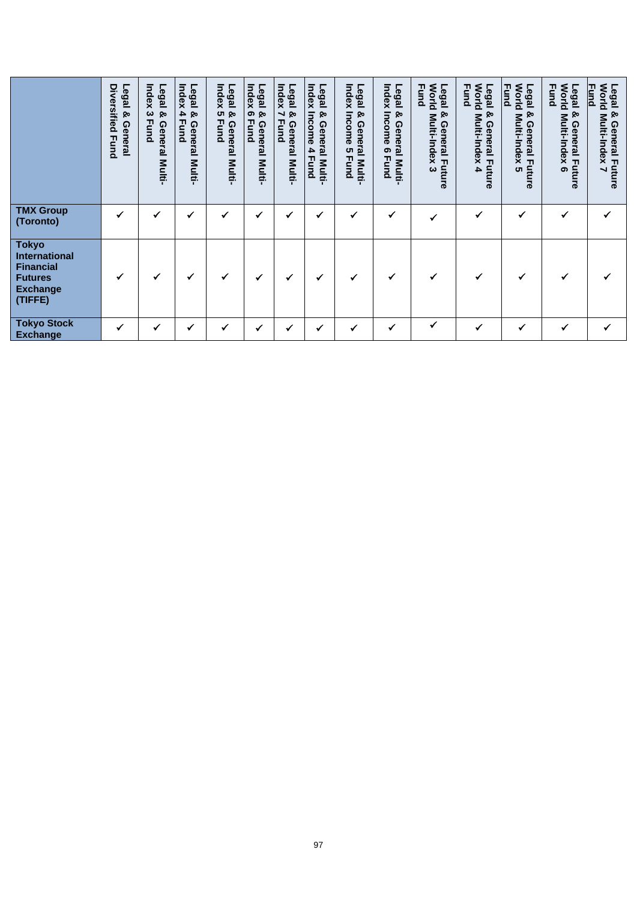|                                                                                                   | Diversified Fund<br>Legal &<br>General | Index<br>Legal<br>ନ୍ତ<br>ယ<br><b>Fund</b><br>General Multi- | Index<br>Legal<br>4<br>ୁନ<br><b>Fund</b><br>General<br>Multi- | Index<br>Legal<br><b>CT</b><br>ଡ<br><b>Fund</b><br>General<br><b>Multi-</b> | Legal<br>Index<br>ହ<br>ၜ<br><b>Fund</b><br>General<br>Multi- | Index<br>Legal<br>$\overline{\phantom{0}}$<br>ନ୍ଦ<br><b>Fund</b><br>General Multi- | Index<br>Legal<br>ନ୍ତ<br>Income<br>General Multi-<br>4<br>Fund | Index<br>Legal<br>Income<br>ჯ<br>General Multi<br>ပေ<br><b>Fund</b> | Index<br>Legal<br>Income<br>& General Multi<br>ၜ<br><b>Fund</b> | Legal<br>World<br><b>Fund</b><br>ହ<br>Multi-Index<br>General Future<br>ω | <b>World</b><br><b>Fund</b><br>Legal<br>ନ୍ଦ<br>Multi-Index<br>General Future<br>4 | <b>World</b><br><b>Fund</b><br>Legal<br>ହ<br>Multi-Index<br>General F<br>uture<br><b>ທ</b> | <b>World</b><br><b>Fund</b><br>Legal<br>ହ<br>Multi-Index<br><b>General Future</b><br>ග | Legal & General Fut<br>World Multi-Index 7<br><b>Fund</b><br>General Future |
|---------------------------------------------------------------------------------------------------|----------------------------------------|-------------------------------------------------------------|---------------------------------------------------------------|-----------------------------------------------------------------------------|--------------------------------------------------------------|------------------------------------------------------------------------------------|----------------------------------------------------------------|---------------------------------------------------------------------|-----------------------------------------------------------------|--------------------------------------------------------------------------|-----------------------------------------------------------------------------------|--------------------------------------------------------------------------------------------|----------------------------------------------------------------------------------------|-----------------------------------------------------------------------------|
| <b>TMX Group</b><br>(Toronto)                                                                     | ✔                                      | ✔                                                           | ✔                                                             | ✓                                                                           | ✔                                                            |                                                                                    | ✔                                                              | ✓                                                                   | ✔                                                               | $\checkmark$                                                             |                                                                                   | ✔                                                                                          | $\checkmark$                                                                           |                                                                             |
| <b>Tokyo</b><br>International<br><b>Financial</b><br><b>Futures</b><br><b>Exchange</b><br>(TIFFE) | ✔                                      | ✔                                                           | ✔                                                             | ✔                                                                           | ✔                                                            |                                                                                    | $\checkmark$                                                   | ✔                                                                   | ✓                                                               |                                                                          |                                                                                   |                                                                                            | $\checkmark$                                                                           |                                                                             |
| <b>Tokyo Stock</b><br><b>Exchange</b>                                                             | ✔                                      | ✔                                                           | $\checkmark$                                                  | ✓                                                                           | ✔                                                            | ✔                                                                                  | ✓                                                              | ✓                                                                   | $\checkmark$                                                    | ✓                                                                        |                                                                                   | ✓                                                                                          | $\checkmark$                                                                           | ✔                                                                           |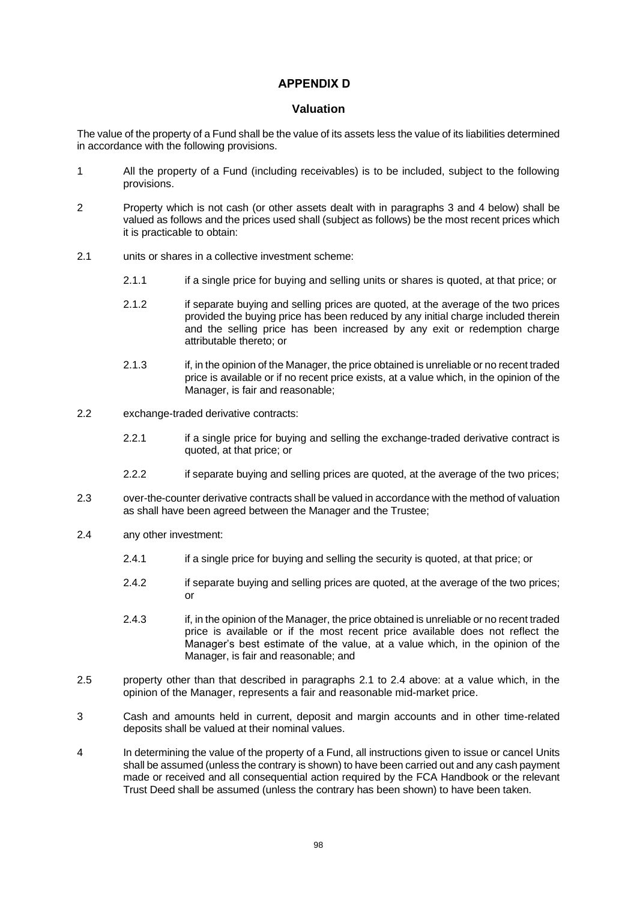# **APPENDIX D .**

## **Valuation**

The value of the property of a Fund shall be the value of its assets less the value of its liabilities determined in accordance with the following provisions.

- 1 All the property of a Fund (including receivables) is to be included, subject to the following provisions.
- 2 Property which is not cash (or other assets dealt with in paragraphs [3](#page-101-0) and [4](#page-101-1) below) shall be valued as follows and the prices used shall (subject as follows) be the most recent prices which it is practicable to obtain:
- <span id="page-101-2"></span>2.1 units or shares in a collective investment scheme:
	- 2.1.1 if a single price for buying and selling units or shares is quoted, at that price; or
	- 2.1.2 if separate buying and selling prices are quoted, at the average of the two prices provided the buying price has been reduced by any initial charge included therein and the selling price has been increased by any exit or redemption charge attributable thereto; or
	- 2.1.3 if, in the opinion of the Manager, the price obtained is unreliable or no recent traded price is available or if no recent price exists, at a value which, in the opinion of the Manager, is fair and reasonable;
- 2.2 exchange-traded derivative contracts:
	- 2.2.1 if a single price for buying and selling the exchange-traded derivative contract is quoted, at that price; or
	- 2.2.2 if separate buying and selling prices are quoted, at the average of the two prices;
- 2.3 over-the-counter derivative contracts shall be valued in accordance with the method of valuation as shall have been agreed between the Manager and the Trustee;
- <span id="page-101-3"></span>2.4 any other investment:
	- 2.4.1 if a single price for buying and selling the security is quoted, at that price; or
	- 2.4.2 if separate buying and selling prices are quoted, at the average of the two prices;  $\alpha$ r
	- 2.4.3 if, in the opinion of the Manager, the price obtained is unreliable or no recent traded price is available or if the most recent price available does not reflect the Manager's best estimate of the value, at a value which, in the opinion of the Manager, is fair and reasonable; and
- 2.5 property other than that described in paragraphs [2.1](#page-101-2) to [2.4](#page-101-3) above: at a value which, in the opinion of the Manager, represents a fair and reasonable mid-market price.
- <span id="page-101-0"></span>3 Cash and amounts held in current, deposit and margin accounts and in other time-related deposits shall be valued at their nominal values.
- <span id="page-101-1"></span>4 In determining the value of the property of a Fund, all instructions given to issue or cancel Units shall be assumed (unless the contrary is shown) to have been carried out and any cash payment made or received and all consequential action required by the FCA Handbook or the relevant Trust Deed shall be assumed (unless the contrary has been shown) to have been taken.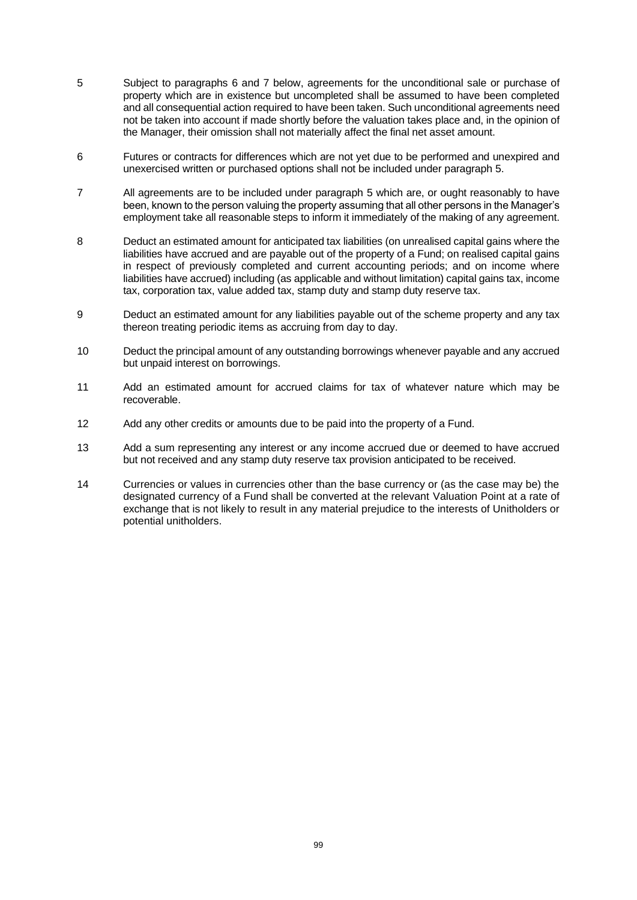- <span id="page-102-2"></span>5 Subject to paragraphs [6](#page-102-0) and [7](#page-102-1) below, agreements for the unconditional sale or purchase of property which are in existence but uncompleted shall be assumed to have been completed and all consequential action required to have been taken. Such unconditional agreements need not be taken into account if made shortly before the valuation takes place and, in the opinion of the Manager, their omission shall not materially affect the final net asset amount.
- <span id="page-102-0"></span>6 Futures or contracts for differences which are not yet due to be performed and unexpired and unexercised written or purchased options shall not be included under paragraph [5.](#page-102-2)
- <span id="page-102-1"></span>7 All agreements are to be included under paragraph [5](#page-102-2) which are, or ought reasonably to have been, known to the person valuing the property assuming that all other persons in the Manager's employment take all reasonable steps to inform it immediately of the making of any agreement.
- 8 Deduct an estimated amount for anticipated tax liabilities (on unrealised capital gains where the liabilities have accrued and are payable out of the property of a Fund; on realised capital gains in respect of previously completed and current accounting periods; and on income where liabilities have accrued) including (as applicable and without limitation) capital gains tax, income tax, corporation tax, value added tax, stamp duty and stamp duty reserve tax.
- 9 Deduct an estimated amount for any liabilities payable out of the scheme property and any tax thereon treating periodic items as accruing from day to day.
- 10 Deduct the principal amount of any outstanding borrowings whenever payable and any accrued but unpaid interest on borrowings.
- 11 Add an estimated amount for accrued claims for tax of whatever nature which may be recoverable.
- 12 Add any other credits or amounts due to be paid into the property of a Fund.
- 13 Add a sum representing any interest or any income accrued due or deemed to have accrued but not received and any stamp duty reserve tax provision anticipated to be received.
- 14 Currencies or values in currencies other than the base currency or (as the case may be) the designated currency of a Fund shall be converted at the relevant Valuation Point at a rate of exchange that is not likely to result in any material prejudice to the interests of Unitholders or potential unitholders.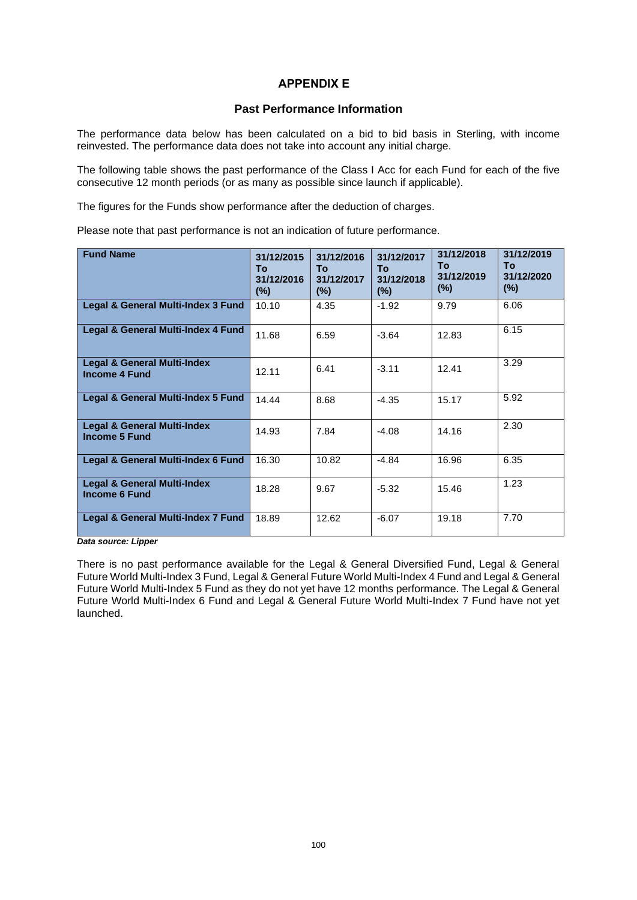# **APPENDIX E .**

## **Past Performance Information**

The performance data below has been calculated on a bid to bid basis in Sterling, with income reinvested. The performance data does not take into account any initial charge.

The following table shows the past performance of the Class I Acc for each Fund for each of the five consecutive 12 month periods (or as many as possible since launch if applicable).

The figures for the Funds show performance after the deduction of charges.

Please note that past performance is not an indication of future performance.

| <b>Fund Name</b>                                               | 31/12/2015<br>To<br>31/12/2016<br>$(\%)$ | 31/12/2016<br>To<br>31/12/2017<br>$(\%)$ | 31/12/2017<br>To<br>31/12/2018<br>$(\%)$ | 31/12/2018<br>To<br>31/12/2019<br>$(\%)$ | 31/12/2019<br>То<br>31/12/2020<br>$(\%)$ |
|----------------------------------------------------------------|------------------------------------------|------------------------------------------|------------------------------------------|------------------------------------------|------------------------------------------|
| Legal & General Multi-Index 3 Fund                             | 10.10                                    | 4.35                                     | $-1.92$                                  | 9.79                                     | 6.06                                     |
| Legal & General Multi-Index 4 Fund                             | 11.68                                    | 6.59                                     | $-3.64$                                  | 12.83                                    | 6.15                                     |
| <b>Legal &amp; General Multi-Index</b><br><b>Income 4 Fund</b> | 12.11                                    | 6.41                                     | $-3.11$                                  | 12.41                                    | 3.29                                     |
| Legal & General Multi-Index 5 Fund                             | 14.44                                    | 8.68                                     | $-4.35$                                  | 15.17                                    | 5.92                                     |
| <b>Legal &amp; General Multi-Index</b><br><b>Income 5 Fund</b> | 14.93                                    | 7.84                                     | $-4.08$                                  | 14.16                                    | 2.30                                     |
| Legal & General Multi-Index 6 Fund                             | 16.30                                    | 10.82                                    | $-4.84$                                  | 16.96                                    | 6.35                                     |
| <b>Legal &amp; General Multi-Index</b><br><b>Income 6 Fund</b> | 18.28                                    | 9.67                                     | $-5.32$                                  | 15.46                                    | 1.23                                     |
| <b>Legal &amp; General Multi-Index 7 Fund</b>                  | 18.89                                    | 12.62                                    | $-6.07$                                  | 19.18                                    | 7.70                                     |

*Data source: Lipper*

There is no past performance available for the Legal & General Diversified Fund, Legal & General Future World Multi-Index 3 Fund, Legal & General Future World Multi-Index 4 Fund and Legal & General Future World Multi-Index 5 Fund as they do not yet have 12 months performance. The Legal & General Future World Multi-Index 6 Fund and Legal & General Future World Multi-Index 7 Fund have not yet launched.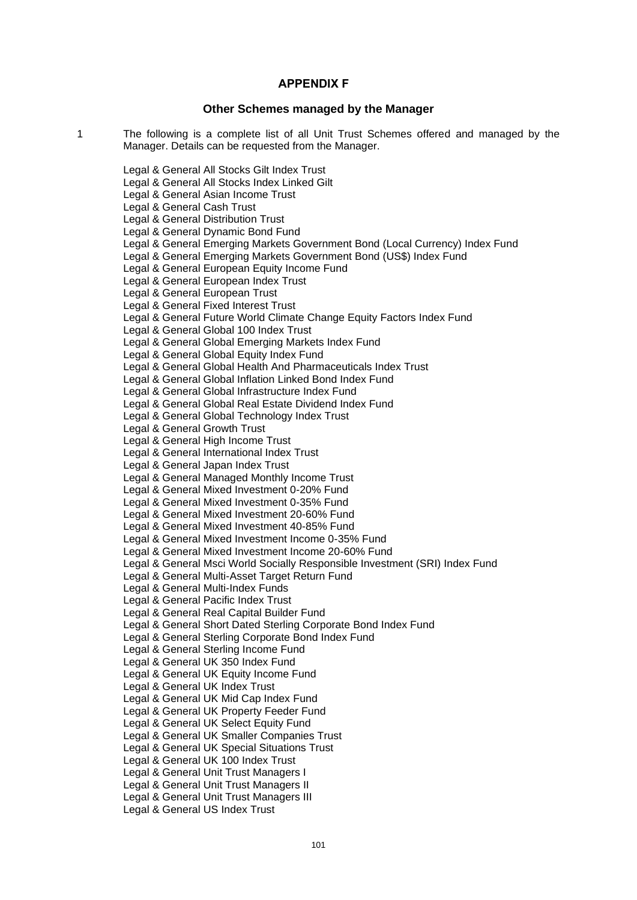### **APPENDIX F .**

#### **Other Schemes managed by the Manager**

1 The following is a complete list of all Unit Trust Schemes offered and managed by the Manager. Details can be requested from the Manager.

Legal & General All Stocks Gilt Index Trust

Legal & General All Stocks Index Linked Gilt

Legal & General Asian Income Trust

Legal & General Cash Trust

Legal & General Distribution Trust

Legal & General Dynamic Bond Fund

Legal & General Emerging Markets Government Bond (Local Currency) Index Fund

Legal & General Emerging Markets Government Bond (US\$) Index Fund

Legal & General European Equity Income Fund

Legal & General European Index Trust

Legal & General European Trust

Legal & General Fixed Interest Trust

Legal & General Future World Climate Change Equity Factors Index Fund

Legal & General Global 100 Index Trust

Legal & General Global Emerging Markets Index Fund

Legal & General Global Equity Index Fund

Legal & General Global Health And Pharmaceuticals Index Trust

Legal & General Global Inflation Linked Bond Index Fund

Legal & General Global Infrastructure Index Fund

Legal & General Global Real Estate Dividend Index Fund

Legal & General Global Technology Index Trust

Legal & General Growth Trust

Legal & General High Income Trust

Legal & General International Index Trust

Legal & General Japan Index Trust

Legal & General Managed Monthly Income Trust

Legal & General Mixed Investment 0-20% Fund

Legal & General Mixed Investment 0-35% Fund

Legal & General Mixed Investment 20-60% Fund

Legal & General Mixed Investment 40-85% Fund

Legal & General Mixed Investment Income 0-35% Fund

Legal & General Mixed Investment Income 20-60% Fund

Legal & General Msci World Socially Responsible Investment (SRI) Index Fund

Legal & General Multi-Asset Target Return Fund

Legal & General Multi-Index Funds

Legal & General Pacific Index Trust

Legal & General Real Capital Builder Fund

Legal & General Short Dated Sterling Corporate Bond Index Fund

Legal & General Sterling Corporate Bond Index Fund

Legal & General Sterling Income Fund

Legal & General UK 350 Index Fund

Legal & General UK Equity Income Fund

Legal & General UK Index Trust

Legal & General UK Mid Cap Index Fund

Legal & General UK Property Feeder Fund

Legal & General UK Select Equity Fund

Legal & General UK Smaller Companies Trust

Legal & General UK Special Situations Trust

Legal & General UK 100 Index Trust

Legal & General Unit Trust Managers I

Legal & General Unit Trust Managers II

Legal & General Unit Trust Managers III

Legal & General US Index Trust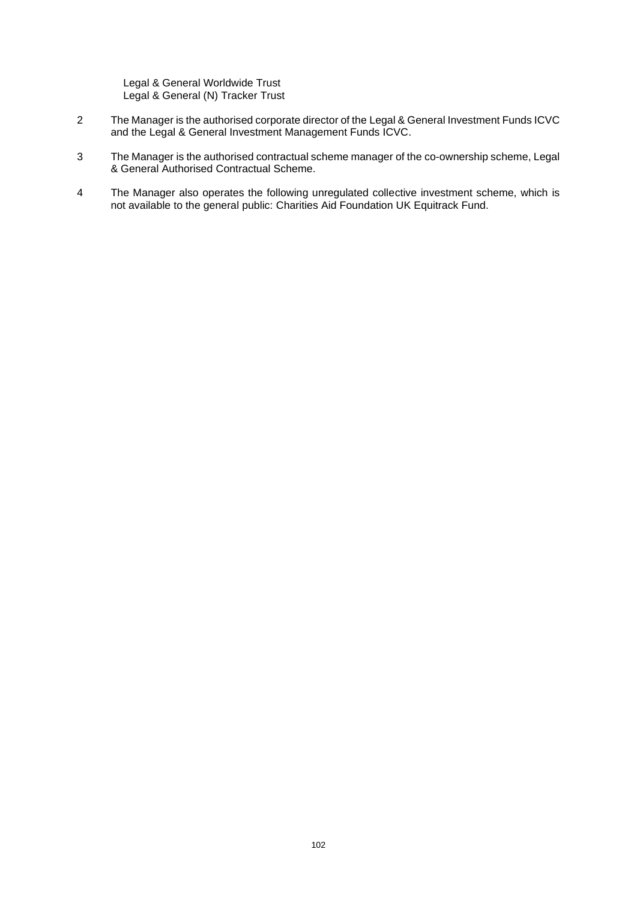Legal & General Worldwide Trust Legal & General (N) Tracker Trust

- 2 The Manager is the authorised corporate director of the Legal & General Investment Funds ICVC and the Legal & General Investment Management Funds ICVC.
- 3 The Manager is the authorised contractual scheme manager of the co-ownership scheme, Legal & General Authorised Contractual Scheme.
- 4 The Manager also operates the following unregulated collective investment scheme, which is not available to the general public: Charities Aid Foundation UK Equitrack Fund.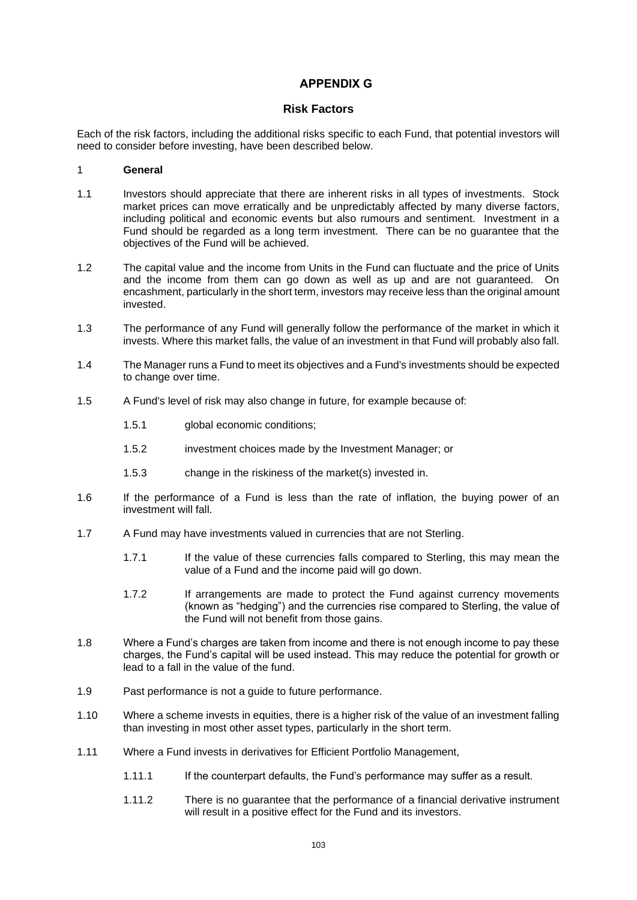## **APPENDIX G ..**

## **Risk Factors**

Each of the risk factors, including the additional risks specific to each Fund, that potential investors will need to consider before investing, have been described below.

## 1 **General**

- 1.1 Investors should appreciate that there are inherent risks in all types of investments. Stock market prices can move erratically and be unpredictably affected by many diverse factors, including political and economic events but also rumours and sentiment. Investment in a Fund should be regarded as a long term investment. There can be no guarantee that the objectives of the Fund will be achieved.
- 1.2 The capital value and the income from Units in the Fund can fluctuate and the price of Units and the income from them can go down as well as up and are not guaranteed. On encashment, particularly in the short term, investors may receive less than the original amount invested.
- 1.3 The performance of any Fund will generally follow the performance of the market in which it invests. Where this market falls, the value of an investment in that Fund will probably also fall.
- 1.4 The Manager runs a Fund to meet its objectives and a Fund's investments should be expected to change over time.
- 1.5 A Fund's level of risk may also change in future, for example because of:
	- 1.5.1 global economic conditions;
	- 1.5.2 investment choices made by the Investment Manager; or
	- 1.5.3 change in the riskiness of the market(s) invested in.
- 1.6 If the performance of a Fund is less than the rate of inflation, the buying power of an investment will fall.
- 1.7 A Fund may have investments valued in currencies that are not Sterling.
	- 1.7.1 If the value of these currencies falls compared to Sterling, this may mean the value of a Fund and the income paid will go down.
	- 1.7.2 If arrangements are made to protect the Fund against currency movements (known as "hedging") and the currencies rise compared to Sterling, the value of the Fund will not benefit from those gains.
- 1.8 Where a Fund's charges are taken from income and there is not enough income to pay these charges, the Fund's capital will be used instead. This may reduce the potential for growth or lead to a fall in the value of the fund.
- 1.9 Past performance is not a guide to future performance.
- 1.10 Where a scheme invests in equities, there is a higher risk of the value of an investment falling than investing in most other asset types, particularly in the short term.
- 1.11 Where a Fund invests in derivatives for Efficient Portfolio Management,
	- 1.11.1 If the counterpart defaults, the Fund's performance may suffer as a result.
	- 1.11.2 There is no guarantee that the performance of a financial derivative instrument will result in a positive effect for the Fund and its investors.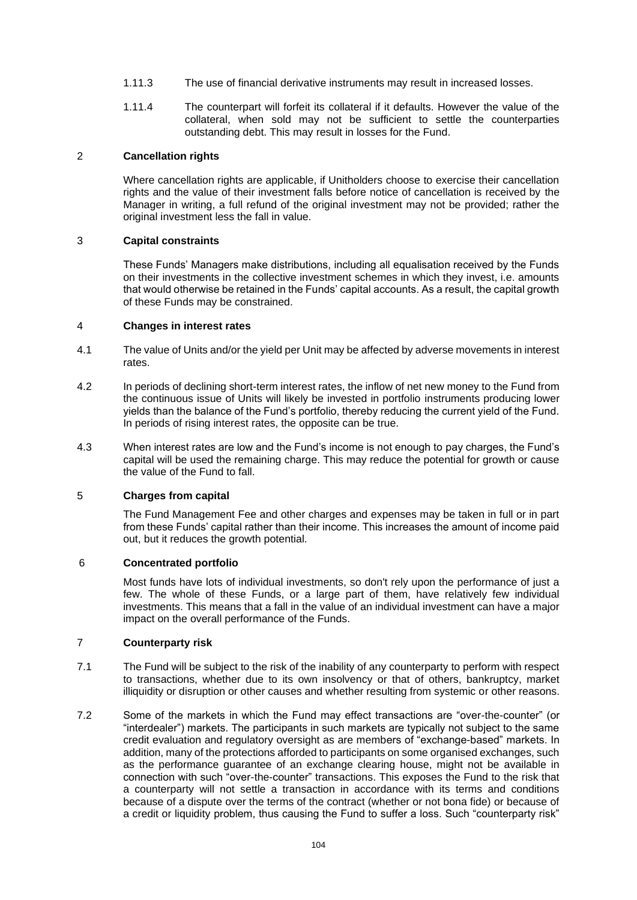- 1.11.3 The use of financial derivative instruments may result in increased losses.
- 1.11.4 The counterpart will forfeit its collateral if it defaults. However the value of the collateral, when sold may not be sufficient to settle the counterparties outstanding debt. This may result in losses for the Fund.

### 2 **Cancellation rights**

Where cancellation rights are applicable, if Unitholders choose to exercise their cancellation rights and the value of their investment falls before notice of cancellation is received by the Manager in writing, a full refund of the original investment may not be provided; rather the original investment less the fall in value.

#### 3 **Capital constraints**

These Funds' Managers make distributions, including all equalisation received by the Funds on their investments in the collective investment schemes in which they invest, i.e. amounts that would otherwise be retained in the Funds' capital accounts. As a result, the capital growth of these Funds may be constrained.

#### 4 **Changes in interest rates**

- 4.1 The value of Units and/or the yield per Unit may be affected by adverse movements in interest rates.
- 4.2 In periods of declining short-term interest rates, the inflow of net new money to the Fund from the continuous issue of Units will likely be invested in portfolio instruments producing lower yields than the balance of the Fund's portfolio, thereby reducing the current yield of the Fund. In periods of rising interest rates, the opposite can be true.
- 4.3 When interest rates are low and the Fund's income is not enough to pay charges, the Fund's capital will be used the remaining charge. This may reduce the potential for growth or cause the value of the Fund to fall.

#### 5 **Charges from capital**

The Fund Management Fee and other charges and expenses may be taken in full or in part from these Funds' capital rather than their income. This increases the amount of income paid out, but it reduces the growth potential.

#### 6 **Concentrated portfolio**

Most funds have lots of individual investments, so don't rely upon the performance of just a few. The whole of these Funds, or a large part of them, have relatively few individual investments. This means that a fall in the value of an individual investment can have a major impact on the overall performance of the Funds.

## 7 **Counterparty risk**

- 7.1 The Fund will be subject to the risk of the inability of any counterparty to perform with respect to transactions, whether due to its own insolvency or that of others, bankruptcy, market illiquidity or disruption or other causes and whether resulting from systemic or other reasons.
- 7.2 Some of the markets in which the Fund may effect transactions are "over-the-counter" (or "interdealer") markets. The participants in such markets are typically not subject to the same credit evaluation and regulatory oversight as are members of "exchange-based" markets. In addition, many of the protections afforded to participants on some organised exchanges, such as the performance guarantee of an exchange clearing house, might not be available in connection with such "over-the-counter" transactions. This exposes the Fund to the risk that a counterparty will not settle a transaction in accordance with its terms and conditions because of a dispute over the terms of the contract (whether or not bona fide) or because of a credit or liquidity problem, thus causing the Fund to suffer a loss. Such "counterparty risk"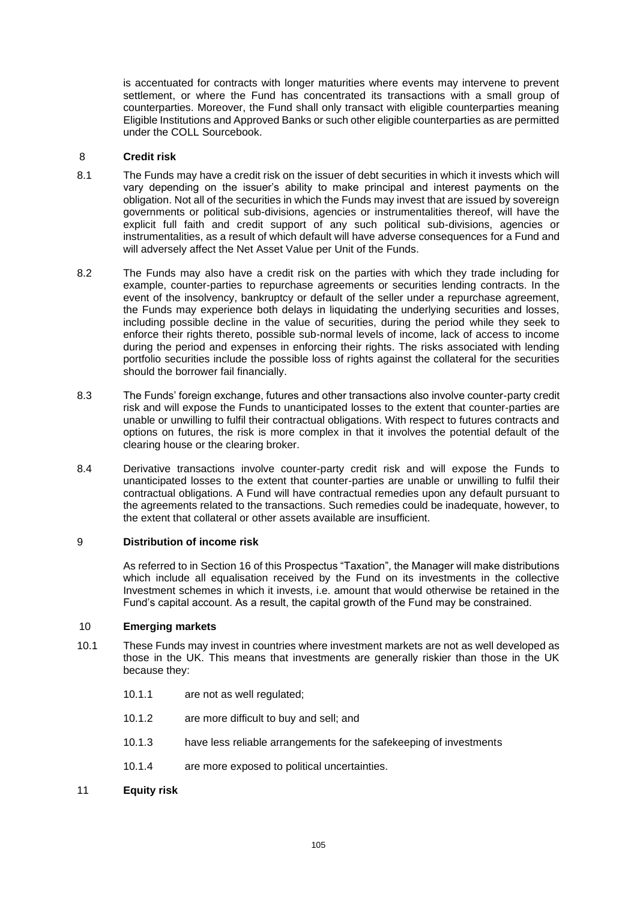is accentuated for contracts with longer maturities where events may intervene to prevent settlement, or where the Fund has concentrated its transactions with a small group of counterparties. Moreover, the Fund shall only transact with eligible counterparties meaning Eligible Institutions and Approved Banks or such other eligible counterparties as are permitted under the COLL Sourcebook.

### 8 **Credit risk**

- 8.1 The Funds may have a credit risk on the issuer of debt securities in which it invests which will vary depending on the issuer's ability to make principal and interest payments on the obligation. Not all of the securities in which the Funds may invest that are issued by sovereign governments or political sub-divisions, agencies or instrumentalities thereof, will have the explicit full faith and credit support of any such political sub-divisions, agencies or instrumentalities, as a result of which default will have adverse consequences for a Fund and will adversely affect the Net Asset Value per Unit of the Funds.
- 8.2 The Funds may also have a credit risk on the parties with which they trade including for example, counter-parties to repurchase agreements or securities lending contracts. In the event of the insolvency, bankruptcy or default of the seller under a repurchase agreement, the Funds may experience both delays in liquidating the underlying securities and losses, including possible decline in the value of securities, during the period while they seek to enforce their rights thereto, possible sub-normal levels of income, lack of access to income during the period and expenses in enforcing their rights. The risks associated with lending portfolio securities include the possible loss of rights against the collateral for the securities should the borrower fail financially.
- 8.3 The Funds' foreign exchange, futures and other transactions also involve counter-party credit risk and will expose the Funds to unanticipated losses to the extent that counter-parties are unable or unwilling to fulfil their contractual obligations. With respect to futures contracts and options on futures, the risk is more complex in that it involves the potential default of the clearing house or the clearing broker.
- 8.4 Derivative transactions involve counter-party credit risk and will expose the Funds to unanticipated losses to the extent that counter-parties are unable or unwilling to fulfil their contractual obligations. A Fund will have contractual remedies upon any default pursuant to the agreements related to the transactions. Such remedies could be inadequate, however, to the extent that collateral or other assets available are insufficient.

## 9 **Distribution of income risk**

As referred to in Section [16](#page-28-0) of this Prospectus "Taxation", the Manager will make distributions which include all equalisation received by the Fund on its investments in the collective Investment schemes in which it invests, i.e. amount that would otherwise be retained in the Fund's capital account. As a result, the capital growth of the Fund may be constrained.

#### 10 **Emerging markets**

- 10.1 These Funds may invest in countries where investment markets are not as well developed as those in the UK. This means that investments are generally riskier than those in the UK because they:
	- 10.1.1 are not as well regulated;
	- 10.1.2 are more difficult to buy and sell; and
	- 10.1.3 have less reliable arrangements for the safekeeping of investments
	- 10.1.4 are more exposed to political uncertainties.
- 11 **Equity risk**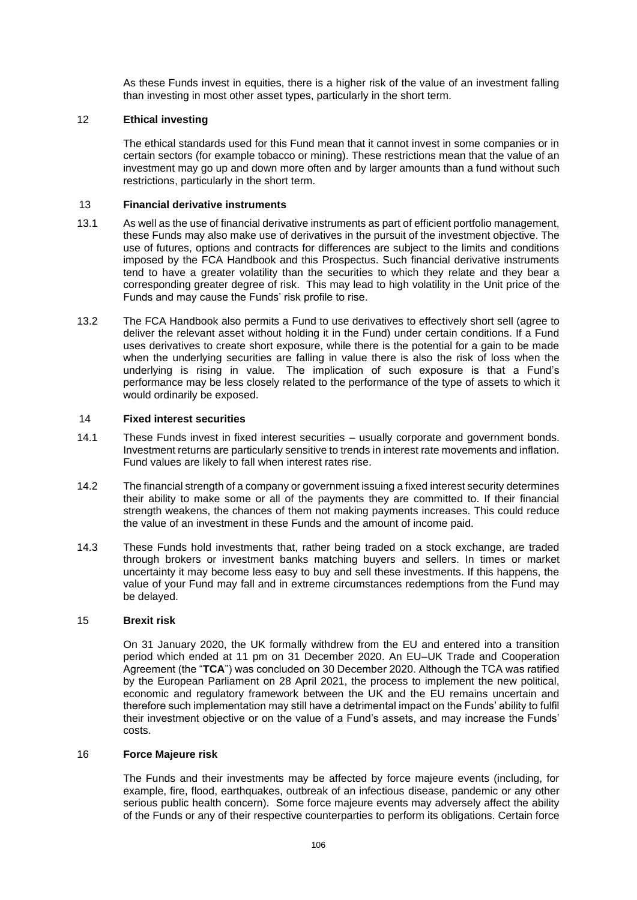As these Funds invest in equities, there is a higher risk of the value of an investment falling than investing in most other asset types, particularly in the short term.

### 12 **Ethical investing**

The ethical standards used for this Fund mean that it cannot invest in some companies or in certain sectors (for example tobacco or mining). These restrictions mean that the value of an investment may go up and down more often and by larger amounts than a fund without such restrictions, particularly in the short term.

### 13 **Financial derivative instruments**

- 13.1 As well as the use of financial derivative instruments as part of efficient portfolio management, these Funds may also make use of derivatives in the pursuit of the investment objective. The use of futures, options and contracts for differences are subject to the limits and conditions imposed by the FCA Handbook and this Prospectus. Such financial derivative instruments tend to have a greater volatility than the securities to which they relate and they bear a corresponding greater degree of risk. This may lead to high volatility in the Unit price of the Funds and may cause the Funds' risk profile to rise.
- 13.2 The FCA Handbook also permits a Fund to use derivatives to effectively short sell (agree to deliver the relevant asset without holding it in the Fund) under certain conditions. If a Fund uses derivatives to create short exposure, while there is the potential for a gain to be made when the underlying securities are falling in value there is also the risk of loss when the underlying is rising in value. The implication of such exposure is that a Fund's performance may be less closely related to the performance of the type of assets to which it would ordinarily be exposed.

#### 14 **Fixed interest securities**

- 14.1 These Funds invest in fixed interest securities usually corporate and government bonds. Investment returns are particularly sensitive to trends in interest rate movements and inflation. Fund values are likely to fall when interest rates rise.
- 14.2 The financial strength of a company or government issuing a fixed interest security determines their ability to make some or all of the payments they are committed to. If their financial strength weakens, the chances of them not making payments increases. This could reduce the value of an investment in these Funds and the amount of income paid.
- 14.3 These Funds hold investments that, rather being traded on a stock exchange, are traded through brokers or investment banks matching buyers and sellers. In times or market uncertainty it may become less easy to buy and sell these investments. If this happens, the value of your Fund may fall and in extreme circumstances redemptions from the Fund may be delayed.

#### 15 **Brexit risk**

On 31 January 2020, the UK formally withdrew from the EU and entered into a transition period which ended at 11 pm on 31 December 2020. An EU–UK Trade and Cooperation Agreement (the "**TCA**") was concluded on 30 December 2020. Although the TCA was ratified by the European Parliament on 28 April 2021, the process to implement the new political, economic and regulatory framework between the UK and the EU remains uncertain and therefore such implementation may still have a detrimental impact on the Funds' ability to fulfil their investment objective or on the value of a Fund's assets, and may increase the Funds' costs.

#### 16 **Force Majeure risk**

The Funds and their investments may be affected by force majeure events (including, for example, fire, flood, earthquakes, outbreak of an infectious disease, pandemic or any other serious public health concern). Some force majeure events may adversely affect the ability of the Funds or any of their respective counterparties to perform its obligations. Certain force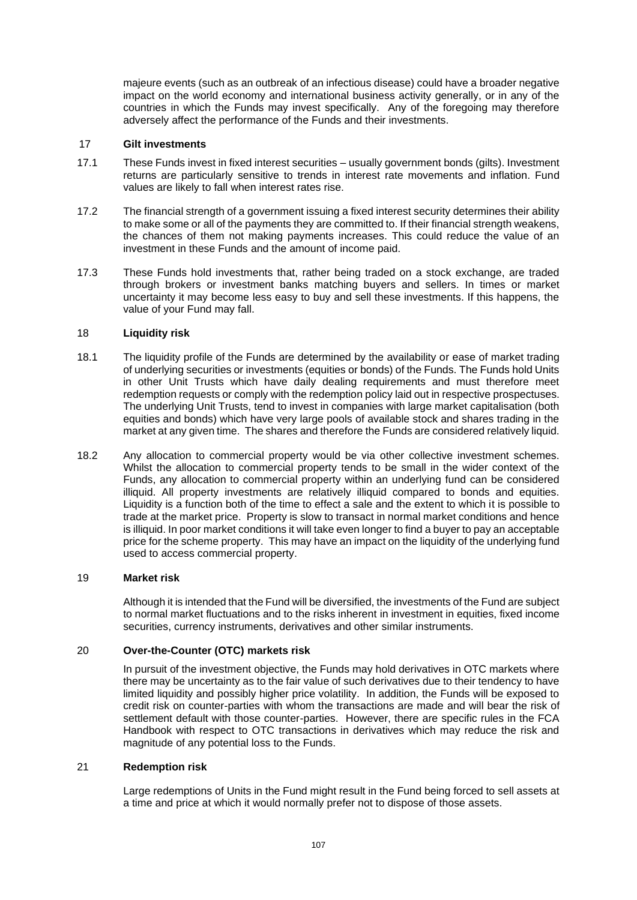majeure events (such as an outbreak of an infectious disease) could have a broader negative impact on the world economy and international business activity generally, or in any of the countries in which the Funds may invest specifically. Any of the foregoing may therefore adversely affect the performance of the Funds and their investments.

#### 17 **Gilt investments**

- 17.1 These Funds invest in fixed interest securities usually government bonds (gilts). Investment returns are particularly sensitive to trends in interest rate movements and inflation. Fund values are likely to fall when interest rates rise.
- 17.2 The financial strength of a government issuing a fixed interest security determines their ability to make some or all of the payments they are committed to. If their financial strength weakens, the chances of them not making payments increases. This could reduce the value of an investment in these Funds and the amount of income paid.
- 17.3 These Funds hold investments that, rather being traded on a stock exchange, are traded through brokers or investment banks matching buyers and sellers. In times or market uncertainty it may become less easy to buy and sell these investments. If this happens, the value of your Fund may fall.

### 18 **Liquidity risk**

- 18.1 The liquidity profile of the Funds are determined by the availability or ease of market trading of underlying securities or investments (equities or bonds) of the Funds. The Funds hold Units in other Unit Trusts which have daily dealing requirements and must therefore meet redemption requests or comply with the redemption policy laid out in respective prospectuses. The underlying Unit Trusts, tend to invest in companies with large market capitalisation (both equities and bonds) which have very large pools of available stock and shares trading in the market at any given time. The shares and therefore the Funds are considered relatively liquid.
- 18.2 Any allocation to commercial property would be via other collective investment schemes. Whilst the allocation to commercial property tends to be small in the wider context of the Funds, any allocation to commercial property within an underlying fund can be considered illiquid. All property investments are relatively illiquid compared to bonds and equities. Liquidity is a function both of the time to effect a sale and the extent to which it is possible to trade at the market price. Property is slow to transact in normal market conditions and hence is illiquid. In poor market conditions it will take even longer to find a buyer to pay an acceptable price for the scheme property. This may have an impact on the liquidity of the underlying fund used to access commercial property.

#### 19 **Market risk**

Although it is intended that the Fund will be diversified, the investments of the Fund are subject to normal market fluctuations and to the risks inherent in investment in equities, fixed income securities, currency instruments, derivatives and other similar instruments.

### 20 **Over-the-Counter (OTC) markets risk**

In pursuit of the investment objective, the Funds may hold derivatives in OTC markets where there may be uncertainty as to the fair value of such derivatives due to their tendency to have limited liquidity and possibly higher price volatility. In addition, the Funds will be exposed to credit risk on counter-parties with whom the transactions are made and will bear the risk of settlement default with those counter-parties. However, there are specific rules in the FCA Handbook with respect to OTC transactions in derivatives which may reduce the risk and magnitude of any potential loss to the Funds.

### 21 **Redemption risk**

Large redemptions of Units in the Fund might result in the Fund being forced to sell assets at a time and price at which it would normally prefer not to dispose of those assets.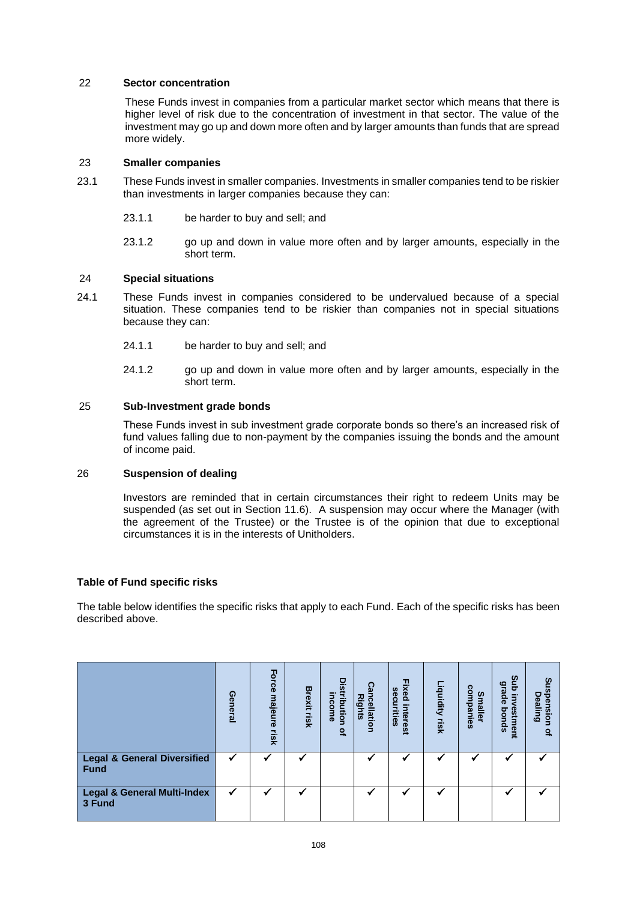### 22 **Sector concentration**

These Funds invest in companies from a particular market sector which means that there is higher level of risk due to the concentration of investment in that sector. The value of the investment may go up and down more often and by larger amounts than funds that are spread more widely.

### 23 **Smaller companies**

- 23.1 These Funds invest in smaller companies. Investments in smaller companies tend to be riskier than investments in larger companies because they can:
	- 23.1.1 be harder to buy and sell; and
	- 23.1.2 go up and down in value more often and by larger amounts, especially in the short term.

### 24 **Special situations**

- 24.1 These Funds invest in companies considered to be undervalued because of a special situation. These companies tend to be riskier than companies not in special situations because they can:
	- 24.1.1 be harder to buy and sell; and
	- 24.1.2 go up and down in value more often and by larger amounts, especially in the short term.

### 25 **Sub-Investment grade bonds**

These Funds invest in sub investment grade corporate bonds so there's an increased risk of fund values falling due to non-payment by the companies issuing the bonds and the amount of income paid.

### 26 **Suspension of dealing**

Investors are reminded that in certain circumstances their right to redeem Units may be suspended (as set out in Section [11.6\)](#page-20-0). A suspension may occur where the Manager (with the agreement of the Trustee) or the Trustee is of the opinion that due to exceptional circumstances it is in the interests of Unitholders.

#### **Table of Fund specific risks**

The table below identifies the specific risks that apply to each Fund. Each of the specific risks has been described above.

|                                                | General | Force<br>majeure<br>lisk | <b>Brexit</b><br>lisk | <b>Distribution</b><br>income<br>$\Omega$ | Cancellatior<br><b>Rights</b> | Fixed<br><b>Sec</b><br><b>urities</b><br>interest | Liquidity risk | companies<br><b>Smaller</b> | gub<br><b>grade</b><br>$\overline{5}$<br>estmen<br>spuoq<br>a | Suspe<br><b>Pealing</b><br>nsion<br>$\mathbf{Q}_n$ |
|------------------------------------------------|---------|--------------------------|-----------------------|-------------------------------------------|-------------------------------|---------------------------------------------------|----------------|-----------------------------|---------------------------------------------------------------|----------------------------------------------------|
| <b>Legal &amp; General Diversified</b><br>Fund |         |                          |                       |                                           |                               |                                                   |                |                             |                                                               |                                                    |
| Legal & General Multi-Index<br>3 Fund          | ✔       |                          |                       |                                           |                               |                                                   |                |                             |                                                               |                                                    |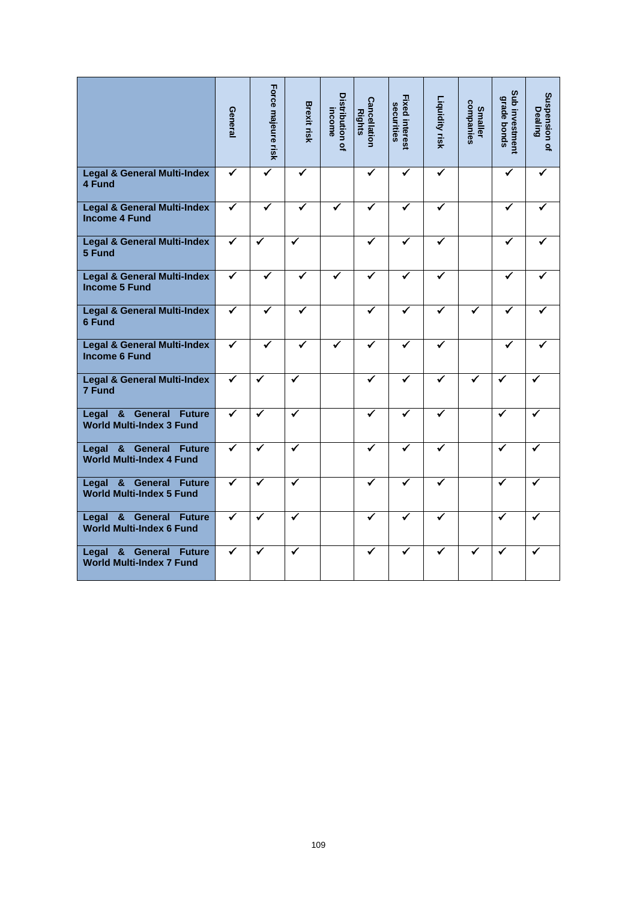|                                                                                                        | General                 | Force majeure risk | <b>Brexit risk</b>      | Distribution of<br>income | <b>Cancellation</b><br><b>Rights</b> | <b>Fixed interest</b><br>securities | Liquidity risk | companies<br><b>Smaller</b> | Sub investment<br><b>grade bonds</b> | Suspension of<br><b>Dealing</b> |
|--------------------------------------------------------------------------------------------------------|-------------------------|--------------------|-------------------------|---------------------------|--------------------------------------|-------------------------------------|----------------|-----------------------------|--------------------------------------|---------------------------------|
| <b>Legal &amp; General Multi-Index</b><br>4 Fund                                                       | ✔                       | ✓                  | $\checkmark$            |                           | $\checkmark$                         | ✔                                   | ✓              |                             | ✔                                    |                                 |
| <b>Legal &amp; General Multi-Index</b><br><b>Income 4 Fund</b>                                         | $\overline{\checkmark}$ | ✓                  | ✓                       |                           | ✓                                    | ✓                                   | ✔              |                             | ✓                                    |                                 |
| <b>Legal &amp; General Multi-Index</b><br>5 Fund                                                       | ✓                       | ✓                  | $\overline{\checkmark}$ |                           | ✓                                    | ✔                                   | ✓              |                             | ✔                                    |                                 |
| <b>Legal &amp; General Multi-Index</b><br><b>Income 5 Fund</b>                                         | ✔                       | ✔                  |                         |                           | $\checkmark$                         |                                     |                |                             |                                      |                                 |
| <b>Legal &amp; General Multi-Index</b><br><b>6 Fund</b>                                                | ✓                       | ✓                  | ✔                       |                           | ✔                                    | ✔                                   | ✓              | ✓                           | ✔                                    |                                 |
| <b>Legal &amp; General Multi-Index</b><br><b>Income 6 Fund</b>                                         | ✔                       | ✓                  |                         |                           | ✓                                    | √                                   | ✓              |                             | ✔                                    |                                 |
| <b>Legal &amp; General Multi-Index</b><br>7 Fund                                                       | ✔                       | ✔                  | ✓                       |                           | ✔                                    |                                     |                |                             | ✔                                    |                                 |
| <b>General Future</b><br>$\pmb{8}$<br>Legal<br><b>World Multi-Index 3 Fund</b>                         | ✓                       | ✓                  | ✓                       |                           | ✓                                    |                                     | ✔              |                             | ✓                                    | ✔                               |
| $\pmb{\mathsf{g}}$<br>General<br><b>Future</b><br>Legal<br><b>World Multi-Index 4 Fund</b>             | ✓                       | ✓                  | ✔                       |                           | ✓                                    |                                     |                |                             | ✔                                    |                                 |
| $\overline{\mathbf{g}}$<br><b>General</b><br><b>Future</b><br>Legal<br><b>World Multi-Index 5 Fund</b> | ✓                       | ✓                  | ✓                       |                           | ✓                                    | ✓                                   | ✔              |                             | ✓                                    | $\checkmark$                    |
| $\pmb{8}$<br><b>General</b><br>Legal<br><b>Future</b><br><b>World Multi-Index 6 Fund</b>               | ✓                       | ✔                  | ✓                       |                           | ✓                                    |                                     |                |                             | ✔                                    |                                 |
| $\boldsymbol{8}$<br><b>General</b><br><b>Future</b><br>Legal<br><b>World Multi-Index 7 Fund</b>        | ✓                       | ✓                  | ✓                       |                           | ✓                                    | ✔                                   | ✓              | ✔                           | ✓                                    | ✔                               |